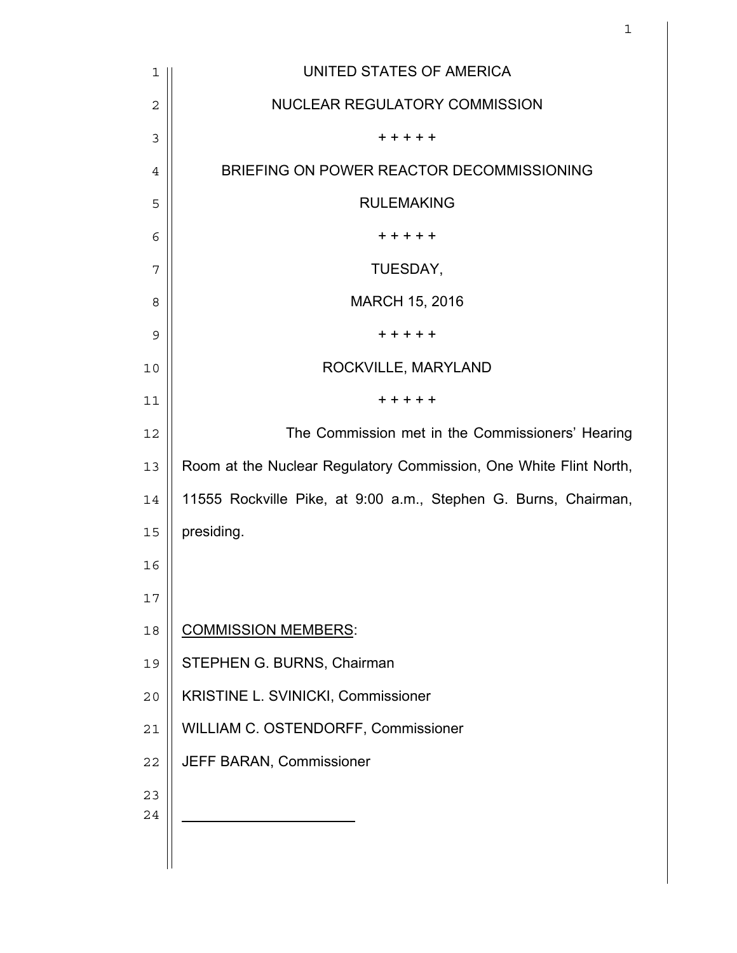| 1  | UNITED STATES OF AMERICA                                          |
|----|-------------------------------------------------------------------|
| 2  | NUCLEAR REGULATORY COMMISSION                                     |
| 3  | + + + + +                                                         |
| 4  | BRIEFING ON POWER REACTOR DECOMMISSIONING                         |
| 5  | <b>RULEMAKING</b>                                                 |
| 6  | + + + + +                                                         |
| 7  | TUESDAY,                                                          |
| 8  | <b>MARCH 15, 2016</b>                                             |
| 9  | + + + + +                                                         |
| 10 | ROCKVILLE, MARYLAND                                               |
| 11 | + + + + +                                                         |
| 12 | The Commission met in the Commissioners' Hearing                  |
| 13 | Room at the Nuclear Regulatory Commission, One White Flint North, |
| 14 | 11555 Rockville Pike, at 9:00 a.m., Stephen G. Burns, Chairman,   |
| 15 | presiding.                                                        |
| 16 |                                                                   |
| 17 |                                                                   |
| 18 | <b>COMMISSION MEMBERS:</b>                                        |
| 19 | STEPHEN G. BURNS, Chairman                                        |
| 20 | KRISTINE L. SVINICKI, Commissioner                                |
| 21 | WILLIAM C. OSTENDORFF, Commissioner                               |
| 22 | JEFF BARAN, Commissioner                                          |
| 23 |                                                                   |
| 24 |                                                                   |
|    |                                                                   |

and  $1$  and  $1$  and  $1$  and  $1$  and  $1$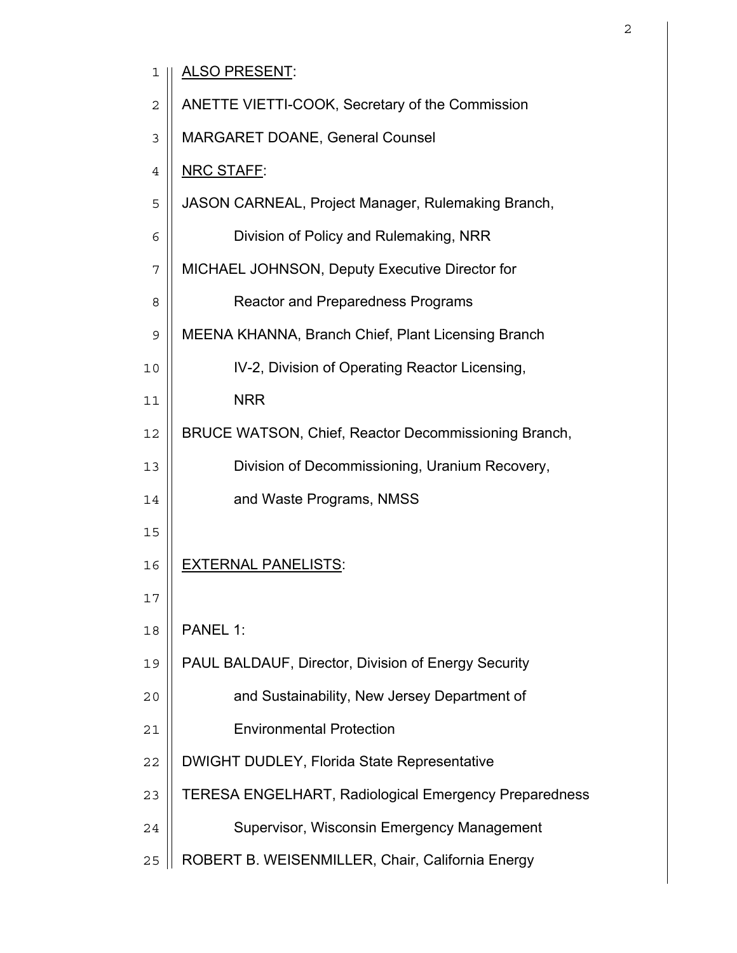| ı              | <u>ALSO PRESENT:</u>                                         |
|----------------|--------------------------------------------------------------|
| 2              | ANETTE VIETTI-COOK, Secretary of the Commission              |
| 3              | <b>MARGARET DOANE, General Counsel</b>                       |
| $\overline{4}$ | NRC STAFF:                                                   |
| 5              | JASON CARNEAL, Project Manager, Rulemaking Branch,           |
| 6              | Division of Policy and Rulemaking, NRR                       |
| 7              | MICHAEL JOHNSON, Deputy Executive Director for               |
| 8              | <b>Reactor and Preparedness Programs</b>                     |
| 9              | MEENA KHANNA, Branch Chief, Plant Licensing Branch           |
| 10             | IV-2, Division of Operating Reactor Licensing,               |
| 11             | <b>NRR</b>                                                   |
| 12             | BRUCE WATSON, Chief, Reactor Decommissioning Branch,         |
| 13             | Division of Decommissioning, Uranium Recovery,               |
| 14             | and Waste Programs, NMSS                                     |
| 15             |                                                              |
| 16             | <b>EXTERNAL PANELISTS:</b>                                   |
| 17             |                                                              |
| 18             | PANEL 1:                                                     |
| 19             | PAUL BALDAUF, Director, Division of Energy Security          |
| 20             | and Sustainability, New Jersey Department of                 |
| 21             | <b>Environmental Protection</b>                              |
| 22             | DWIGHT DUDLEY, Florida State Representative                  |
| 23             | <b>TERESA ENGELHART, Radiological Emergency Preparedness</b> |
| 24             | Supervisor, Wisconsin Emergency Management                   |

25 || ROBERT B. WEISENMILLER, Chair, California Energy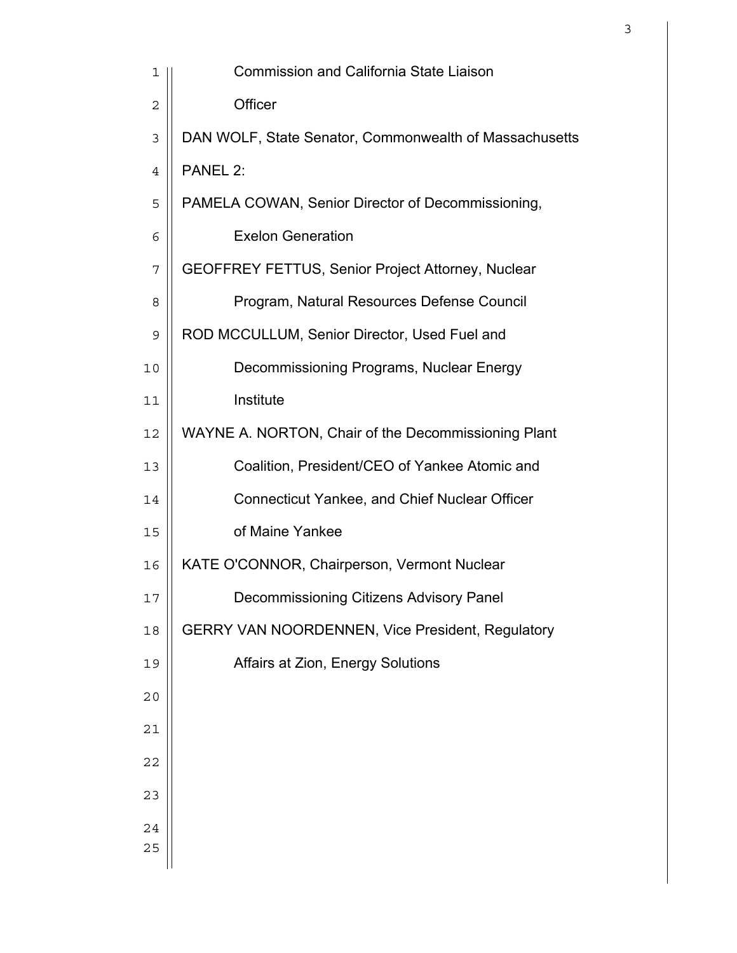| 1           | <b>Commission and California State Liaison</b>           |
|-------------|----------------------------------------------------------|
| $\mathbf 2$ | Officer                                                  |
| 3           | DAN WOLF, State Senator, Commonwealth of Massachusetts   |
| 4           | PANEL 2:                                                 |
| 5           | PAMELA COWAN, Senior Director of Decommissioning,        |
| 6           | <b>Exelon Generation</b>                                 |
| 7           | <b>GEOFFREY FETTUS, Senior Project Attorney, Nuclear</b> |
| 8           | Program, Natural Resources Defense Council               |
| 9           | ROD MCCULLUM, Senior Director, Used Fuel and             |
| 10          | Decommissioning Programs, Nuclear Energy                 |
| 11          | Institute                                                |
| 12          | WAYNE A. NORTON, Chair of the Decommissioning Plant      |
| 13          | Coalition, President/CEO of Yankee Atomic and            |
| 14          | <b>Connecticut Yankee, and Chief Nuclear Officer</b>     |
| 15          | of Maine Yankee                                          |
| 16          | KATE O'CONNOR, Chairperson, Vermont Nuclear              |
| 17          | Decommissioning Citizens Advisory Panel                  |
| 18          | <b>GERRY VAN NOORDENNEN, Vice President, Regulatory</b>  |
| 19          | Affairs at Zion, Energy Solutions                        |
| 20          |                                                          |
| 21          |                                                          |
| 22          |                                                          |
| 23          |                                                          |
| 24<br>25    |                                                          |
|             |                                                          |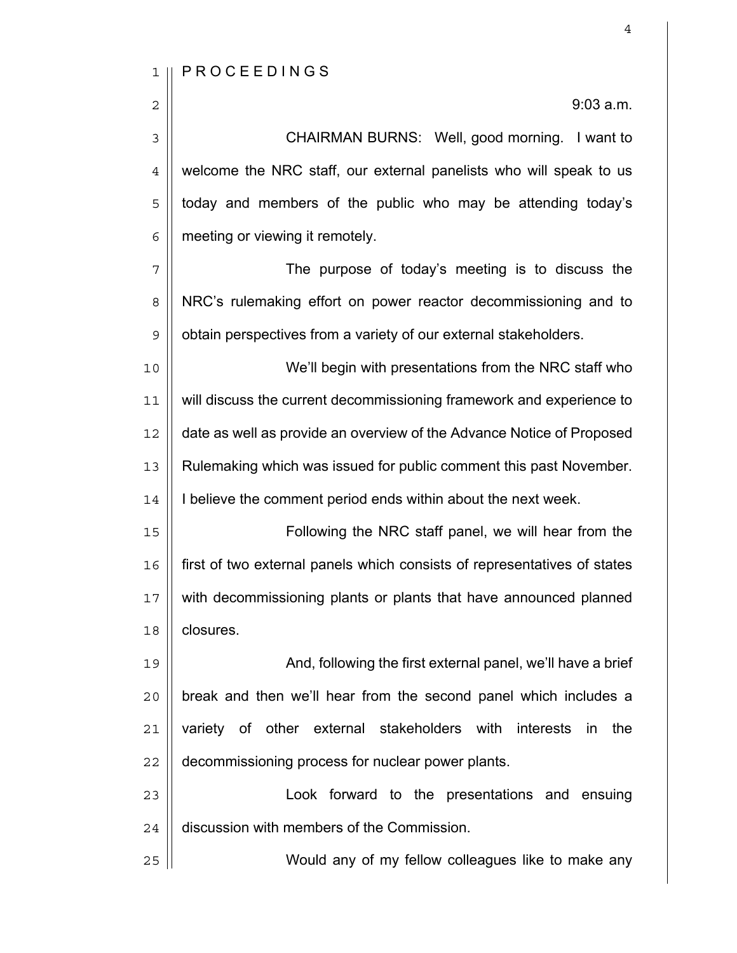2  $\parallel$  9:03 a.m.

3 || CHAIRMAN BURNS: Well, good morning. I want to 4 | welcome the NRC staff, our external panelists who will speak to us  $5$  || today and members of the public who may be attending today's  $6 \parallel$  meeting or viewing it remotely.

7 The purpose of today's meeting is to discuss the 8 | NRC's rulemaking effort on power reactor decommissioning and to 9 | obtain perspectives from a variety of our external stakeholders.

10 We'll begin with presentations from the NRC staff who 11 | will discuss the current decommissioning framework and experience to 12 | date as well as provide an overview of the Advance Notice of Proposed 13 Rulemaking which was issued for public comment this past November. 14 | I believe the comment period ends within about the next week.

Following the NRC staff panel, we will hear from the first of two external panels which consists of representatives of states with decommissioning plants or plants that have announced planned **closures**.

19 || **And, following the first external panel, we'll have a brief**  $20$  | break and then we'll hear from the second panel which includes a 21 || variety of other external stakeholders with interests in the 22 | decommissioning process for nuclear power plants.

23 Look forward to the presentations and ensuing  $24$   $\parallel$  discussion with members of the Commission.

25 Would any of my fellow colleagues like to make any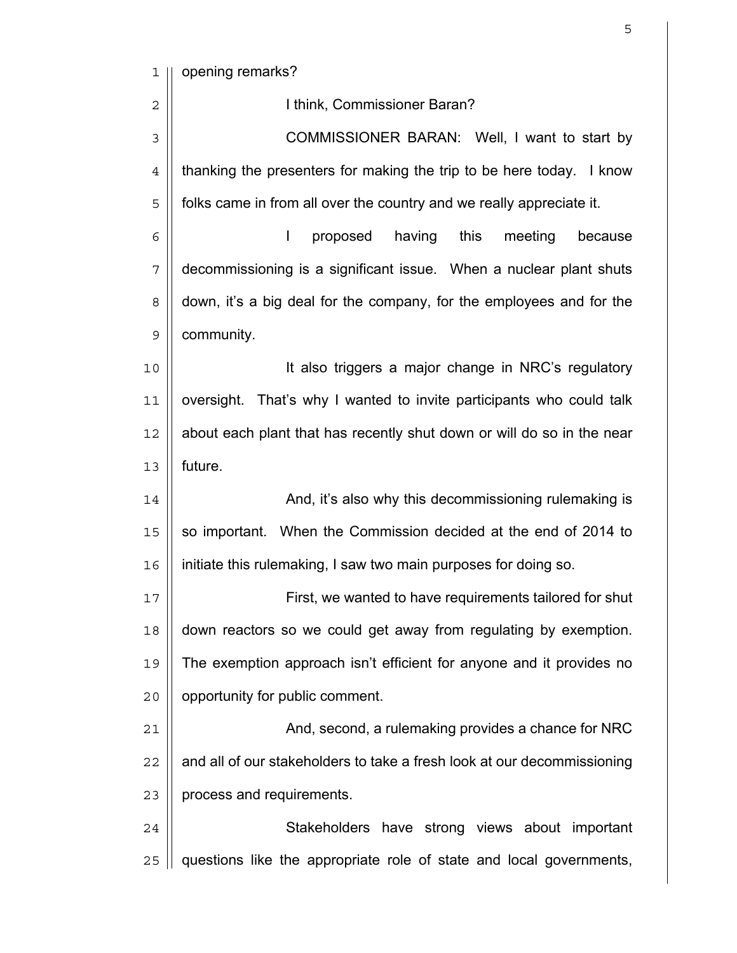1 || opening remarks?

| $\overline{2}$ | I think, Commissioner Baran?                                            |
|----------------|-------------------------------------------------------------------------|
| 3              | COMMISSIONER BARAN: Well, I want to start by                            |
| $\overline{4}$ | thanking the presenters for making the trip to be here today. I know    |
| 5              | folks came in from all over the country and we really appreciate it.    |
| 6              | having<br>this<br>I<br>proposed<br>meeting<br>because                   |
| 7              | decommissioning is a significant issue. When a nuclear plant shuts      |
| 8              | down, it's a big deal for the company, for the employees and for the    |
| 9              | community.                                                              |
| 10             | It also triggers a major change in NRC's regulatory                     |
| 11             | oversight. That's why I wanted to invite participants who could talk    |
| 12             | about each plant that has recently shut down or will do so in the near  |
| 13             | future.                                                                 |
| 14             | And, it's also why this decommissioning rulemaking is                   |
| 15             | so important. When the Commission decided at the end of 2014 to         |
| 16             | initiate this rulemaking, I saw two main purposes for doing so.         |
| 17             | First, we wanted to have requirements tailored for shut                 |
| 18             | down reactors so we could get away from regulating by exemption.        |
| 19             | The exemption approach isn't efficient for anyone and it provides no    |
| 20             | opportunity for public comment.                                         |
| 21             | And, second, a rulemaking provides a chance for NRC                     |
| 22             | and all of our stakeholders to take a fresh look at our decommissioning |
| 23             | process and requirements.                                               |
| 24             | Stakeholders have strong views about important                          |
| 25             | questions like the appropriate role of state and local governments,     |

 $\sim$  5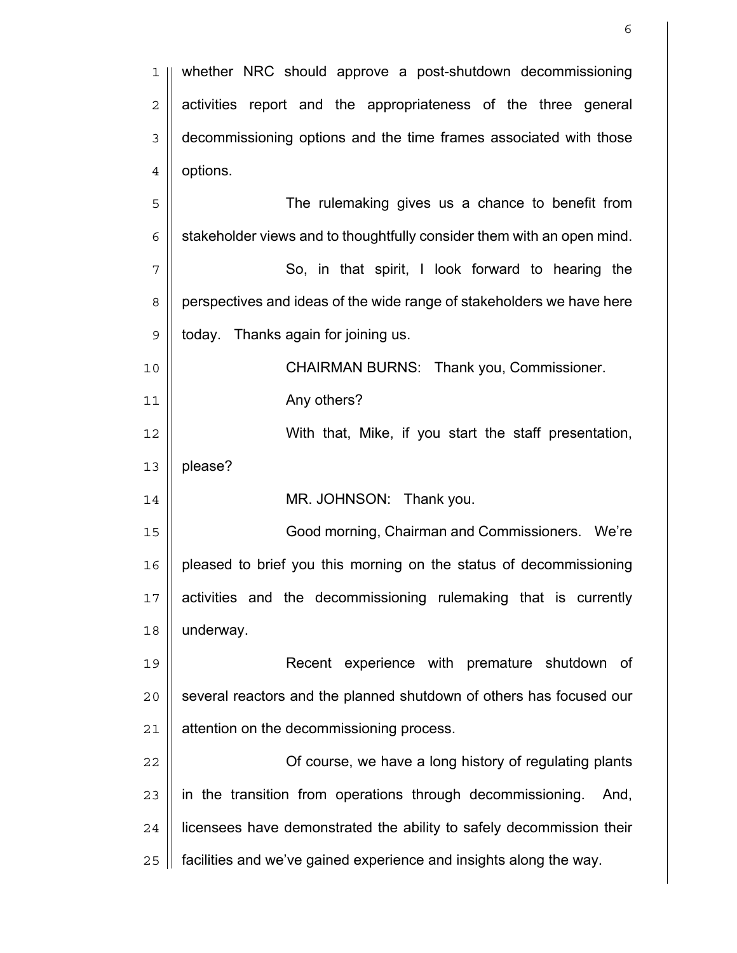| 1              | whether NRC should approve a post-shutdown decommissioning             |
|----------------|------------------------------------------------------------------------|
| $\overline{2}$ | activities report and the appropriateness of the three general         |
| 3              | decommissioning options and the time frames associated with those      |
| $\overline{4}$ | options.                                                               |
| 5              | The rulemaking gives us a chance to benefit from                       |
| 6              | stakeholder views and to thoughtfully consider them with an open mind. |
| 7              | So, in that spirit, I look forward to hearing the                      |
| 8              | perspectives and ideas of the wide range of stakeholders we have here  |
| $\mathsf 9$    | today. Thanks again for joining us.                                    |
| 10             | CHAIRMAN BURNS: Thank you, Commissioner.                               |
| 11             | Any others?                                                            |
| 12             | With that, Mike, if you start the staff presentation,                  |
| 13             | please?                                                                |
| 14             | MR. JOHNSON: Thank you.                                                |
| 15             | Good morning, Chairman and Commissioners. We're                        |
| 16             | pleased to brief you this morning on the status of decommissioning     |
| 17             | activities and the decommissioning rulemaking that is currently        |
| 18             | underway.                                                              |
| 19             | Recent experience with premature shutdown of                           |
| 20             | several reactors and the planned shutdown of others has focused our    |
| 21             | attention on the decommissioning process.                              |
| 22             | Of course, we have a long history of regulating plants                 |
| 23             | in the transition from operations through decommissioning.<br>And,     |
| 24             | licensees have demonstrated the ability to safely decommission their   |
| 25             | facilities and we've gained experience and insights along the way.     |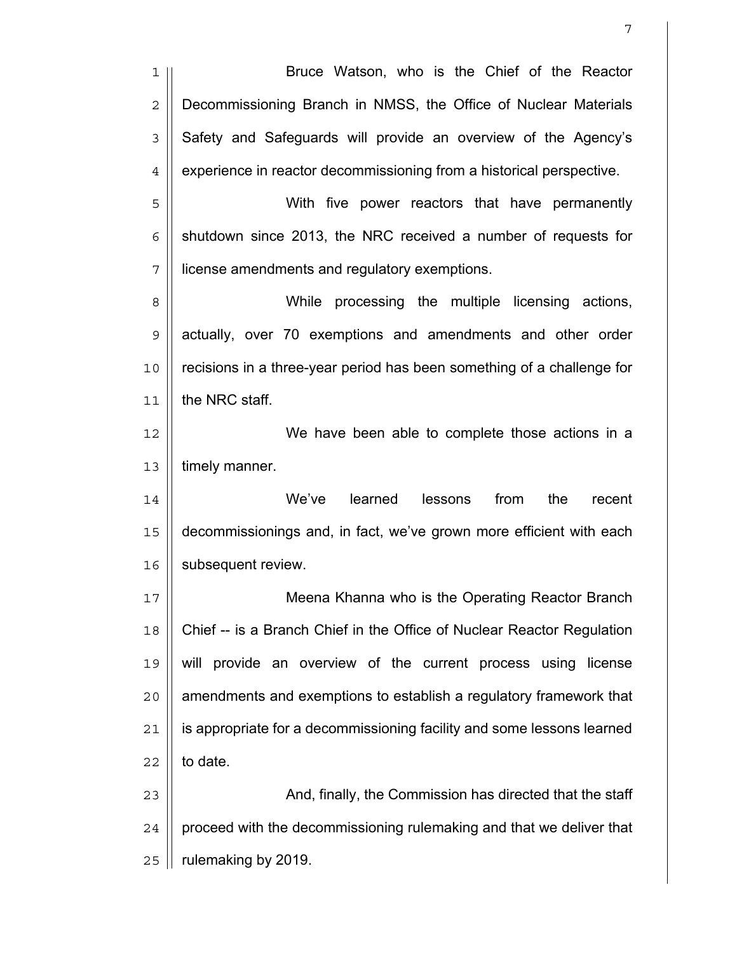1 || Bruce Watson, who is the Chief of the Reactor 2 | Decommissioning Branch in NMSS, the Office of Nuclear Materials 3 Safety and Safeguards will provide an overview of the Agency's  $4 \parallel$  experience in reactor decommissioning from a historical perspective. 5 With five power reactors that have permanently  $6 \parallel$  shutdown since 2013, the NRC received a number of requests for 7 license amendments and regulatory exemptions. 8 While processing the multiple licensing actions, 9 actually, over 70 exemptions and amendments and other order 10 recisions in a three-year period has been something of a challenge for 11 | the NRC staff. 12 ||<br>
We have been able to complete those actions in a  $13$  | timely manner. 14 || **We've learned lessons from the recent** 15 decommissionings and, in fact, we've grown more efficient with each 16 | subsequent review. 17 Meena Khanna who is the Operating Reactor Branch 18 Chief -- is a Branch Chief in the Office of Nuclear Reactor Regulation 19 || will provide an overview of the current process using license 20 || amendments and exemptions to establish a regulatory framework that 21 | is appropriate for a decommissioning facility and some lessons learned  $22 \parallel$  to date. 23 || **And, finally, the Commission has directed that the staff**  $24$  | proceed with the decommissioning rulemaking and that we deliver that  $25$  | rulemaking by 2019.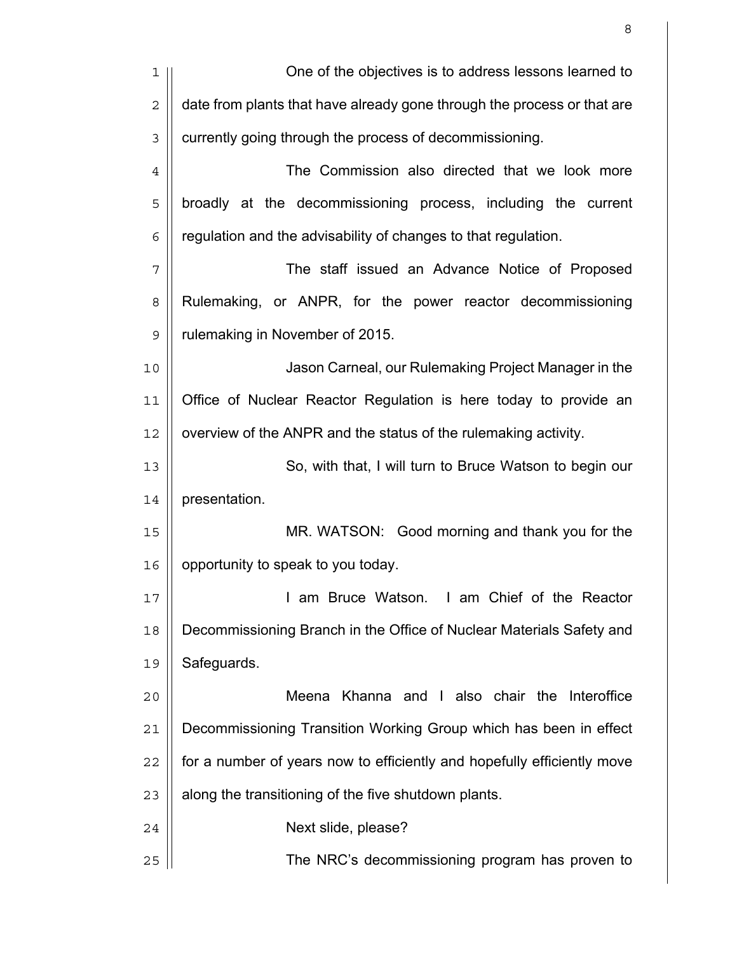| 1              | One of the objectives is to address lessons learned to                  |
|----------------|-------------------------------------------------------------------------|
| $\sqrt{2}$     | date from plants that have already gone through the process or that are |
| $\mathfrak{Z}$ | currently going through the process of decommissioning.                 |
| $\overline{4}$ | The Commission also directed that we look more                          |
| 5              | broadly at the decommissioning process, including the current           |
| 6              | regulation and the advisability of changes to that regulation.          |
| 7              | The staff issued an Advance Notice of Proposed                          |
| 8              | Rulemaking, or ANPR, for the power reactor decommissioning              |
| $\mathsf 9$    | rulemaking in November of 2015.                                         |
| 10             | Jason Carneal, our Rulemaking Project Manager in the                    |
| 11             | Office of Nuclear Reactor Regulation is here today to provide an        |
| 12             | overview of the ANPR and the status of the rulemaking activity.         |
| 13             | So, with that, I will turn to Bruce Watson to begin our                 |
| 14             | presentation.                                                           |
| 15             | MR. WATSON: Good morning and thank you for the                          |
| 16             | opportunity to speak to you today.                                      |
| 17             | I am Bruce Watson. I am Chief of the Reactor                            |
| 18             | Decommissioning Branch in the Office of Nuclear Materials Safety and    |
| 19             | Safeguards.                                                             |
| 20             | Khanna and I also chair the Interoffice<br>Meena                        |
| 21             | Decommissioning Transition Working Group which has been in effect       |
| 22             | for a number of years now to efficiently and hopefully efficiently move |
| 23             | along the transitioning of the five shutdown plants.                    |
| 24             | Next slide, please?                                                     |
| 25             | The NRC's decommissioning program has proven to                         |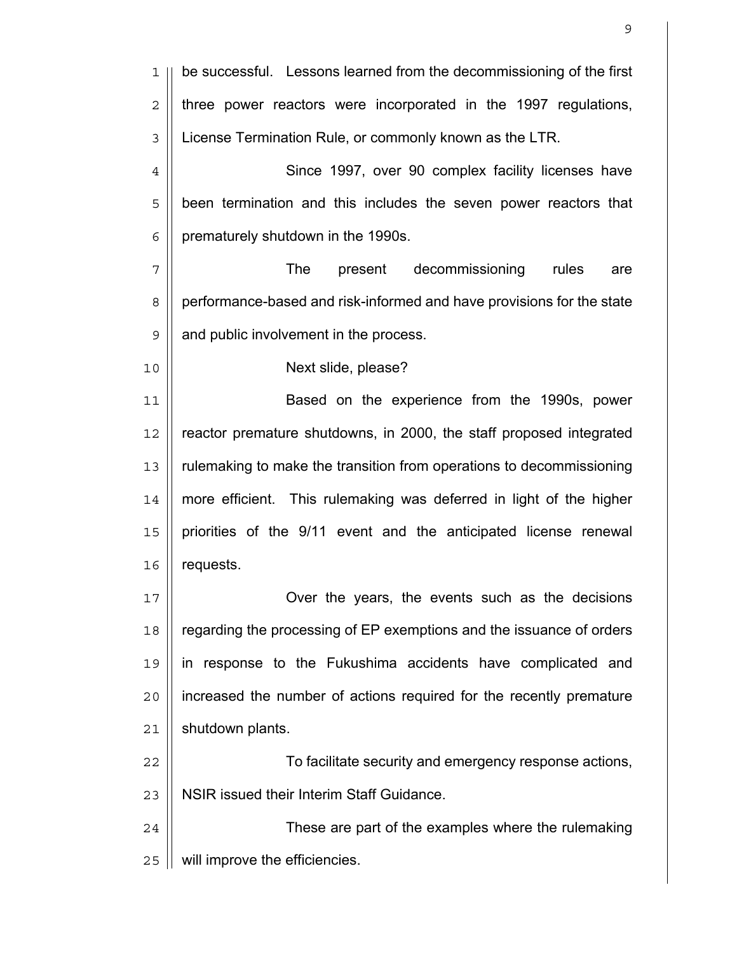1 || be successful. Lessons learned from the decommissioning of the first  $2 \parallel$  three power reactors were incorporated in the 1997 regulations, 3 License Termination Rule, or commonly known as the LTR. 4 | Since 1997, over 90 complex facility licenses have 5 | been termination and this includes the seven power reactors that  $6$  | prematurely shutdown in the 1990s. 7 The present decommissioning rules are 8 | performance-based and risk-informed and have provisions for the state 9 | and public involvement in the process. 10 Next slide, please? 11 ||<br>
Based on the experience from the 1990s, power 12 || reactor premature shutdowns, in 2000, the staff proposed integrated 13 rulemaking to make the transition from operations to decommissioning 14 more efficient. This rulemaking was deferred in light of the higher 15 | priorities of the 9/11 event and the anticipated license renewal  $16$  | requests. 17 Over the years, the events such as the decisions 18 | regarding the processing of EP exemptions and the issuance of orders 19 in response to the Fukushima accidents have complicated and 20 increased the number of actions required for the recently premature  $21$  | shutdown plants. 22 To facilitate security and emergency response actions, 23 | NSIR issued their Interim Staff Guidance. 24 These are part of the examples where the rulemaking 25 | will improve the efficiencies.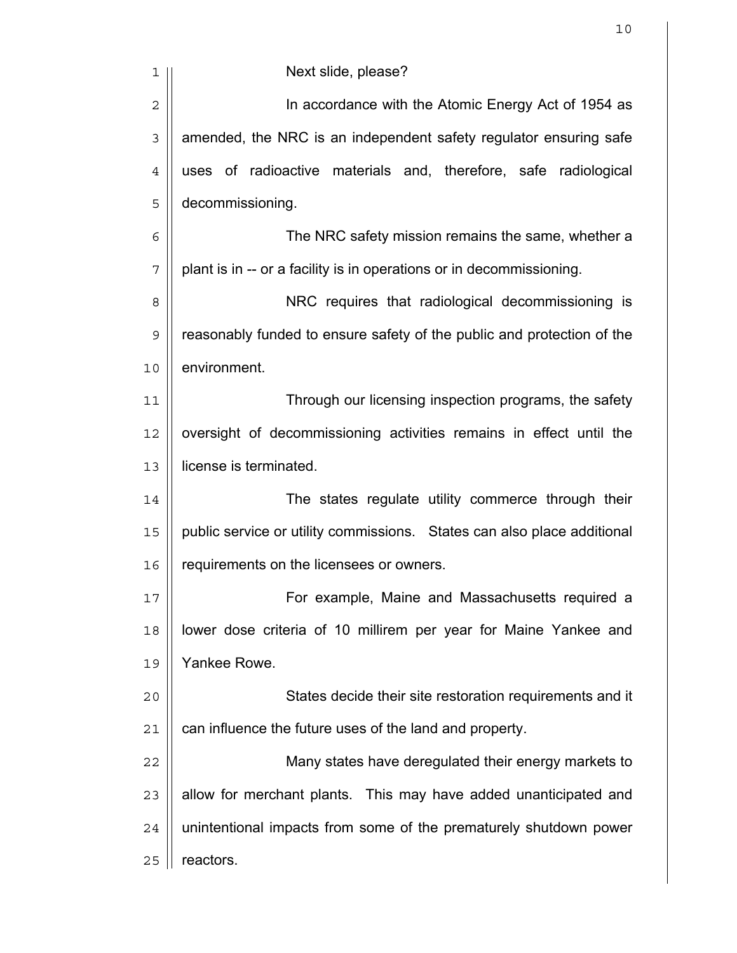| 1              | Next slide, please?                                                     |
|----------------|-------------------------------------------------------------------------|
| $\overline{2}$ | In accordance with the Atomic Energy Act of 1954 as                     |
| $\mathfrak{Z}$ | amended, the NRC is an independent safety regulator ensuring safe       |
| $\overline{4}$ | uses of radioactive materials and, therefore, safe radiological         |
| 5              | decommissioning.                                                        |
| 6              | The NRC safety mission remains the same, whether a                      |
| 7              | plant is in -- or a facility is in operations or in decommissioning.    |
| 8              | NRC requires that radiological decommissioning is                       |
| 9              | reasonably funded to ensure safety of the public and protection of the  |
| 10             | environment.                                                            |
| 11             | Through our licensing inspection programs, the safety                   |
| 12             | oversight of decommissioning activities remains in effect until the     |
| 13             | license is terminated.                                                  |
| 14             | The states regulate utility commerce through their                      |
| 15             | public service or utility commissions. States can also place additional |
| 16             | requirements on the licensees or owners.                                |
| 17             | For example, Maine and Massachusetts required a                         |
| 18             | lower dose criteria of 10 millirem per year for Maine Yankee and        |
| 19             | Yankee Rowe.                                                            |
| 20             | States decide their site restoration requirements and it                |
| 21             | can influence the future uses of the land and property.                 |
| 22             | Many states have deregulated their energy markets to                    |
| 23             | allow for merchant plants. This may have added unanticipated and        |
| 24             | unintentional impacts from some of the prematurely shutdown power       |
| 25             | reactors.                                                               |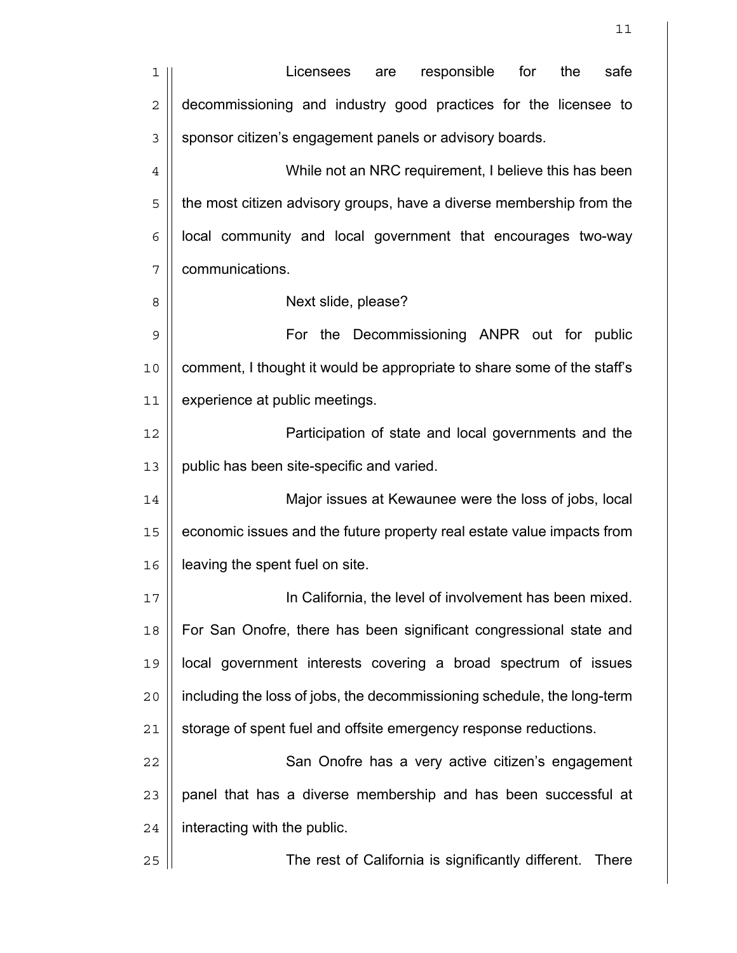| 1              | responsible<br>for<br>the<br>safe<br>Licensees<br>are                   |
|----------------|-------------------------------------------------------------------------|
| $\overline{2}$ | decommissioning and industry good practices for the licensee to         |
| 3              | sponsor citizen's engagement panels or advisory boards.                 |
| $\overline{4}$ | While not an NRC requirement, I believe this has been                   |
| 5              | the most citizen advisory groups, have a diverse membership from the    |
| 6              | local community and local government that encourages two-way            |
| 7              | communications.                                                         |
| 8              | Next slide, please?                                                     |
| 9              | For the Decommissioning ANPR out for public                             |
| 10             | comment, I thought it would be appropriate to share some of the staff's |
| 11             | experience at public meetings.                                          |
| 12             | Participation of state and local governments and the                    |
| 13             | public has been site-specific and varied.                               |
| 14             | Major issues at Kewaunee were the loss of jobs, local                   |
| 15             | economic issues and the future property real estate value impacts from  |
| 16             | leaving the spent fuel on site.                                         |
| 17             | In California, the level of involvement has been mixed.                 |
| 18             | For San Onofre, there has been significant congressional state and      |
| 19             | local government interests covering a broad spectrum of issues          |
| 20             | including the loss of jobs, the decommissioning schedule, the long-term |
| 21             | storage of spent fuel and offsite emergency response reductions.        |
| 22             | San Onofre has a very active citizen's engagement                       |
| 23             | panel that has a diverse membership and has been successful at          |
| 24             | interacting with the public.                                            |
| 25             | The rest of California is significantly different.<br><b>There</b>      |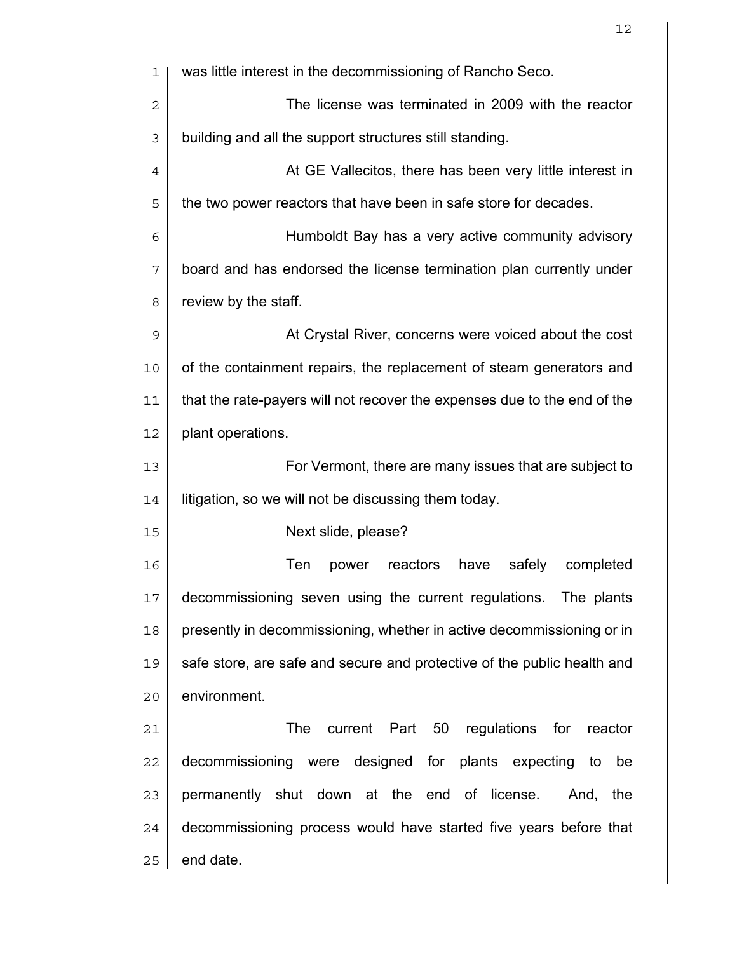| ı              | was little interest in the decommissioning of Rancho Seco.               |
|----------------|--------------------------------------------------------------------------|
| $\mathbf 2$    | The license was terminated in 2009 with the reactor                      |
| 3              | building and all the support structures still standing.                  |
| $\overline{4}$ | At GE Vallecitos, there has been very little interest in                 |
| 5              | the two power reactors that have been in safe store for decades.         |
| 6              | Humboldt Bay has a very active community advisory                        |
| 7              | board and has endorsed the license termination plan currently under      |
| 8              | review by the staff.                                                     |
| 9              | At Crystal River, concerns were voiced about the cost                    |
| 10             | of the containment repairs, the replacement of steam generators and      |
| 11             | that the rate-payers will not recover the expenses due to the end of the |
| 12             | plant operations.                                                        |
| 13             | For Vermont, there are many issues that are subject to                   |
| 14             | litigation, so we will not be discussing them today.                     |
| 15             | Next slide, please?                                                      |
| 16             | Ten<br>reactors<br>have<br>safely<br>completed<br>power                  |
| 17             | decommissioning seven using the current regulations. The plants          |
| 18             | presently in decommissioning, whether in active decommissioning or in    |
| 19             | safe store, are safe and secure and protective of the public health and  |
| 20             | environment.                                                             |
| 21             | The<br>current<br>Part<br>50<br>regulations for<br>reactor               |
| 22             | decommissioning were designed for plants expecting to<br>be              |
| 23             | permanently shut down at the end of license.<br>And, the                 |
| 24             | decommissioning process would have started five years before that        |
| 25             | end date.                                                                |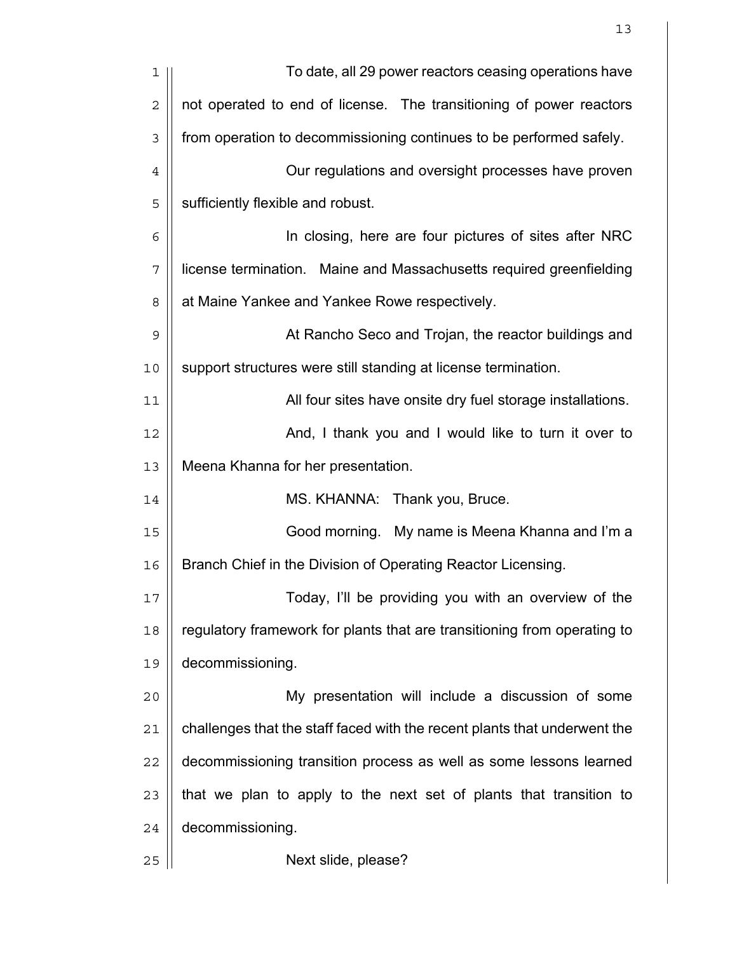| 1              | To date, all 29 power reactors ceasing operations have                    |
|----------------|---------------------------------------------------------------------------|
| $\overline{2}$ | not operated to end of license. The transitioning of power reactors       |
| 3              | from operation to decommissioning continues to be performed safely.       |
| $\overline{4}$ | Our regulations and oversight processes have proven                       |
| 5              | sufficiently flexible and robust.                                         |
| 6              | In closing, here are four pictures of sites after NRC                     |
| 7              | license termination. Maine and Massachusetts required greenfielding       |
| 8              | at Maine Yankee and Yankee Rowe respectively.                             |
| 9              | At Rancho Seco and Trojan, the reactor buildings and                      |
| 10             | support structures were still standing at license termination.            |
| 11             | All four sites have onsite dry fuel storage installations.                |
| 12             | And, I thank you and I would like to turn it over to                      |
| 13             | Meena Khanna for her presentation.                                        |
| 14             | MS. KHANNA: Thank you, Bruce.                                             |
| 15             | Good morning. My name is Meena Khanna and I'm a                           |
| 16             | Branch Chief in the Division of Operating Reactor Licensing.              |
| 17             | Today, I'll be providing you with an overview of the                      |
| 18             | regulatory framework for plants that are transitioning from operating to  |
| 19             | decommissioning.                                                          |
| 20             | My presentation will include a discussion of some                         |
| 21             | challenges that the staff faced with the recent plants that underwent the |
| 22             | decommissioning transition process as well as some lessons learned        |
| 23             | that we plan to apply to the next set of plants that transition to        |
| 24             | decommissioning.                                                          |
| 25             | Next slide, please?                                                       |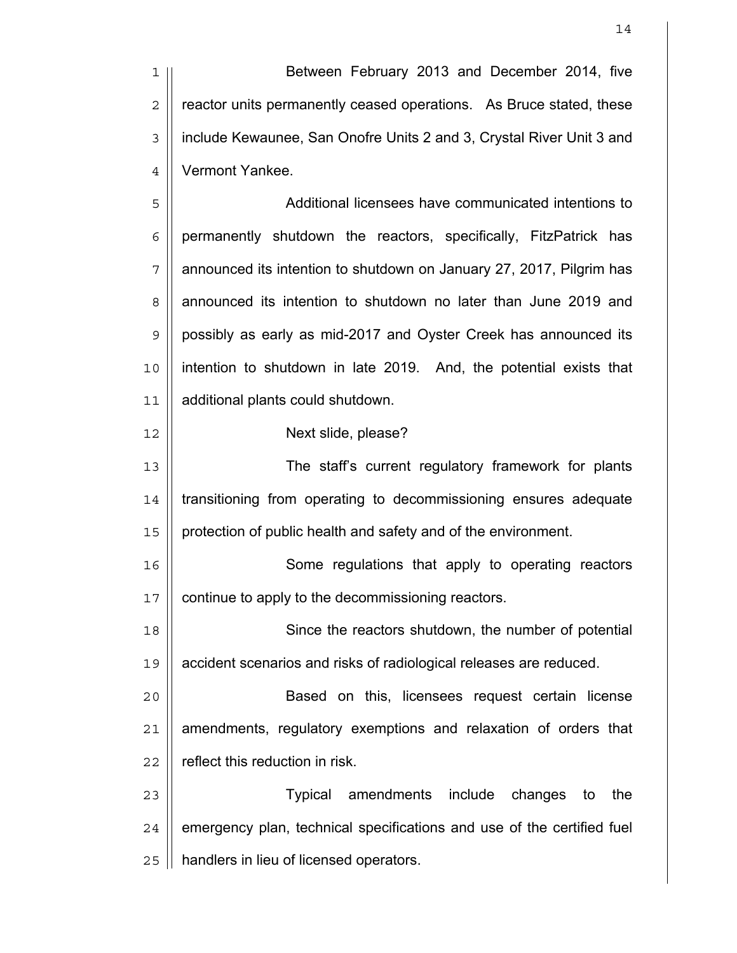Between February 2013 and December 2014, five  $2 \parallel$  reactor units permanently ceased operations. As Bruce stated, these 3 | include Kewaunee, San Onofre Units 2 and 3, Crystal River Unit 3 and Vermont Yankee.

Additional licensees have communicated intentions to | permanently shutdown the reactors, specifically, FitzPatrick has | announced its intention to shutdown on January 27, 2017, Pilgrim has 8 | announced its intention to shutdown no later than June 2019 and 9 | possibly as early as mid-2017 and Oyster Creek has announced its 10 || intention to shutdown in late 2019. And, the potential exists that additional plants could shutdown.

## Next slide, please?

The staff's current regulatory framework for plants 14 | transitioning from operating to decommissioning ensures adequate 15 | protection of public health and safety and of the environment.

16 || Some regulations that apply to operating reactors 17 | continue to apply to the decommissioning reactors.

Since the reactors shutdown, the number of potential accident scenarios and risks of radiological releases are reduced.

Based on this, licensees request certain license | amendments, regulatory exemptions and relaxation of orders that | reflect this reduction in risk.

Typical amendments include changes to the  $\parallel$  emergency plan, technical specifications and use of the certified fuel 25 | handlers in lieu of licensed operators.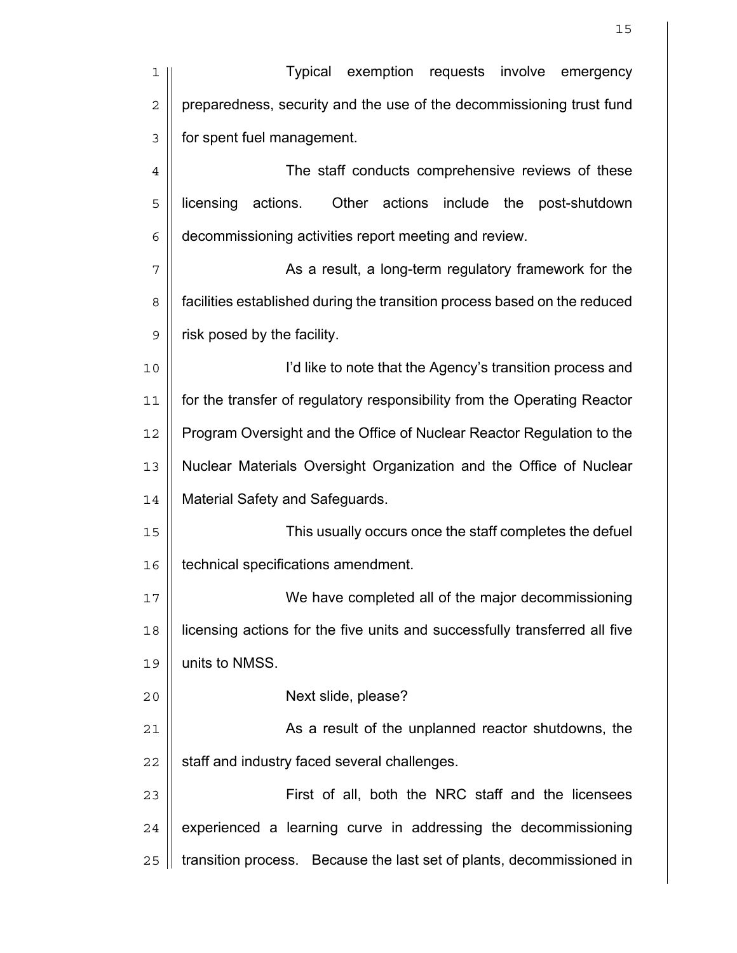| 1              | Typical<br>exemption requests<br>involve<br>emergency                      |
|----------------|----------------------------------------------------------------------------|
| $\overline{c}$ | preparedness, security and the use of the decommissioning trust fund       |
| 3              | for spent fuel management.                                                 |
| $\,4$          | The staff conducts comprehensive reviews of these                          |
| 5              | Other actions include the<br>licensing<br>actions.<br>post-shutdown        |
| 6              | decommissioning activities report meeting and review.                      |
| 7              | As a result, a long-term regulatory framework for the                      |
| 8              | facilities established during the transition process based on the reduced  |
| $\mathsf 9$    | risk posed by the facility.                                                |
| 10             | I'd like to note that the Agency's transition process and                  |
| 11             | for the transfer of regulatory responsibility from the Operating Reactor   |
| 12             | Program Oversight and the Office of Nuclear Reactor Regulation to the      |
| 13             | Nuclear Materials Oversight Organization and the Office of Nuclear         |
| 14             | Material Safety and Safeguards.                                            |
| 15             | This usually occurs once the staff completes the defuel                    |
| 16             | technical specifications amendment.                                        |
| 17             | We have completed all of the major decommissioning                         |
| 18             | licensing actions for the five units and successfully transferred all five |
| 19             | units to NMSS.                                                             |
| 20             | Next slide, please?                                                        |
| 21             | As a result of the unplanned reactor shutdowns, the                        |
| 22             | staff and industry faced several challenges.                               |
| 23             | First of all, both the NRC staff and the licensees                         |
| 24             | experienced a learning curve in addressing the decommissioning             |
| 25             | transition process. Because the last set of plants, decommissioned in      |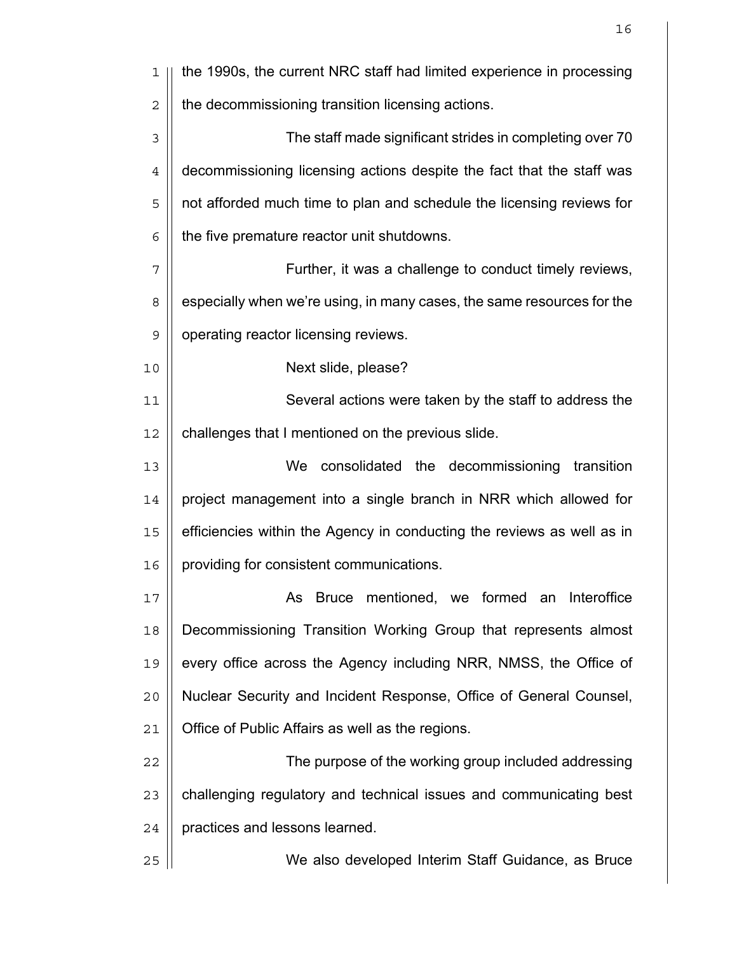| ı           | the 1990s, the current NRC staff had limited experience in processing  |
|-------------|------------------------------------------------------------------------|
| $\mathbf 2$ | the decommissioning transition licensing actions.                      |
| 3           | The staff made significant strides in completing over 70               |
| 4           | decommissioning licensing actions despite the fact that the staff was  |
| 5           | not afforded much time to plan and schedule the licensing reviews for  |
| 6           | the five premature reactor unit shutdowns.                             |
| 7           | Further, it was a challenge to conduct timely reviews,                 |
| 8           | especially when we're using, in many cases, the same resources for the |
| $\mathsf 9$ | operating reactor licensing reviews.                                   |
| 10          | Next slide, please?                                                    |
| 11          | Several actions were taken by the staff to address the                 |
| 12          | challenges that I mentioned on the previous slide.                     |
| 13          | consolidated the decommissioning<br>We<br>transition                   |
| 14          | project management into a single branch in NRR which allowed for       |
| 15          | efficiencies within the Agency in conducting the reviews as well as in |
| 16          | providing for consistent communications.                               |
| 17          | As Bruce mentioned, we formed an Interoffice                           |
| 18          | Decommissioning Transition Working Group that represents almost        |
| 19          | every office across the Agency including NRR, NMSS, the Office of      |
| 20          | Nuclear Security and Incident Response, Office of General Counsel,     |
| 21          | Office of Public Affairs as well as the regions.                       |
| 22          | The purpose of the working group included addressing                   |
| 23          | challenging regulatory and technical issues and communicating best     |
| 24          | practices and lessons learned.                                         |
| 25          | We also developed Interim Staff Guidance, as Bruce                     |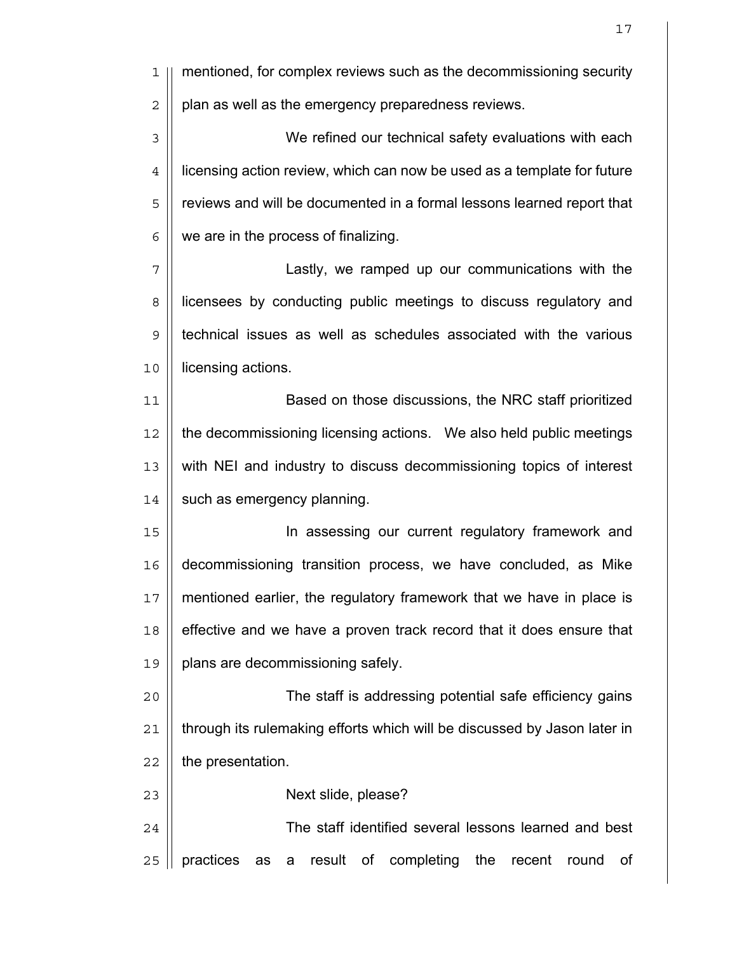| 1              | mentioned, for complex reviews such as the decommissioning security                |
|----------------|------------------------------------------------------------------------------------|
| $\overline{2}$ | plan as well as the emergency preparedness reviews.                                |
| $\mathfrak{Z}$ | We refined our technical safety evaluations with each                              |
| $\overline{4}$ | licensing action review, which can now be used as a template for future            |
| 5              | reviews and will be documented in a formal lessons learned report that             |
| 6              | we are in the process of finalizing.                                               |
| 7              | Lastly, we ramped up our communications with the                                   |
| 8              | licensees by conducting public meetings to discuss regulatory and                  |
| $\mathsf 9$    | technical issues as well as schedules associated with the various                  |
| 10             | licensing actions.                                                                 |
| 11             | Based on those discussions, the NRC staff prioritized                              |
| 12             | the decommissioning licensing actions. We also held public meetings                |
| 13             | with NEI and industry to discuss decommissioning topics of interest                |
| 14             | such as emergency planning.                                                        |
| 15             | In assessing our current regulatory framework and                                  |
| 16             | decommissioning transition process, we have concluded, as Mike                     |
| 17             | mentioned earlier, the regulatory framework that we have in place is               |
| 18             | effective and we have a proven track record that it does ensure that               |
| 19             | plans are decommissioning safely.                                                  |
| 20             | The staff is addressing potential safe efficiency gains                            |
| 21             | through its rulemaking efforts which will be discussed by Jason later in           |
| 22             | the presentation.                                                                  |
| 23             | Next slide, please?                                                                |
| 24             | The staff identified several lessons learned and best                              |
| 25             | practices<br>result<br>completing<br>Οf<br>the<br>recent<br>Οf<br>round<br>as<br>a |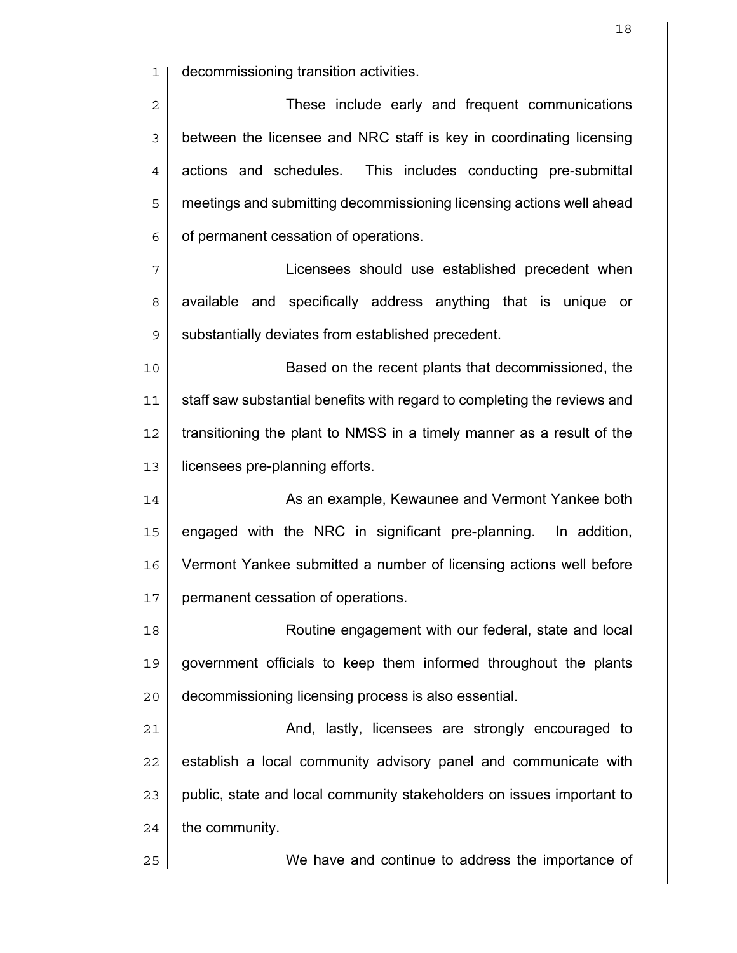decommissioning transition activities.

| 2 <sup>1</sup> | These include early and frequent communications                                      |
|----------------|--------------------------------------------------------------------------------------|
|                | $\frac{1}{3}$ between the licensee and NRC staff is key in coordinating licensing    |
|                | $4 \parallel$ actions and schedules. This includes conducting pre-submittal          |
|                | $\frac{1}{5}$   meetings and submitting decommissioning licensing actions well ahead |
|                | $\in$   of permanent cessation of operations.                                        |
|                |                                                                                      |

Licensees should use established precedent when 8 available and specifically address anything that is unique or 9 | substantially deviates from established precedent.

Based on the recent plants that decommissioned, the 11 | staff saw substantial benefits with regard to completing the reviews and || transitioning the plant to NMSS in a timely manner as a result of the licensees pre-planning efforts.

14 | As an example, Kewaunee and Vermont Yankee both | engaged with the NRC in significant pre-planning. In addition, Vermont Yankee submitted a number of licensing actions well before 17 | permanent cessation of operations.

Routine engagement with our federal, state and local government officials to keep them informed throughout the plants decommissioning licensing process is also essential.

21 | And, lastly, licensees are strongly encouraged to | establish a local community advisory panel and communicate with 23 | public, state and local community stakeholders on issues important to | the community.

We have and continue to address the importance of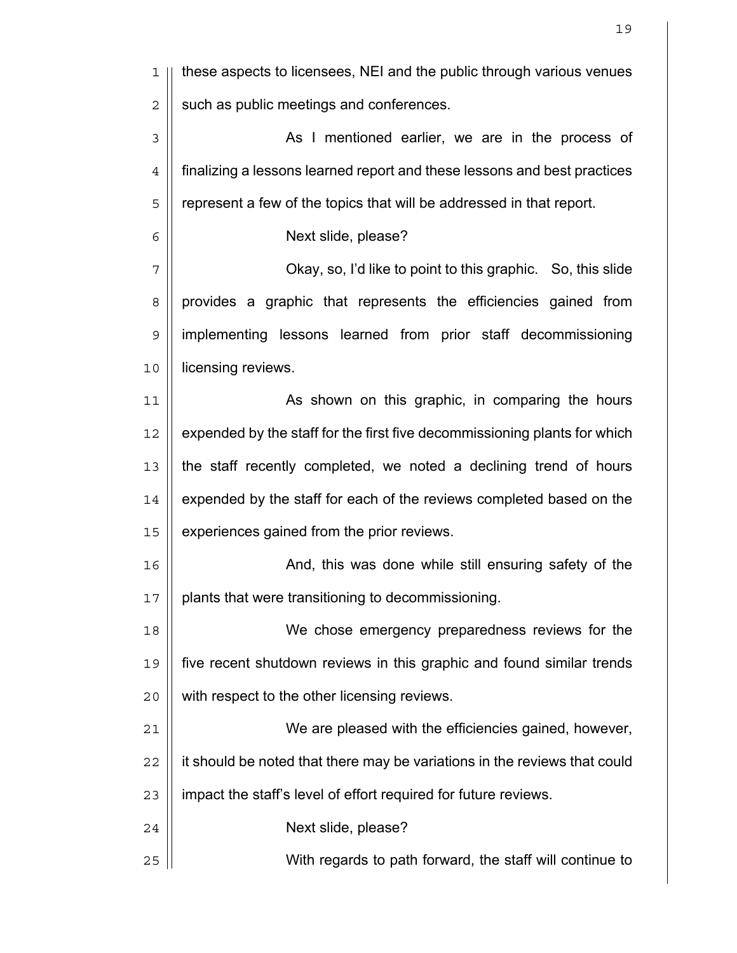| ı              | these aspects to licensees, NEI and the public through various venues     |
|----------------|---------------------------------------------------------------------------|
| $\mathbf 2$    | such as public meetings and conferences.                                  |
| 3              | As I mentioned earlier, we are in the process of                          |
| $\overline{4}$ | finalizing a lessons learned report and these lessons and best practices  |
| 5              | represent a few of the topics that will be addressed in that report.      |
| 6              | Next slide, please?                                                       |
| 7              | Okay, so, I'd like to point to this graphic. So, this slide               |
| 8              | provides a graphic that represents the efficiencies gained from           |
| $\mathsf 9$    | implementing lessons learned from prior staff decommissioning             |
| 10             | licensing reviews.                                                        |
| 11             | As shown on this graphic, in comparing the hours                          |
| 12             | expended by the staff for the first five decommissioning plants for which |
| 13             | the staff recently completed, we noted a declining trend of hours         |
| 14             | expended by the staff for each of the reviews completed based on the      |
| 15             | experiences gained from the prior reviews.                                |
| 16             | And, this was done while still ensuring safety of the                     |
| 17             | plants that were transitioning to decommissioning.                        |
| 18             | We chose emergency preparedness reviews for the                           |
| 19             | five recent shutdown reviews in this graphic and found similar trends     |
| 20             | with respect to the other licensing reviews.                              |
| 21             | We are pleased with the efficiencies gained, however,                     |
| 22             | it should be noted that there may be variations in the reviews that could |
| 23             | impact the staff's level of effort required for future reviews.           |
| 24             | Next slide, please?                                                       |
| 25             | With regards to path forward, the staff will continue to                  |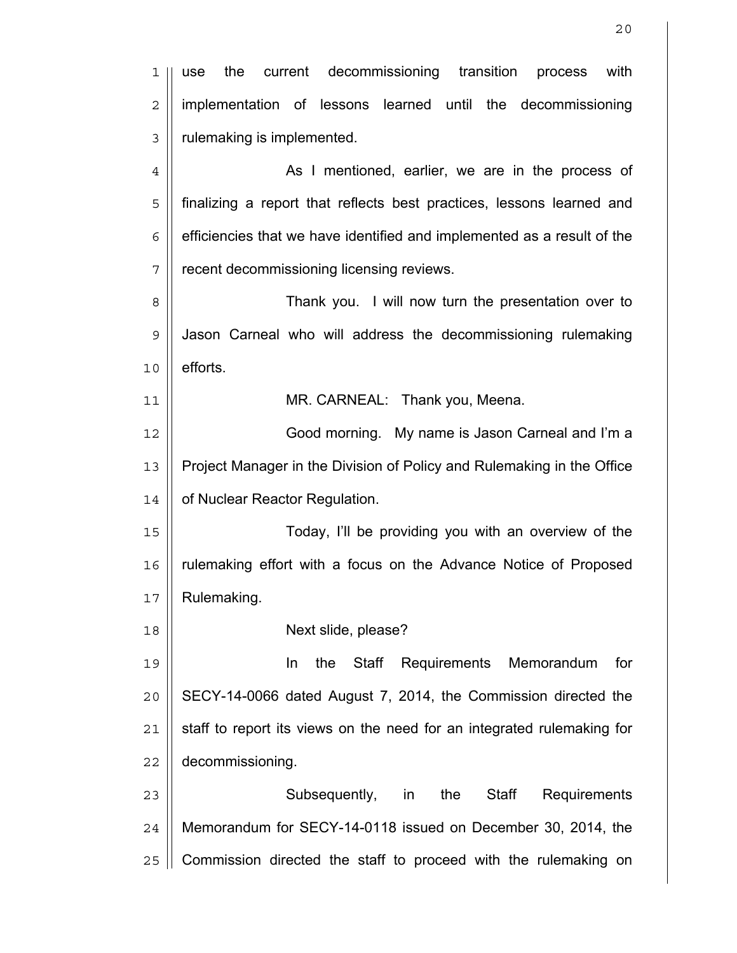1 || use the current decommissioning transition process with 2 | implementation of lessons learned until the decommissioning 3 | rulemaking is implemented. 4 As I mentioned, earlier, we are in the process of 5 finalizing a report that reflects best practices, lessons learned and  $6 \parallel$  efficiencies that we have identified and implemented as a result of the 7 | recent decommissioning licensing reviews. 8 Thank you. I will now turn the presentation over to 9 | Jason Carneal who will address the decommissioning rulemaking  $10 \parallel$  efforts. 11 MR. CARNEAL: Thank you, Meena. 12 Good morning. My name is Jason Carneal and I'm a 13 | Project Manager in the Division of Policy and Rulemaking in the Office 14 | of Nuclear Reactor Regulation. 15 Today, I'll be providing you with an overview of the 16 rulemaking effort with a focus on the Advance Notice of Proposed 17 | Rulemaking. 18 Next slide, please? 19 In the Staff Requirements Memorandum for  $20$  || SECY-14-0066 dated August 7, 2014, the Commission directed the  $21$  || staff to report its views on the need for an integrated rulemaking for 22 | decommissioning. 23 || **Subsequently, in the Staff Requirements**  $24$  | Memorandum for SECY-14-0118 issued on December 30, 2014, the  $25$  | Commission directed the staff to proceed with the rulemaking on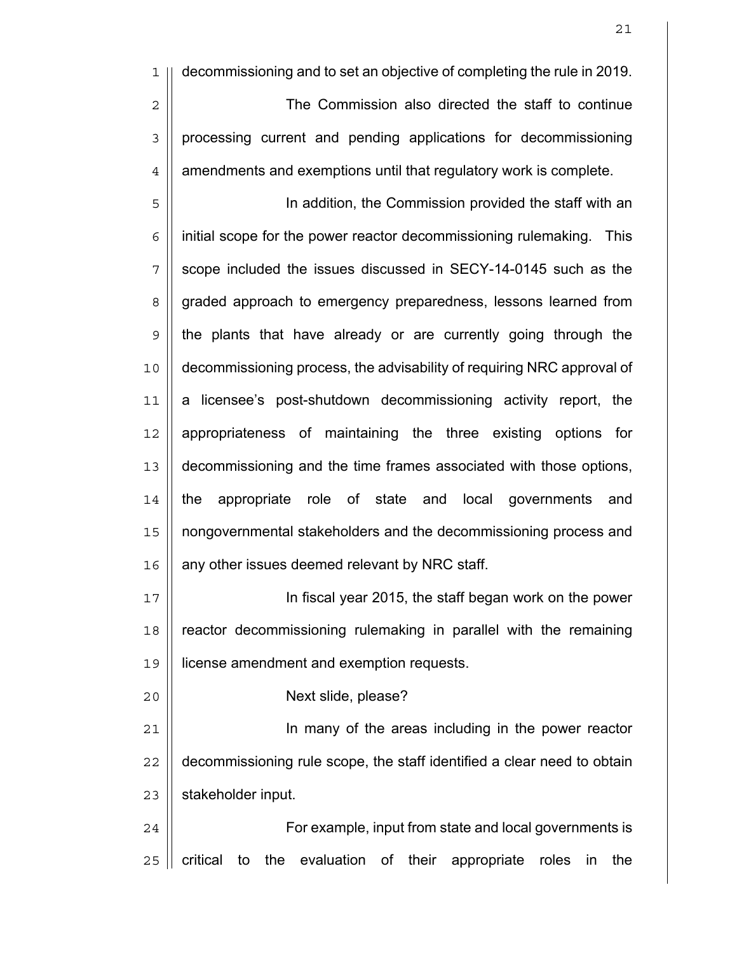1 decommissioning and to set an objective of completing the rule in 2019. 2 | The Commission also directed the staff to continue 3 | processing current and pending applications for decommissioning  $4 \parallel$  amendments and exemptions until that regulatory work is complete.

5 || **In addition, the Commission provided the staff with an**  $6 \parallel$  initial scope for the power reactor decommissioning rulemaking. This || scope included the issues discussed in SECY-14-0145 such as the 8 | graded approach to emergency preparedness, lessons learned from | the plants that have already or are currently going through the decommissioning process, the advisability of requiring NRC approval of a licensee's post-shutdown decommissioning activity report, the appropriateness of maintaining the three existing options for decommissioning and the time frames associated with those options, the appropriate role of state and local governments and nongovernmental stakeholders and the decommissioning process and 16 | any other issues deemed relevant by NRC staff.

17 In fiscal year 2015, the staff began work on the power 18 || reactor decommissioning rulemaking in parallel with the remaining 19 license amendment and exemption requests.

20 Next slide, please?

21 || **In many of the areas including in the power reactor** 22 || decommissioning rule scope, the staff identified a clear need to obtain  $23$  | stakeholder input.

24 | For example, input from state and local governments is  $25$  | critical to the evaluation of their appropriate roles in the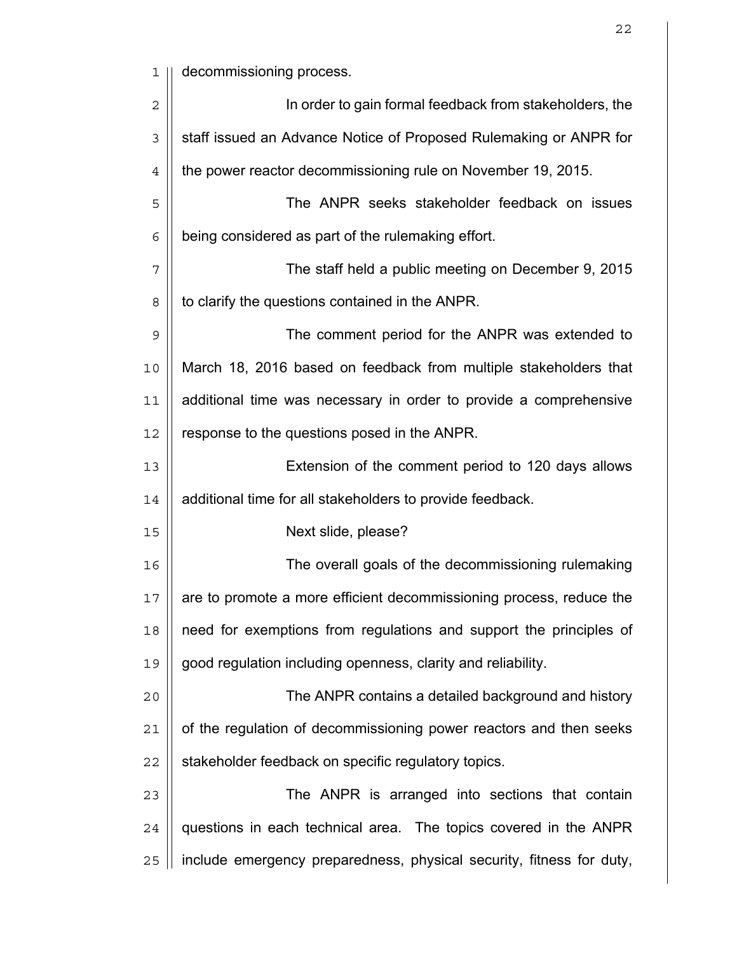1 || decommissioning process.

| $\overline{2}$ | In order to gain formal feedback from stakeholders, the              |
|----------------|----------------------------------------------------------------------|
| $\mathfrak{Z}$ | staff issued an Advance Notice of Proposed Rulemaking or ANPR for    |
| 4              | the power reactor decommissioning rule on November 19, 2015.         |
| 5              | The ANPR seeks stakeholder feedback on issues                        |
| 6              | being considered as part of the rulemaking effort.                   |
| 7              | The staff held a public meeting on December 9, 2015                  |
| 8              | to clarify the questions contained in the ANPR.                      |
| $\mathsf 9$    | The comment period for the ANPR was extended to                      |
| 10             | March 18, 2016 based on feedback from multiple stakeholders that     |
| 11             | additional time was necessary in order to provide a comprehensive    |
| 12             | response to the questions posed in the ANPR.                         |
| 13             | Extension of the comment period to 120 days allows                   |
| 14             | additional time for all stakeholders to provide feedback.            |
| 15             | Next slide, please?                                                  |
| 16             | The overall goals of the decommissioning rulemaking                  |
| 17             | are to promote a more efficient decommissioning process, reduce the  |
| 18             | need for exemptions from regulations and support the principles of   |
| 19             | good regulation including openness, clarity and reliability.         |
| 20             | The ANPR contains a detailed background and history                  |
| 21             | of the regulation of decommissioning power reactors and then seeks   |
| 22             | stakeholder feedback on specific regulatory topics.                  |
| 23             | The ANPR is arranged into sections that contain                      |
| 24             | questions in each technical area. The topics covered in the ANPR     |
| 25             | include emergency preparedness, physical security, fitness for duty, |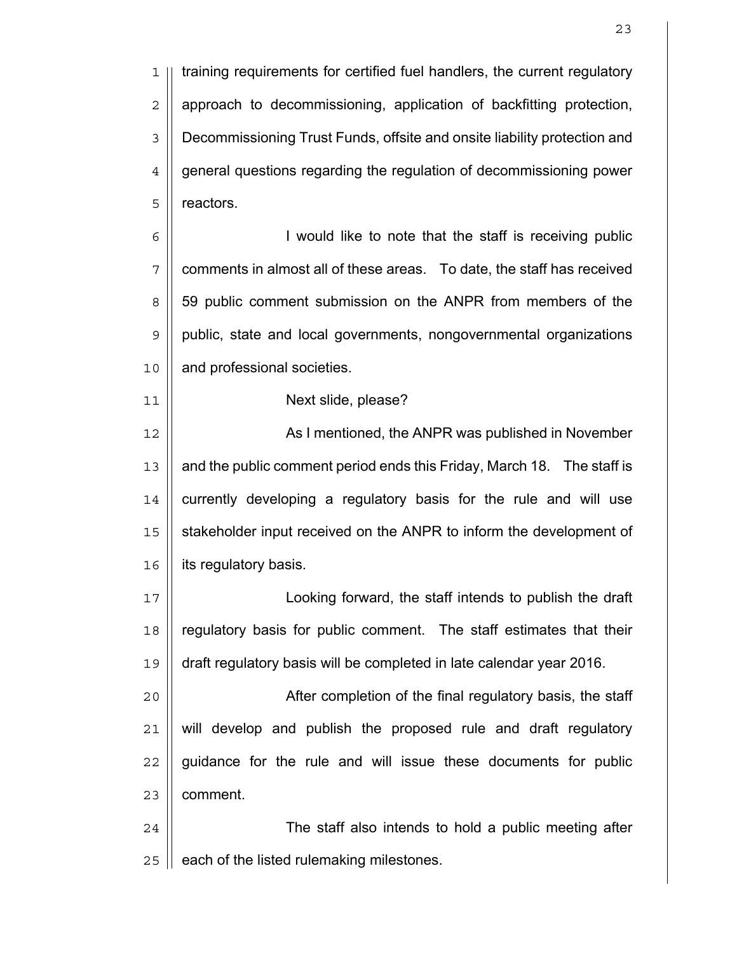1 || training requirements for certified fuel handlers, the current regulatory  $2 \parallel$  approach to decommissioning, application of backfitting protection, 3 | Decommissioning Trust Funds, offsite and onsite liability protection and 4 | general questions regarding the regulation of decommissioning power 5 || reactors.

6 || **I** would like to note that the staff is receiving public  $7 \parallel$  comments in almost all of these areas. To date, the staff has received 8 || 59 public comment submission on the ANPR from members of the 9 public, state and local governments, nongovernmental organizations 10 | and professional societies.

## 11 || **Next slide, please?**

12 As I mentioned, the ANPR was published in November 13 || and the public comment period ends this Friday, March 18. The staff is 14 || currently developing a regulatory basis for the rule and will use 15 | stakeholder input received on the ANPR to inform the development of 16 | its regulatory basis.

17 Looking forward, the staff intends to publish the draft 18 || regulatory basis for public comment. The staff estimates that their 19 draft regulatory basis will be completed in late calendar year 2016.

After completion of the final regulatory basis, the staff  $\parallel$  will develop and publish the proposed rule and draft regulatory | guidance for the rule and will issue these documents for public | comment.

24 | The staff also intends to hold a public meeting after  $25$  | each of the listed rulemaking milestones.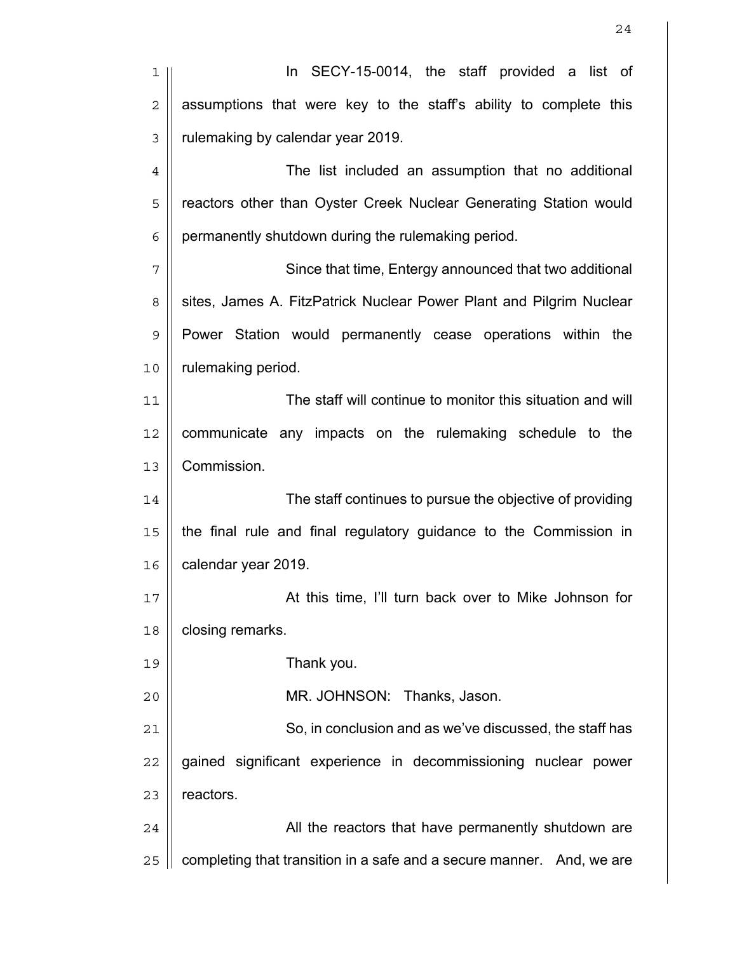| 1              | In SECY-15-0014, the staff provided a list of                            |
|----------------|--------------------------------------------------------------------------|
| $\overline{2}$ | assumptions that were key to the staff's ability to complete this        |
| 3              | rulemaking by calendar year 2019.                                        |
| $\overline{4}$ | The list included an assumption that no additional                       |
| 5              | reactors other than Oyster Creek Nuclear Generating Station would        |
| 6              | permanently shutdown during the rulemaking period.                       |
| 7              | Since that time, Entergy announced that two additional                   |
| 8              | sites, James A. FitzPatrick Nuclear Power Plant and Pilgrim Nuclear      |
| $\mathsf 9$    | Power Station would permanently cease operations within the              |
| 10             | rulemaking period.                                                       |
| 11             | The staff will continue to monitor this situation and will               |
| 12             | communicate any impacts on the rulemaking schedule to the                |
| 13             | Commission.                                                              |
| 14             | The staff continues to pursue the objective of providing                 |
| 15             | the final rule and final regulatory guidance to the Commission in        |
| 16             | calendar year 2019.                                                      |
| 17             | At this time, I'll turn back over to Mike Johnson for                    |
| 18             | closing remarks.                                                         |
| 19             | Thank you.                                                               |
| 20             | MR. JOHNSON: Thanks, Jason.                                              |
| 21             | So, in conclusion and as we've discussed, the staff has                  |
| 22             | gained significant experience in decommissioning nuclear power           |
| 23             | reactors.                                                                |
| 24             | All the reactors that have permanently shutdown are                      |
| 25             | completing that transition in a safe and a secure manner.<br>And, we are |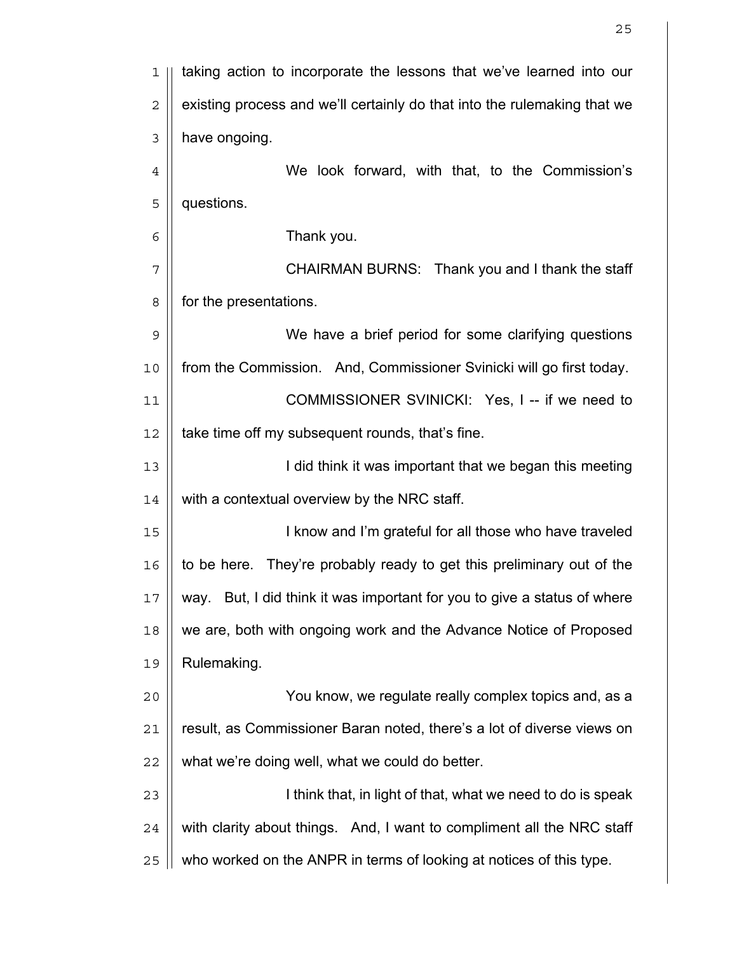| 1              | taking action to incorporate the lessons that we've learned into our     |
|----------------|--------------------------------------------------------------------------|
| $\overline{2}$ | existing process and we'll certainly do that into the rulemaking that we |
| $\mathfrak{Z}$ | have ongoing.                                                            |
| $\overline{4}$ | We look forward, with that, to the Commission's                          |
| 5              | questions.                                                               |
| 6              | Thank you.                                                               |
| 7              | CHAIRMAN BURNS: Thank you and I thank the staff                          |
| 8              | for the presentations.                                                   |
| 9              | We have a brief period for some clarifying questions                     |
| 10             | from the Commission. And, Commissioner Svinicki will go first today.     |
| 11             | COMMISSIONER SVINICKI: Yes, I -- if we need to                           |
| 12             | take time off my subsequent rounds, that's fine.                         |
| 13             | I did think it was important that we began this meeting                  |
| 14             | with a contextual overview by the NRC staff.                             |
| 15             | I know and I'm grateful for all those who have traveled                  |
| 16             | to be here. They're probably ready to get this preliminary out of the    |
| 17             | way. But, I did think it was important for you to give a status of where |
| 18             | we are, both with ongoing work and the Advance Notice of Proposed        |
| 19             | Rulemaking.                                                              |
| 20             | You know, we regulate really complex topics and, as a                    |
| 21             | result, as Commissioner Baran noted, there's a lot of diverse views on   |
| 22             | what we're doing well, what we could do better.                          |
| 23             | I think that, in light of that, what we need to do is speak              |
| 24             | with clarity about things. And, I want to compliment all the NRC staff   |
| 25             | who worked on the ANPR in terms of looking at notices of this type.      |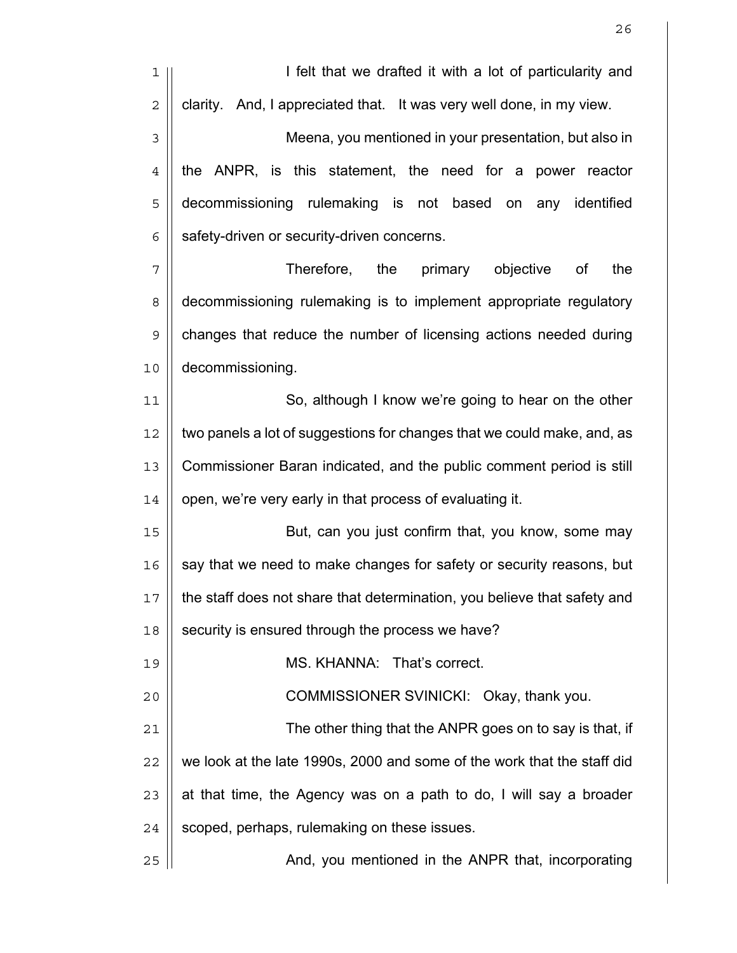| 1              | I felt that we drafted it with a lot of particularity and                |
|----------------|--------------------------------------------------------------------------|
| $\mathbf 2$    | clarity. And, I appreciated that. It was very well done, in my view.     |
| 3              | Meena, you mentioned in your presentation, but also in                   |
| $\overline{4}$ | the ANPR, is this statement, the need for a power reactor                |
| 5              | decommissioning rulemaking is not based on any identified                |
| 6              | safety-driven or security-driven concerns.                               |
| 7              | Therefore,<br>the<br>primary<br>the<br>objective<br>0f                   |
| 8              | decommissioning rulemaking is to implement appropriate regulatory        |
| 9              | changes that reduce the number of licensing actions needed during        |
| 10             | decommissioning.                                                         |
| 11             | So, although I know we're going to hear on the other                     |
| 12             | two panels a lot of suggestions for changes that we could make, and, as  |
| 13             | Commissioner Baran indicated, and the public comment period is still     |
| 14             | open, we're very early in that process of evaluating it.                 |
| 15             | But, can you just confirm that, you know, some may                       |
| 16             | say that we need to make changes for safety or security reasons, but     |
| $17\,$         | the staff does not share that determination, you believe that safety and |
| 18             | security is ensured through the process we have?                         |
| 19             | MS. KHANNA: That's correct.                                              |
| 20             | COMMISSIONER SVINICKI: Okay, thank you.                                  |
| 21             | The other thing that the ANPR goes on to say is that, if                 |
| 22             | we look at the late 1990s, 2000 and some of the work that the staff did  |
| 23             | at that time, the Agency was on a path to do, I will say a broader       |
| 24             | scoped, perhaps, rulemaking on these issues.                             |
| 25             | And, you mentioned in the ANPR that, incorporating                       |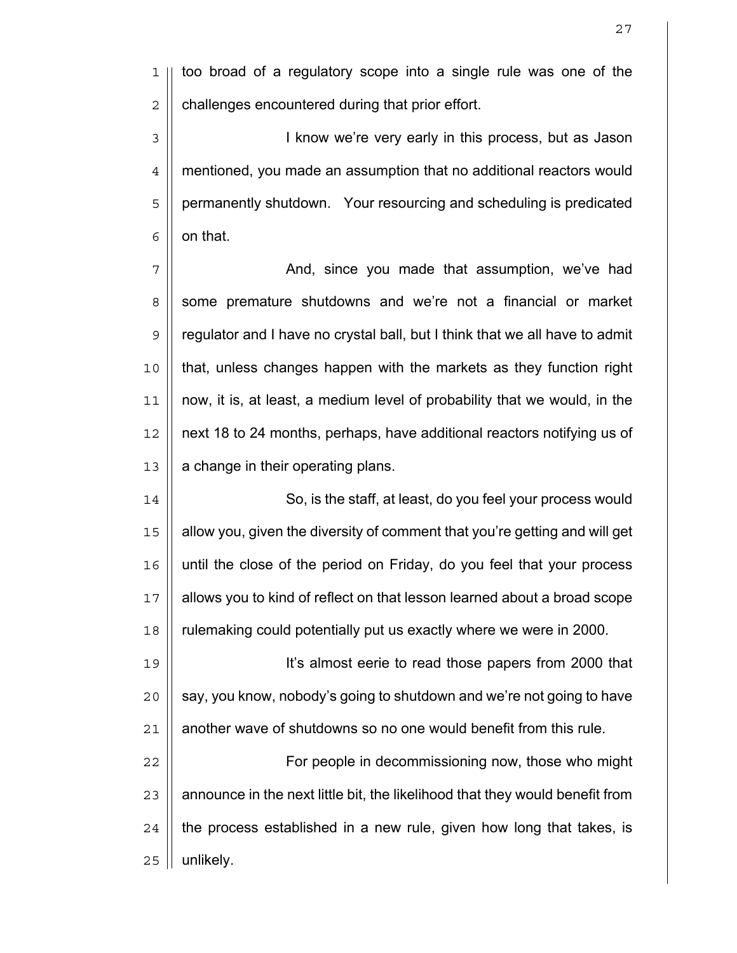1 || too broad of a regulatory scope into a single rule was one of the  $2 \parallel$  challenges encountered during that prior effort.

3 || **I know we're very early in this process, but as Jason** mentioned, you made an assumption that no additional reactors would 5 | permanently shutdown. Your resourcing and scheduling is predicated  $6 \parallel$  on that.

7 | Chang and, since you made that assumption, we've had 8 Sume premature shutdowns and we're not a financial or market 9 || regulator and I have no crystal ball, but I think that we all have to admit that, unless changes happen with the markets as they function right now, it is, at least, a medium level of probability that we would, in the next 18 to 24 months, perhaps, have additional reactors notifying us of | a change in their operating plans.

14 || So, is the staff, at least, do you feel your process would allow you, given the diversity of comment that you're getting and will get until the close of the period on Friday, do you feel that your process allows you to kind of reflect on that lesson learned about a broad scope rulemaking could potentially put us exactly where we were in 2000.

It's almost eerie to read those papers from 2000 that || say, you know, nobody's going to shutdown and we're not going to have | another wave of shutdowns so no one would benefit from this rule.

22 | For people in decommissioning now, those who might  $\parallel$  announce in the next little bit, the likelihood that they would benefit from || the process established in a new rule, given how long that takes, is | unlikely.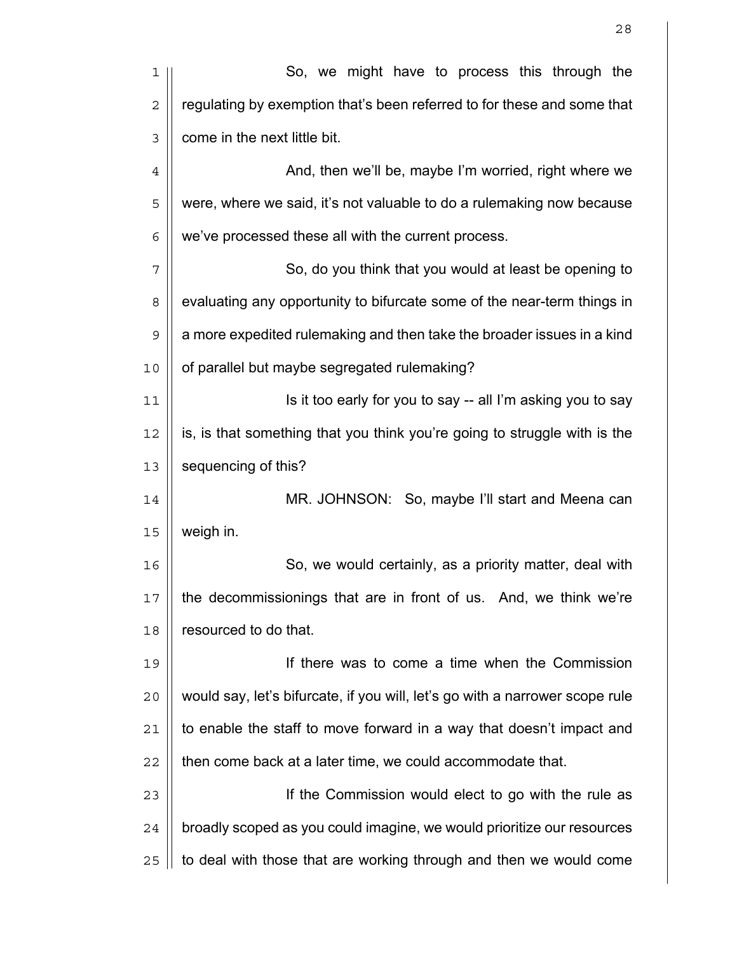| 1           | So, we might have to process this through the                                |
|-------------|------------------------------------------------------------------------------|
| $\sqrt{2}$  | regulating by exemption that's been referred to for these and some that      |
| 3           | come in the next little bit.                                                 |
| $\,4$       | And, then we'll be, maybe I'm worried, right where we                        |
| 5           | were, where we said, it's not valuable to do a rulemaking now because        |
| 6           | we've processed these all with the current process.                          |
| 7           | So, do you think that you would at least be opening to                       |
| 8           | evaluating any opportunity to bifurcate some of the near-term things in      |
| $\mathsf 9$ | a more expedited rulemaking and then take the broader issues in a kind       |
| 10          | of parallel but maybe segregated rulemaking?                                 |
| 11          | Is it too early for you to say -- all I'm asking you to say                  |
| 12          | is, is that something that you think you're going to struggle with is the    |
| 13          | sequencing of this?                                                          |
| 14          | MR. JOHNSON: So, maybe I'll start and Meena can                              |
| 15          | weigh in.                                                                    |
| 16          | So, we would certainly, as a priority matter, deal with                      |
| 17          | the decommissionings that are in front of us. And, we think we're            |
| 18          | resourced to do that.                                                        |
| 19          | If there was to come a time when the Commission                              |
| 20          | would say, let's bifurcate, if you will, let's go with a narrower scope rule |
| 21          | to enable the staff to move forward in a way that doesn't impact and         |
| 22          | then come back at a later time, we could accommodate that.                   |
| 23          | If the Commission would elect to go with the rule as                         |
| 24          | broadly scoped as you could imagine, we would prioritize our resources       |
| 25          | to deal with those that are working through and then we would come           |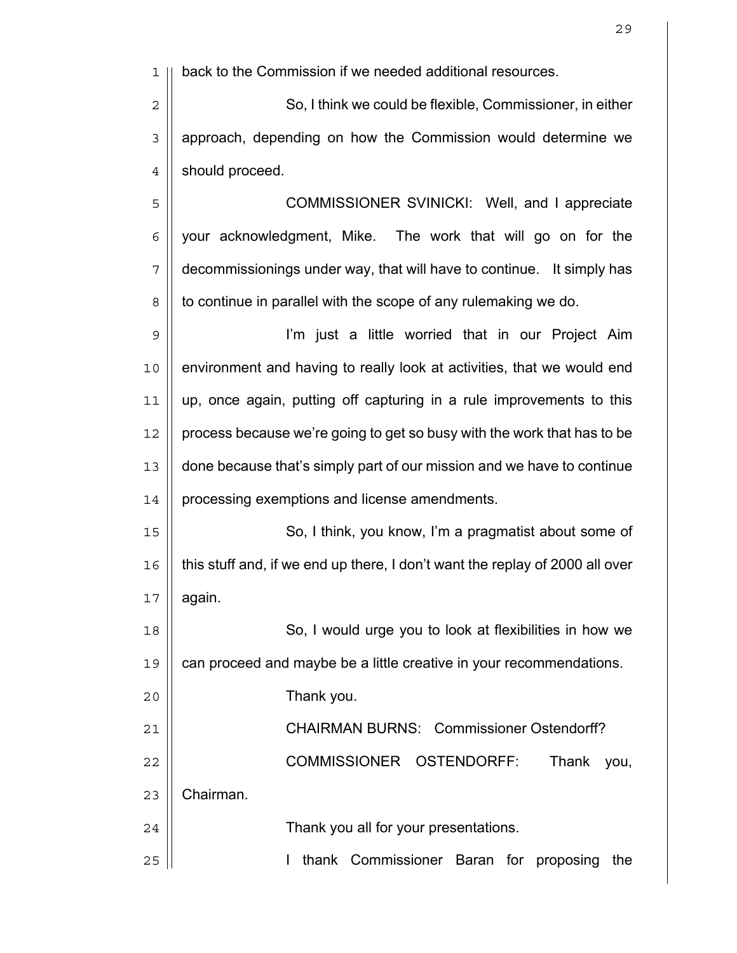1 || back to the Commission if we needed additional resources. 2  $\parallel$  So, I think we could be flexible, Commissioner, in either 3 || approach, depending on how the Commission would determine we 4 | should proceed. 5 || COMMISSIONER SVINICKI: Well, and I appreciate  $6$  | your acknowledgment, Mike. The work that will go on for the 7 decommissionings under way, that will have to continue. It simply has 8 | to continue in parallel with the scope of any rulemaking we do. 9 I'm just a little worried that in our Project Aim 10 environment and having to really look at activities, that we would end 11 up, once again, putting off capturing in a rule improvements to this  $12$  | process because we're going to get so busy with the work that has to be 13 done because that's simply part of our mission and we have to continue 14 | processing exemptions and license amendments. 15 || So, I think, you know, I'm a pragmatist about some of  $16$  | this stuff and, if we end up there, I don't want the replay of 2000 all over  $17 \parallel$  again. 18 || So, I would urge you to look at flexibilities in how we 19 || can proceed and maybe be a little creative in your recommendations. 20 Thank you. 21 | CHAIRMAN BURNS: Commissioner Ostendorff? 22 COMMISSIONER OSTENDORFF: Thank you, 23 | Chairman. 24 | Thank you all for your presentations. 25 || **I thank Commissioner Baran for proposing the**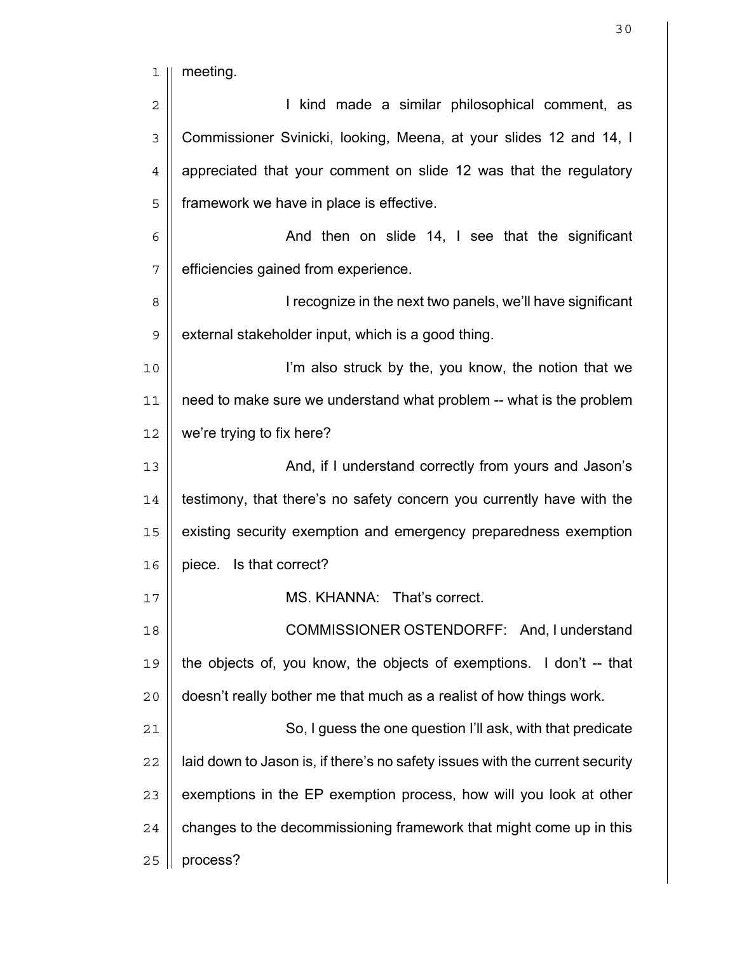1 || meeting. 2 || I kind made a similar philosophical comment, as 3 | Commissioner Svinicki, looking, Meena, at your slides 12 and 14, I 4 | appreciated that your comment on slide 12 was that the regulatory 5 | framework we have in place is effective.  $6 \parallel$  And then on slide 14, I see that the significant 7 | efficiencies gained from experience. 8 | I recognize in the next two panels, we'll have significant  $9 \parallel$  external stakeholder input, which is a good thing. 10 I'm also struck by the, you know, the notion that we  $11$  | need to make sure we understand what problem -- what is the problem  $12$  | we're trying to fix here? 13 || And, if I understand correctly from yours and Jason's  $14$  | testimony, that there's no safety concern you currently have with the 15 | existing security exemption and emergency preparedness exemption 16 | piece. Is that correct? 17 || **MS. KHANNA: That's correct.** 18 || COMMISSIONER OSTENDORFF: And, I understand 19 the objects of, you know, the objects of exemptions. I don't -- that  $20$  | doesn't really bother me that much as a realist of how things work. 21 || So, I guess the one question I'll ask, with that predicate  $22$  || laid down to Jason is, if there's no safety issues with the current security  $23$   $\parallel$  exemptions in the EP exemption process, how will you look at other  $24$  | changes to the decommissioning framework that might come up in this  $25$  | process?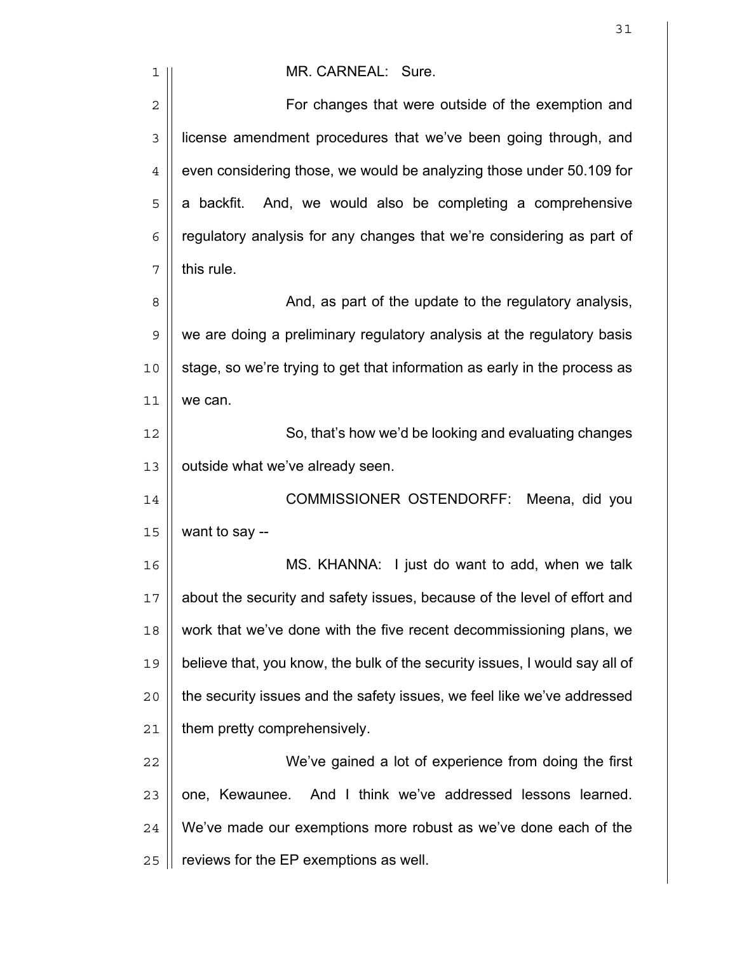| 1              | MR. CARNEAL: Sure.                                                          |
|----------------|-----------------------------------------------------------------------------|
| $\overline{c}$ | For changes that were outside of the exemption and                          |
| 3              | license amendment procedures that we've been going through, and             |
| $\overline{4}$ | even considering those, we would be analyzing those under 50.109 for        |
| 5              | a backfit. And, we would also be completing a comprehensive                 |
| 6              | regulatory analysis for any changes that we're considering as part of       |
| 7              | this rule.                                                                  |
| 8              | And, as part of the update to the regulatory analysis,                      |
| $\mathsf 9$    | we are doing a preliminary regulatory analysis at the regulatory basis      |
| 10             | stage, so we're trying to get that information as early in the process as   |
| 11             | we can.                                                                     |
| 12             | So, that's how we'd be looking and evaluating changes                       |
| 13             | outside what we've already seen.                                            |
| 14             | <b>COMMISSIONER OSTENDORFF:</b><br>Meena, did you                           |
| 15             | want to say --                                                              |
| 16             | MS. KHANNA: I just do want to add, when we talk                             |
| 17             | about the security and safety issues, because of the level of effort and    |
| 18             | work that we've done with the five recent decommissioning plans, we         |
| 19             | believe that, you know, the bulk of the security issues, I would say all of |
| 20             | the security issues and the safety issues, we feel like we've addressed     |
| 21             | them pretty comprehensively.                                                |
| 22             | We've gained a lot of experience from doing the first                       |
| 23             | one, Kewaunee.<br>And I think we've addressed lessons learned.              |
| 24             | We've made our exemptions more robust as we've done each of the             |
| 25             | reviews for the EP exemptions as well.                                      |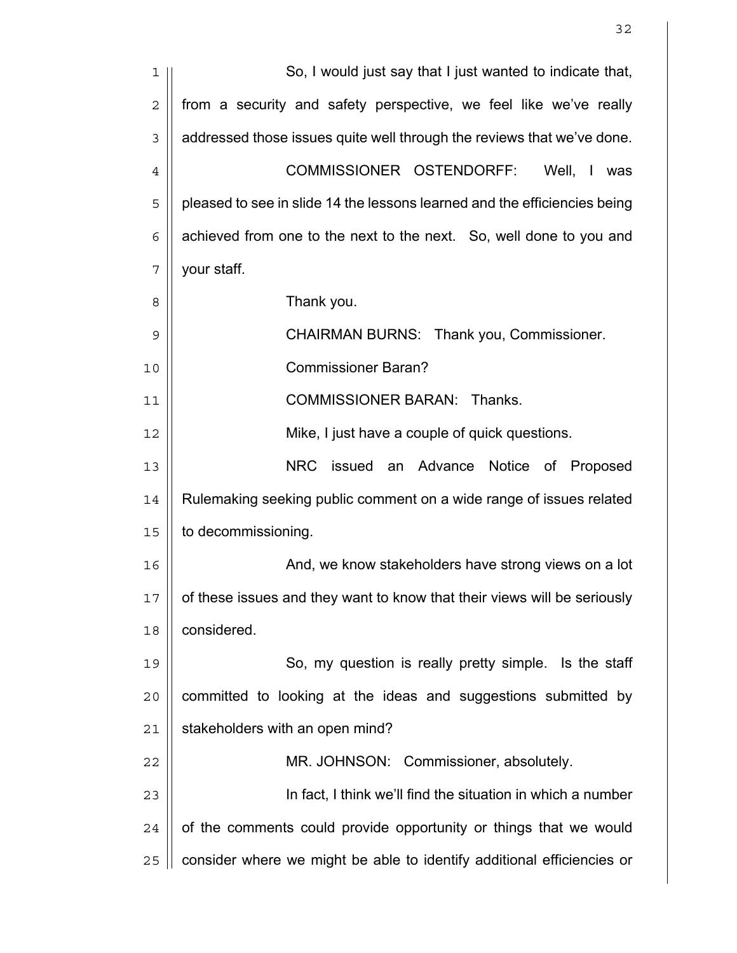| 1              | So, I would just say that I just wanted to indicate that,                 |
|----------------|---------------------------------------------------------------------------|
| $\overline{2}$ | from a security and safety perspective, we feel like we've really         |
| 3              | addressed those issues quite well through the reviews that we've done.    |
| $\overline{4}$ | COMMISSIONER OSTENDORFF:<br>Well, I was                                   |
| 5              | pleased to see in slide 14 the lessons learned and the efficiencies being |
| 6              | achieved from one to the next to the next. So, well done to you and       |
| 7              | your staff.                                                               |
| 8              | Thank you.                                                                |
| 9              | CHAIRMAN BURNS: Thank you, Commissioner.                                  |
| 10             | <b>Commissioner Baran?</b>                                                |
| 11             | <b>COMMISSIONER BARAN: Thanks.</b>                                        |
| 12             | Mike, I just have a couple of quick questions.                            |
| 13             | NRC issued an Advance Notice of Proposed                                  |
| 14             | Rulemaking seeking public comment on a wide range of issues related       |
| 15             | to decommissioning.                                                       |
| 16             | And, we know stakeholders have strong views on a lot                      |
| 17             | of these issues and they want to know that their views will be seriously  |
| 18             | considered.                                                               |
| 19             | So, my question is really pretty simple. Is the staff                     |
| 20             | committed to looking at the ideas and suggestions submitted by            |
| 21             | stakeholders with an open mind?                                           |
| 22             | MR. JOHNSON: Commissioner, absolutely.                                    |
| 23             | In fact, I think we'll find the situation in which a number               |
| 24             | of the comments could provide opportunity or things that we would         |
| 25             | consider where we might be able to identify additional efficiencies or    |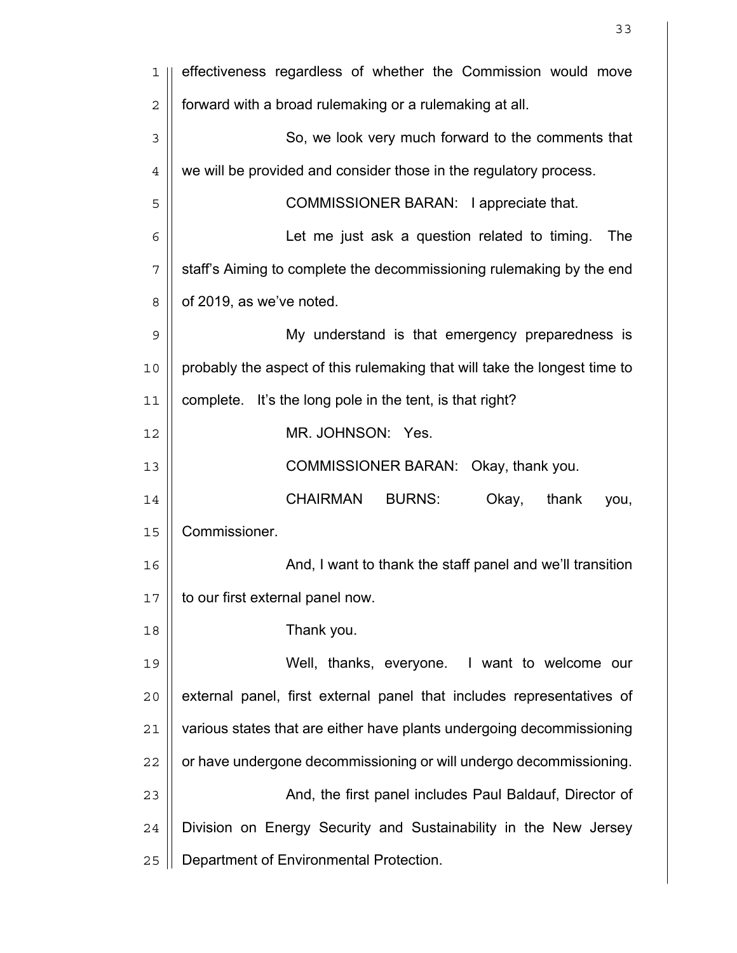| 1              | effectiveness regardless of whether the Commission would move             |
|----------------|---------------------------------------------------------------------------|
| $\overline{2}$ | forward with a broad rulemaking or a rulemaking at all.                   |
| 3              | So, we look very much forward to the comments that                        |
| $\overline{4}$ | we will be provided and consider those in the regulatory process.         |
| 5              | COMMISSIONER BARAN: I appreciate that.                                    |
| 6              | Let me just ask a question related to timing.<br>The                      |
| 7              | staff's Aiming to complete the decommissioning rulemaking by the end      |
| 8              | of 2019, as we've noted.                                                  |
| 9              | My understand is that emergency preparedness is                           |
| 10             | probably the aspect of this rulemaking that will take the longest time to |
| 11             | complete. It's the long pole in the tent, is that right?                  |
| 12             | MR. JOHNSON: Yes.                                                         |
| 13             | COMMISSIONER BARAN: Okay, thank you.                                      |
| 14             | <b>CHAIRMAN</b><br><b>BURNS:</b><br>Okay,<br>thank<br>you,                |
| 15             | Commissioner.                                                             |
| 16             | And, I want to thank the staff panel and we'll transition                 |
| 17             | to our first external panel now.                                          |
| 18             | Thank you.                                                                |
| 19             | Well, thanks, everyone. I want to welcome our                             |
| 20             | external panel, first external panel that includes representatives of     |
| 21             | various states that are either have plants undergoing decommissioning     |
| 22             | or have undergone decommissioning or will undergo decommissioning.        |
| 23             | And, the first panel includes Paul Baldauf, Director of                   |
| 24             | Division on Energy Security and Sustainability in the New Jersey          |
| 25             | Department of Environmental Protection.                                   |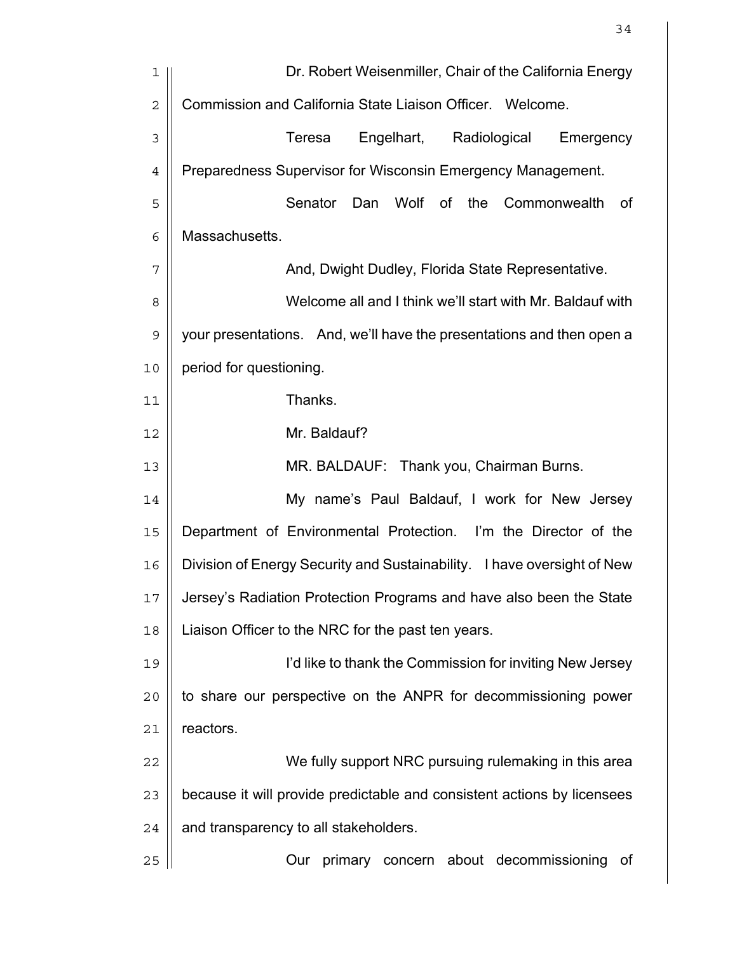| 1              | Dr. Robert Weisenmiller, Chair of the California Energy                 |
|----------------|-------------------------------------------------------------------------|
| $\overline{2}$ | Commission and California State Liaison Officer. Welcome.               |
| 3              | Engelhart,<br>Radiological<br>Teresa<br>Emergency                       |
| $\overline{4}$ | Preparedness Supervisor for Wisconsin Emergency Management.             |
| 5              | Senator<br>Wolf<br>of<br>the<br>Dan<br>Commonwealth<br>0f               |
| 6              | Massachusetts.                                                          |
| 7              | And, Dwight Dudley, Florida State Representative.                       |
| 8              | Welcome all and I think we'll start with Mr. Baldauf with               |
| $\mathsf 9$    | your presentations. And, we'll have the presentations and then open a   |
| 10             | period for questioning.                                                 |
| 11             | Thanks.                                                                 |
| 12             | Mr. Baldauf?                                                            |
| 13             | MR. BALDAUF: Thank you, Chairman Burns.                                 |
| 14             | My name's Paul Baldauf, I work for New Jersey                           |
| 15             | Department of Environmental Protection. I'm the Director of the         |
| 16             | Division of Energy Security and Sustainability. I have oversight of New |
| 17             | Jersey's Radiation Protection Programs and have also been the State     |
| 18             | Liaison Officer to the NRC for the past ten years.                      |
| 19             | I'd like to thank the Commission for inviting New Jersey                |
| 20             | to share our perspective on the ANPR for decommissioning power          |
| 21             | reactors.                                                               |
| 22             | We fully support NRC pursuing rulemaking in this area                   |
| 23             | because it will provide predictable and consistent actions by licensees |
| 24             | and transparency to all stakeholders.                                   |
| 25             | Our<br>primary concern about decommissioning<br>0f                      |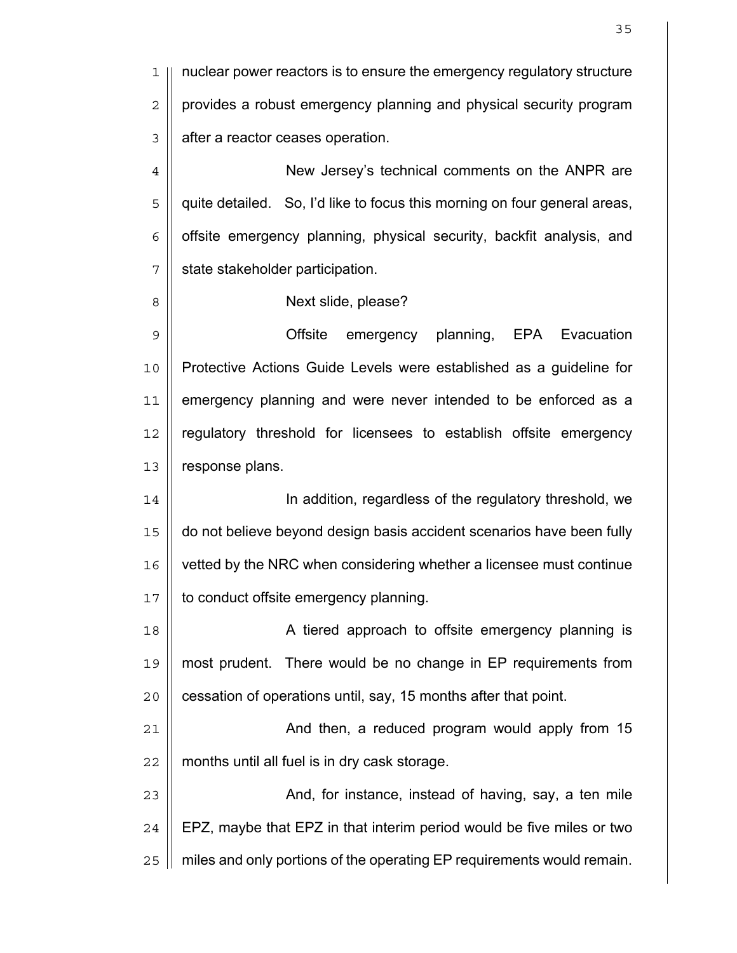1 || nuclear power reactors is to ensure the emergency regulatory structure  $2 \parallel$  provides a robust emergency planning and physical security program 3 | after a reactor ceases operation.

4 | New Jersey's technical comments on the ANPR are 5 || quite detailed. So, I'd like to focus this morning on four general areas,  $6$  | offsite emergency planning, physical security, backfit analysis, and 7 | state stakeholder participation.

8 || **Next slide, please?** 

9 Offsite emergency planning, EPA Evacuation 10 Protective Actions Guide Levels were established as a guideline for 11 emergency planning and were never intended to be enforced as a 12 | regulatory threshold for licensees to establish offsite emergency 13 | response plans.

In addition, regardless of the regulatory threshold, we do not believe beyond design basis accident scenarios have been fully vetted by the NRC when considering whether a licensee must continue 17 | to conduct offsite emergency planning.

18 || A tiered approach to offsite emergency planning is 19 most prudent. There would be no change in EP requirements from 20 | cessation of operations until, say, 15 months after that point.

21 | And then, a reduced program would apply from 15  $22$   $\parallel$  months until all fuel is in dry cask storage.

23 || **And, for instance, instead of having, say, a ten mile**  $24$   $\parallel$  EPZ, maybe that EPZ in that interim period would be five miles or two 25 | miles and only portions of the operating EP requirements would remain.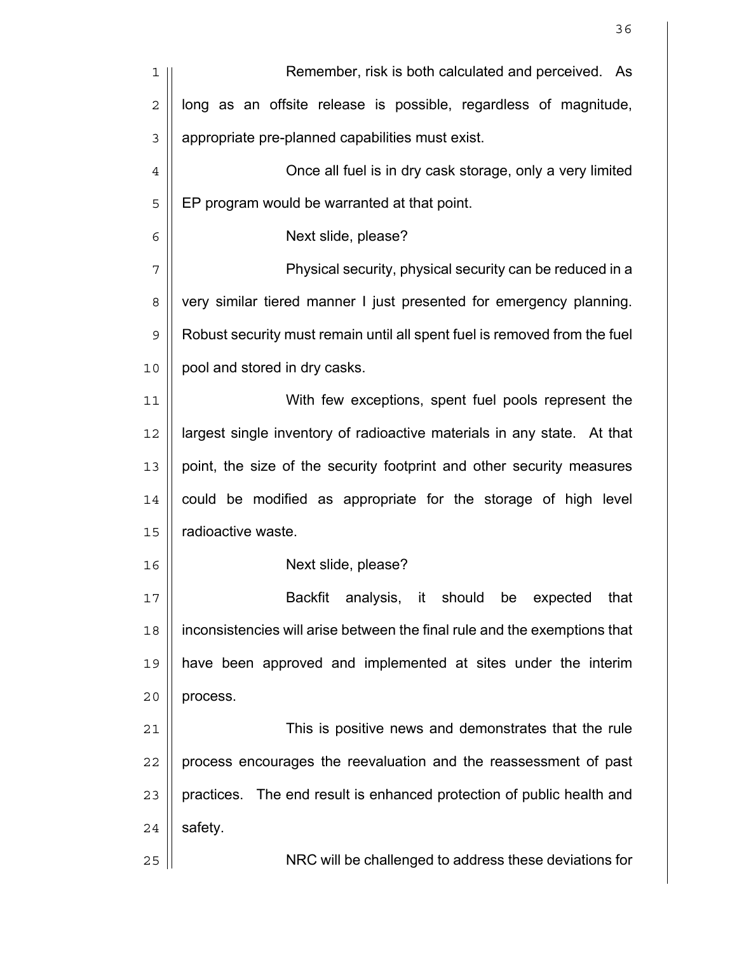| 1              | Remember, risk is both calculated and perceived. As                       |
|----------------|---------------------------------------------------------------------------|
| $\overline{2}$ | long as an offsite release is possible, regardless of magnitude,          |
| 3              | appropriate pre-planned capabilities must exist.                          |
| $\overline{4}$ | Once all fuel is in dry cask storage, only a very limited                 |
| 5              | EP program would be warranted at that point.                              |
| 6              | Next slide, please?                                                       |
| 7              | Physical security, physical security can be reduced in a                  |
| 8              | very similar tiered manner I just presented for emergency planning.       |
| $\mathsf 9$    | Robust security must remain until all spent fuel is removed from the fuel |
| 10             | pool and stored in dry casks.                                             |
| 11             | With few exceptions, spent fuel pools represent the                       |
| 12             | largest single inventory of radioactive materials in any state. At that   |
| 13             | point, the size of the security footprint and other security measures     |
| 14             | could be modified as appropriate for the storage of high level            |
| 15             | radioactive waste.                                                        |
| 16             | Next slide, please?                                                       |
| 17             | Backfit analysis, it should be expected that                              |
| 18             | inconsistencies will arise between the final rule and the exemptions that |
| 19             | have been approved and implemented at sites under the interim             |
| 20             | process.                                                                  |
| 21             | This is positive news and demonstrates that the rule                      |
| 22             | process encourages the reevaluation and the reassessment of past          |
| 23             | practices. The end result is enhanced protection of public health and     |
| 24             | safety.                                                                   |
| 25             | NRC will be challenged to address these deviations for                    |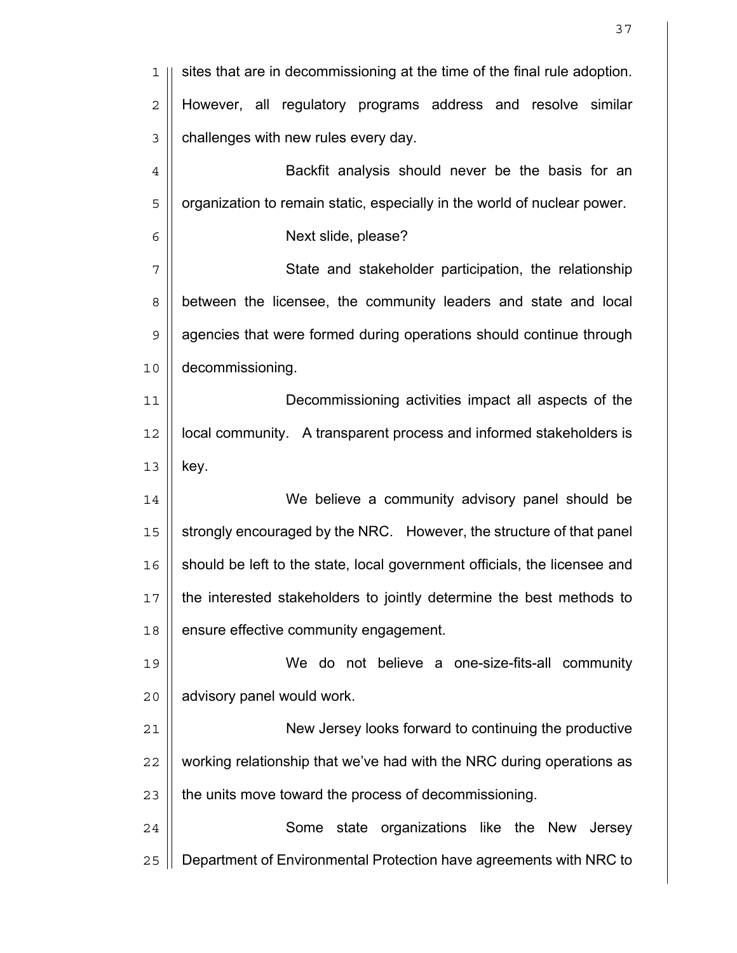| 1              | sites that are in decommissioning at the time of the final rule adoption. |
|----------------|---------------------------------------------------------------------------|
| $\overline{2}$ | However, all regulatory programs address and resolve similar              |
| $\mathfrak{Z}$ | challenges with new rules every day.                                      |
| $\,4$          | Backfit analysis should never be the basis for an                         |
| 5              | organization to remain static, especially in the world of nuclear power.  |
| 6              | Next slide, please?                                                       |
| 7              | State and stakeholder participation, the relationship                     |
| $\,8\,$        | between the licensee, the community leaders and state and local           |
| $\mathsf 9$    | agencies that were formed during operations should continue through       |
| 10             | decommissioning.                                                          |
| 11             | Decommissioning activities impact all aspects of the                      |
| 12             | local community. A transparent process and informed stakeholders is       |
| 13             | key.                                                                      |
| 14             | We believe a community advisory panel should be                           |
| 15             | strongly encouraged by the NRC. However, the structure of that panel      |
| 16             | should be left to the state, local government officials, the licensee and |
| 17             | the interested stakeholders to jointly determine the best methods to      |
| 18             | ensure effective community engagement.                                    |
| 19             | We do not believe a one-size-fits-all community                           |
| 20             | advisory panel would work.                                                |
| 21             | New Jersey looks forward to continuing the productive                     |
| 22             | working relationship that we've had with the NRC during operations as     |
| 23             | the units move toward the process of decommissioning.                     |
| 24             | Some state organizations like the New<br>Jersey                           |
| 25             | Department of Environmental Protection have agreements with NRC to        |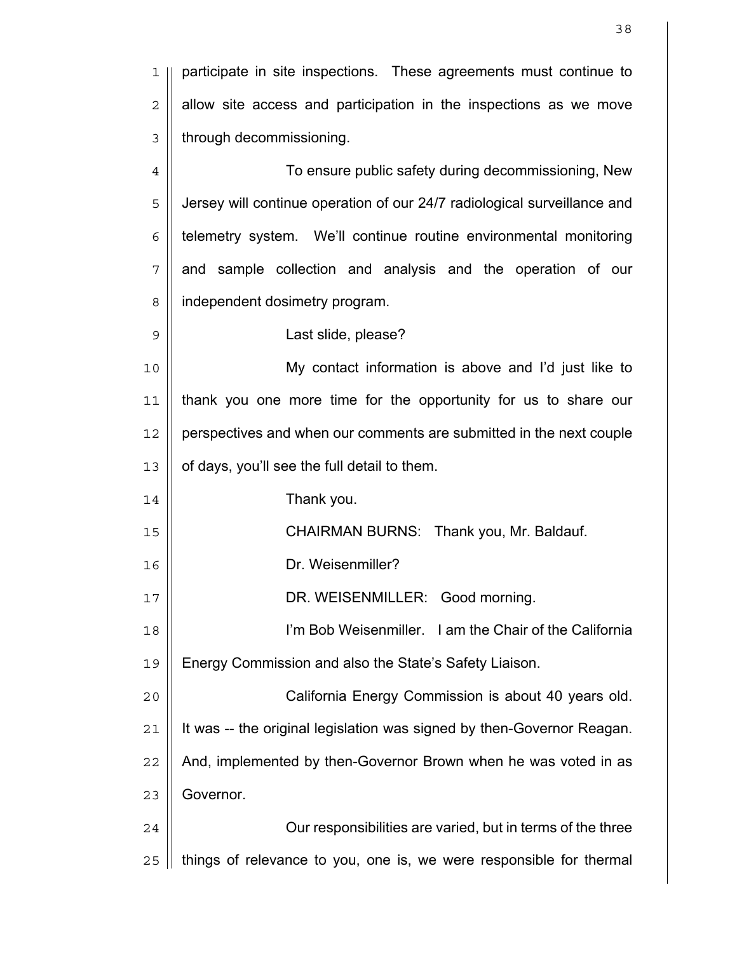| 1              | participate in site inspections. These agreements must continue to       |
|----------------|--------------------------------------------------------------------------|
| $\overline{2}$ | allow site access and participation in the inspections as we move        |
| 3              | through decommissioning.                                                 |
| $\overline{4}$ | To ensure public safety during decommissioning, New                      |
| 5              | Jersey will continue operation of our 24/7 radiological surveillance and |
| 6              | telemetry system. We'll continue routine environmental monitoring        |
| 7              | and sample collection and analysis and the operation of our              |
| 8              | independent dosimetry program.                                           |
| 9              | Last slide, please?                                                      |
| 10             | My contact information is above and I'd just like to                     |
| 11             | thank you one more time for the opportunity for us to share our          |
| 12             | perspectives and when our comments are submitted in the next couple      |
| 13             | of days, you'll see the full detail to them.                             |
| 14             | Thank you.                                                               |
| 15             | CHAIRMAN BURNS: Thank you, Mr. Baldauf.                                  |
| 16             | Dr. Weisenmiller?                                                        |
| 17             | DR. WEISENMILLER: Good morning.                                          |
| 18             | I'm Bob Weisenmiller. I am the Chair of the California                   |
| 19             | Energy Commission and also the State's Safety Liaison.                   |
| 20             | California Energy Commission is about 40 years old.                      |
| 21             | It was -- the original legislation was signed by then-Governor Reagan.   |
| 22             | And, implemented by then-Governor Brown when he was voted in as          |
| 23             | Governor.                                                                |
| 24             | Our responsibilities are varied, but in terms of the three               |
| 25             | things of relevance to you, one is, we were responsible for thermal      |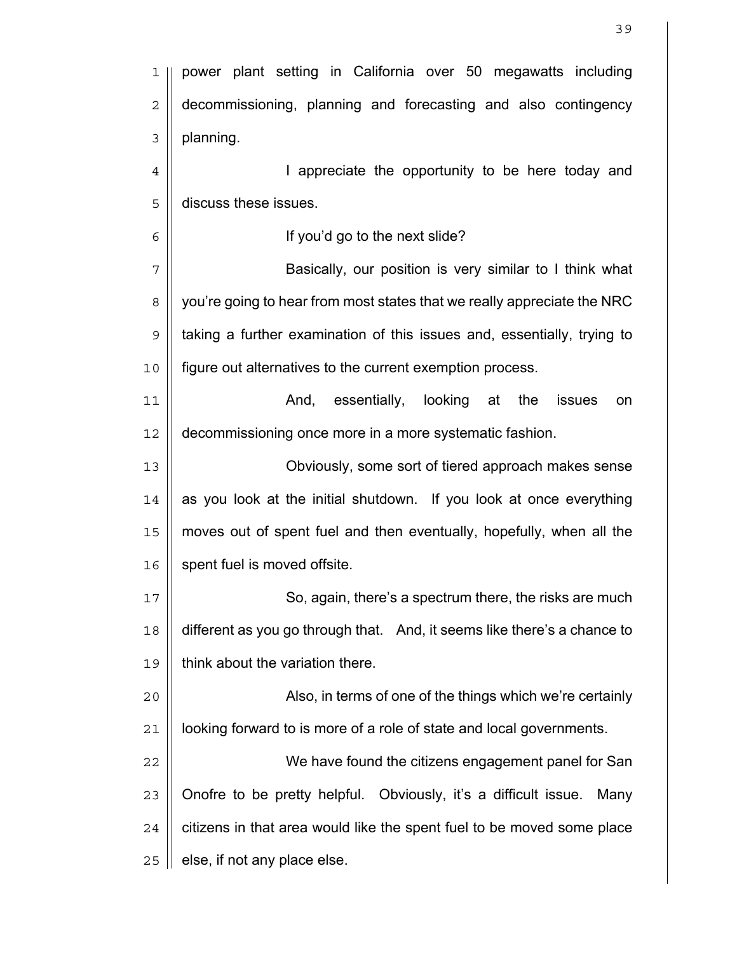| 1              | power plant setting in California over 50 megawatts including            |
|----------------|--------------------------------------------------------------------------|
| $\overline{c}$ | decommissioning, planning and forecasting and also contingency           |
| 3              | planning.                                                                |
| $\overline{4}$ | I appreciate the opportunity to be here today and                        |
| 5              | discuss these issues.                                                    |
| 6              | If you'd go to the next slide?                                           |
| 7              | Basically, our position is very similar to I think what                  |
| 8              | you're going to hear from most states that we really appreciate the NRC  |
| $\mathsf 9$    | taking a further examination of this issues and, essentially, trying to  |
| 10             | figure out alternatives to the current exemption process.                |
| 11             | And, essentially,<br>looking at<br>the<br>issues<br>on                   |
| 12             | decommissioning once more in a more systematic fashion.                  |
| 13             | Obviously, some sort of tiered approach makes sense                      |
| 14             | as you look at the initial shutdown. If you look at once everything      |
| 15             | moves out of spent fuel and then eventually, hopefully, when all the     |
| 16             | spent fuel is moved offsite.                                             |
| 17             | So, again, there's a spectrum there, the risks are much                  |
| 18             | different as you go through that. And, it seems like there's a chance to |
| 19             | think about the variation there.                                         |
| 20             | Also, in terms of one of the things which we're certainly                |
| 21             | looking forward to is more of a role of state and local governments.     |
| 22             | We have found the citizens engagement panel for San                      |
| 23             | Onofre to be pretty helpful. Obviously, it's a difficult issue.<br>Many  |
| 24             | citizens in that area would like the spent fuel to be moved some place   |
| 25             | else, if not any place else.                                             |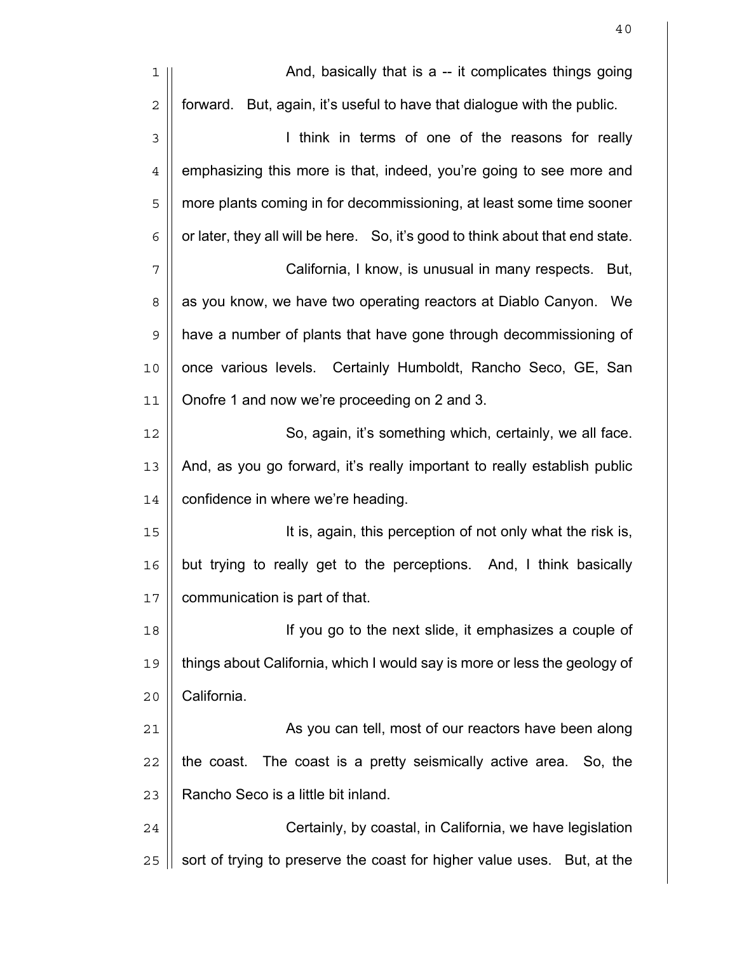| 1              | And, basically that is a -- it complicates things going                       |
|----------------|-------------------------------------------------------------------------------|
| $\mathbf 2$    | forward. But, again, it's useful to have that dialogue with the public.       |
| $\mathfrak{Z}$ | I think in terms of one of the reasons for really                             |
| $\overline{4}$ | emphasizing this more is that, indeed, you're going to see more and           |
| 5              | more plants coming in for decommissioning, at least some time sooner          |
| 6              | or later, they all will be here. So, it's good to think about that end state. |
| 7              | California, I know, is unusual in many respects.<br>But,                      |
| 8              | as you know, we have two operating reactors at Diablo Canyon. We              |
| $\mathsf 9$    | have a number of plants that have gone through decommissioning of             |
| 10             | once various levels. Certainly Humboldt, Rancho Seco, GE, San                 |
| 11             | Onofre 1 and now we're proceeding on 2 and 3.                                 |
| 12             | So, again, it's something which, certainly, we all face.                      |
| 13             | And, as you go forward, it's really important to really establish public      |
| 14             | confidence in where we're heading.                                            |
| 15             | It is, again, this perception of not only what the risk is,                   |
| 16             | but trying to really get to the perceptions. And, I think basically           |
| 17             | communication is part of that.                                                |
| 18             | If you go to the next slide, it emphasizes a couple of                        |
| 19             | things about California, which I would say is more or less the geology of     |
| 20             | California.                                                                   |
| 21             | As you can tell, most of our reactors have been along                         |
| 22             | The coast is a pretty seismically active area.<br>the coast.<br>So, the       |
| 23             | Rancho Seco is a little bit inland.                                           |
| 24             | Certainly, by coastal, in California, we have legislation                     |
| 25             | sort of trying to preserve the coast for higher value uses. But, at the       |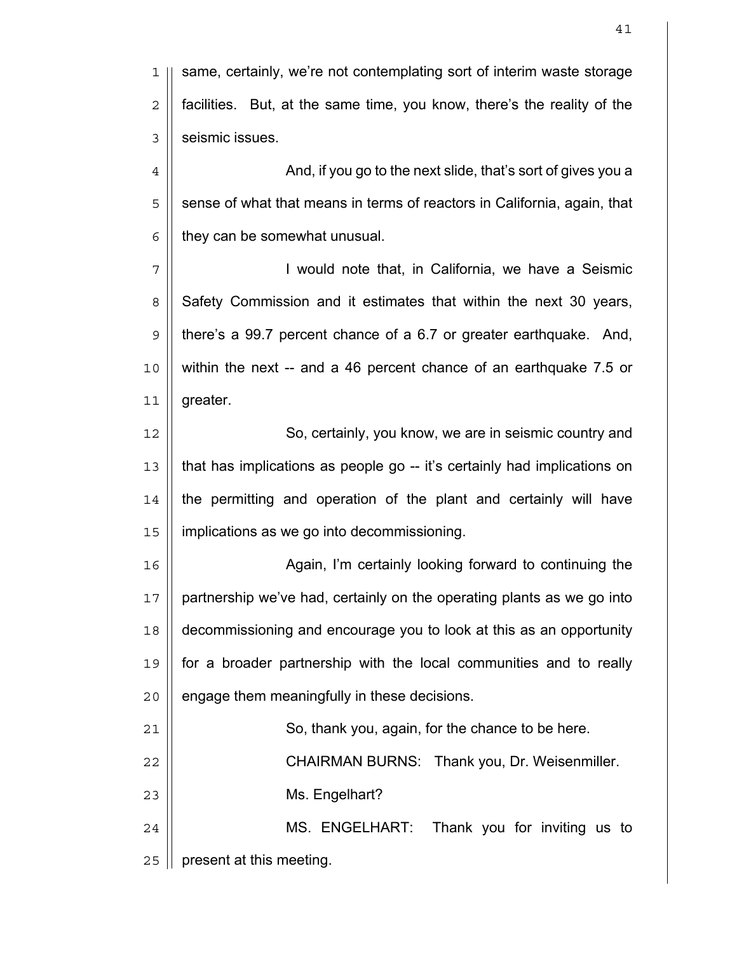1 || same, certainly, we're not contemplating sort of interim waste storage  $2 \parallel$  facilities. But, at the same time, you know, there's the reality of the 3 | seismic issues. 4 | And, if you go to the next slide, that's sort of gives you a  $5 \parallel$  sense of what that means in terms of reactors in California, again, that  $6 \parallel$  they can be somewhat unusual. 7 I would note that, in California, we have a Seismic 8 Safety Commission and it estimates that within the next 30 years, 9 there's a 99.7 percent chance of a 6.7 or greater earthquake. And, 10 within the next -- and a 46 percent chance of an earthquake 7.5 or 11 greater. 12 || So, certainly, you know, we are in seismic country and 13 || that has implications as people go -- it's certainly had implications on 14 the permitting and operation of the plant and certainly will have 15 | implications as we go into decommissioning. 16 || **Again, I'm certainly looking forward to continuing the**  $17$  || partnership we've had, certainly on the operating plants as we go into 18 decommissioning and encourage you to look at this as an opportunity 19 for a broader partnership with the local communities and to really  $20$  | engage them meaningfully in these decisions. 21 | So, thank you, again, for the chance to be here. 22 CHAIRMAN BURNS: Thank you, Dr. Weisenmiller. 23 | Ms. Engelhart? 24 || MS. ENGELHART: Thank you for inviting us to 25 | present at this meeting.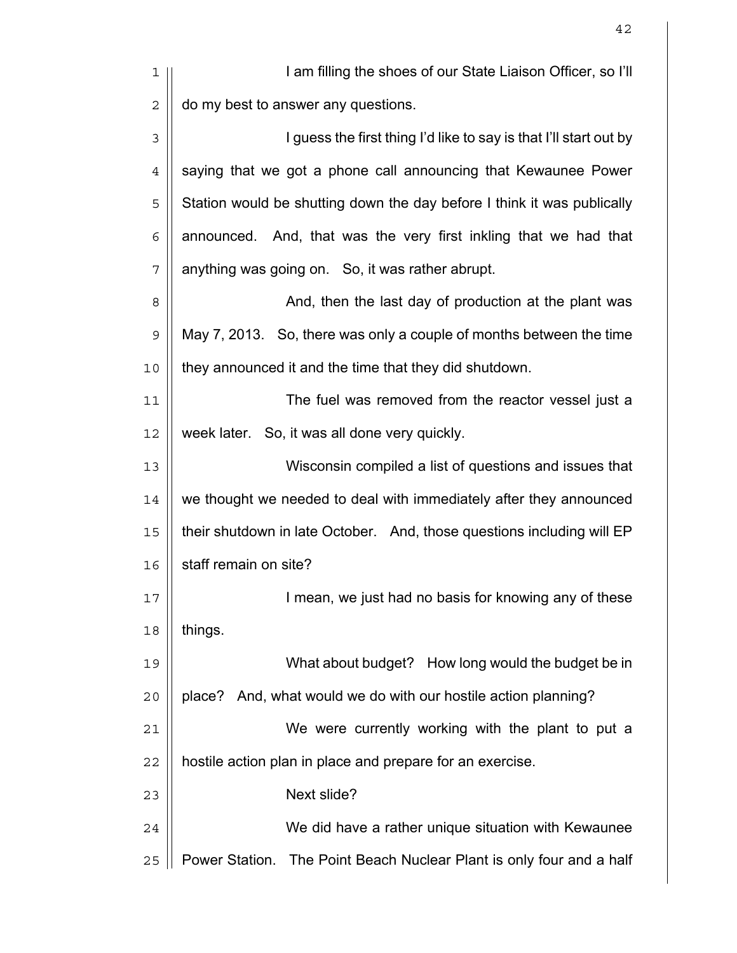| ı              | I am filling the shoes of our State Liaison Officer, so I'll            |
|----------------|-------------------------------------------------------------------------|
| $\overline{2}$ | do my best to answer any questions.                                     |
| 3              | I guess the first thing I'd like to say is that I'll start out by       |
| $\overline{4}$ | saying that we got a phone call announcing that Kewaunee Power          |
| 5              | Station would be shutting down the day before I think it was publically |
| 6              | announced. And, that was the very first inkling that we had that        |
| 7              | anything was going on. So, it was rather abrupt.                        |
| 8              | And, then the last day of production at the plant was                   |
| $\mathsf 9$    | May 7, 2013. So, there was only a couple of months between the time     |
| 10             | they announced it and the time that they did shutdown.                  |
| 11             | The fuel was removed from the reactor vessel just a                     |
| 12             | week later. So, it was all done very quickly.                           |
| 13             | Wisconsin compiled a list of questions and issues that                  |
| 14             | we thought we needed to deal with immediately after they announced      |
| 15             | their shutdown in late October. And, those questions including will EP  |
| 16             | staff remain on site?                                                   |
| 17             | I mean, we just had no basis for knowing any of these                   |
| 18             | things.                                                                 |
| 19             | What about budget? How long would the budget be in                      |
| 20             | place? And, what would we do with our hostile action planning?          |
| 21             | We were currently working with the plant to put a                       |
| 22             | hostile action plan in place and prepare for an exercise.               |
| 23             | Next slide?                                                             |
| 24             | We did have a rather unique situation with Kewaunee                     |
| 25             | Power Station. The Point Beach Nuclear Plant is only four and a half    |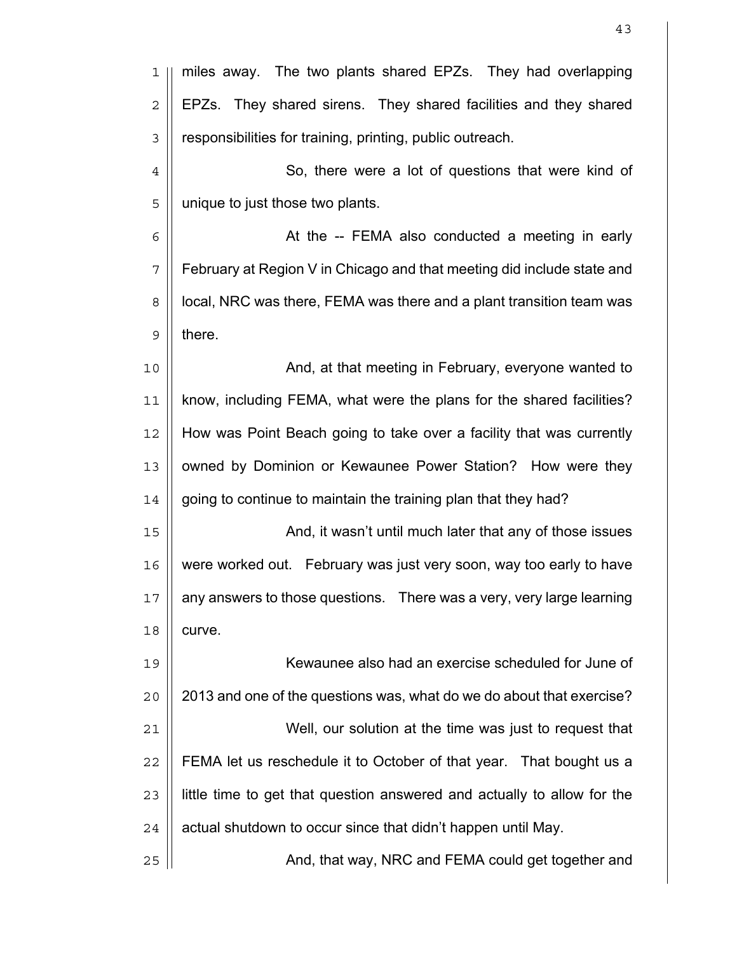| 1              | miles away. The two plants shared EPZs. They had overlapping            |
|----------------|-------------------------------------------------------------------------|
| $\sqrt{2}$     | EPZs. They shared sirens. They shared facilities and they shared        |
| 3              | responsibilities for training, printing, public outreach.               |
| $\overline{4}$ | So, there were a lot of questions that were kind of                     |
| 5              | unique to just those two plants.                                        |
| 6              | At the -- FEMA also conducted a meeting in early                        |
| 7              | February at Region V in Chicago and that meeting did include state and  |
| 8              | local, NRC was there, FEMA was there and a plant transition team was    |
| $\mathsf 9$    | there.                                                                  |
| 10             | And, at that meeting in February, everyone wanted to                    |
| 11             | know, including FEMA, what were the plans for the shared facilities?    |
| 12             | How was Point Beach going to take over a facility that was currently    |
| 13             | owned by Dominion or Kewaunee Power Station? How were they              |
| 14             | going to continue to maintain the training plan that they had?          |
| 15             | And, it wasn't until much later that any of those issues                |
| 16             | were worked out. February was just very soon, way too early to have     |
| 17             | any answers to those questions.  There was a very, very large learning  |
| 18             | curve.                                                                  |
| 19             | Kewaunee also had an exercise scheduled for June of                     |
| 20             | 2013 and one of the questions was, what do we do about that exercise?   |
| 21             | Well, our solution at the time was just to request that                 |
| 22             | FEMA let us reschedule it to October of that year. That bought us a     |
| 23             | little time to get that question answered and actually to allow for the |
| 24             | actual shutdown to occur since that didn't happen until May.            |
| 25             | And, that way, NRC and FEMA could get together and                      |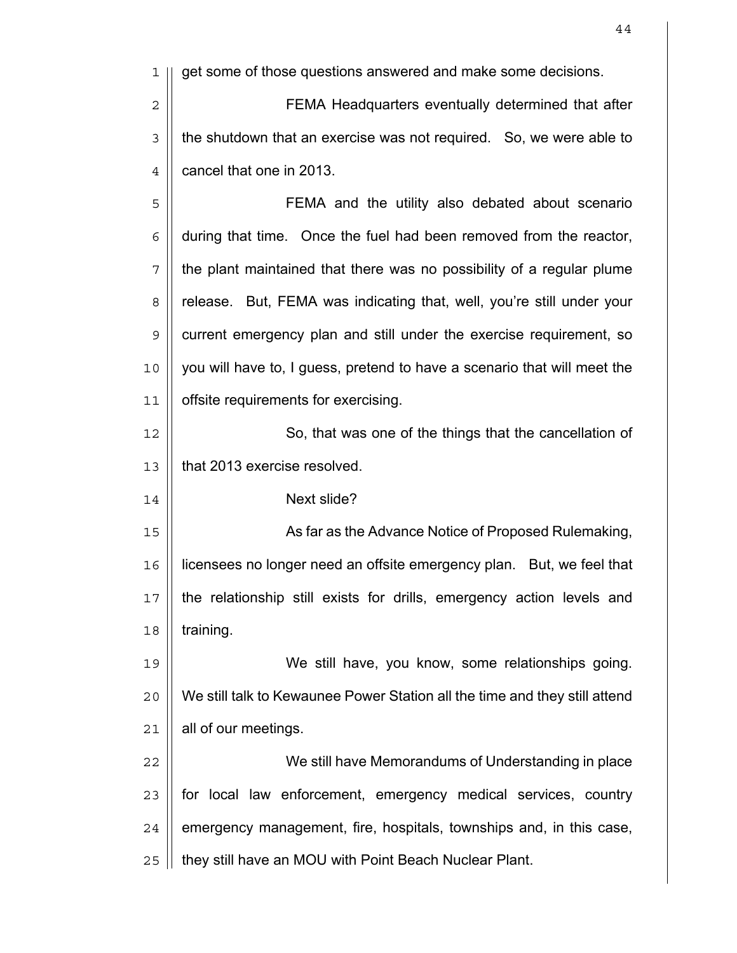1 || get some of those questions answered and make some decisions. 2 || FEMA Headquarters eventually determined that after  $3 \parallel$  the shutdown that an exercise was not required. So, we were able to | cancel that one in 2013. FEMA and the utility also debated about scenario  $6 \parallel$  during that time. Once the fuel had been removed from the reactor, || the plant maintained that there was no possibility of a regular plume 8 | release. But, FEMA was indicating that, well, you're still under your 9 | current emergency plan and still under the exercise requirement, so you will have to, I guess, pretend to have a scenario that will meet the offsite requirements for exercising. 12 || So, that was one of the things that the cancellation of | that 2013 exercise resolved. Next slide? 15 || As far as the Advance Notice of Proposed Rulemaking, licensees no longer need an offsite emergency plan. But, we feel that the relationship still exists for drills, emergency action levels and | training. We still have, you know, some relationships going. We still talk to Kewaunee Power Station all the time and they still attend | all of our meetings. We still have Memorandums of Understanding in place

 || for local law enforcement, emergency medical services, country | emergency management, fire, hospitals, townships and, in this case, 25 | they still have an MOU with Point Beach Nuclear Plant.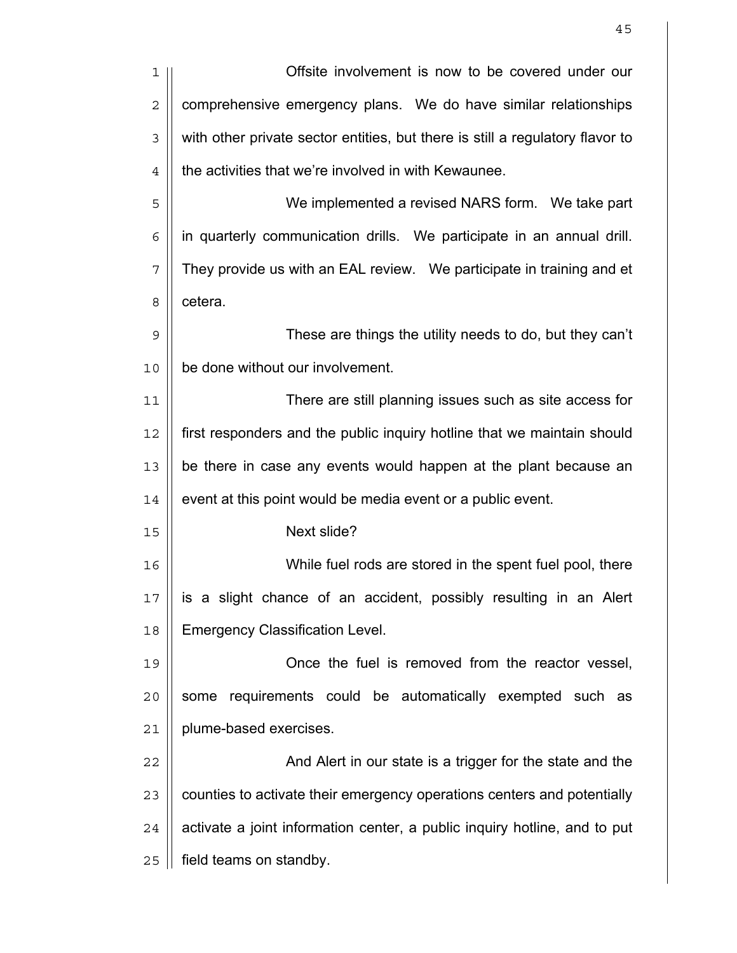| 1              | Offsite involvement is now to be covered under our                            |
|----------------|-------------------------------------------------------------------------------|
| $\overline{2}$ | comprehensive emergency plans. We do have similar relationships               |
| 3              | with other private sector entities, but there is still a regulatory flavor to |
| $\overline{4}$ | the activities that we're involved in with Kewaunee.                          |
| 5              | We implemented a revised NARS form. We take part                              |
| 6              | in quarterly communication drills. We participate in an annual drill.         |
| 7              | They provide us with an EAL review. We participate in training and et         |
| 8              | cetera.                                                                       |
| 9              | These are things the utility needs to do, but they can't                      |
| 10             | be done without our involvement.                                              |
| 11             | There are still planning issues such as site access for                       |
| 12             | first responders and the public inquiry hotline that we maintain should       |
| 13             | be there in case any events would happen at the plant because an              |
| 14             | event at this point would be media event or a public event.                   |
| 15             | Next slide?                                                                   |
| 16             | While fuel rods are stored in the spent fuel pool, there                      |
| 17             | is a slight chance of an accident, possibly resulting in an Alert             |
| 18             | <b>Emergency Classification Level.</b>                                        |
| 19             | Once the fuel is removed from the reactor vessel,                             |
| 20             | requirements could be automatically exempted such as<br>some                  |
| 21             | plume-based exercises.                                                        |
| 22             | And Alert in our state is a trigger for the state and the                     |
| 23             | counties to activate their emergency operations centers and potentially       |
| 24             | activate a joint information center, a public inquiry hotline, and to put     |
| 25             | field teams on standby.                                                       |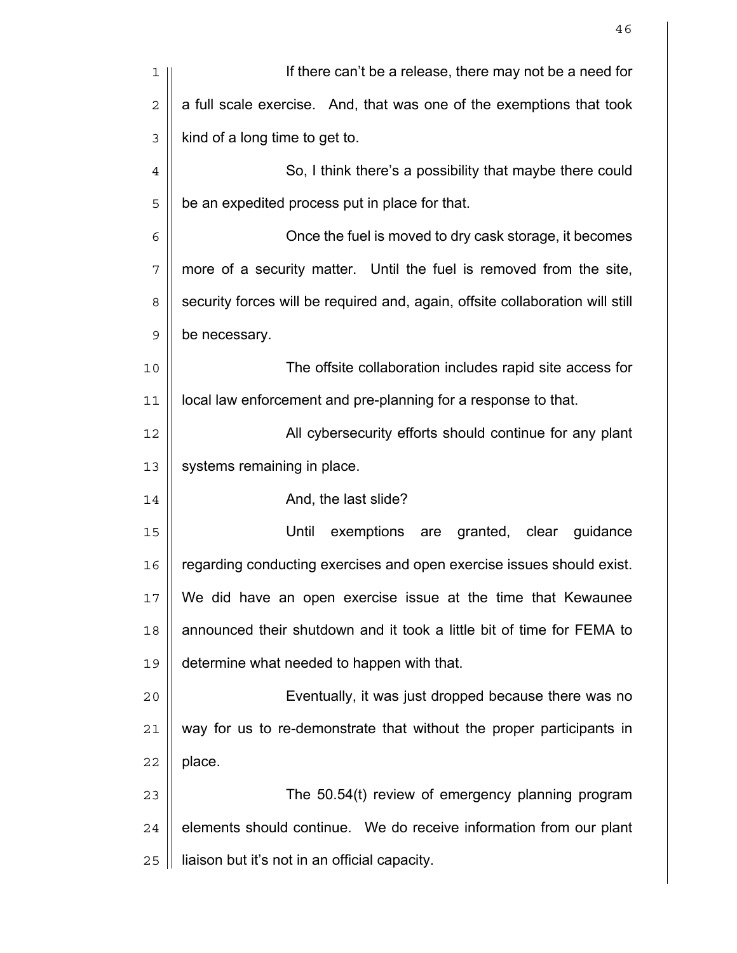| 1              | If there can't be a release, there may not be a need for                      |
|----------------|-------------------------------------------------------------------------------|
| $\overline{2}$ | a full scale exercise. And, that was one of the exemptions that took          |
| 3              | kind of a long time to get to.                                                |
| $\overline{4}$ | So, I think there's a possibility that maybe there could                      |
| 5              | be an expedited process put in place for that.                                |
| 6              | Once the fuel is moved to dry cask storage, it becomes                        |
| 7              | more of a security matter. Until the fuel is removed from the site,           |
| 8              | security forces will be required and, again, offsite collaboration will still |
| $\mathsf 9$    | be necessary.                                                                 |
| 10             | The offsite collaboration includes rapid site access for                      |
| 11             | local law enforcement and pre-planning for a response to that.                |
| 12             | All cybersecurity efforts should continue for any plant                       |
| 13             | systems remaining in place.                                                   |
| 14             | And, the last slide?                                                          |
| 15             | Until<br>exemptions are<br>granted, clear<br>guidance                         |
| 16             | regarding conducting exercises and open exercise issues should exist.         |
| 17             | We did have an open exercise issue at the time that Kewaunee                  |
| 18             | announced their shutdown and it took a little bit of time for FEMA to         |
| 19             | determine what needed to happen with that.                                    |
| 20             | Eventually, it was just dropped because there was no                          |
| 21             | way for us to re-demonstrate that without the proper participants in          |
| 22             | place.                                                                        |
| 23             | The 50.54(t) review of emergency planning program                             |
| 24             | elements should continue. We do receive information from our plant            |
| 25             | liaison but it's not in an official capacity.                                 |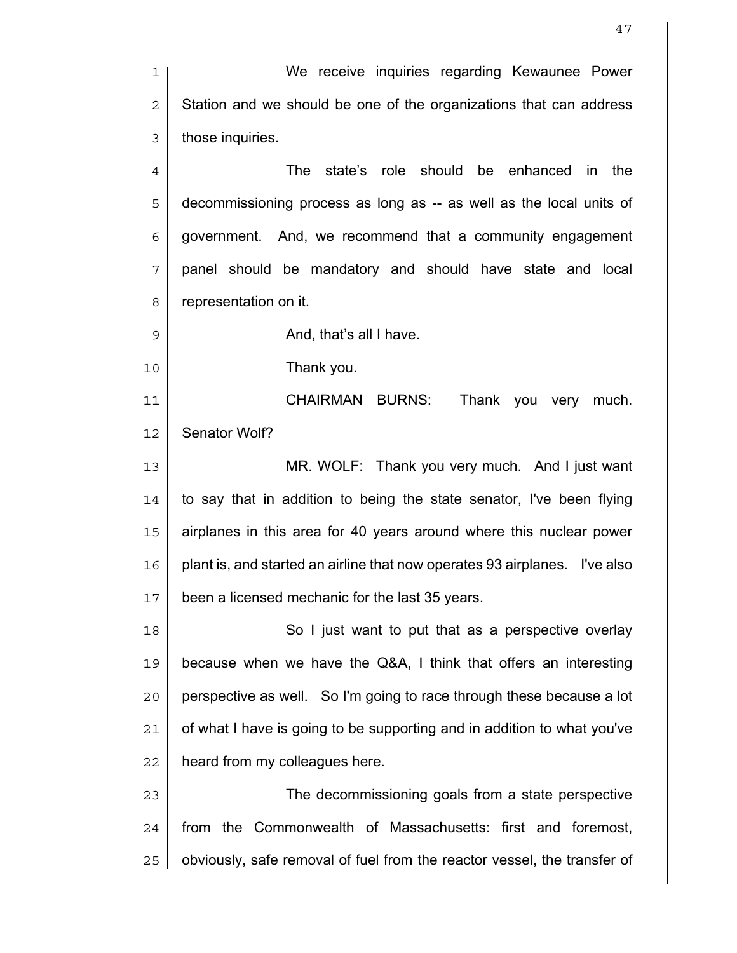We receive inquiries regarding Kewaunee Power  $2 \parallel$  Station and we should be one of the organizations that can address | those inquiries. The state's role should be enhanced in the 5 | decommissioning process as long as -- as well as the local units of  $6 \mid \mid$  government. And, we recommend that a community engagement panel should be mandatory and should have state and local 8 | representation on it.  $9 \parallel$  And, that's all I have. Thank you. CHAIRMAN BURNS: Thank you very much. 12 | Senator Wolf? MR. WOLF: Thank you very much. And I just want | to say that in addition to being the state senator, I've been flying airplanes in this area for 40 years around where this nuclear power plant is, and started an airline that now operates 93 airplanes. I've also 17 | been a licensed mechanic for the last 35 years. 18 || So I just want to put that as a perspective overlay because when we have the Q&A, I think that offers an interesting || perspective as well. So I'm going to race through these because a lot | of what I have is going to be supporting and in addition to what you've | heard from my colleagues here. The decommissioning goals from a state perspective 24 || from the Commonwealth of Massachusetts: first and foremost, 25 || obviously, safe removal of fuel from the reactor vessel, the transfer of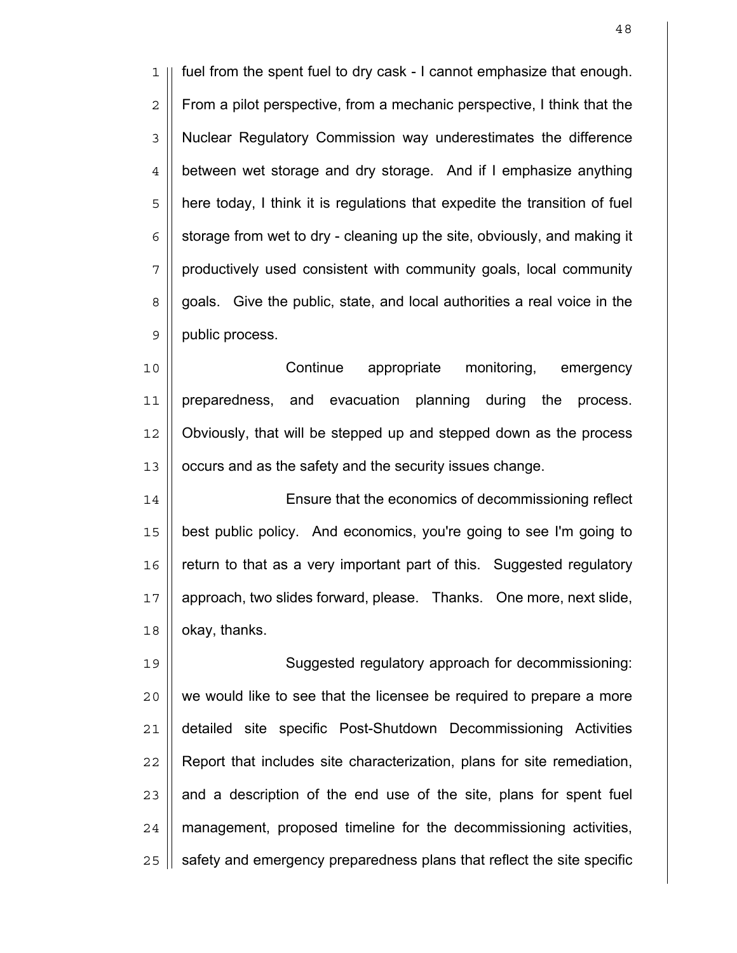fuel from the spent fuel to dry cask - I cannot emphasize that enough.  $2 \parallel$  From a pilot perspective, from a mechanic perspective, I think that the 3 | Nuclear Regulatory Commission way underestimates the difference 4 | between wet storage and dry storage. And if I emphasize anything 5 || here today, I think it is regulations that expedite the transition of fuel  $6 \mid$  storage from wet to dry - cleaning up the site, obviously, and making it | productively used consistent with community goals, local community 8 || goals. Give the public, state, and local authorities a real voice in the 9 | public process.

Continue appropriate monitoring, emergency preparedness, and evacuation planning during the process. Obviously, that will be stepped up and stepped down as the process 13 | occurs and as the safety and the security issues change.

14 || Ensure that the economics of decommissioning reflect best public policy. And economics, you're going to see I'm going to  $\parallel$  return to that as a very important part of this. Suggested regulatory approach, two slides forward, please. Thanks. One more, next slide, | okay, thanks.

Suggested regulatory approach for decommissioning: || we would like to see that the licensee be required to prepare a more detailed site specific Post-Shutdown Decommissioning Activities Report that includes site characterization, plans for site remediation, || and a description of the end use of the site, plans for spent fuel | management, proposed timeline for the decommissioning activities,  $\parallel$  safety and emergency preparedness plans that reflect the site specific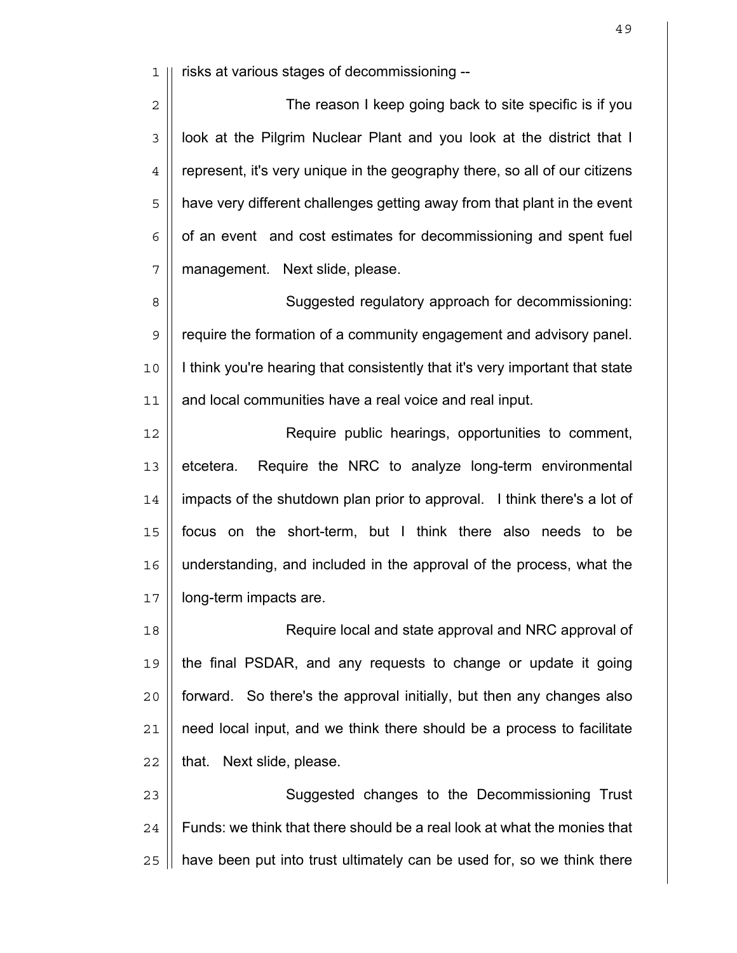1 risks at various stages of decommissioning --

2 || The reason I keep going back to site specific is if you  $3$  | look at the Pilgrim Nuclear Plant and you look at the district that I 4 | represent, it's very unique in the geography there, so all of our citizens 5 || have very different challenges getting away from that plant in the event  $6 \parallel$  of an event and cost estimates for decommissioning and spent fuel 7 | management. Next slide, please.

8 || Suggested regulatory approach for decommissioning: 9 | require the formation of a community engagement and advisory panel. 10 I think you're hearing that consistently that it's very important that state 11 | and local communities have a real voice and real input.

Require public hearings, opportunities to comment, 13 | etcetera. Require the NRC to analyze long-term environmental impacts of the shutdown plan prior to approval. I think there's a lot of focus on the short-term, but I think there also needs to be understanding, and included in the approval of the process, what the 17 | long-term impacts are.

18 || Require local and state approval and NRC approval of the final PSDAR, and any requests to change or update it going || forward. So there's the approval initially, but then any changes also | need local input, and we think there should be a process to facilitate || that. Next slide, please.

23 || **Suggested changes to the Decommissioning Trust**  $24$   $\parallel$  Funds: we think that there should be a real look at what the monies that  $25$  | have been put into trust ultimately can be used for, so we think there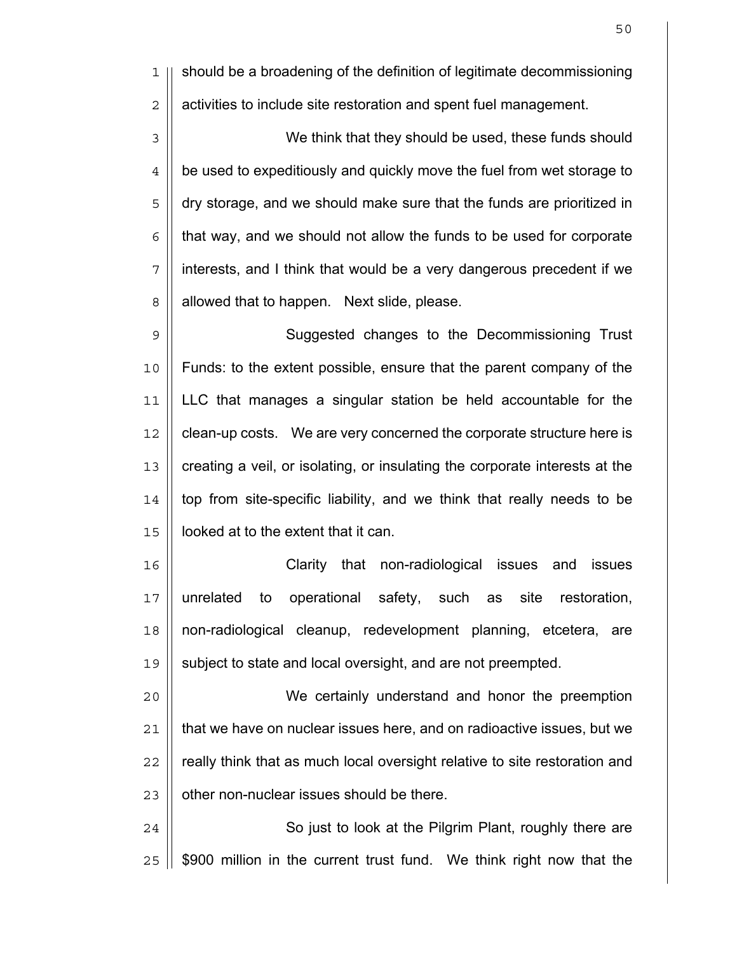1 || should be a broadening of the definition of legitimate decommissioning 2 | activities to include site restoration and spent fuel management.

3 || We think that they should be used, these funds should  $4 \parallel$  be used to expeditiously and quickly move the fuel from wet storage to 5 || dry storage, and we should make sure that the funds are prioritized in  $6$  | that way, and we should not allow the funds to be used for corporate 7 || interests, and I think that would be a very dangerous precedent if we 8 | allowed that to happen. Next slide, please.

9 | Suggested changes to the Decommissioning Trust 10 Funds: to the extent possible, ensure that the parent company of the 11 LLC that manages a singular station be held accountable for the 12 | clean-up costs. We are very concerned the corporate structure here is 13 || creating a veil, or isolating, or insulating the corporate interests at the  $14$  || top from site-specific liability, and we think that really needs to be 15 looked at to the extent that it can.

Clarity that non-radiological issues and issues unrelated to operational safety, such as site restoration, non-radiological cleanup, redevelopment planning, etcetera, are subject to state and local oversight, and are not preempted.

We certainly understand and honor the preemption | that we have on nuclear issues here, and on radioactive issues, but we 22 || really think that as much local oversight relative to site restoration and | other non-nuclear issues should be there.

24 | So just to look at the Pilgrim Plant, roughly there are  $25$   $\parallel$  \$900 million in the current trust fund. We think right now that the

50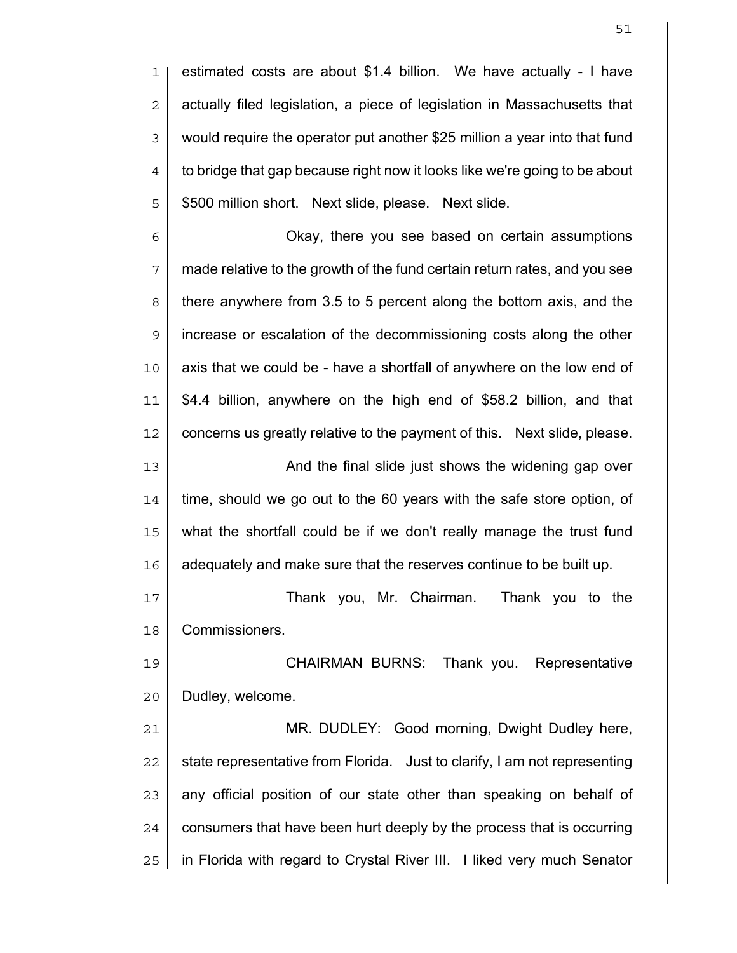estimated costs are about \$1.4 billion. We have actually - I have  $2 \parallel$  actually filed legislation, a piece of legislation in Massachusetts that 3 | would require the operator put another \$25 million a year into that fund  $4 \parallel$  to bridge that gap because right now it looks like we're going to be about || \$500 million short. Next slide, please. Next slide.

6 | Chay, there you see based on certain assumptions made relative to the growth of the fund certain return rates, and you see 8 | there anywhere from 3.5 to 5 percent along the bottom axis, and the increase or escalation of the decommissioning costs along the other || axis that we could be - have a shortfall of anywhere on the low end of \$4.4 billion, anywhere on the high end of \$58.2 billion, and that 12 || concerns us greatly relative to the payment of this. Next slide, please. 13 || **And the final slide just shows the widening gap over** 

 || time, should we go out to the 60 years with the safe store option, of what the shortfall could be if we don't really manage the trust fund | adequately and make sure that the reserves continue to be built up.

Thank you, Mr. Chairman. Thank you to the Commissioners.

CHAIRMAN BURNS: Thank you. Representative 20 | Dudley, welcome.

MR. DUDLEY: Good morning, Dwight Dudley here,  $\parallel$  state representative from Florida. Just to clarify, I am not representing || any official position of our state other than speaking on behalf of | consumers that have been hurt deeply by the process that is occurring 25 | in Florida with regard to Crystal River III. I liked very much Senator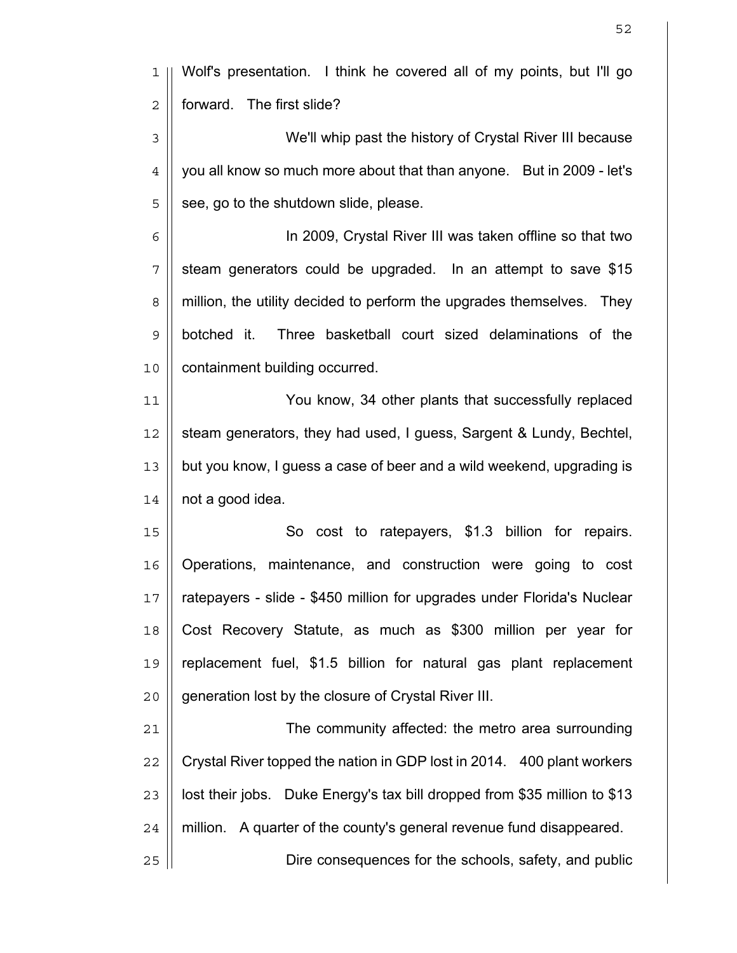| ı              | Wolf's presentation. I think he covered all of my points, but I'll go     |
|----------------|---------------------------------------------------------------------------|
| $\sqrt{2}$     | forward. The first slide?                                                 |
| 3              | We'll whip past the history of Crystal River III because                  |
| $\overline{4}$ | you all know so much more about that than anyone. But in 2009 - let's     |
| 5              | see, go to the shutdown slide, please.                                    |
| 6              | In 2009, Crystal River III was taken offline so that two                  |
| 7              | steam generators could be upgraded. In an attempt to save \$15            |
| 8              | million, the utility decided to perform the upgrades themselves. They     |
| $\mathsf 9$    | Three basketball court sized delaminations of the<br>botched it.          |
| 10             | containment building occurred.                                            |
| 11             | You know, 34 other plants that successfully replaced                      |
| 12             | steam generators, they had used, I guess, Sargent & Lundy, Bechtel,       |
| 13             | but you know, I guess a case of beer and a wild weekend, upgrading is     |
| 14             | not a good idea.                                                          |
| 15             | So cost to ratepayers, \$1.3 billion for repairs.                         |
| 16             | Operations, maintenance, and construction were going to cost              |
| 17             | ratepayers - slide - \$450 million for upgrades under Florida's Nuclear   |
| 18             | Cost Recovery Statute, as much as \$300 million per year for              |
| 19             | replacement fuel, \$1.5 billion for natural gas plant replacement         |
| 20             | generation lost by the closure of Crystal River III.                      |
| 21             | The community affected: the metro area surrounding                        |
| 22             | Crystal River topped the nation in GDP lost in 2014. 400 plant workers    |
| 23             | lost their jobs. Duke Energy's tax bill dropped from \$35 million to \$13 |
| 24             | million. A quarter of the county's general revenue fund disappeared.      |
| 25             | Dire consequences for the schools, safety, and public                     |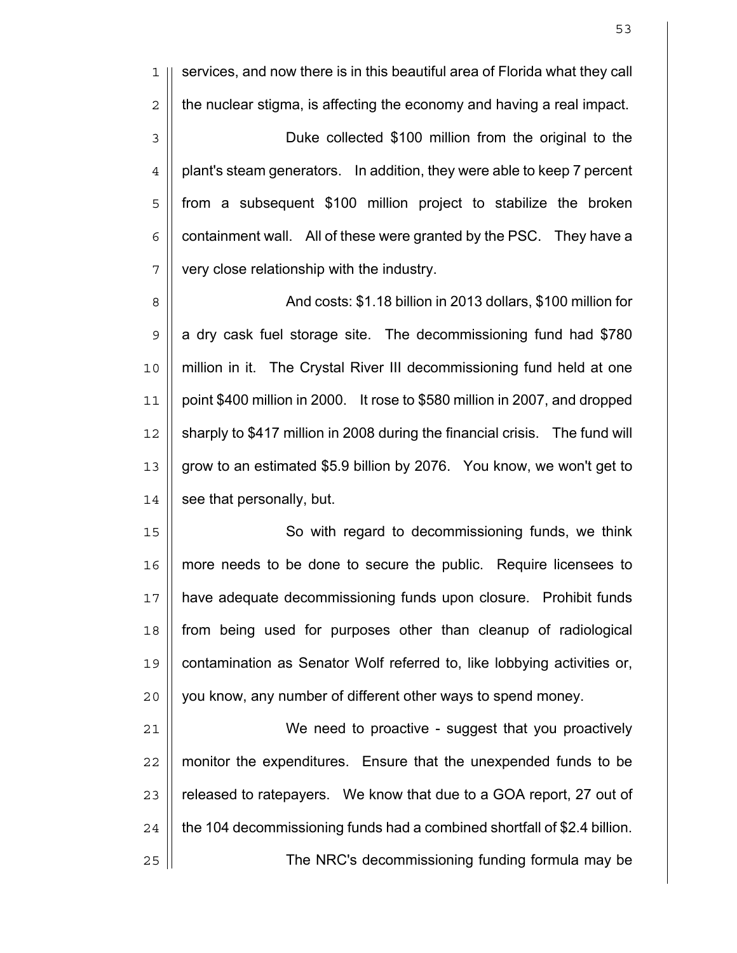services, and now there is in this beautiful area of Florida what they call  $2 \parallel$  the nuclear stigma, is affecting the economy and having a real impact. Duke collected \$100 million from the original to the  $4 \parallel$  plant's steam generators. In addition, they were able to keep 7 percent 5 || from a subsequent \$100 million project to stabilize the broken  $6 \parallel$  containment wall. All of these were granted by the PSC. They have a | very close relationship with the industry.

8 | And costs: \$1.18 billion in 2013 dollars, \$100 million for  $9 \parallel$  a dry cask fuel storage site. The decommissioning fund had \$780 million in it. The Crystal River III decommissioning fund held at one point \$400 million in 2000. It rose to \$580 million in 2007, and dropped 12 | sharply to \$417 million in 2008 during the financial crisis. The fund will 13 | grow to an estimated \$5.9 billion by 2076. You know, we won't get to | see that personally, but.

15 || So with regard to decommissioning funds, we think more needs to be done to secure the public. Require licensees to have adequate decommissioning funds upon closure. Prohibit funds from being used for purposes other than cleanup of radiological contamination as Senator Wolf referred to, like lobbying activities or, || you know, any number of different other ways to spend money.

We need to proactive - suggest that you proactively 22 || monitor the expenditures. Ensure that the unexpended funds to be | released to ratepayers. We know that due to a GOA report, 27 out of | the 104 decommissioning funds had a combined shortfall of \$2.4 billion. The NRC's decommissioning funding formula may be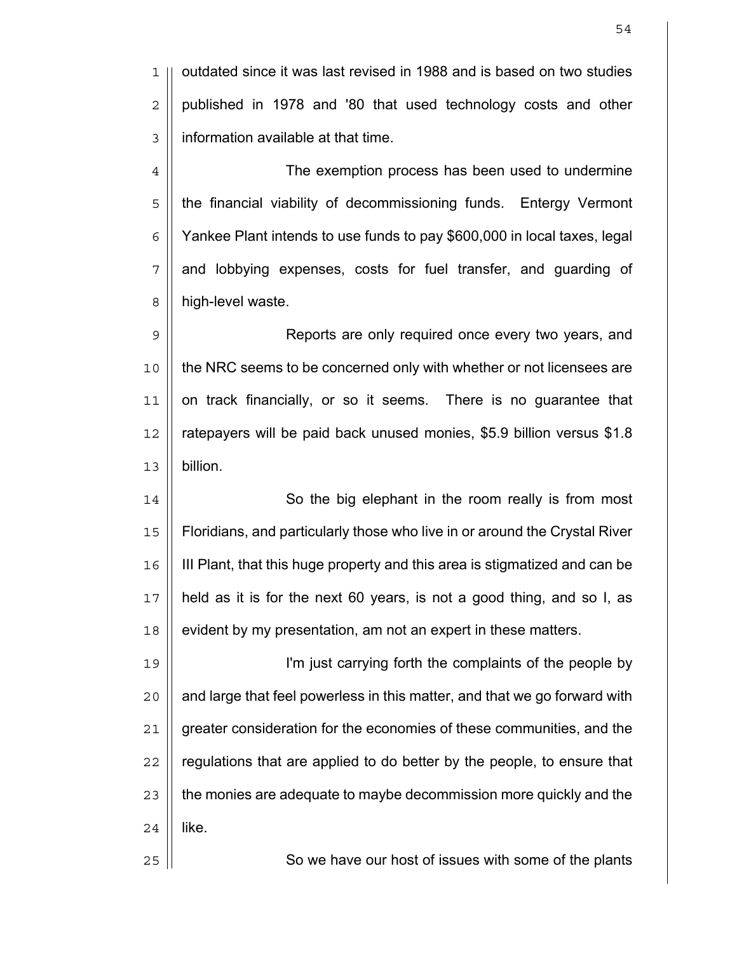1 | outdated since it was last revised in 1988 and is based on two studies  $2 \parallel$  published in 1978 and '80 that used technology costs and other 3 information available at that time.

4 | The exemption process has been used to undermine 5 | the financial viability of decommissioning funds. Entergy Vermont  $6 \parallel$  Yankee Plant intends to use funds to pay \$600,000 in local taxes, legal  $7 \parallel$  and lobbying expenses, costs for fuel transfer, and guarding of 8 | high-level waste.

9 || Reports are only required once every two years, and 10 || the NRC seems to be concerned only with whether or not licensees are 11 on track financially, or so it seems. There is no guarantee that 12 ratepayers will be paid back unused monies, \$5.9 billion versus \$1.8 13 billion.

14 || So the big elephant in the room really is from most Floridians, and particularly those who live in or around the Crystal River III Plant, that this huge property and this area is stigmatized and can be held as it is for the next 60 years, is not a good thing, and so I, as | evident by my presentation, am not an expert in these matters.

I'm just carrying forth the complaints of the people by || and large that feel powerless in this matter, and that we go forward with 21 | greater consideration for the economies of these communities, and the || regulations that are applied to do better by the people, to ensure that  $\parallel$  the monies are adequate to maybe decommission more quickly and the  $24$  || like.

25 || So we have our host of issues with some of the plants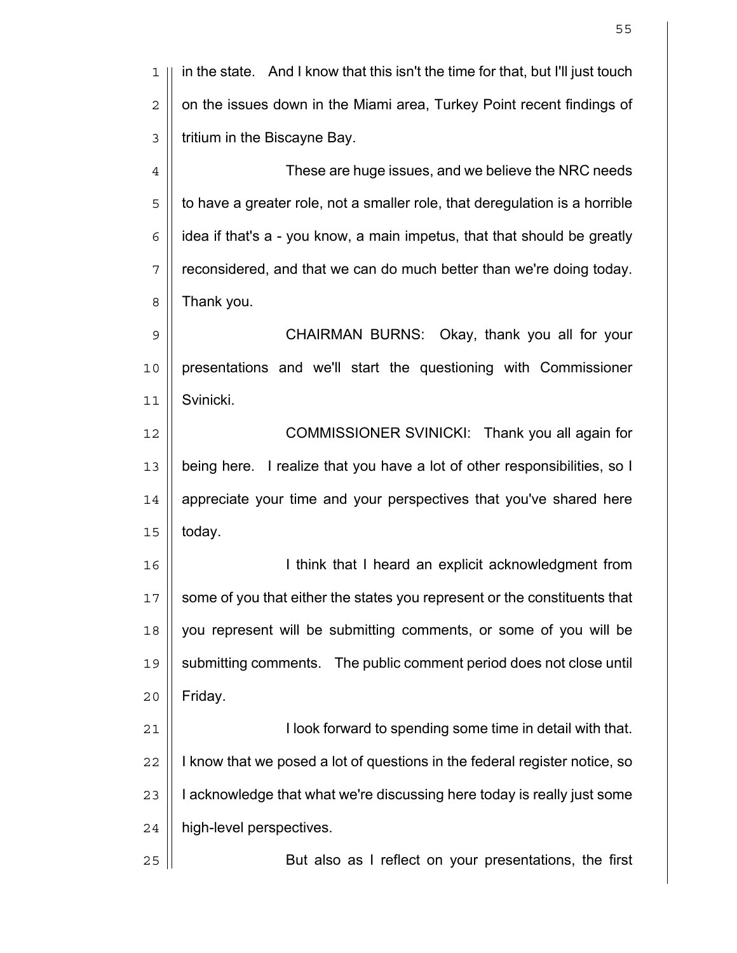1 in the state. And I know that this isn't the time for that, but I'll just touch  $2 \parallel$  on the issues down in the Miami area, Turkey Point recent findings of  $3 \parallel$  tritium in the Biscayne Bay. 4 | Christian These are huge issues, and we believe the NRC needs  $5 \parallel$  to have a greater role, not a smaller role, that deregulation is a horrible  $6$  || idea if that's a - you know, a main impetus, that that should be greatly  $7$  | reconsidered, and that we can do much better than we're doing today.  $8 \parallel$  Thank you. 9 CHAIRMAN BURNS: Okay, thank you all for your 10 presentations and we'll start the questioning with Commissioner 11 Svinicki. 12 || **COMMISSIONER SVINICKI:** Thank you all again for 13 being here. I realize that you have a lot of other responsibilities, so I 14 || appreciate your time and your perspectives that you've shared here  $15 \parallel$  today. 16 || **I** think that I heard an explicit acknowledgment from 17 || some of you that either the states you represent or the constituents that 18 you represent will be submitting comments, or some of you will be 19 submitting comments. The public comment period does not close until  $20$  | Friday. 21 I look forward to spending some time in detail with that.  $22$  || I know that we posed a lot of questions in the federal register notice, so  $23$  || acknowledge that what we're discussing here today is really just some 24 | high-level perspectives. 25 || But also as I reflect on your presentations, the first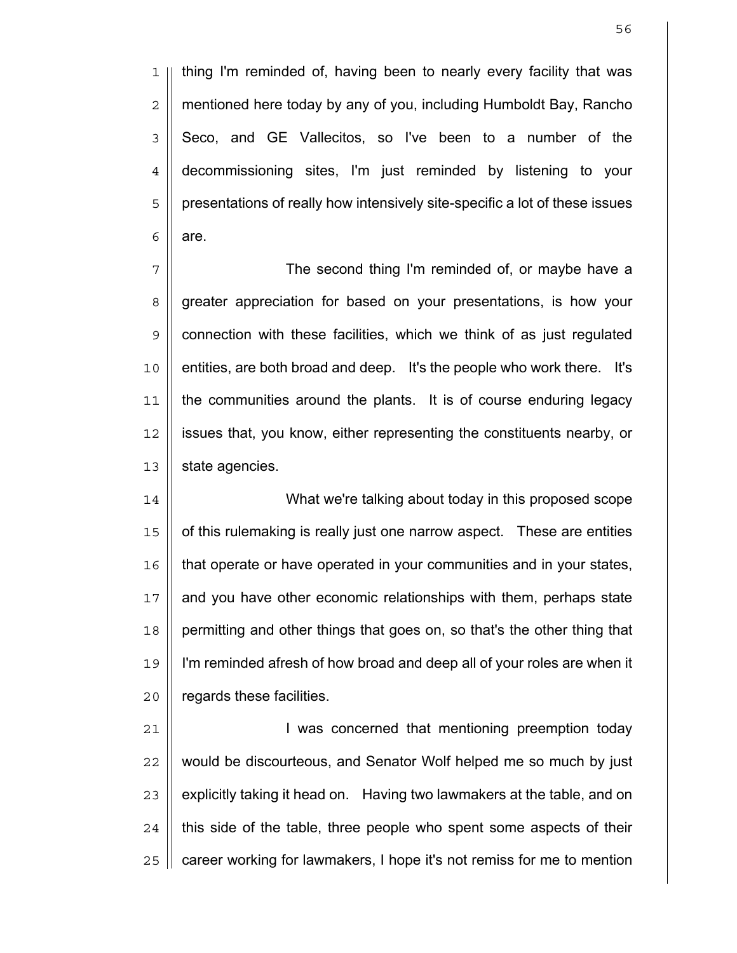1 || thing I'm reminded of, having been to nearly every facility that was 2 mentioned here today by any of you, including Humboldt Bay, Rancho  $3 \parallel$  Seco, and GE Vallecitos, so I've been to a number of the 4 decommissioning sites, I'm just reminded by listening to your 5 | presentations of really how intensively site-specific a lot of these issues  $6 \mid$  are.

The second thing I'm reminded of, or maybe have a 8 | greater appreciation for based on your presentations, is how your | connection with these facilities, which we think of as just regulated 10 | entities, are both broad and deep. It's the people who work there. It's the communities around the plants. It is of course enduring legacy issues that, you know, either representing the constituents nearby, or | state agencies.

14 What we're talking about today in this proposed scope 15 || of this rulemaking is really just one narrow aspect. These are entities 16 that operate or have operated in your communities and in your states, 17 || and you have other economic relationships with them, perhaps state 18 | permitting and other things that goes on, so that's the other thing that 19 I'm reminded afresh of how broad and deep all of your roles are when it 20 | regards these facilities.

21 I was concerned that mentioning preemption today 22 || would be discourteous, and Senator Wolf helped me so much by just  $23$   $\parallel$  explicitly taking it head on. Having two lawmakers at the table, and on  $24$  || this side of the table, three people who spent some aspects of their 25 | career working for lawmakers, I hope it's not remiss for me to mention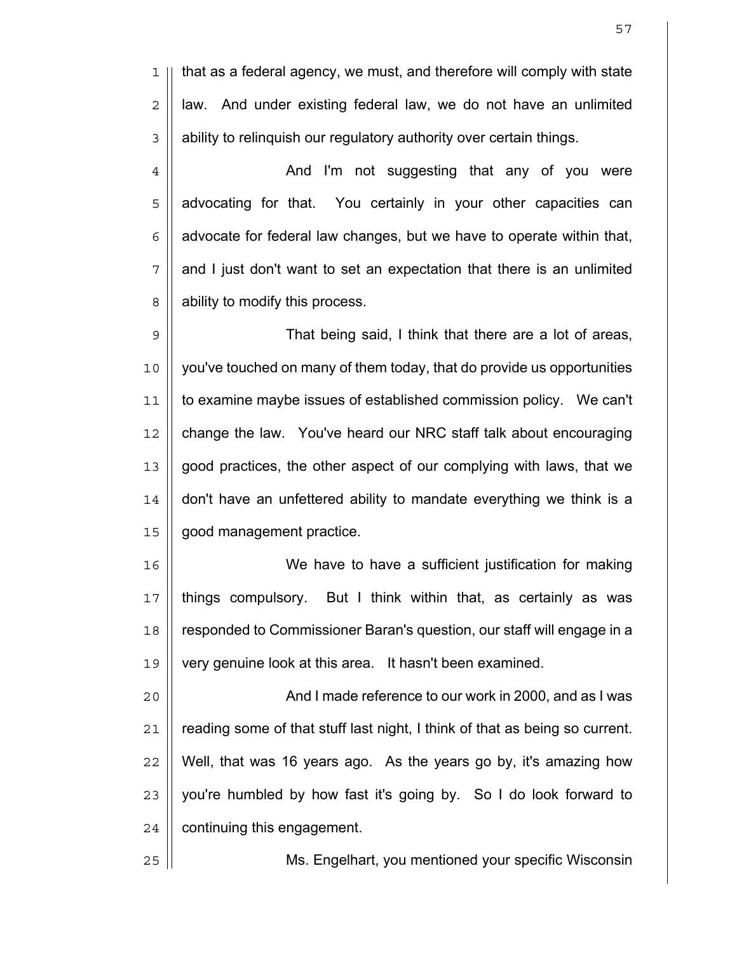1 || that as a federal agency, we must, and therefore will comply with state  $2 \parallel$  law. And under existing federal law, we do not have an unlimited  $3 \parallel$  ability to relinguish our regulatory authority over certain things.

4 | And I'm not suggesting that any of you were | advocating for that. You certainly in your other capacities can  $6 \mid$  advocate for federal law changes, but we have to operate within that, || and I just don't want to set an expectation that there is an unlimited 8 | ability to modify this process.

That being said, I think that there are a lot of areas, you've touched on many of them today, that do provide us opportunities to examine maybe issues of established commission policy. We can't 12 | change the law. You've heard our NRC staff talk about encouraging good practices, the other aspect of our complying with laws, that we || don't have an unfettered ability to mandate everything we think is a good management practice.

We have to have a sufficient justification for making || things compulsory. But I think within that, as certainly as was responded to Commissioner Baran's question, our staff will engage in a very genuine look at this area. It hasn't been examined.

And I made reference to our work in 2000, and as I was | reading some of that stuff last night, I think of that as being so current. | Well, that was 16 years ago. As the years go by, it's amazing how || you're humbled by how fast it's going by. So I do look forward to | continuing this engagement.

Ms. Engelhart, you mentioned your specific Wisconsin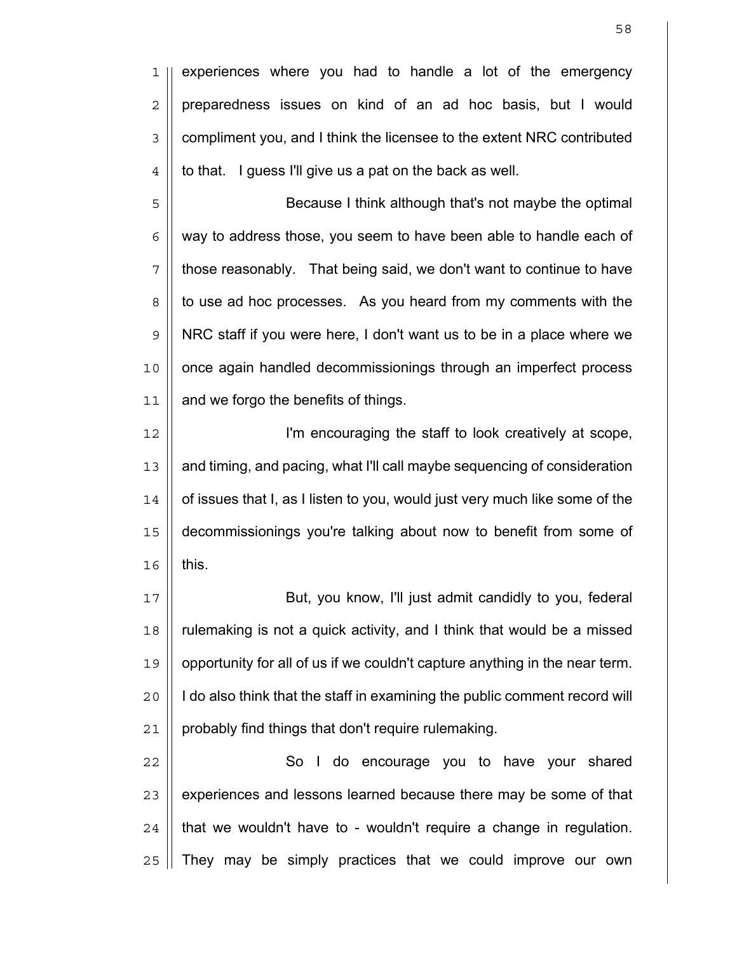1 || experiences where you had to handle a lot of the emergency  $2 \parallel$  preparedness issues on kind of an ad hoc basis, but I would 3 | compliment you, and I think the licensee to the extent NRC contributed  $4 \parallel$  to that. I guess I'll give us a pat on the back as well.

5 || Because I think although that's not maybe the optimal  $6 \mid \mid$  way to address those, you seem to have been able to handle each of  $7$  || those reasonably. That being said, we don't want to continue to have 8 || to use ad hoc processes. As you heard from my comments with the 9 NRC staff if you were here, I don't want us to be in a place where we 10 || once again handled decommissionings through an imperfect process 11 | and we forgo the benefits of things.

I'm encouraging the staff to look creatively at scope, and timing, and pacing, what I'll call maybe sequencing of consideration | of issues that I, as I listen to you, would just very much like some of the decommissionings you're talking about now to benefit from some of  $16$  this.

17 But, you know, I'll just admit candidly to you, federal  $18$  || rulemaking is not a quick activity, and I think that would be a missed 19 opportunity for all of us if we couldn't capture anything in the near term. 20 | I do also think that the staff in examining the public comment record will 21 | probably find things that don't require rulemaking.

22 | So I do encourage you to have your shared  $\parallel$  experiences and lessons learned because there may be some of that | that we wouldn't have to - wouldn't require a change in regulation.  $\parallel$  They may be simply practices that we could improve our own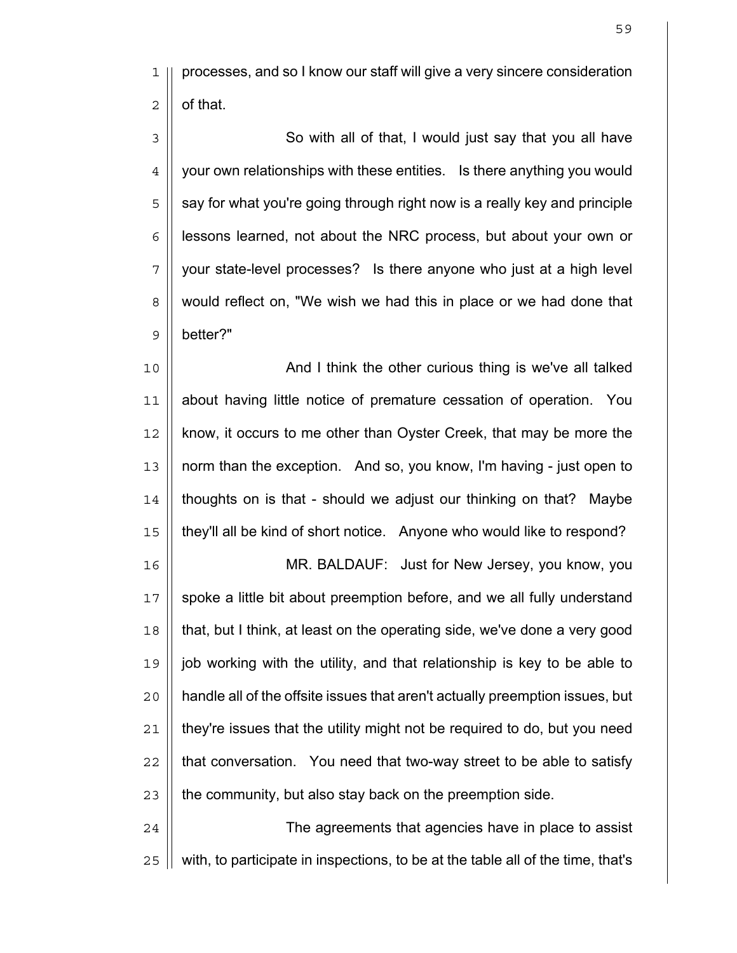1 || processes, and so I know our staff will give a very sincere consideration  $2 \parallel$  of that.

3 || So with all of that, I would just say that you all have  $4 \parallel$  your own relationships with these entities. Is there anything you would || say for what you're going through right now is a really key and principle | lessons learned, not about the NRC process, but about your own or || your state-level processes? Is there anyone who just at a high level 8 || would reflect on, "We wish we had this in place or we had done that better?"

10 || **And I think the other curious thing is we've all talked** about having little notice of premature cessation of operation. You 12 || know, it occurs to me other than Oyster Creek, that may be more the norm than the exception. And so, you know, I'm having - just open to || thoughts on is that - should we adjust our thinking on that? Maybe they'll all be kind of short notice. Anyone who would like to respond?

MR. BALDAUF: Just for New Jersey, you know, you 17 || spoke a little bit about preemption before, and we all fully understand that, but I think, at least on the operating side, we've done a very good job working with the utility, and that relationship is key to be able to 20 | handle all of the offsite issues that aren't actually preemption issues, but  $\parallel$  they're issues that the utility might not be required to do, but you need || that conversation. You need that two-way street to be able to satisfy | the community, but also stay back on the preemption side.

24 || The agreements that agencies have in place to assist  $\parallel$  with, to participate in inspections, to be at the table all of the time, that's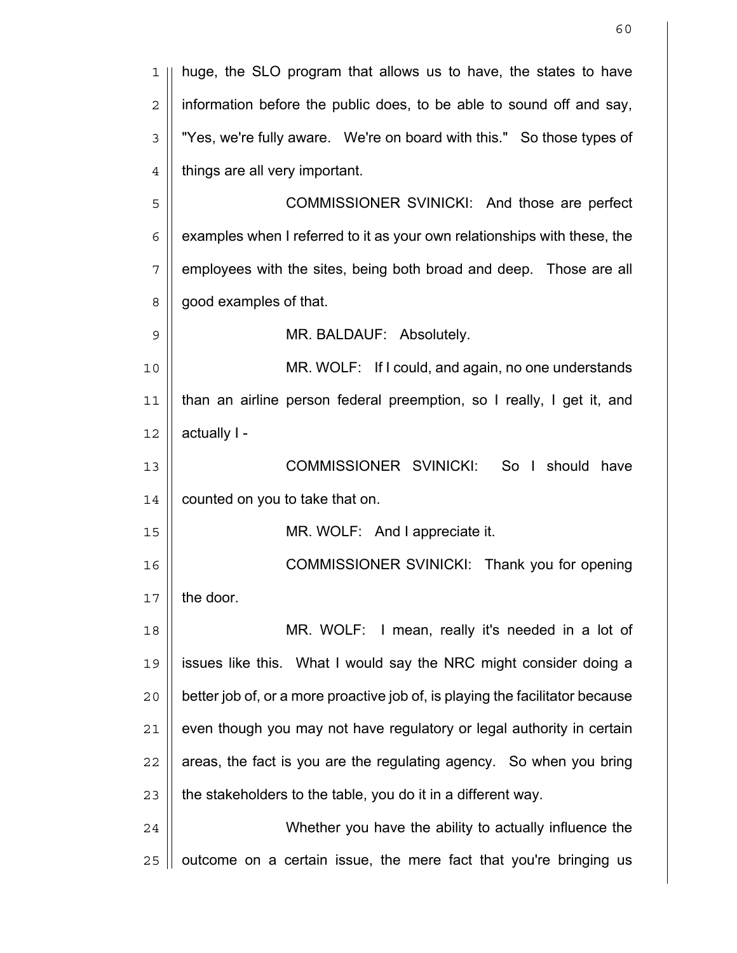| 1              | huge, the SLO program that allows us to have, the states to have              |
|----------------|-------------------------------------------------------------------------------|
| $\overline{2}$ | information before the public does, to be able to sound off and say,          |
| $\mathfrak{Z}$ | "Yes, we're fully aware. We're on board with this." So those types of         |
| $\overline{4}$ | things are all very important.                                                |
| 5              | COMMISSIONER SVINICKI: And those are perfect                                  |
| 6              | examples when I referred to it as your own relationships with these, the      |
| 7              | employees with the sites, being both broad and deep. Those are all            |
| 8              | good examples of that.                                                        |
| 9              | MR. BALDAUF: Absolutely.                                                      |
| 10             | MR. WOLF: If I could, and again, no one understands                           |
| 11             | than an airline person federal preemption, so I really, I get it, and         |
| 12             | actually I -                                                                  |
| 13             | COMMISSIONER SVINICKI:<br>So I should<br>have                                 |
| 14             | counted on you to take that on.                                               |
| 15             | MR. WOLF: And I appreciate it.                                                |
| 16             | COMMISSIONER SVINICKI: Thank you for opening                                  |
| 17             | the door.                                                                     |
| 18             | MR. WOLF: I mean, really it's needed in a lot of                              |
| 19             | issues like this. What I would say the NRC might consider doing a             |
| 20             | better job of, or a more proactive job of, is playing the facilitator because |
| 21             | even though you may not have regulatory or legal authority in certain         |
| 22             | areas, the fact is you are the regulating agency. So when you bring           |
| 23             | the stakeholders to the table, you do it in a different way.                  |
| 24             | Whether you have the ability to actually influence the                        |
| 25             | outcome on a certain issue, the mere fact that you're bringing us             |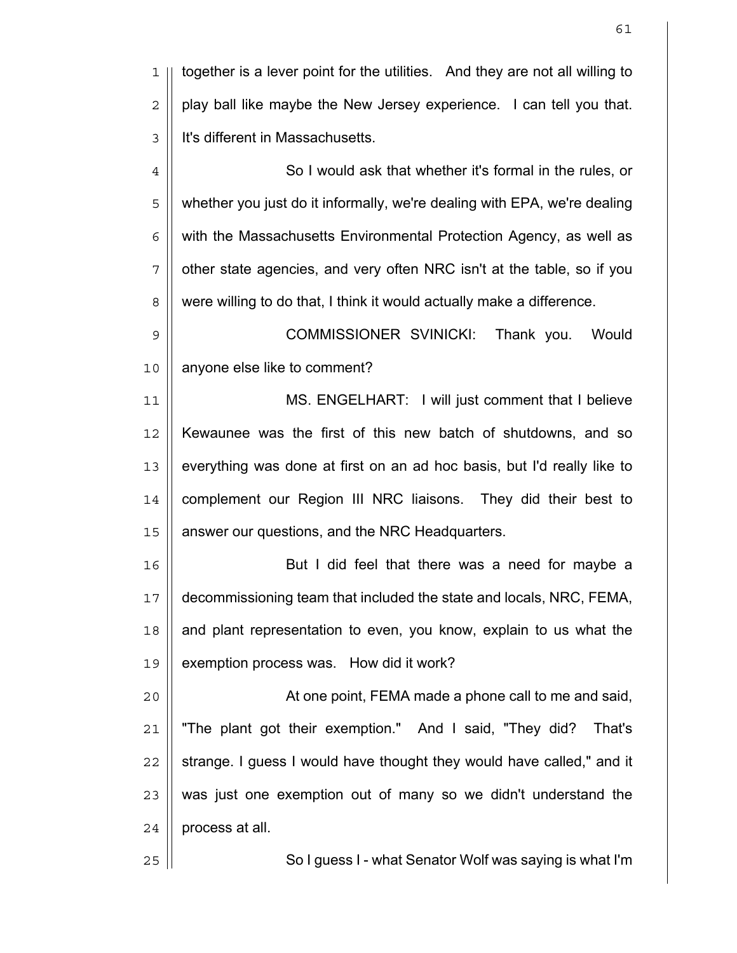1 together is a lever point for the utilities. And they are not all willing to  $2 \parallel$  play ball like maybe the New Jersey experience. I can tell you that. 3 | It's different in Massachusetts. 4 || So I would ask that whether it's formal in the rules, or 5 || whether you just do it informally, we're dealing with EPA, we're dealing  $6$  || with the Massachusetts Environmental Protection Agency, as well as  $7$  | other state agencies, and very often NRC isn't at the table, so if you 8 | were willing to do that, I think it would actually make a difference. 9 COMMISSIONER SVINICKI: Thank you. Would 10 | anyone else like to comment? 11 MS. ENGELHART: I will just comment that I believe 12 Kewaunee was the first of this new batch of shutdowns, and so  $13$   $\parallel$  everything was done at first on an ad hoc basis, but I'd really like to 14 || complement our Region III NRC liaisons. They did their best to 15 | answer our questions, and the NRC Headquarters. 16 || **But I did feel that there was a need for maybe a** 17 decommissioning team that included the state and locals, NRC, FEMA,  $18$  | and plant representation to even, you know, explain to us what the 19 || exemption process was. How did it work? 20 || At one point, FEMA made a phone call to me and said, 21 "The plant got their exemption." And I said, "They did? That's  $22$  || strange. I guess I would have thought they would have called," and it  $23$  || was just one exemption out of many so we didn't understand the  $24$  | process at all. 25 || So I guess I - what Senator Wolf was saying is what I'm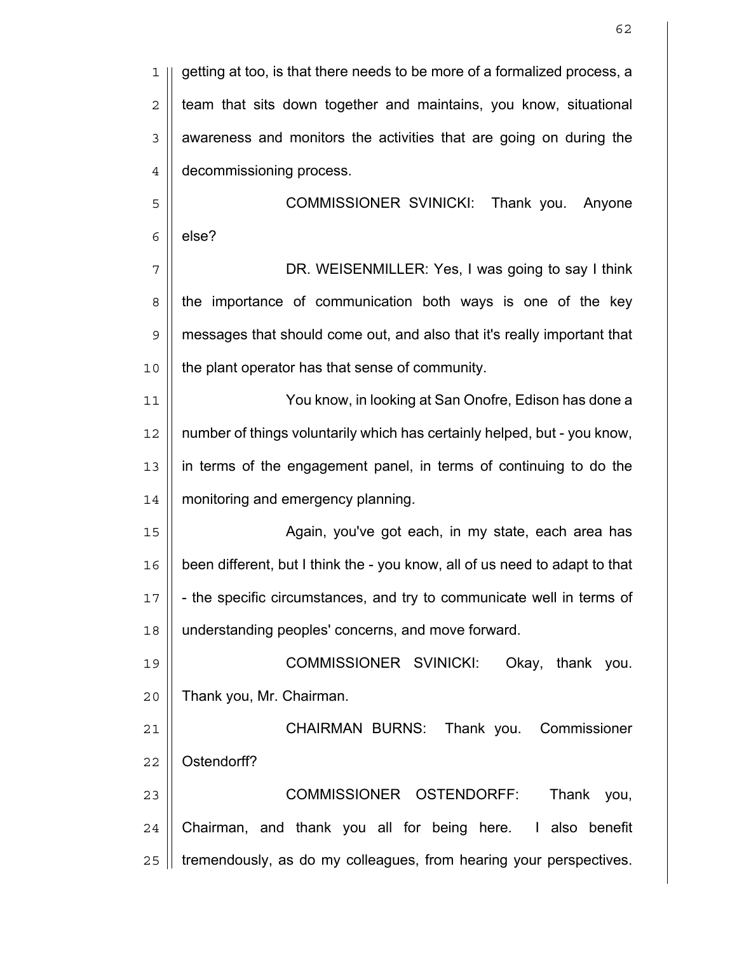| 1              | getting at too, is that there needs to be more of a formalized process, a   |
|----------------|-----------------------------------------------------------------------------|
| $\sqrt{2}$     | team that sits down together and maintains, you know, situational           |
| $\mathfrak{Z}$ | awareness and monitors the activities that are going on during the          |
| $\overline{4}$ | decommissioning process.                                                    |
| 5              | COMMISSIONER SVINICKI: Thank you.<br>Anyone                                 |
| 6              | else?                                                                       |
| 7              | DR. WEISENMILLER: Yes, I was going to say I think                           |
| $\,8\,$        | the importance of communication both ways is one of the key                 |
| $\mathsf 9$    | messages that should come out, and also that it's really important that     |
| 10             | the plant operator has that sense of community.                             |
| 11             | You know, in looking at San Onofre, Edison has done a                       |
| 12             | number of things voluntarily which has certainly helped, but - you know,    |
| 13             | in terms of the engagement panel, in terms of continuing to do the          |
| 14             | monitoring and emergency planning.                                          |
| 15             | Again, you've got each, in my state, each area has                          |
| 16             | been different, but I think the - you know, all of us need to adapt to that |
| $17$           | the specific circumstances, and try to communicate well in terms of         |
| 18             | understanding peoples' concerns, and move forward.                          |
| 19             | COMMISSIONER SVINICKI:<br>Okay, thank you.                                  |
| 20             | Thank you, Mr. Chairman.                                                    |
| 21             | CHAIRMAN BURNS: Thank you. Commissioner                                     |
| 22             | Ostendorff?                                                                 |
| 23             | COMMISSIONER OSTENDORFF:<br>Thank you,                                      |
| 24             | Chairman, and thank you all for being here. I also benefit                  |
| 25             | tremendously, as do my colleagues, from hearing your perspectives.          |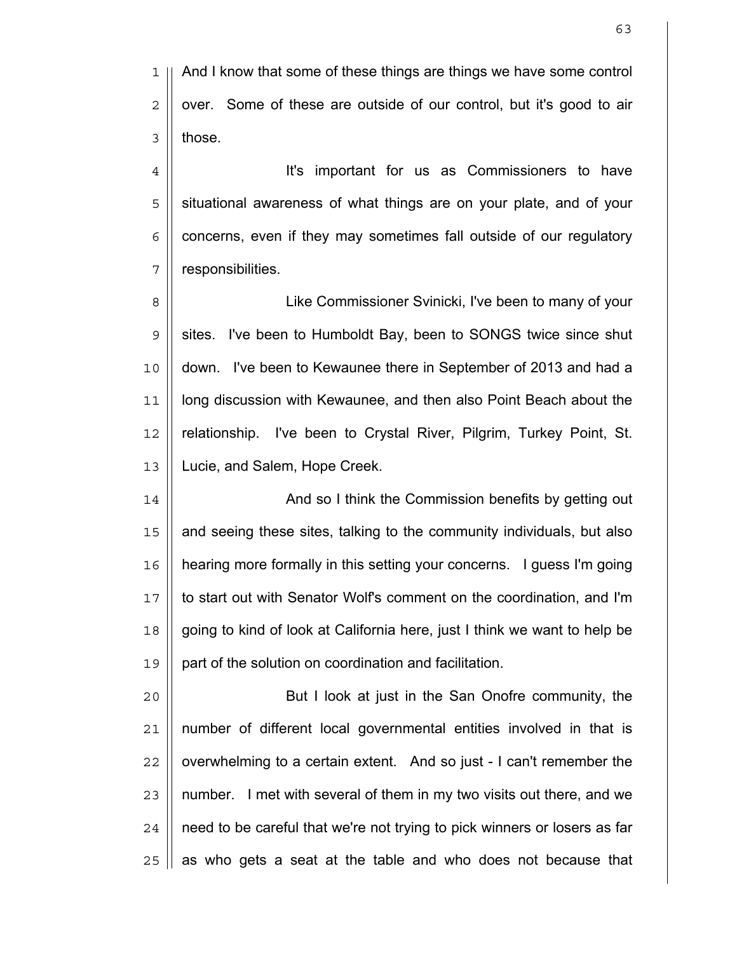It's important for us as Commissioners to have 5 || situational awareness of what things are on your plate, and of your | concerns, even if they may sometimes fall outside of our regulatory | responsibilities.

8 | Cike Commissioner Svinicki, I've been to many of your 9 Sulf sites. I've been to Humboldt Bay, been to SONGS twice since shut 10 down. I've been to Kewaunee there in September of 2013 and had a 11 long discussion with Kewaunee, and then also Point Beach about the 12 || relationship. I've been to Crystal River, Pilgrim, Turkey Point, St. 13 Lucie, and Salem, Hope Creek.

14 || **And so I think the Commission benefits by getting out** 15 || and seeing these sites, talking to the community individuals, but also 16 hearing more formally in this setting your concerns. I guess I'm going 17 to start out with Senator Wolf's comment on the coordination, and I'm 18 going to kind of look at California here, just I think we want to help be 19 | part of the solution on coordination and facilitation.

20 || **But I look at just in the San Onofre community, the** number of different local governmental entities involved in that is || overwhelming to a certain extent. And so just - I can't remember the || number. I met with several of them in my two visits out there, and we | need to be careful that we're not trying to pick winners or losers as far | as who gets a seat at the table and who does not because that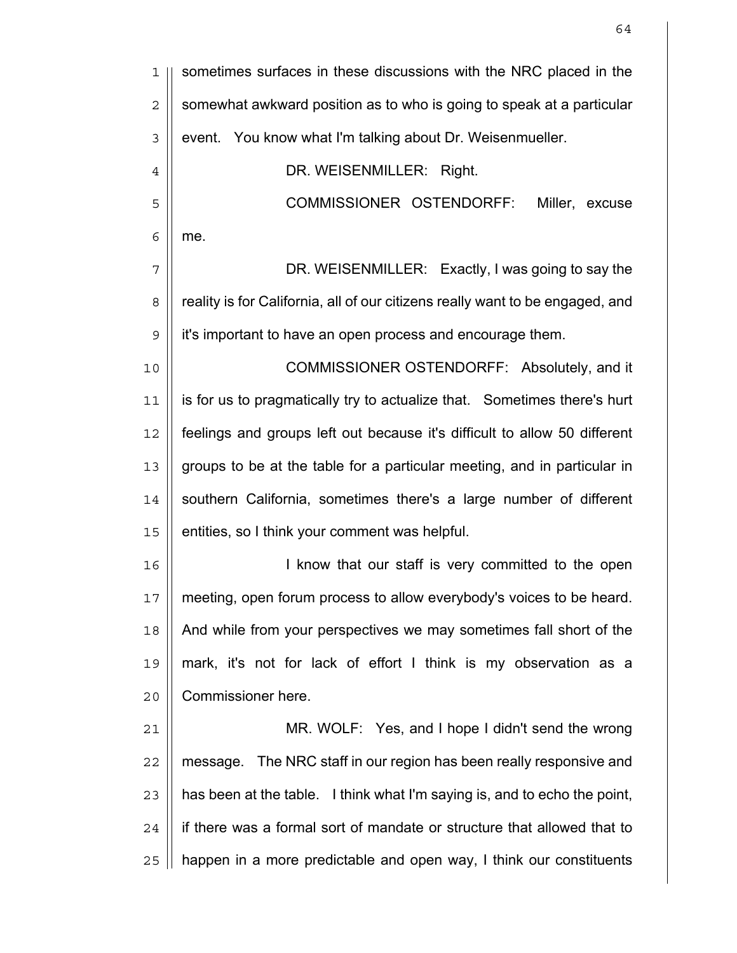| 1              | sometimes surfaces in these discussions with the NRC placed in the            |
|----------------|-------------------------------------------------------------------------------|
| $\overline{c}$ | somewhat awkward position as to who is going to speak at a particular         |
| 3              | event. You know what I'm talking about Dr. Weisenmueller.                     |
| $\overline{4}$ | DR. WEISENMILLER: Right.                                                      |
| 5              | COMMISSIONER OSTENDORFF:<br>Miller, excuse                                    |
| 6              | me.                                                                           |
| 7              | DR. WEISENMILLER: Exactly, I was going to say the                             |
| 8              | reality is for California, all of our citizens really want to be engaged, and |
| $\mathcal{G}$  | it's important to have an open process and encourage them.                    |
| 10             | COMMISSIONER OSTENDORFF: Absolutely, and it                                   |
| 11             | is for us to pragmatically try to actualize that. Sometimes there's hurt      |
| 12             | feelings and groups left out because it's difficult to allow 50 different     |
| 13             | groups to be at the table for a particular meeting, and in particular in      |
| 14             | southern California, sometimes there's a large number of different            |
| 15             | entities, so I think your comment was helpful.                                |
| 16             | I know that our staff is very committed to the open                           |
| 17             | meeting, open forum process to allow everybody's voices to be heard.          |
| 18             | And while from your perspectives we may sometimes fall short of the           |
| 19             | mark, it's not for lack of effort I think is my observation as a              |
| 20             | Commissioner here.                                                            |
| 21             | MR. WOLF: Yes, and I hope I didn't send the wrong                             |
| 22             | message. The NRC staff in our region has been really responsive and           |
| 23             | has been at the table. I think what I'm saying is, and to echo the point,     |
| 24             | if there was a formal sort of mandate or structure that allowed that to       |
| 25             | happen in a more predictable and open way, I think our constituents           |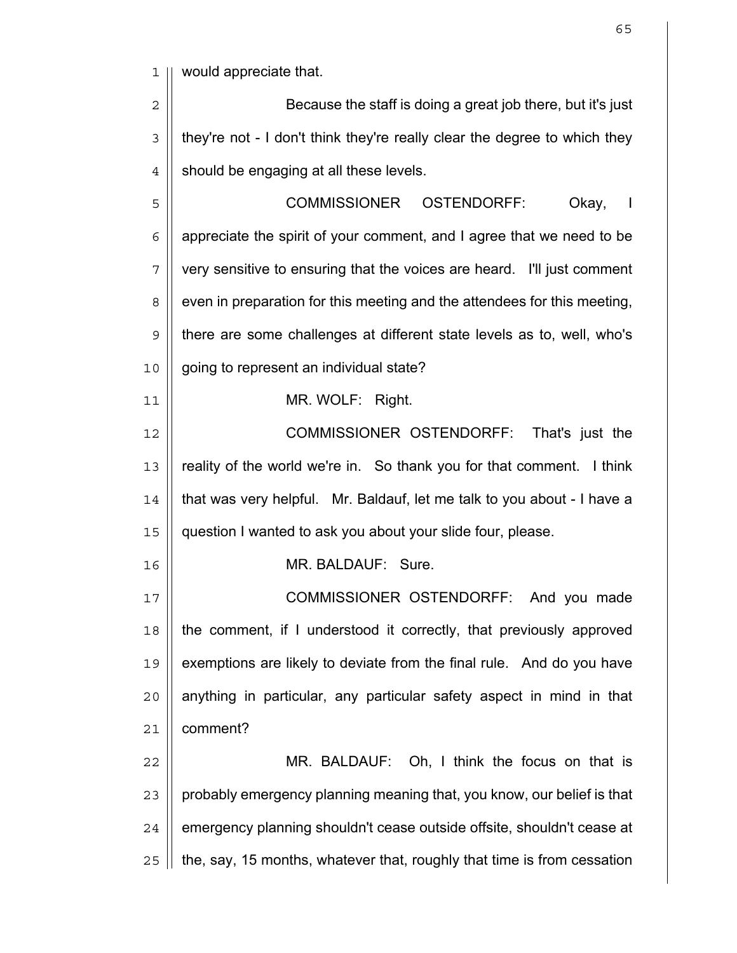would appreciate that.

2 || Because the staff is doing a great job there, but it's just || they're not - I don't think they're really clear the degree to which they  $4 \parallel$  should be engaging at all these levels.

COMMISSIONER OSTENDORFF: Okay, I  $6 \parallel$  appreciate the spirit of your comment, and I agree that we need to be 7 || very sensitive to ensuring that the voices are heard. I'll just comment 8 even in preparation for this meeting and the attendees for this meeting, there are some challenges at different state levels as to, well, who's 10 | going to represent an individual state?

MR. WOLF: Right.

COMMISSIONER OSTENDORFF: That's just the 13 || reality of the world we're in. So thank you for that comment. I think || that was very helpful. Mr. Baldauf, let me talk to you about - I have a question I wanted to ask you about your slide four, please.

MR. BALDAUF: Sure.

COMMISSIONER OSTENDORFF: And you made the comment, if I understood it correctly, that previously approved  $\parallel$  exemptions are likely to deviate from the final rule. And do you have | anything in particular, any particular safety aspect in mind in that comment?

MR. BALDAUF: Oh, I think the focus on that is || probably emergency planning meaning that, you know, our belief is that 24 | emergency planning shouldn't cease outside offsite, shouldn't cease at | the, say, 15 months, whatever that, roughly that time is from cessation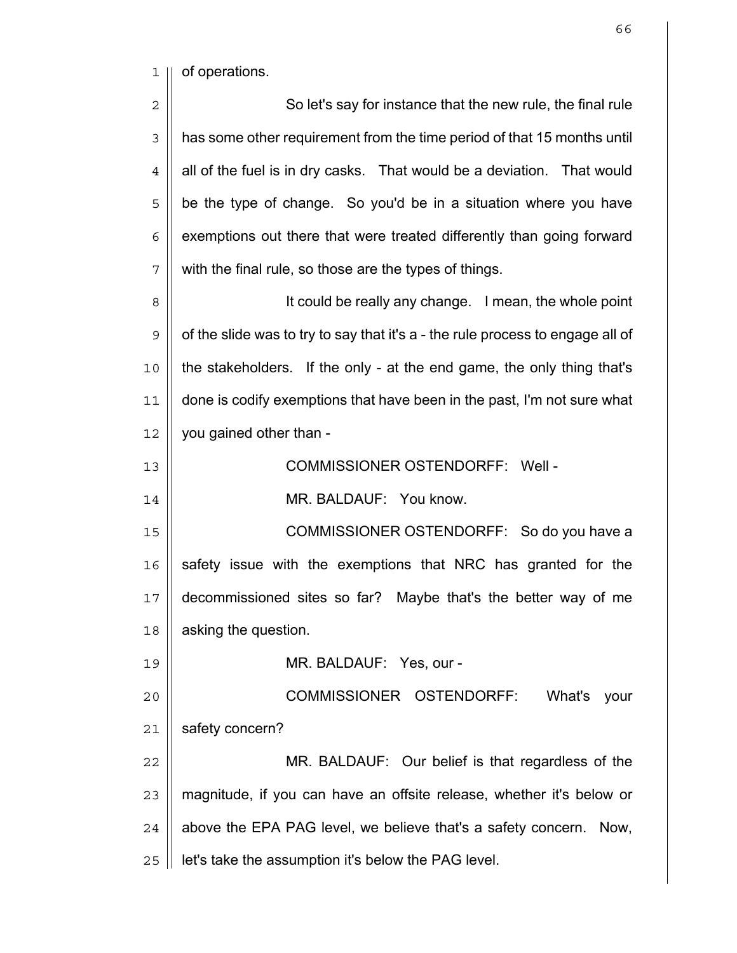1 || of operations.

2 || So let's say for instance that the new rule, the final rule 3 | has some other requirement from the time period of that 15 months until  $4 \parallel$  all of the fuel is in dry casks. That would be a deviation. That would || be the type of change. So you'd be in a situation where you have | exemptions out there that were treated differently than going forward  $7 \parallel$  with the final rule, so those are the types of things.

8 || **It could be really any change.** I mean, the whole point  $9 \parallel$  of the slide was to try to say that it's a - the rule process to engage all of the stakeholders. If the only - at the end game, the only thing that's done is codify exemptions that have been in the past, I'm not sure what you gained other than -

13 || COMMISSIONER OSTENDORFF: Well -

14 || MR. BALDAUF: You know.

COMMISSIONER OSTENDORFF: So do you have a safety issue with the exemptions that NRC has granted for the decommissioned sites so far? Maybe that's the better way of me **asking the question.** 

MR. BALDAUF: Yes, our -

COMMISSIONER OSTENDORFF: What's your 21 | safety concern?

MR. BALDAUF: Our belief is that regardless of the || magnitude, if you can have an offsite release, whether it's below or | above the EPA PAG level, we believe that's a safety concern. Now, | let's take the assumption it's below the PAG level.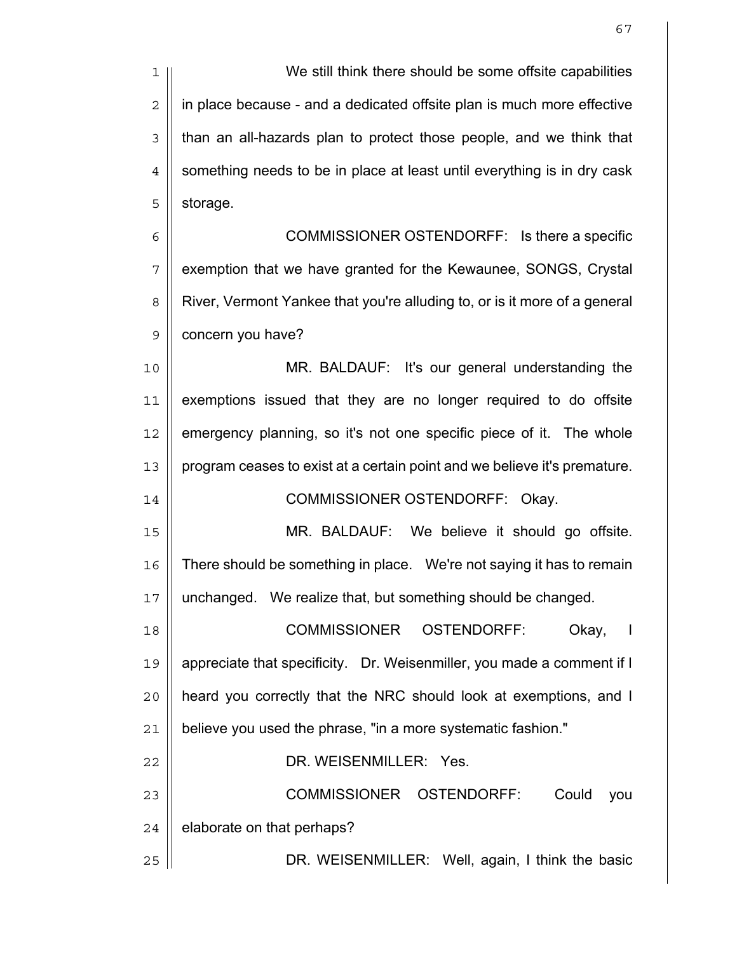1 We still think there should be some offsite capabilities 2 | in place because - and a dedicated offsite plan is much more effective 3 | than an all-hazards plan to protect those people, and we think that  $4 \parallel$  something needs to be in place at least until everything is in dry cask  $5 \parallel$  storage.

6 || COMMISSIONER OSTENDORFF: Is there a specific 7 || exemption that we have granted for the Kewaunee, SONGS, Crystal 8 | River, Vermont Yankee that you're alluding to, or is it more of a general 9 | concern you have?

MR. BALDAUF: It's our general understanding the exemptions issued that they are no longer required to do offsite || emergency planning, so it's not one specific piece of it. The whole program ceases to exist at a certain point and we believe it's premature.

14 || COMMISSIONER OSTENDORFF: Okay.

15 MR. BALDAUF: We believe it should go offsite. 16 | There should be something in place. We're not saying it has to remain 17 | unchanged. We realize that, but something should be changed.

18 COMMISSIONER OSTENDORFF: Okay, I 19 | appreciate that specificity. Dr. Weisenmiller, you made a comment if I 20 || heard you correctly that the NRC should look at exemptions, and I  $21$  | believe you used the phrase, "in a more systematic fashion."

22 || DR. WEISENMILLER: Yes.

23 COMMISSIONER OSTENDORFF: Could you  $24$  | elaborate on that perhaps?

25 || **DR. WEISENMILLER: Well, again, I think the basic**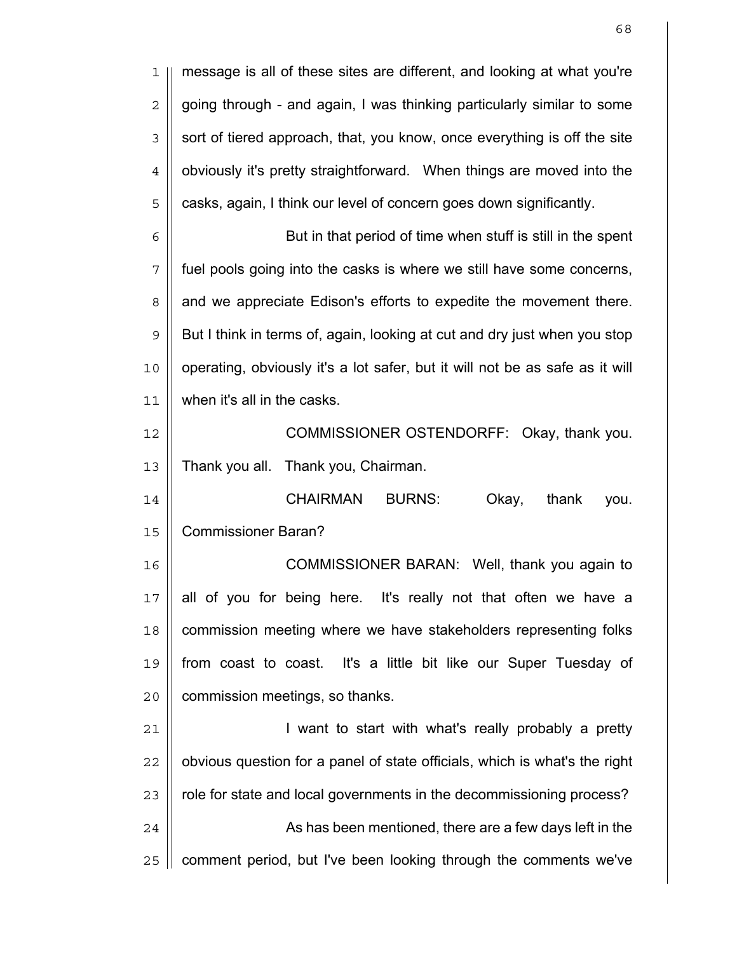1 message is all of these sites are different, and looking at what you're  $2 \parallel$  going through - and again, I was thinking particularly similar to some  $3 \parallel$  sort of tiered approach, that, you know, once everything is off the site  $4 \parallel$  obviously it's pretty straightforward. When things are moved into the  $5$   $\parallel$  casks, again, I think our level of concern goes down significantly. 6 | But in that period of time when stuff is still in the spent  $7$  || fuel pools going into the casks is where we still have some concerns, 8 || and we appreciate Edison's efforts to expedite the movement there.  $9 \parallel$  But I think in terms of, again, looking at cut and dry just when you stop 10 || operating, obviously it's a lot safer, but it will not be as safe as it will 11 when it's all in the casks. 12 || **COMMISSIONER OSTENDORFF: Okay, thank you.** 13 | Thank you all. Thank you, Chairman. 14 CHAIRMAN BURNS: Okay, thank you. 15 Commissioner Baran? 16 || **COMMISSIONER BARAN:** Well, thank you again to  $17$  || all of you for being here. It's really not that often we have a 18 | commission meeting where we have stakeholders representing folks 19 from coast to coast. It's a little bit like our Super Tuesday of 20 | commission meetings, so thanks. 21 | vant to start with what's really probably a pretty  $22$  || obvious question for a panel of state officials, which is what's the right 23 | role for state and local governments in the decommissioning process? 24 As has been mentioned, there are a few days left in the  $25$  || comment period, but I've been looking through the comments we've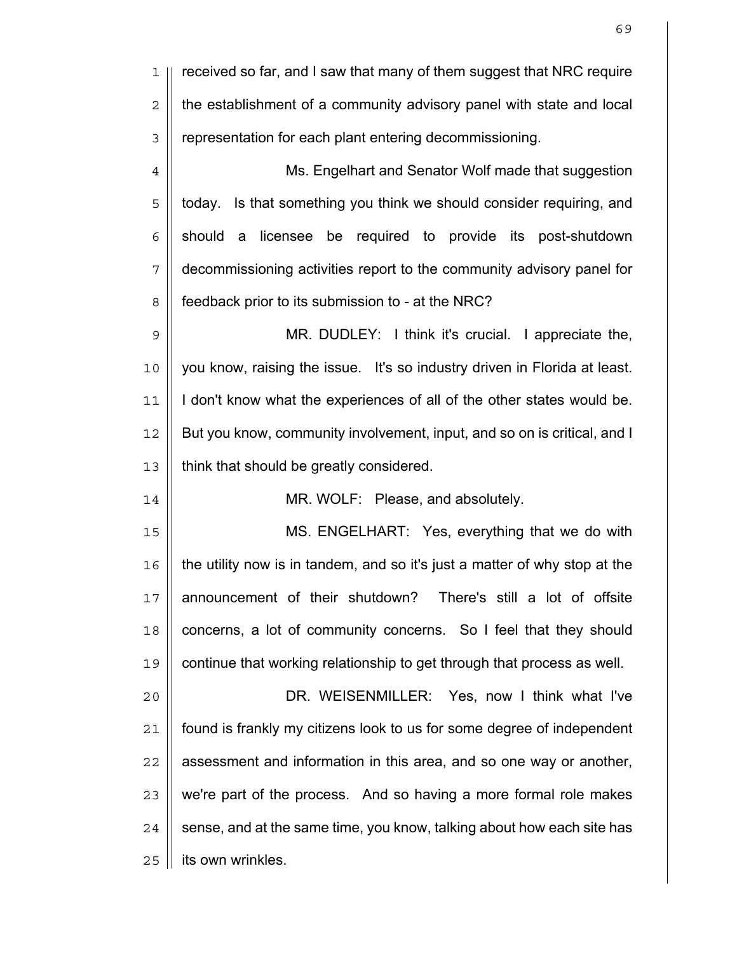| 1                | received so far, and I saw that many of them suggest that NRC require      |
|------------------|----------------------------------------------------------------------------|
| 2                | the establishment of a community advisory panel with state and local       |
| 3                | representation for each plant entering decommissioning.                    |
| $\ensuremath{4}$ | Ms. Engelhart and Senator Wolf made that suggestion                        |
| 5                | Is that something you think we should consider requiring, and<br>today.    |
| 6                | should a licensee be required to provide its post-shutdown                 |
| 7                | decommissioning activities report to the community advisory panel for      |
| 8                | feedback prior to its submission to - at the NRC?                          |
| $\mathsf 9$      | MR. DUDLEY: I think it's crucial. I appreciate the,                        |
| 10               | you know, raising the issue. It's so industry driven in Florida at least.  |
| 11               | I don't know what the experiences of all of the other states would be.     |
| 12               | But you know, community involvement, input, and so on is critical, and I   |
| 13               | think that should be greatly considered.                                   |
| 14               | MR. WOLF: Please, and absolutely.                                          |
| 15               | MS. ENGELHART: Yes, everything that we do with                             |
| 16               | the utility now is in tandem, and so it's just a matter of why stop at the |
| 17               | announcement of their shutdown?<br>There's still a lot of offsite          |
| 18               | concerns, a lot of community concerns. So I feel that they should          |
| 19               | continue that working relationship to get through that process as well.    |
| 20               | DR. WEISENMILLER: Yes, now I think what I've                               |
| 21               | found is frankly my citizens look to us for some degree of independent     |
| 22               | assessment and information in this area, and so one way or another,        |
| 23               | we're part of the process. And so having a more formal role makes          |
| 24               | sense, and at the same time, you know, talking about how each site has     |
| 25               | its own wrinkles.                                                          |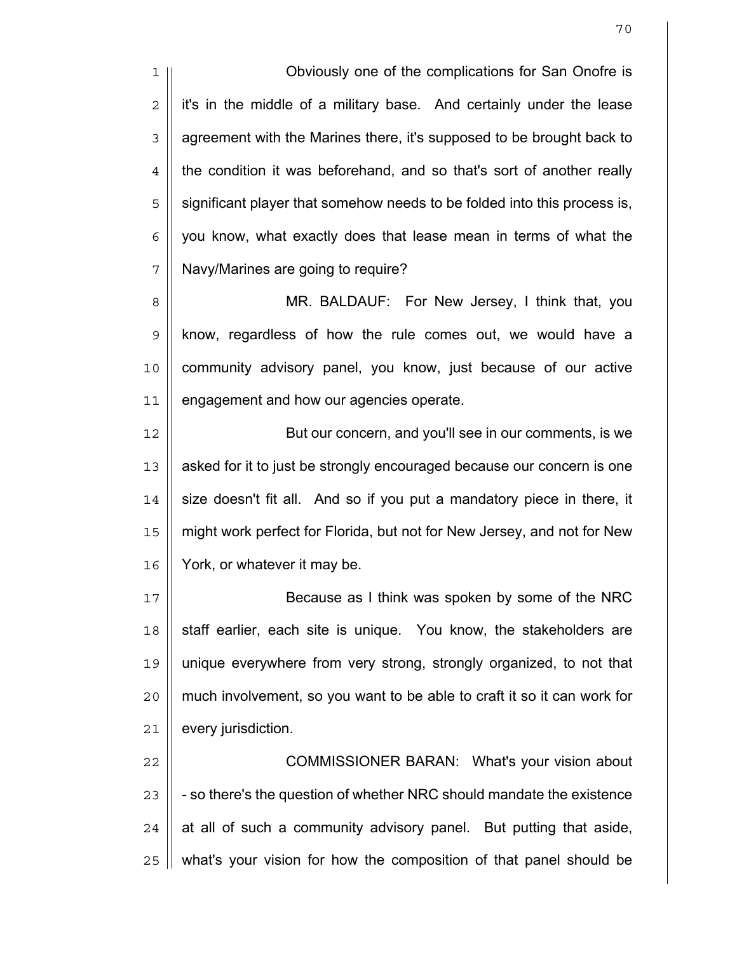1 Obviously one of the complications for San Onofre is  $2 \parallel$  it's in the middle of a military base. And certainly under the lease  $3 \parallel$  agreement with the Marines there, it's supposed to be brought back to  $4 \parallel$  the condition it was beforehand, and so that's sort of another really 5 | significant player that somehow needs to be folded into this process is,  $6$  | you know, what exactly does that lease mean in terms of what the 7 | Navy/Marines are going to require?

8 || MR. BALDAUF: For New Jersey, I think that, you 9 know, regardless of how the rule comes out, we would have a 10 community advisory panel, you know, just because of our active 11 | engagement and how our agencies operate.

12 || But our concern, and you'll see in our comments, is we 13 || asked for it to just be strongly encouraged because our concern is one  $14$   $\parallel$  size doesn't fit all. And so if you put a mandatory piece in there, it 15 || might work perfect for Florida, but not for New Jersey, and not for New 16 York, or whatever it may be.

17 || Because as I think was spoken by some of the NRC  $18$  staff earlier, each site is unique. You know, the stakeholders are 19 unique everywhere from very strong, strongly organized, to not that  $20$  || much involvement, so you want to be able to craft it so it can work for 21 | every jurisdiction.

22 || COMMISSIONER BARAN: What's your vision about  $\parallel$  - so there's the question of whether NRC should mandate the existence | at all of such a community advisory panel. But putting that aside, | what's your vision for how the composition of that panel should be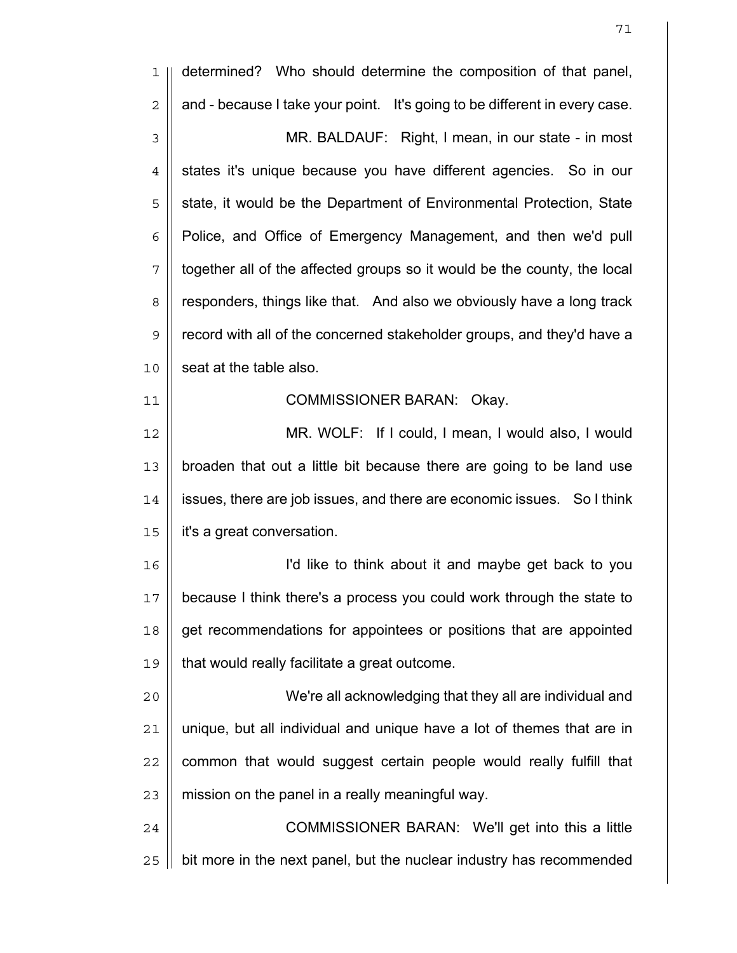| 1              | determined? Who should determine the composition of that panel,            |
|----------------|----------------------------------------------------------------------------|
| $\overline{2}$ | and - because I take your point. It's going to be different in every case. |
| $\mathfrak{Z}$ | MR. BALDAUF: Right, I mean, in our state - in most                         |
| $\overline{4}$ | states it's unique because you have different agencies. So in our          |
| 5              | state, it would be the Department of Environmental Protection, State       |
| 6              | Police, and Office of Emergency Management, and then we'd pull             |
| 7              | together all of the affected groups so it would be the county, the local   |
| 8              | responders, things like that. And also we obviously have a long track      |
| 9              | record with all of the concerned stakeholder groups, and they'd have a     |
| 10             | seat at the table also.                                                    |
| 11             | COMMISSIONER BARAN: Okay.                                                  |
| 12             | MR. WOLF: If I could, I mean, I would also, I would                        |
| 13             | broaden that out a little bit because there are going to be land use       |
| 14             | issues, there are job issues, and there are economic issues. So I think    |
| 15             | it's a great conversation.                                                 |
| 16             | I'd like to think about it and maybe get back to you                       |
| 17             | because I think there's a process you could work through the state to      |
| 18             | get recommendations for appointees or positions that are appointed         |
| 19             | that would really facilitate a great outcome.                              |
| 20             | We're all acknowledging that they all are individual and                   |
| 21             | unique, but all individual and unique have a lot of themes that are in     |
| 22             | common that would suggest certain people would really fulfill that         |
| 23             | mission on the panel in a really meaningful way.                           |
| 24             | COMMISSIONER BARAN: We'll get into this a little                           |
| 25             | bit more in the next panel, but the nuclear industry has recommended       |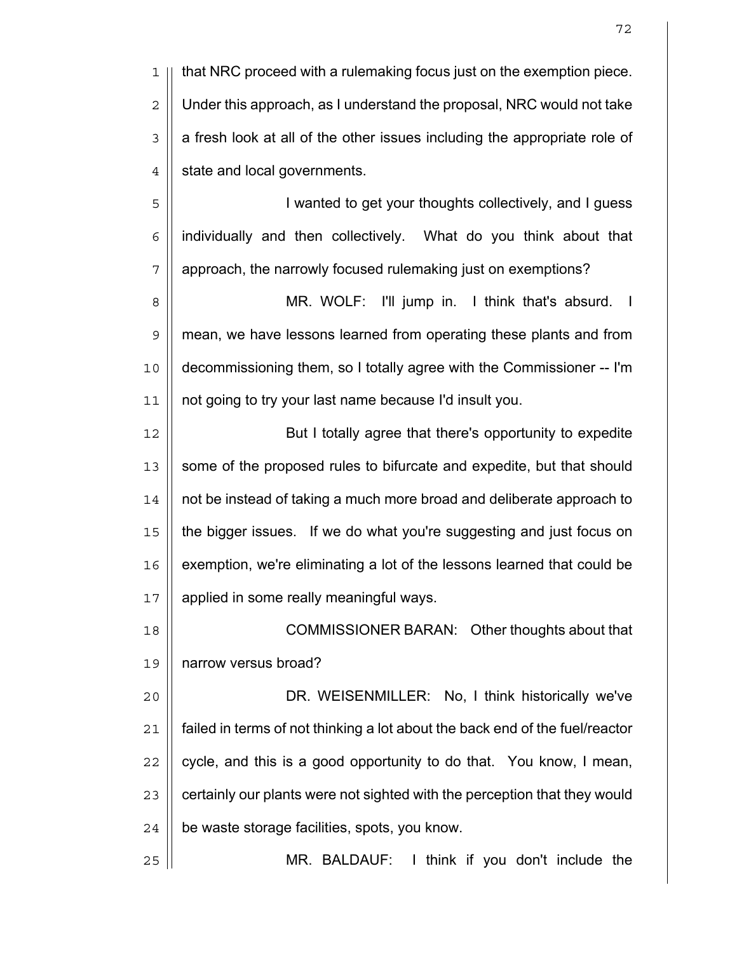1 || that NRC proceed with a rulemaking focus just on the exemption piece.  $2 \parallel$  Under this approach, as I understand the proposal, NRC would not take  $3 \parallel a$  fresh look at all of the other issues including the appropriate role of  $4 \parallel$  state and local governments.

5 | I wanted to get your thoughts collectively, and I guess  $6$  | individually and then collectively. What do you think about that 7 | approach, the narrowly focused rulemaking just on exemptions?

8 || **MR. WOLF:** I'll jump in. I think that's absurd. I 9 mean, we have lessons learned from operating these plants and from 10 decommissioning them, so I totally agree with the Commissioner -- I'm 11 | not going to try your last name because I'd insult you.

12 || But I totally agree that there's opportunity to expedite 13 || some of the proposed rules to bifurcate and expedite, but that should 14 not be instead of taking a much more broad and deliberate approach to 15 the bigger issues. If we do what you're suggesting and just focus on 16 || exemption, we're eliminating a lot of the lessons learned that could be 17 | applied in some really meaningful ways.

18 || COMMISSIONER BARAN: Other thoughts about that 19 narrow versus broad?

20 || **DR. WEISENMILLER: No, I think historically we've** 21 failed in terms of not thinking a lot about the back end of the fuel/reactor  $22$  || cycle, and this is a good opportunity to do that. You know, I mean, 23 | certainly our plants were not sighted with the perception that they would  $24$  | be waste storage facilities, spots, you know.

25 MR. BALDAUF: I think if you don't include the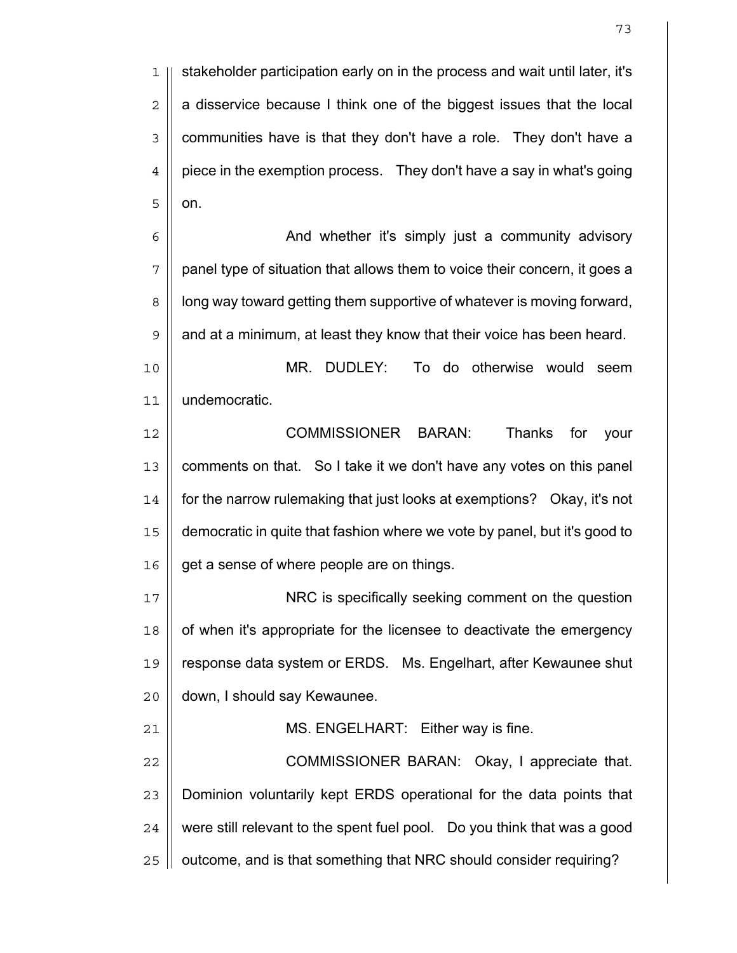1 stakeholder participation early on in the process and wait until later, it's  $2 \parallel a$  disservice because I think one of the biggest issues that the local 3 | communities have is that they don't have a role. They don't have a  $4 \parallel$  piece in the exemption process. They don't have a say in what's going  $5 \parallel$  on.

6 | And whether it's simply just a community advisory  $7 \parallel$  panel type of situation that allows them to voice their concern, it goes a 8 | | long way toward getting them supportive of whatever is moving forward,  $9 \parallel$  and at a minimum, at least they know that their voice has been heard.

10 MR. DUDLEY: To do otherwise would seem 11 undemocratic.

12 COMMISSIONER BARAN: Thanks for your 13 || comments on that. So I take it we don't have any votes on this panel 14 | for the narrow rulemaking that just looks at exemptions? Okay, it's not 15 democratic in quite that fashion where we vote by panel, but it's good to  $16 \parallel$  get a sense of where people are on things.

NRC is specifically seeking comment on the question | of when it's appropriate for the licensee to deactivate the emergency response data system or ERDS. Ms. Engelhart, after Kewaunee shut 20 | down, I should say Kewaunee.

21 || MS. ENGELHART: Either way is fine.

22 || **COMMISSIONER BARAN: Okay, I appreciate that.** Dominion voluntarily kept ERDS operational for the data points that  $\parallel$  were still relevant to the spent fuel pool. Do you think that was a good | outcome, and is that something that NRC should consider requiring?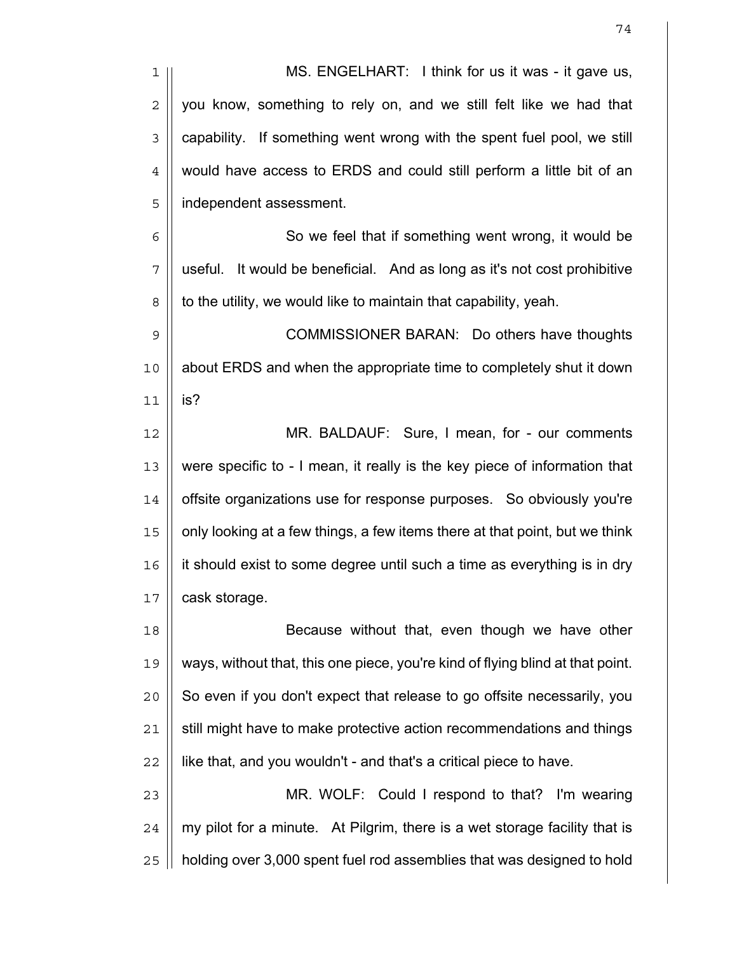| 1              | MS. ENGELHART: I think for us it was - it gave us,                             |
|----------------|--------------------------------------------------------------------------------|
| $\overline{c}$ | you know, something to rely on, and we still felt like we had that             |
| 3              | capability. If something went wrong with the spent fuel pool, we still         |
| 4              | would have access to ERDS and could still perform a little bit of an           |
| 5              | independent assessment.                                                        |
| 6              | So we feel that if something went wrong, it would be                           |
| 7              | It would be beneficial. And as long as it's not cost prohibitive<br>useful.    |
| 8              | to the utility, we would like to maintain that capability, yeah.               |
| 9              | COMMISSIONER BARAN: Do others have thoughts                                    |
| 10             | about ERDS and when the appropriate time to completely shut it down            |
| 11             | is?                                                                            |
| 12             | MR. BALDAUF: Sure, I mean, for - our comments                                  |
| 13             | were specific to - I mean, it really is the key piece of information that      |
| 14             | offsite organizations use for response purposes. So obviously you're           |
| 15             | only looking at a few things, a few items there at that point, but we think    |
| 16             | it should exist to some degree until such a time as everything is in dry       |
| 17             | cask storage.                                                                  |
| 18             | Because without that, even though we have other                                |
| 19             | ways, without that, this one piece, you're kind of flying blind at that point. |
| 20             | So even if you don't expect that release to go offsite necessarily, you        |
| 21             | still might have to make protective action recommendations and things          |
| 22             | like that, and you wouldn't - and that's a critical piece to have.             |
| 23             | MR. WOLF: Could I respond to that? I'm wearing                                 |
| 24             | my pilot for a minute. At Pilgrim, there is a wet storage facility that is     |
| 25             | holding over 3,000 spent fuel rod assemblies that was designed to hold         |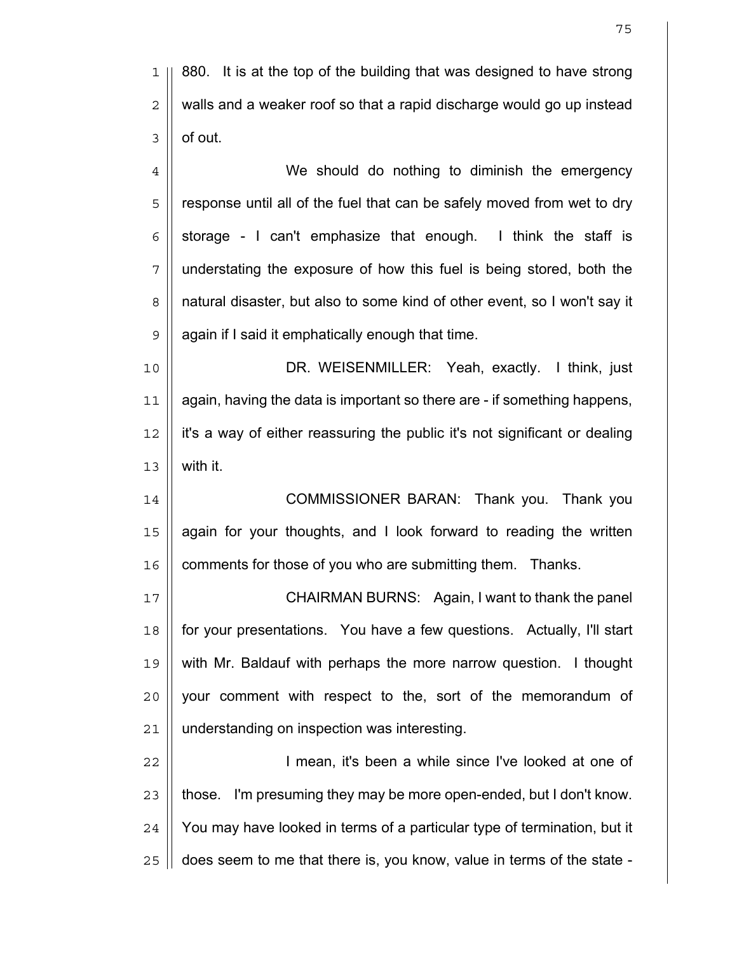1 || 880. It is at the top of the building that was designed to have strong  $2 \parallel$  walls and a weaker roof so that a rapid discharge would go up instead  $3 \parallel$  of out.

4 || We should do nothing to diminish the emergency 5 || response until all of the fuel that can be safely moved from wet to dry  $6 \parallel$  storage - I can't emphasize that enough. I think the staff is  $7$  || understating the exposure of how this fuel is being stored, both the 8 | natural disaster, but also to some kind of other event, so I won't say it  $9$  | again if I said it emphatically enough that time.

DR. WEISENMILLER: Yeah, exactly. I think, just again, having the data is important so there are - if something happens, it's a way of either reassuring the public it's not significant or dealing  $13 \parallel$  with it.

14 || COMMISSIONER BARAN: Thank you. Thank you 15 || again for your thoughts, and I look forward to reading the written 16 | comments for those of you who are submitting them. Thanks.

17 || **CHAIRMAN BURNS: Again, I want to thank the panel** 18 for your presentations. You have a few questions. Actually, I'll start 19 with Mr. Baldauf with perhaps the more narrow question. I thought 20 || your comment with respect to the, sort of the memorandum of 21 understanding on inspection was interesting.

22 || **I** mean, it's been a while since I've looked at one of  $23$   $\parallel$  those. I'm presuming they may be more open-ended, but I don't know. 24 | You may have looked in terms of a particular type of termination, but it  $25$  | does seem to me that there is, you know, value in terms of the state -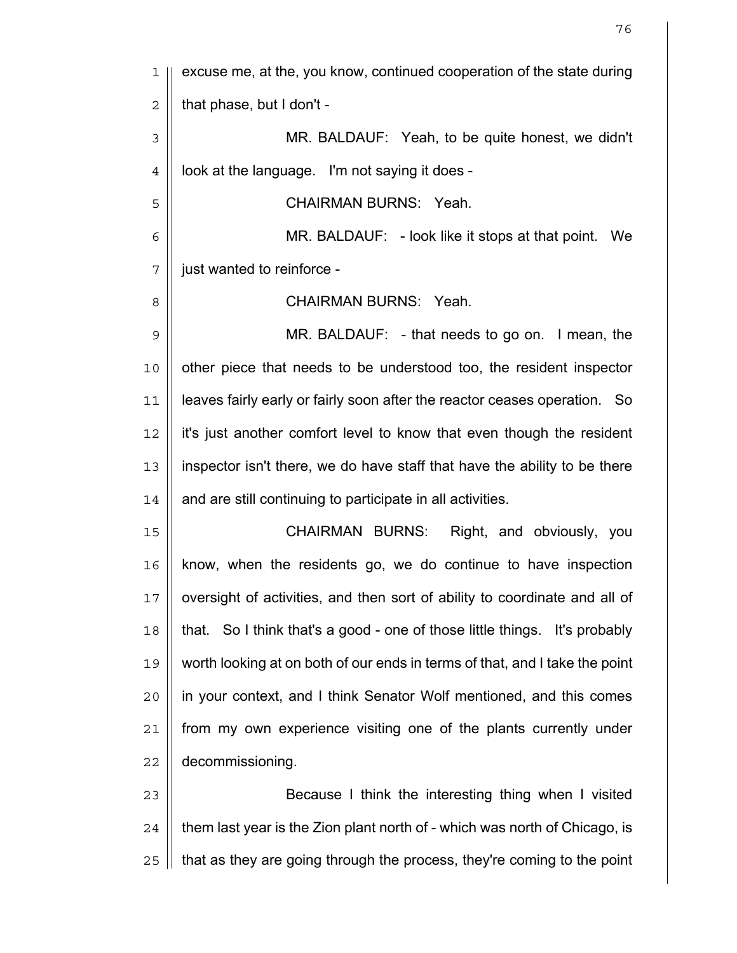1 || excuse me, at the, you know, continued cooperation of the state during  $2 \mid \mid$  that phase, but I don't -3 MR. BALDAUF: Yeah, to be quite honest, we didn't  $4 \parallel$  look at the language. I'm not saying it does -5 CHAIRMAN BURNS: Yeah. 6 MR. BALDAUF: - look like it stops at that point. We 7 | just wanted to reinforce -8 CHAIRMAN BURNS: Yeah. 9 MR. BALDAUF: - that needs to go on. I mean, the 10 || other piece that needs to be understood too, the resident inspector 11 || leaves fairly early or fairly soon after the reactor ceases operation. So 12 it's just another comfort level to know that even though the resident 13 inspector isn't there, we do have staff that have the ability to be there  $14$  | and are still continuing to participate in all activities. 15 || CHAIRMAN BURNS: Right, and obviously, you 16 know, when the residents go, we do continue to have inspection 17 || oversight of activities, and then sort of ability to coordinate and all of 18 that. So I think that's a good - one of those little things. It's probably 19 worth looking at on both of our ends in terms of that, and I take the point 20 in your context, and I think Senator Wolf mentioned, and this comes 21 | from my own experience visiting one of the plants currently under 22 | decommissioning. 23 || Because I think the interesting thing when I visited  $24$   $\parallel$  them last year is the Zion plant north of - which was north of Chicago, is  $25$  | that as they are going through the process, they're coming to the point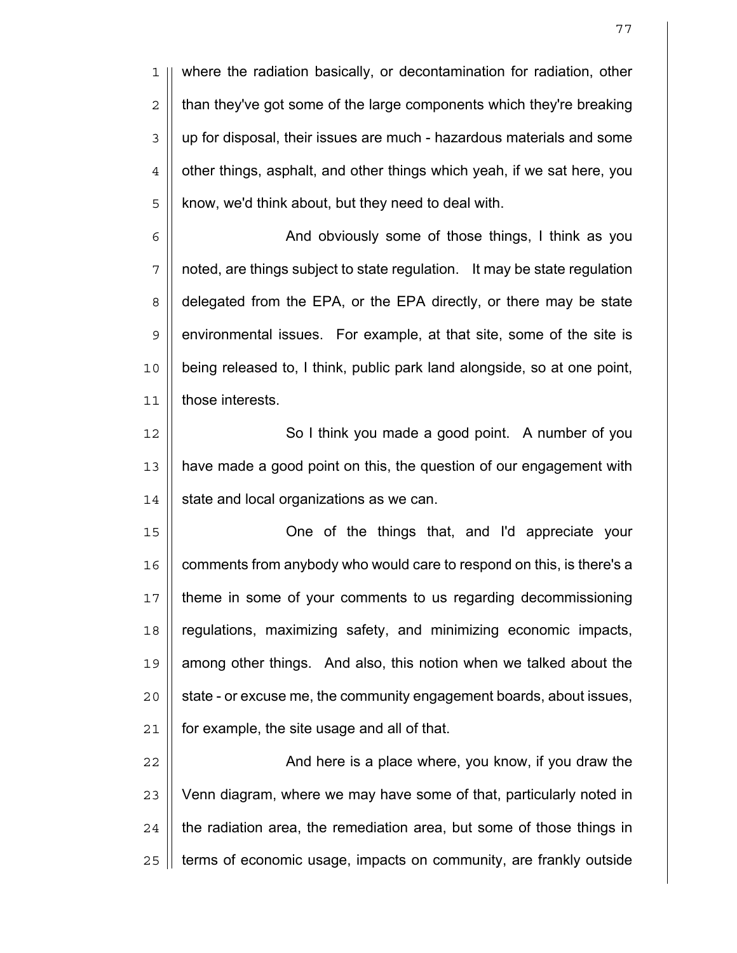1 where the radiation basically, or decontamination for radiation, other  $2 \parallel$  than they've got some of the large components which they're breaking 3 | up for disposal, their issues are much - hazardous materials and some  $4 \parallel$  other things, asphalt, and other things which yeah, if we sat here, you  $5$  || know, we'd think about, but they need to deal with.

6 | And obviously some of those things, I think as you 7 | noted, are things subject to state regulation. It may be state regulation 8 | delegated from the EPA, or the EPA directly, or there may be state 9 || environmental issues. For example, at that site, some of the site is 10 being released to, I think, public park land alongside, so at one point, 11 those interests.

12 || So I think you made a good point. A number of you 13 | have made a good point on this, the question of our engagement with  $14$  | state and local organizations as we can.

One of the things that, and I'd appreciate your || comments from anybody who would care to respond on this, is there's a theme in some of your comments to us regarding decommissioning 18 | regulations, maximizing safety, and minimizing economic impacts, || among other things. And also, this notion when we talked about the || state - or excuse me, the community engagement boards, about issues, | for example, the site usage and all of that.

22 || **And here is a place where, you know, if you draw the**  || Venn diagram, where we may have some of that, particularly noted in || the radiation area, the remediation area, but some of those things in | terms of economic usage, impacts on community, are frankly outside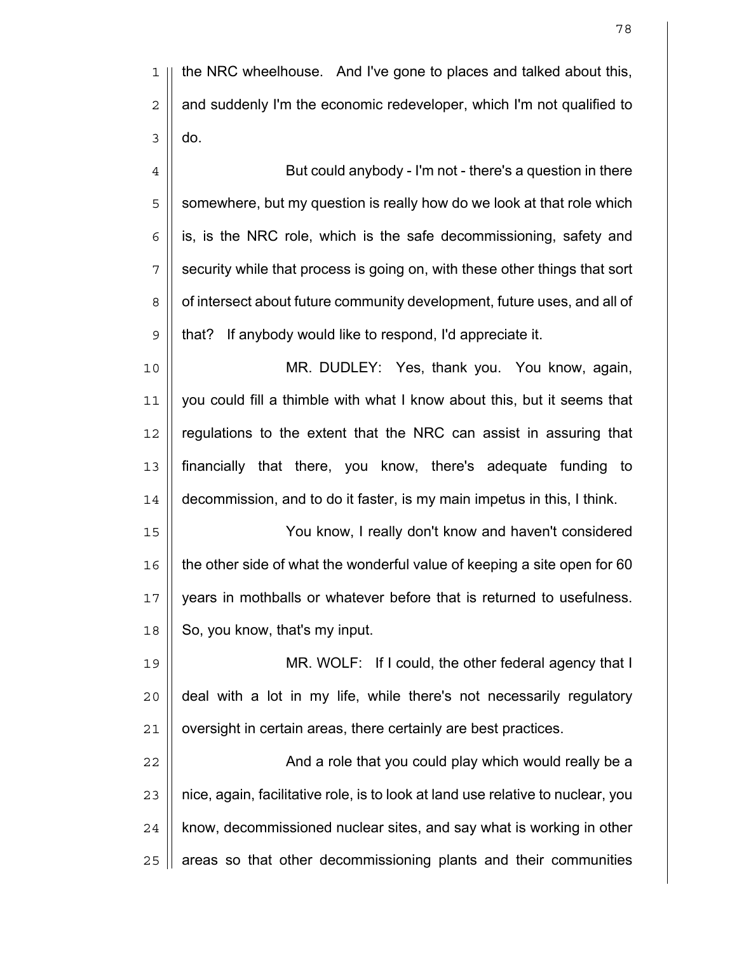4 | But could anybody - I'm not - there's a question in there  $5 \parallel$  somewhere, but my question is really how do we look at that role which || is, is the NRC role, which is the safe decommissioning, safety and 7 || security while that process is going on, with these other things that sort 8 | of intersect about future community development, future uses, and all of that? If anybody would like to respond, I'd appreciate it.

MR. DUDLEY: Yes, thank you. You know, again, 11 | you could fill a thimble with what I know about this, but it seems that | regulations to the extent that the NRC can assist in assuring that financially that there, you know, there's adequate funding to decommission, and to do it faster, is my main impetus in this, I think.

You know, I really don't know and haven't considered 16 | the other side of what the wonderful value of keeping a site open for 60 years in mothballs or whatever before that is returned to usefulness. | So, you know, that's my input.

MR. WOLF: If I could, the other federal agency that I || deal with a lot in my life, while there's not necessarily regulatory | oversight in certain areas, there certainly are best practices.

And a role that you could play which would really be a  $\parallel$  nice, again, facilitative role, is to look at land use relative to nuclear, you | know, decommissioned nuclear sites, and say what is working in other | areas so that other decommissioning plants and their communities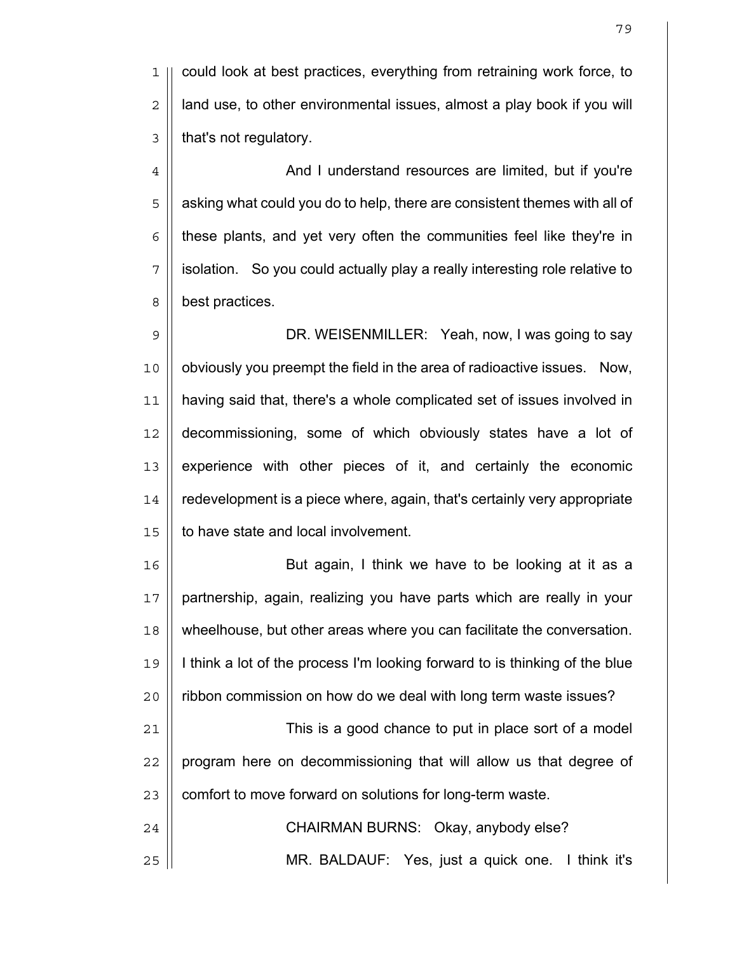1 could look at best practices, everything from retraining work force, to  $2 \parallel$  land use, to other environmental issues, almost a play book if you will  $3$  | that's not regulatory.

4 And I understand resources are limited, but if you're  $5 \parallel$  asking what could you do to help, there are consistent themes with all of  $6 \mid$  these plants, and yet very often the communities feel like they're in 7 | solation. So you could actually play a really interesting role relative to 8 | best practices.

9 || DR. WEISENMILLER: Yeah, now, I was going to say 10 || obviously you preempt the field in the area of radioactive issues. Now, 11 having said that, there's a whole complicated set of issues involved in 12 decommissioning, some of which obviously states have a lot of 13 experience with other pieces of it, and certainly the economic 14 redevelopment is a piece where, again, that's certainly very appropriate 15 | to have state and local involvement.

16 || But again, I think we have to be looking at it as a 17 partnership, again, realizing you have parts which are really in your 18 wheelhouse, but other areas where you can facilitate the conversation. 19 I think a lot of the process I'm looking forward to is thinking of the blue 20 | ribbon commission on how do we deal with long term waste issues? 21 This is a good chance to put in place sort of a model  $22$  || program here on decommissioning that will allow us that degree of 23 | comfort to move forward on solutions for long-term waste. 24 || CHAIRMAN BURNS: Okay, anybody else? 25 MR. BALDAUF: Yes, just a quick one. I think it's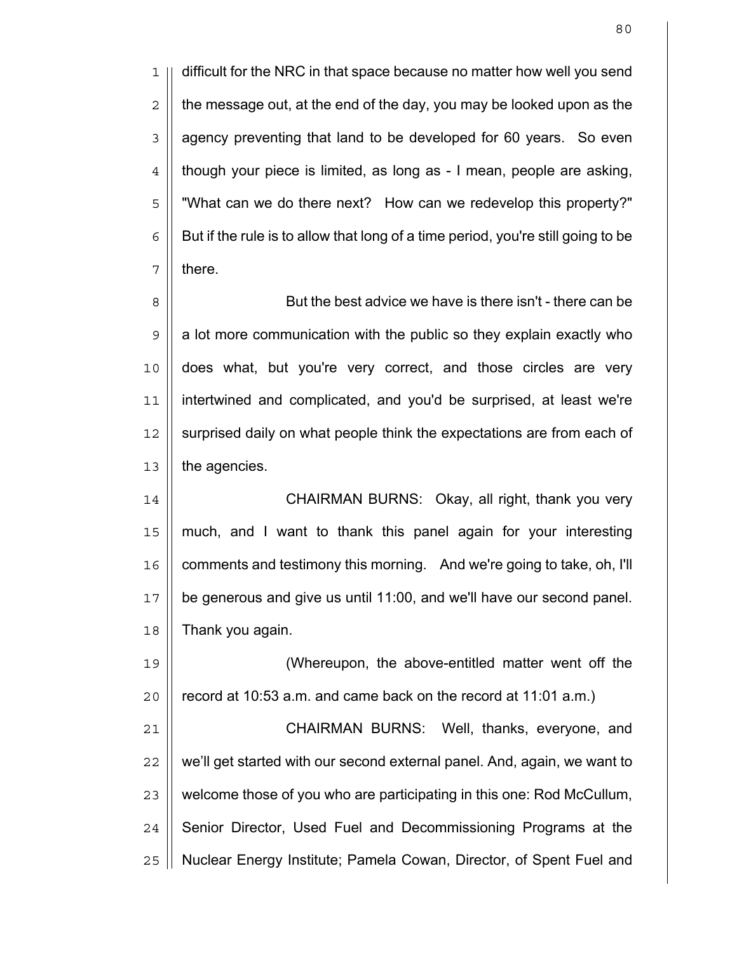1 || difficult for the NRC in that space because no matter how well you send  $2 \parallel$  the message out, at the end of the day, you may be looked upon as the  $3 \parallel$  agency preventing that land to be developed for 60 years. So even  $4 \parallel$  though your piece is limited, as long as - I mean, people are asking, 5 "What can we do there next? How can we redevelop this property?"  $6 \parallel$  But if the rule is to allow that long of a time period, you're still going to be  $7 \parallel$  there.

8 || But the best advice we have is there isn't - there can be  $9 \parallel a$  lot more communication with the public so they explain exactly who 10 does what, but you're very correct, and those circles are very 11 intertwined and complicated, and you'd be surprised, at least we're 12 || surprised daily on what people think the expectations are from each of  $13$  | the agencies.

14 ||<br>
CHAIRMAN BURNS: Okay, all right, thank you very 15 much, and I want to thank this panel again for your interesting 16 | comments and testimony this morning. And we're going to take, oh, I'll 17 be generous and give us until 11:00, and we'll have our second panel.  $18$  | Thank you again.

19 (Whereupon, the above-entitled matter went off the  $20$  | record at 10:53 a.m. and came back on the record at 11:01 a.m.) 21 || **CHAIRMAN BURNS: Well, thanks, everyone, and** 

 $22$   $\parallel$  we'll get started with our second external panel. And, again, we want to  $23$   $\parallel$  welcome those of you who are participating in this one: Rod McCullum, 24 Senior Director, Used Fuel and Decommissioning Programs at the 25 | Nuclear Energy Institute; Pamela Cowan, Director, of Spent Fuel and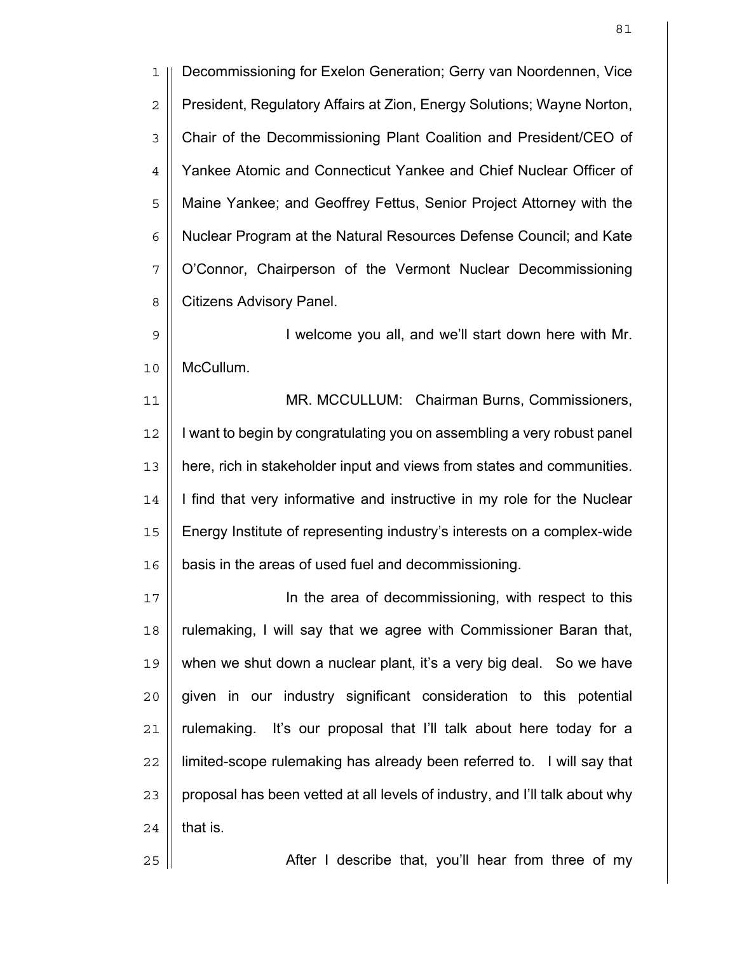1 Decommissioning for Exelon Generation; Gerry van Noordennen, Vice 2 | President, Regulatory Affairs at Zion, Energy Solutions; Wayne Norton, 3 Chair of the Decommissioning Plant Coalition and President/CEO of 4 | Yankee Atomic and Connecticut Yankee and Chief Nuclear Officer of 5 || Maine Yankee; and Geoffrey Fettus, Senior Project Attorney with the 6 | Nuclear Program at the Natural Resources Defense Council; and Kate 7 || O'Connor, Chairperson of the Vermont Nuclear Decommissioning 8 | Citizens Advisory Panel.

9 || **I** welcome you all, and we'll start down here with Mr. 10 McCullum.

11 MR. MCCULLUM: Chairman Burns, Commissioners, 12 | I want to begin by congratulating you on assembling a very robust panel 13 here, rich in stakeholder input and views from states and communities. 14 | I find that very informative and instructive in my role for the Nuclear 15 Energy Institute of representing industry's interests on a complex-wide 16 | basis in the areas of used fuel and decommissioning.

In the area of decommissioning, with respect to this rulemaking, I will say that we agree with Commissioner Baran that, when we shut down a nuclear plant, it's a very big deal. So we have given in our industry significant consideration to this potential || rulemaking. It's our proposal that I'll talk about here today for a 22 | limited-scope rulemaking has already been referred to. I will say that | proposal has been vetted at all levels of industry, and I'll talk about why | that is.

25 After I describe that, you'll hear from three of my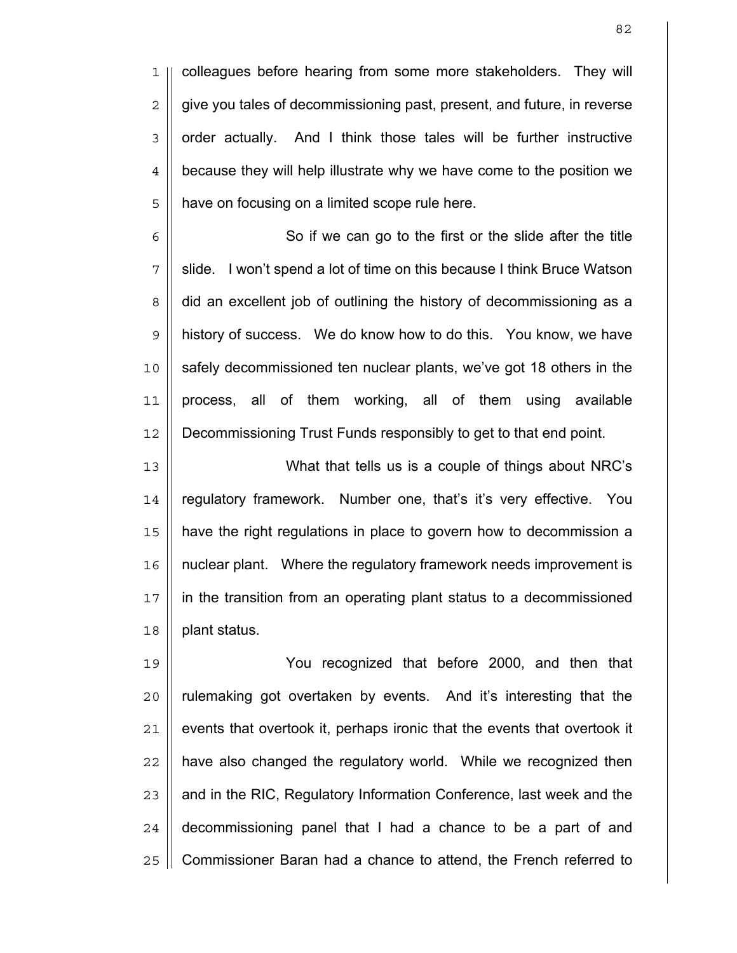1 || colleagues before hearing from some more stakeholders. They will 2 | give you tales of decommissioning past, present, and future, in reverse 3 | order actually. And I think those tales will be further instructive 4 | because they will help illustrate why we have come to the position we 5 | have on focusing on a limited scope rule here.

6 || So if we can go to the first or the slide after the title 7 || slide. I won't spend a lot of time on this because I think Bruce Watson 8 | did an excellent job of outlining the history of decommissioning as a 9 | history of success. We do know how to do this. You know, we have 10 safely decommissioned ten nuclear plants, we've got 18 others in the 11 || process, all of them working, all of them using available 12 Decommissioning Trust Funds responsibly to get to that end point.

What that tells us is a couple of things about NRC's 14 || regulatory framework. Number one, that's it's very effective. You have the right regulations in place to govern how to decommission a 16 | nuclear plant. Where the regulatory framework needs improvement is in the transition from an operating plant status to a decommissioned | plant status.

You recognized that before 2000, and then that 20 || rulemaking got overtaken by events. And it's interesting that the  $\parallel$  events that overtook it, perhaps ironic that the events that overtook it || have also changed the regulatory world. While we recognized then  $\parallel$  and in the RIC, Regulatory Information Conference, last week and the | decommissioning panel that I had a chance to be a part of and 25 | Commissioner Baran had a chance to attend, the French referred to

82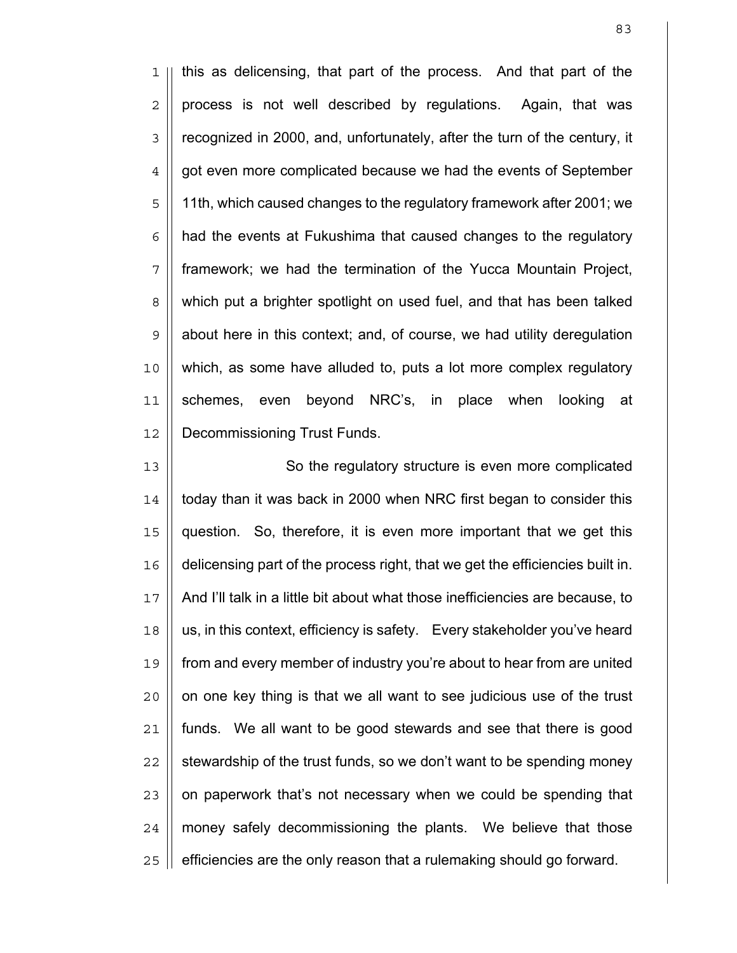1 || this as delicensing, that part of the process. And that part of the  $2 \parallel$  process is not well described by regulations. Again, that was 3 | recognized in 2000, and, unfortunately, after the turn of the century, it 4 | got even more complicated because we had the events of September 11th, which caused changes to the regulatory framework after 2001; we | had the events at Fukushima that caused changes to the regulatory framework; we had the termination of the Yucca Mountain Project, 8 || which put a brighter spotlight on used fuel, and that has been talked  $9 \parallel$  about here in this context; and, of course, we had utility deregulation which, as some have alluded to, puts a lot more complex regulatory schemes, even beyond NRC's, in place when looking at 12 || Decommissioning Trust Funds.

13 || So the regulatory structure is even more complicated || today than it was back in 2000 when NRC first began to consider this question. So, therefore, it is even more important that we get this delicensing part of the process right, that we get the efficiencies built in. And I'll talk in a little bit about what those inefficiencies are because, to 18 || us, in this context, efficiency is safety. Every stakeholder you've heard from and every member of industry you're about to hear from are united || on one key thing is that we all want to see judicious use of the trust 21 | funds. We all want to be good stewards and see that there is good  $\parallel$  stewardship of the trust funds, so we don't want to be spending money | on paperwork that's not necessary when we could be spending that | money safely decommissioning the plants. We believe that those || efficiencies are the only reason that a rulemaking should go forward.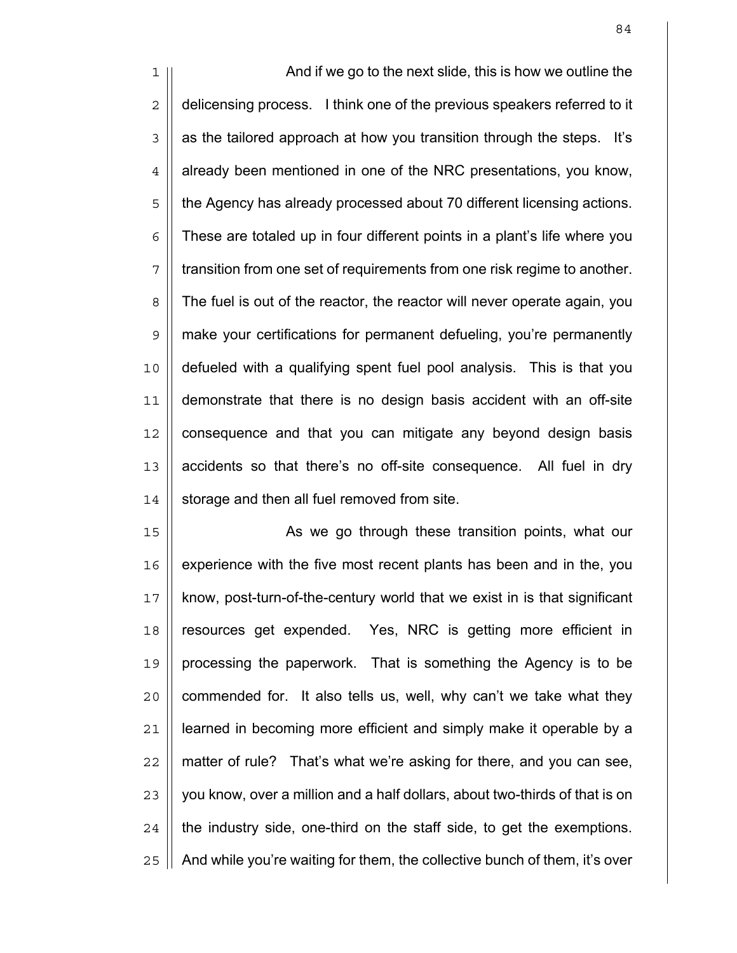1 || And if we go to the next slide, this is how we outline the 2 | delicensing process. I think one of the previous speakers referred to it  $3 \parallel$  as the tailored approach at how you transition through the steps. It's  $4 \parallel$  already been mentioned in one of the NRC presentations, you know, 5 || the Agency has already processed about 70 different licensing actions.  $6$  | These are totaled up in four different points in a plant's life where you 7 || transition from one set of requirements from one risk regime to another. 8 The fuel is out of the reactor, the reactor will never operate again, you 9 make your certifications for permanent defueling, you're permanently 10 defueled with a qualifying spent fuel pool analysis. This is that you 11 demonstrate that there is no design basis accident with an off-site 12 | consequence and that you can mitigate any beyond design basis 13 || accidents so that there's no off-site consequence. All fuel in dry  $14$  | storage and then all fuel removed from site.

15 || As we go through these transition points, what our | experience with the five most recent plants has been and in the, you 17 || know, post-turn-of-the-century world that we exist in is that significant resources get expended. Yes, NRC is getting more efficient in || processing the paperwork. That is something the Agency is to be || commended for. It also tells us, well, why can't we take what they 21 | learned in becoming more efficient and simply make it operable by a || matter of rule? That's what we're asking for there, and you can see, | you know, over a million and a half dollars, about two-thirds of that is on || the industry side, one-third on the staff side, to get the exemptions.  $\parallel$  And while you're waiting for them, the collective bunch of them, it's over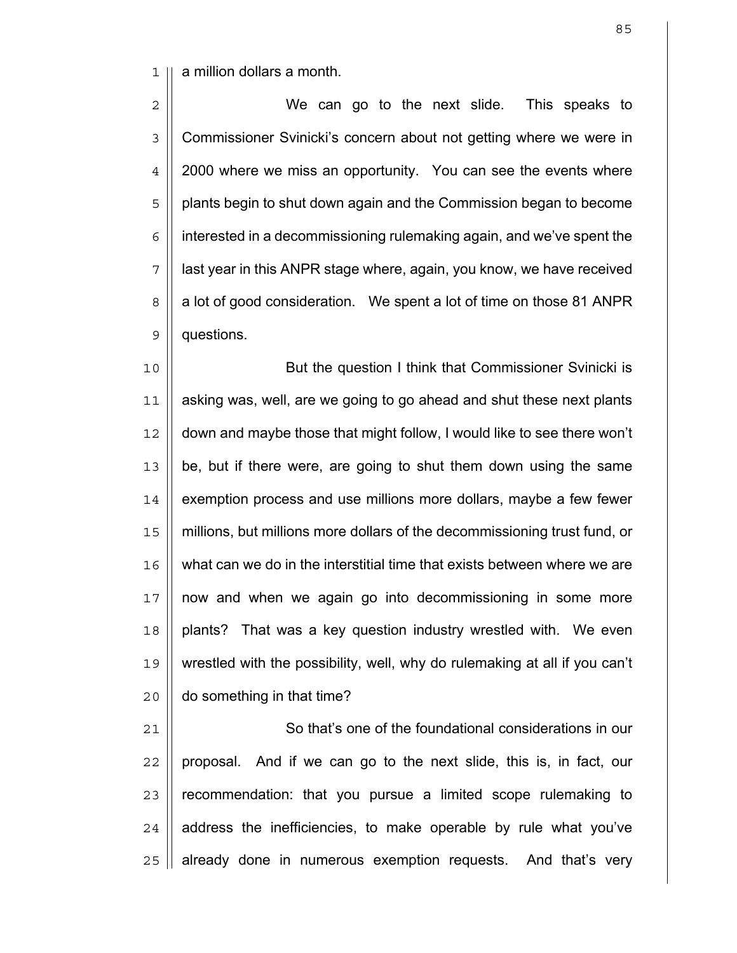1 a million dollars a month.

2 || We can go to the next slide. This speaks to 3 | Commissioner Svinicki's concern about not getting where we were in 4 | 2000 where we miss an opportunity. You can see the events where 5 | plants begin to shut down again and the Commission began to become  $6 \parallel$  interested in a decommissioning rulemaking again, and we've spent the  $7$  || last year in this ANPR stage where, again, you know, we have received 8 | a lot of good consideration. We spent a lot of time on those 81 ANPR 9 **questions**.

But the question I think that Commissioner Svinicki is asking was, well, are we going to go ahead and shut these next plants down and maybe those that might follow, I would like to see there won't be, but if there were, are going to shut them down using the same  $\parallel$  exemption process and use millions more dollars, maybe a few fewer 15 | millions, but millions more dollars of the decommissioning trust fund, or 16 || what can we do in the interstitial time that exists between where we are now and when we again go into decommissioning in some more 18 || plants? That was a key question industry wrestled with. We even 19 || wrestled with the possibility, well, why do rulemaking at all if you can't | do something in that time?

21 | So that's one of the foundational considerations in our || proposal. And if we can go to the next slide, this is, in fact, our || recommendation: that you pursue a limited scope rulemaking to | address the inefficiencies, to make operable by rule what you've | already done in numerous exemption requests. And that's very

<u>85 and 2001 and 2001 and 2001 and 2001 and 2001 and 2001 and 2001 and 2001 and 2001 and 2001 and 2001 and 200</u>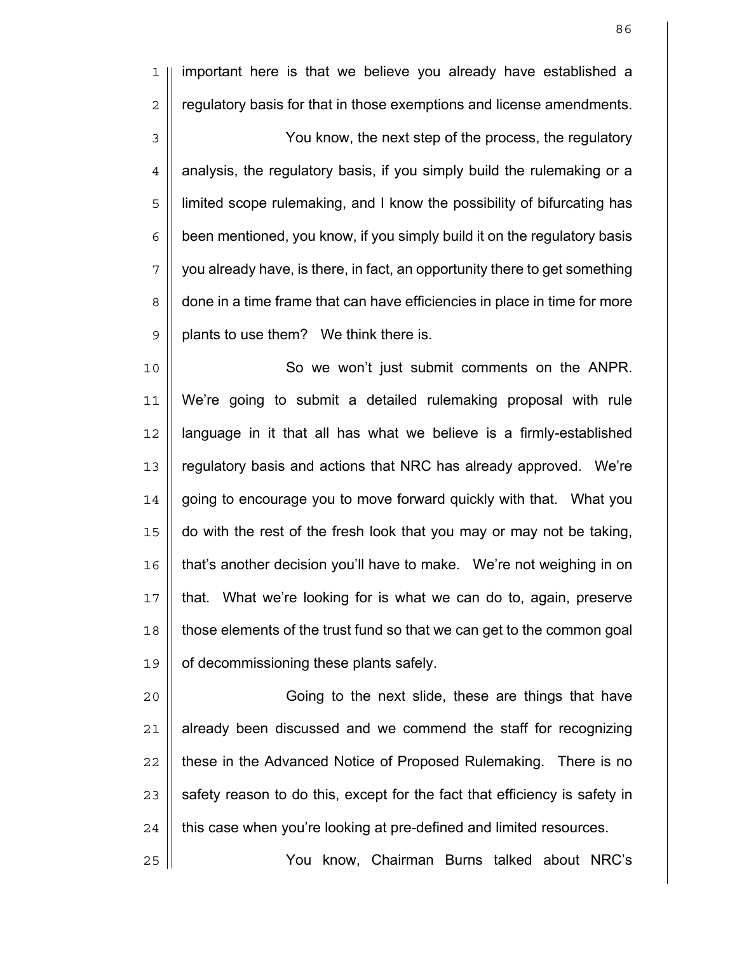1 || important here is that we believe you already have established a  $2 \parallel$  regulatory basis for that in those exemptions and license amendments. 3 | You know, the next step of the process, the regulatory  $4 \parallel$  analysis, the regulatory basis, if you simply build the rulemaking or a 5 || limited scope rulemaking, and I know the possibility of bifurcating has  $6 \parallel$  been mentioned, you know, if you simply build it on the regulatory basis  $7 \parallel$  you already have, is there, in fact, an opportunity there to get something 8 done in a time frame that can have efficiencies in place in time for more  $9 \parallel$  plants to use them? We think there is.

10 So we won't just submit comments on the ANPR. 11 We're going to submit a detailed rulemaking proposal with rule  $12$  | language in it that all has what we believe is a firmly-established 13 || regulatory basis and actions that NRC has already approved. We're 14 | going to encourage you to move forward quickly with that. What you 15 do with the rest of the fresh look that you may or may not be taking, 16 | that's another decision you'll have to make. We're not weighing in on 17 that. What we're looking for is what we can do to, again, preserve 18 those elements of the trust fund so that we can get to the common goal 19 | of decommissioning these plants safely.

Going to the next slide, these are things that have | already been discussed and we commend the staff for recognizing 22 || these in the Advanced Notice of Proposed Rulemaking. There is no | safety reason to do this, except for the fact that efficiency is safety in  $\parallel$  this case when you're looking at pre-defined and limited resources.

25 You know, Chairman Burns talked about NRC's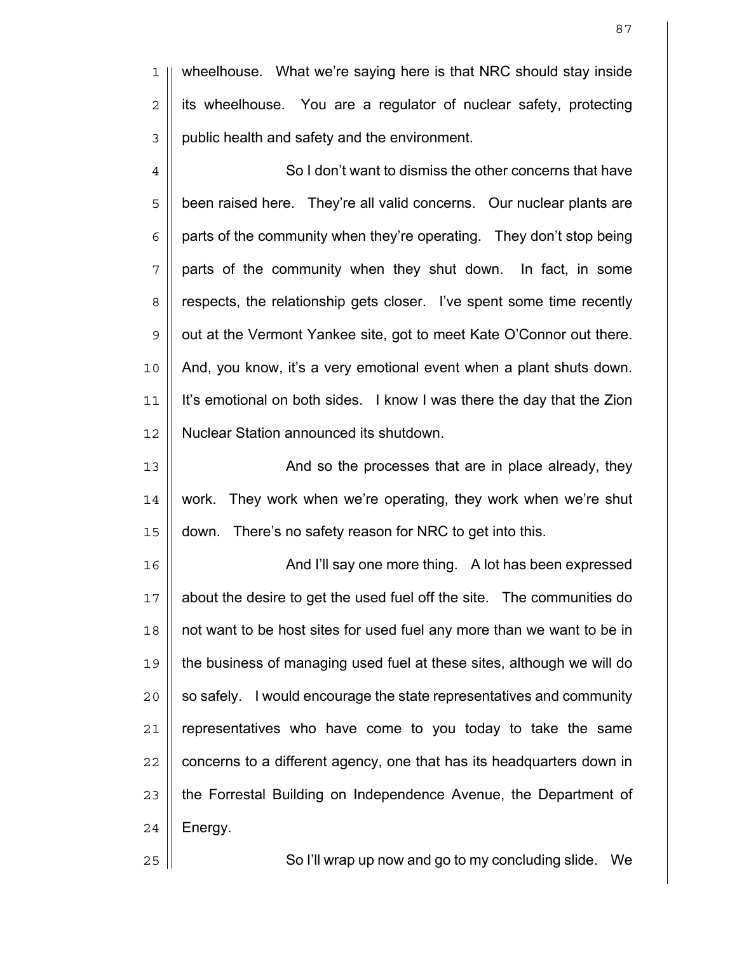1 || wheelhouse. What we're saying here is that NRC should stay inside  $2 \parallel$  its wheelhouse. You are a regulator of nuclear safety, protecting 3 | public health and safety and the environment.

4  $\parallel$  So I don't want to dismiss the other concerns that have 5 | been raised here. They're all valid concerns. Our nuclear plants are  $6 \parallel$  parts of the community when they're operating. They don't stop being  $7 \parallel$  parts of the community when they shut down. In fact, in some 8 | respects, the relationship gets closer. I've spent some time recently 9 | out at the Vermont Yankee site, got to meet Kate O'Connor out there. 10 And, you know, it's a very emotional event when a plant shuts down. 11 | It's emotional on both sides. I know I was there the day that the Zion 12 Nuclear Station announced its shutdown.

13 || **And so the processes that are in place already, they**  $14$  || work. They work when we're operating, they work when we're shut 15 down. There's no safety reason for NRC to get into this.

16 || And I'll say one more thing. A lot has been expressed 17 || about the desire to get the used fuel off the site. The communities do 18 || not want to be host sites for used fuel any more than we want to be in 19 the business of managing used fuel at these sites, although we will do  $20$  || so safely. I would encourage the state representatives and community  $21$  | representatives who have come to you today to take the same  $22$  || concerns to a different agency, one that has its headquarters down in 23 || the Forrestal Building on Independence Avenue, the Department of  $24$  | Energy.

25 || So I'll wrap up now and go to my concluding slide. We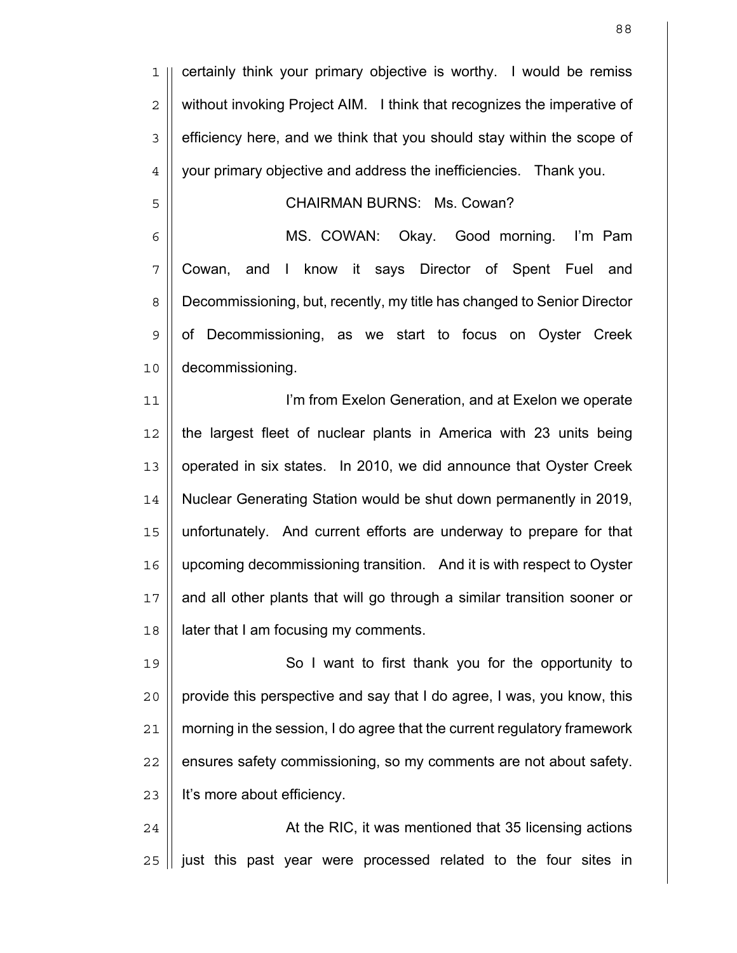1 || certainly think your primary objective is worthy. I would be remiss 2 | without invoking Project AIM. I think that recognizes the imperative of 3 | efficiency here, and we think that you should stay within the scope of 4 | your primary objective and address the inefficiencies. Thank you.

## CHAIRMAN BURNS: Ms. Cowan?

MS. COWAN: Okay. Good morning. I'm Pam Cowan, and I know it says Director of Spent Fuel and 8 | Decommissioning, but, recently, my title has changed to Senior Director 9 | of Decommissioning, as we start to focus on Oyster Creek decommissioning.

I'm from Exelon Generation, and at Exelon we operate | the largest fleet of nuclear plants in America with 23 units being 13 || operated in six states. In 2010, we did announce that Oyster Creek Nuclear Generating Station would be shut down permanently in 2019, unfortunately. And current efforts are underway to prepare for that upcoming decommissioning transition. And it is with respect to Oyster and all other plants that will go through a similar transition sooner or | later that I am focusing my comments.

So I want to first thank you for the opportunity to || provide this perspective and say that I do agree, I was, you know, this 21 | morning in the session, I do agree that the current regulatory framework || ensures safety commissioning, so my comments are not about safety. 23 | It's more about efficiency.

24 | At the RIC, it was mentioned that 35 licensing actions || just this past year were processed related to the four sites in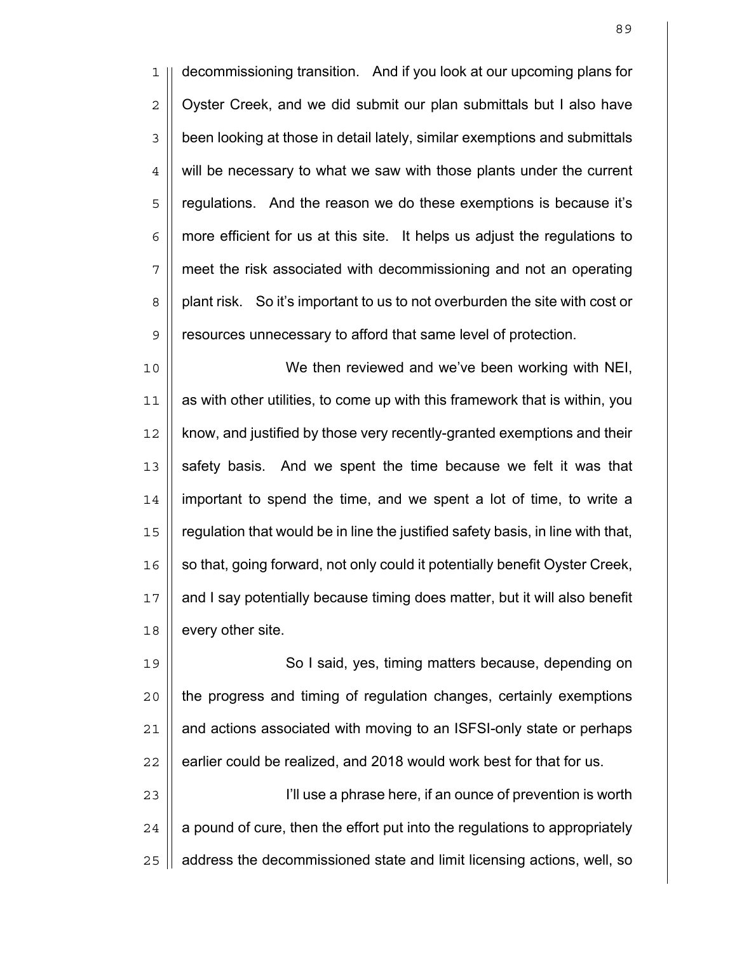1 decommissioning transition. And if you look at our upcoming plans for 2 | Oyster Creek, and we did submit our plan submittals but I also have 3 | been looking at those in detail lately, similar exemptions and submittals  $4 \parallel$  will be necessary to what we saw with those plants under the current 5 || regulations. And the reason we do these exemptions is because it's  $6 \mid \mid$  more efficient for us at this site. It helps us adjust the regulations to 7 meet the risk associated with decommissioning and not an operating 8 | plant risk. So it's important to us to not overburden the site with cost or 9 | resources unnecessary to afford that same level of protection.

We then reviewed and we've been working with NEI, as with other utilities, to come up with this framework that is within, you 12 | know, and justified by those very recently-granted exemptions and their 13 Safety basis. And we spent the time because we felt it was that important to spend the time, and we spent a lot of time, to write a regulation that would be in line the justified safety basis, in line with that, 16 || so that, going forward, not only could it potentially benefit Oyster Creek, and I say potentially because timing does matter, but it will also benefit | every other site.

So I said, yes, timing matters because, depending on 20 || the progress and timing of regulation changes, certainly exemptions | and actions associated with moving to an ISFSI-only state or perhaps | earlier could be realized, and 2018 would work best for that for us. 23 || **I'll use a phrase here, if an ounce of prevention is worth** | a pound of cure, then the effort put into the regulations to appropriately

25 || address the decommissioned state and limit licensing actions, well, so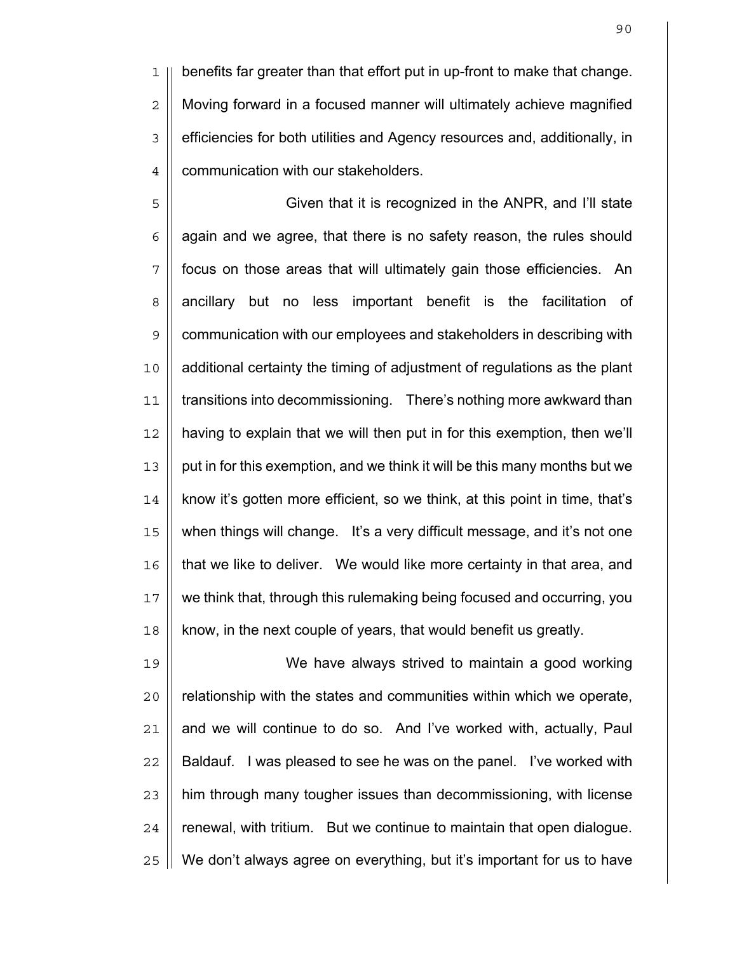benefits far greater than that effort put in up-front to make that change. Moving forward in a focused manner will ultimately achieve magnified 3 | efficiencies for both utilities and Agency resources and, additionally, in 4 | communication with our stakeholders.

 $\parallel$  Given that it is recognized in the ANPR, and I'll state  $6 \parallel$  again and we agree, that there is no safety reason, the rules should 7 || focus on those areas that will ultimately gain those efficiencies. An 8 || ancillary but no less important benefit is the facilitation of 9 | communication with our employees and stakeholders in describing with additional certainty the timing of adjustment of regulations as the plant 11 | transitions into decommissioning. There's nothing more awkward than having to explain that we will then put in for this exemption, then we'll 13 || put in for this exemption, and we think it will be this many months but we 14 | know it's gotten more efficient, so we think, at this point in time, that's 15 || when things will change. It's a very difficult message, and it's not one that we like to deliver. We would like more certainty in that area, and we think that, through this rulemaking being focused and occurring, you || know, in the next couple of years, that would benefit us greatly.

We have always strived to maintain a good working || relationship with the states and communities within which we operate, | and we will continue to do so. And I've worked with, actually, Paul || Baldauf. I was pleased to see he was on the panel. I've worked with  $\parallel$  him through many tougher issues than decommissioning, with license | renewal, with tritium. But we continue to maintain that open dialogue. We don't always agree on everything, but it's important for us to have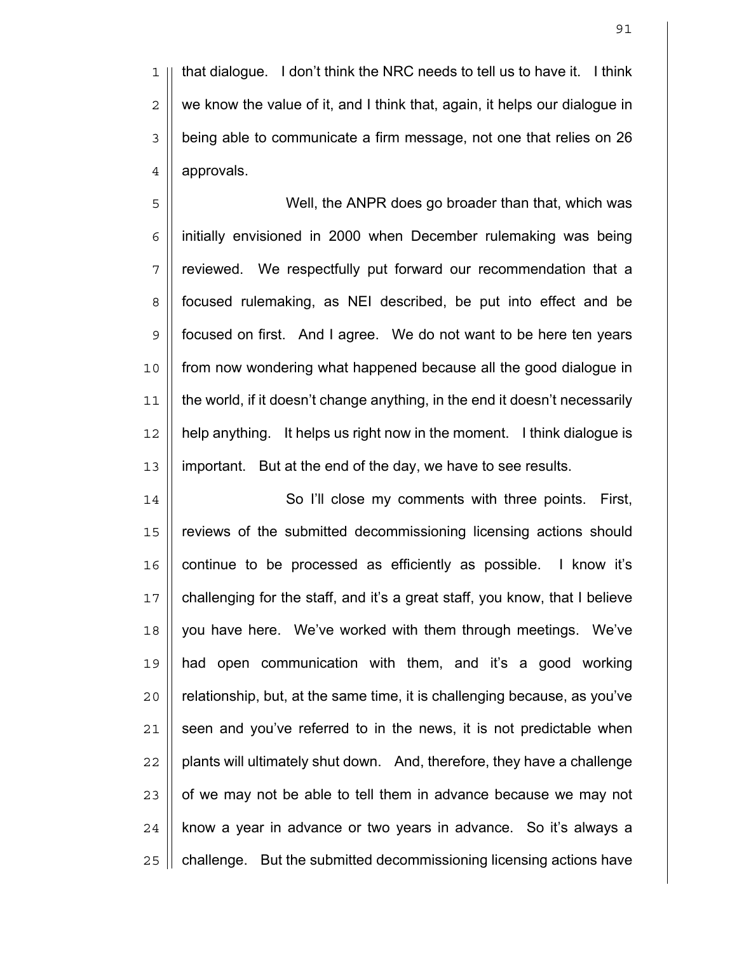1 || that dialogue. I don't think the NRC needs to tell us to have it. I think  $2 \parallel$  we know the value of it, and I think that, again, it helps our dialogue in being able to communicate a firm message, not one that relies on 26 4 approvals.

Well, the ANPR does go broader than that, which was | initially envisioned in 2000 when December rulemaking was being 7 || reviewed. We respectfully put forward our recommendation that a 8 || focused rulemaking, as NEI described, be put into effect and be focused on first. And I agree. We do not want to be here ten years from now wondering what happened because all the good dialogue in the world, if it doesn't change anything, in the end it doesn't necessarily help anything. It helps us right now in the moment. I think dialogue is important. But at the end of the day, we have to see results.

14 || So I'll close my comments with three points. First, reviews of the submitted decommissioning licensing actions should 16 || continue to be processed as efficiently as possible. I know it's challenging for the staff, and it's a great staff, you know, that I believe 18 || you have here. We've worked with them through meetings. We've had open communication with them, and it's a good working || relationship, but, at the same time, it is challenging because, as you've || seen and you've referred to in the news, it is not predictable when || plants will ultimately shut down. And, therefore, they have a challenge || of we may not be able to tell them in advance because we may not | know a year in advance or two years in advance. So it's always a 25 | challenge. But the submitted decommissioning licensing actions have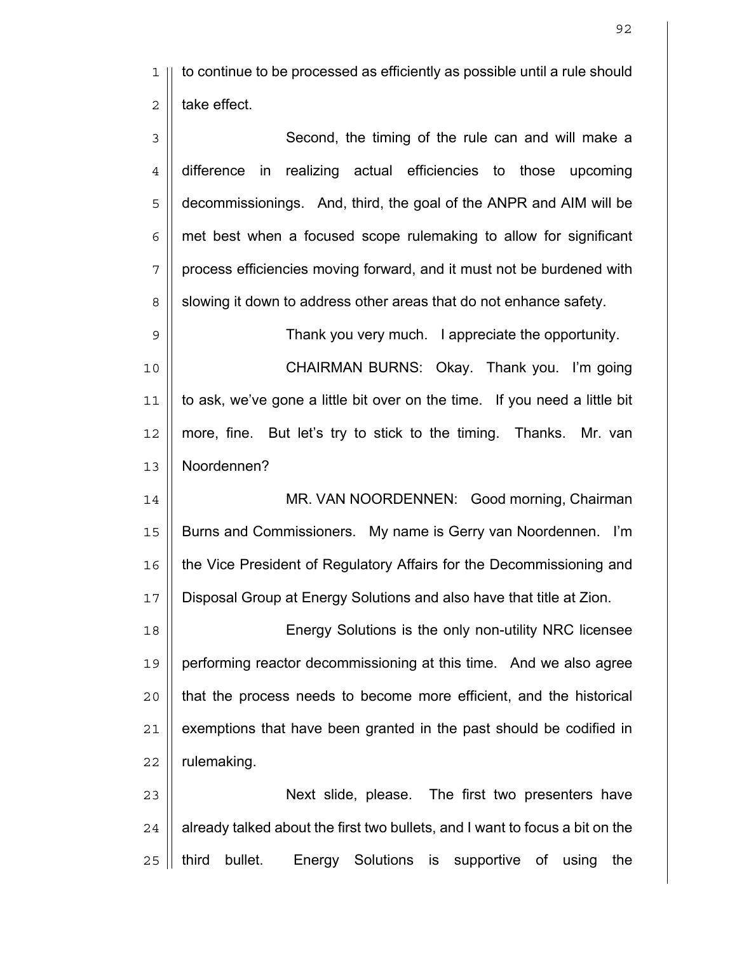to continue to be processed as efficiently as possible until a rule should  $2 \parallel$  take effect.

3 || Second, the timing of the rule can and will make a difference in realizing actual efficiencies to those upcoming 5 || decommissionings. And, third, the goal of the ANPR and AIM will be | met best when a focused scope rulemaking to allow for significant 7 | process efficiencies moving forward, and it must not be burdened with 8 | slowing it down to address other areas that do not enhance safety.

Thank you very much. I appreciate the opportunity.

CHAIRMAN BURNS: Okay. Thank you. I'm going to ask, we've gone a little bit over on the time. If you need a little bit more, fine. But let's try to stick to the timing. Thanks. Mr. van Noordennen?

14 || MR. VAN NOORDENNEN: Good morning, Chairman Burns and Commissioners. My name is Gerry van Noordennen. I'm the Vice President of Regulatory Affairs for the Decommissioning and Disposal Group at Energy Solutions and also have that title at Zion.

Energy Solutions is the only non-utility NRC licensee performing reactor decommissioning at this time. And we also agree 20 || that the process needs to become more efficient, and the historical | exemptions that have been granted in the past should be codified in | rulemaking.

23 || **Next slide, please.** The first two presenters have | already talked about the first two bullets, and I want to focus a bit on the 25 || third bullet. Energy Solutions is supportive of using the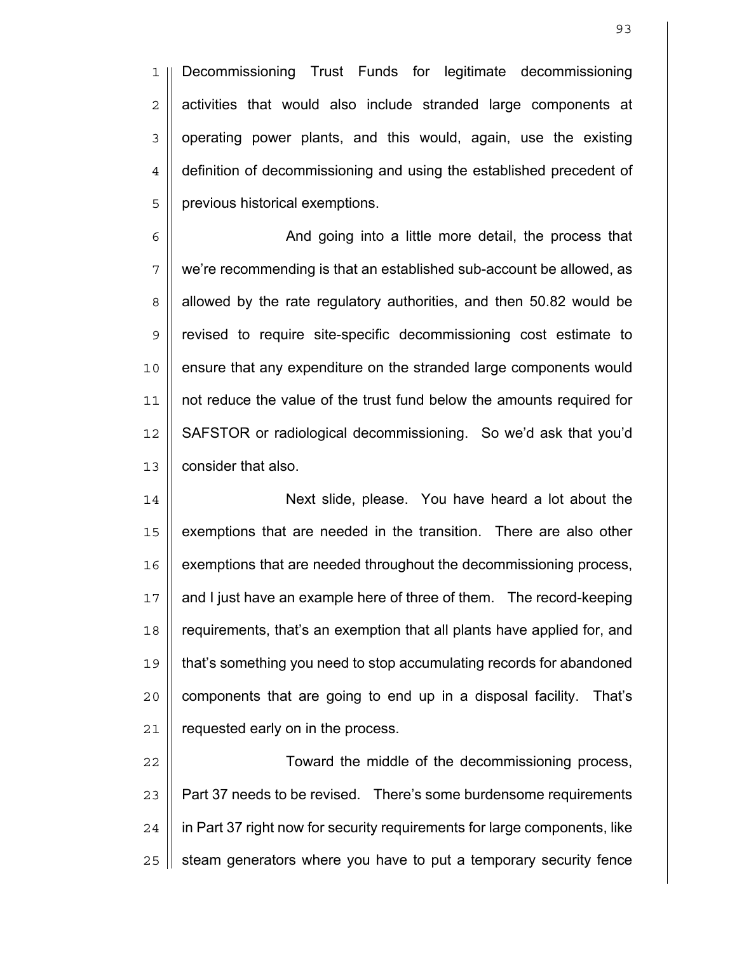1 Decommissioning Trust Funds for legitimate decommissioning  $2 \parallel$  activities that would also include stranded large components at  $3$  | operating power plants, and this would, again, use the existing 4 | definition of decommissioning and using the established precedent of 5 | previous historical exemptions.

6 | And going into a little more detail, the process that 7 | we're recommending is that an established sub-account be allowed, as 8 | allowed by the rate regulatory authorities, and then 50.82 would be 9 revised to require site-specific decommissioning cost estimate to 10 || ensure that any expenditure on the stranded large components would 11 not reduce the value of the trust fund below the amounts required for 12 | SAFSTOR or radiological decommissioning. So we'd ask that you'd 13 **l** consider that also.

14 Next slide, please. You have heard a lot about the 15 || exemptions that are needed in the transition. There are also other 16 | exemptions that are needed throughout the decommissioning process, 17 || and I just have an example here of three of them. The record-keeping 18 requirements, that's an exemption that all plants have applied for, and 19 that's something you need to stop accumulating records for abandoned  $20$  || components that are going to end up in a disposal facility. That's 21 | requested early on in the process.

22 || **Toward the middle of the decommissioning process,** 23 | Part 37 needs to be revised. There's some burdensome requirements  $24$  | in Part 37 right now for security requirements for large components, like  $25$  | steam generators where you have to put a temporary security fence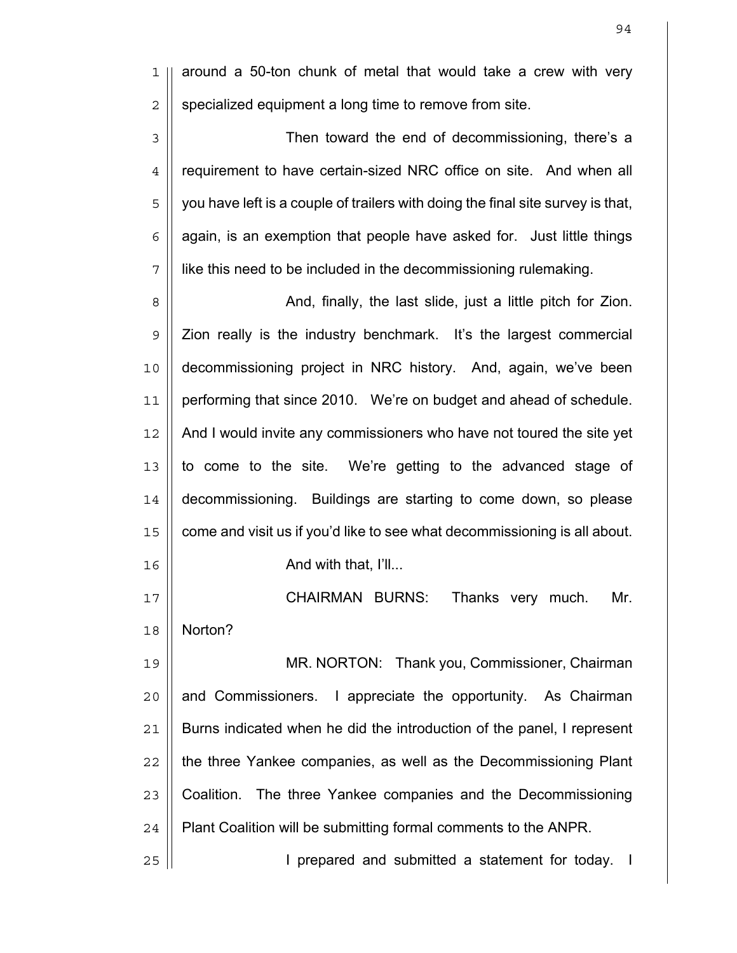|| around a 50-ton chunk of metal that would take a crew with very | specialized equipment a long time to remove from site.

3 || Then toward the end of decommissioning, there's a 4 | requirement to have certain-sized NRC office on site. And when all  $5 \parallel$  you have left is a couple of trailers with doing the final site survey is that,  $6 \parallel$  again, is an exemption that people have asked for. Just little things like this need to be included in the decommissioning rulemaking.

And, finally, the last slide, just a little pitch for Zion. | Zion really is the industry benchmark. It's the largest commercial decommissioning project in NRC history. And, again, we've been performing that since 2010. We're on budget and ahead of schedule. And I would invite any commissioners who have not toured the site yet || to come to the site. We're getting to the advanced stage of decommissioning. Buildings are starting to come down, so please 15 | come and visit us if you'd like to see what decommissioning is all about. ||  $\blacksquare$   $\blacksquare$   $\blacksquare$   $\blacksquare$   $\blacksquare$   $\blacksquare$ 

CHAIRMAN BURNS: Thanks very much. Mr. Norton?

MR. NORTON: Thank you, Commissioner, Chairman || and Commissioners. I appreciate the opportunity. As Chairman 21 | Burns indicated when he did the introduction of the panel, I represent  $\parallel$  the three Yankee companies, as well as the Decommissioning Plant 23 || Coalition. The three Yankee companies and the Decommissioning | Plant Coalition will be submitting formal comments to the ANPR.

25 || **I** prepared and submitted a statement for today. I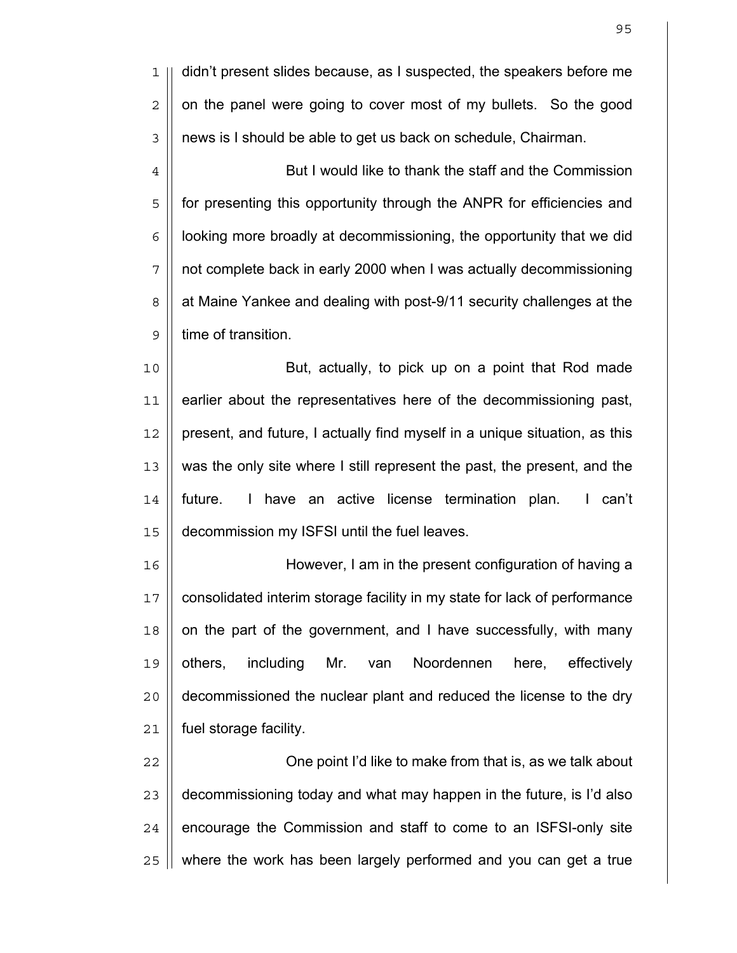didn't present slides because, as I suspected, the speakers before me  $2 \parallel$  on the panel were going to cover most of my bullets. So the good 3 | news is I should be able to get us back on schedule, Chairman.

4 | But I would like to thank the staff and the Commission 5 || for presenting this opportunity through the ANPR for efficiencies and | looking more broadly at decommissioning, the opportunity that we did 7 | not complete back in early 2000 when I was actually decommissioning 8 | at Maine Yankee and dealing with post-9/11 security challenges at the 9 | time of transition.

But, actually, to pick up on a point that Rod made earlier about the representatives here of the decommissioning past, | present, and future, I actually find myself in a unique situation, as this 13 || was the only site where I still represent the past, the present, and the future. I have an active license termination plan. I can't decommission my ISFSI until the fuel leaves.

However, I am in the present configuration of having a consolidated interim storage facility in my state for lack of performance | on the part of the government, and I have successfully, with many 19 || others, including Mr. van Noordennen here, effectively decommissioned the nuclear plant and reduced the license to the dry fuel storage facility.

22 || Che point I'd like to make from that is, as we talk about  $\parallel$  decommissioning today and what may happen in the future, is I'd also | encourage the Commission and staff to come to an ISFSI-only site || where the work has been largely performed and you can get a true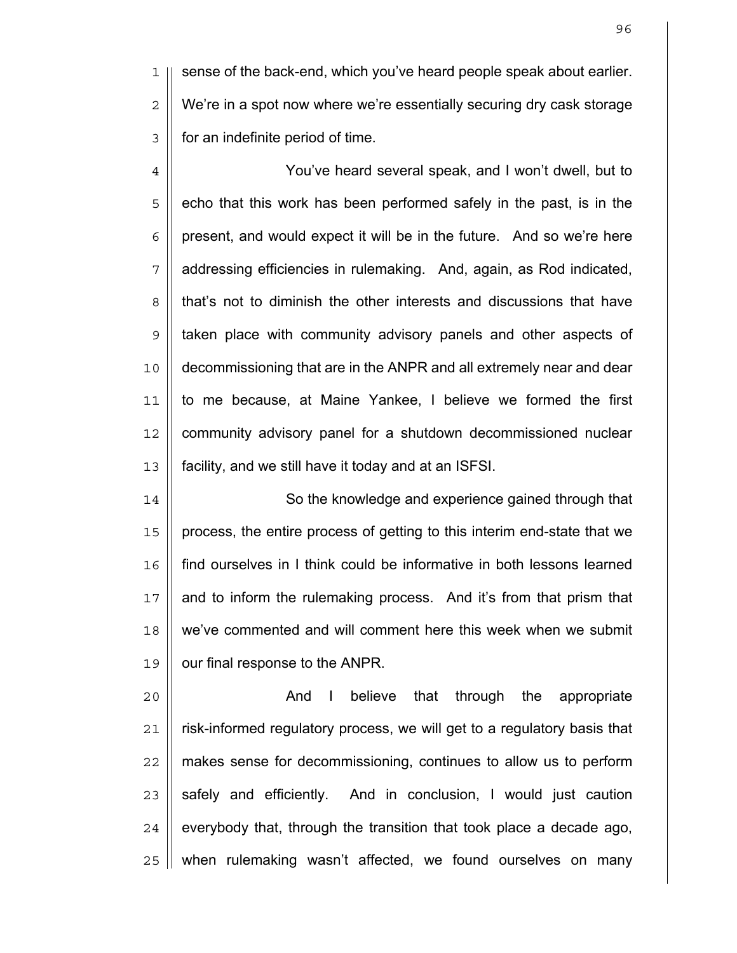1 || sense of the back-end, which you've heard people speak about earlier.  $2 \parallel$  We're in a spot now where we're essentially securing dry cask storage 3 | for an indefinite period of time.

4 You've heard several speak, and I won't dwell, but to  $5 \parallel$  echo that this work has been performed safely in the past, is in the  $6 \mid$  present, and would expect it will be in the future. And so we're here 7 addressing efficiencies in rulemaking. And, again, as Rod indicated, 8 | that's not to diminish the other interests and discussions that have 9 || taken place with community advisory panels and other aspects of 10 decommissioning that are in the ANPR and all extremely near and dear 11 to me because, at Maine Yankee, I believe we formed the first 12 | community advisory panel for a shutdown decommissioned nuclear 13 facility, and we still have it today and at an ISFSI.

14 || So the knowledge and experience gained through that 15 || process, the entire process of getting to this interim end-state that we 16 find ourselves in I think could be informative in both lessons learned 17 || and to inform the rulemaking process. And it's from that prism that 18 || we've commented and will comment here this week when we submit 19 | our final response to the ANPR.

20 || **And I believe that through the appropriate** 21 | risk-informed regulatory process, we will get to a regulatory basis that | makes sense for decommissioning, continues to allow us to perform  $\parallel$  safely and efficiently. And in conclusion, I would just caution | everybody that, through the transition that took place a decade ago,  $\parallel$  when rulemaking wasn't affected, we found ourselves on many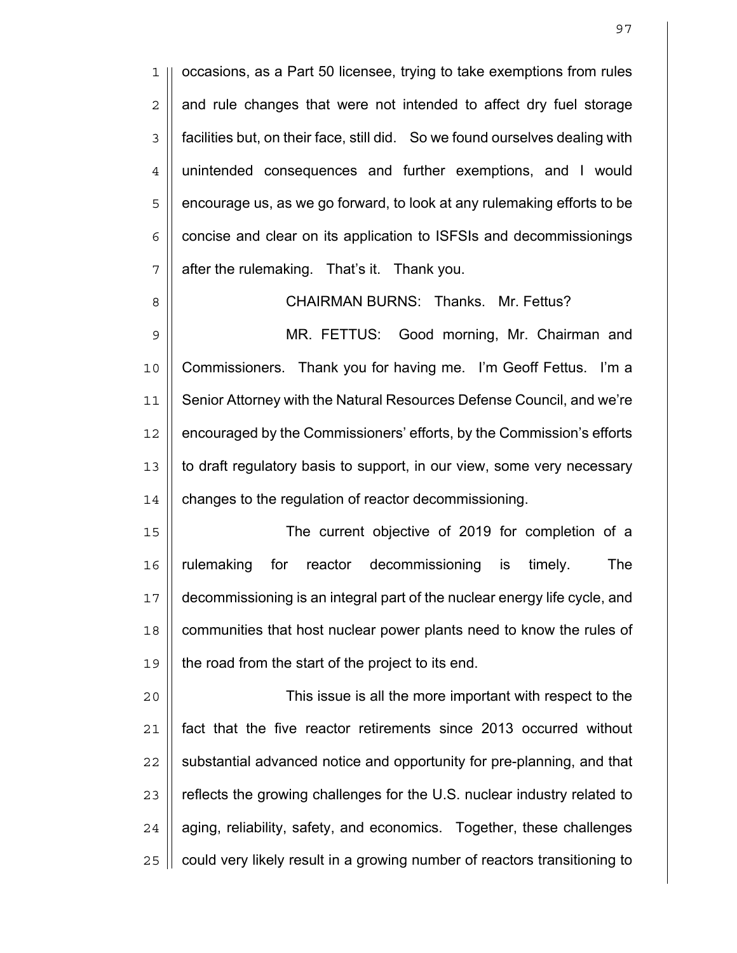occasions, as a Part 50 licensee, trying to take exemptions from rules  $2 \parallel$  and rule changes that were not intended to affect dry fuel storage 3 | facilities but, on their face, still did. So we found ourselves dealing with unintended consequences and further exemptions, and I would 5 | encourage us, as we go forward, to look at any rulemaking efforts to be | concise and clear on its application to ISFSIs and decommissionings | after the rulemaking. That's it. Thank you.

CHAIRMAN BURNS: Thanks. Mr. Fettus?

MR. FETTUS: Good morning, Mr. Chairman and Commissioners. Thank you for having me. I'm Geoff Fettus. I'm a Senior Attorney with the Natural Resources Defense Council, and we're 12 | encouraged by the Commissioners' efforts, by the Commission's efforts 13 || to draft regulatory basis to support, in our view, some very necessary 14 | changes to the regulation of reactor decommissioning.

The current objective of 2019 for completion of a rulemaking for reactor decommissioning is timely. The decommissioning is an integral part of the nuclear energy life cycle, and 18 || communities that host nuclear power plants need to know the rules of || the road from the start of the project to its end.

This issue is all the more important with respect to the fact that the five reactor retirements since 2013 occurred without  $\parallel$  substantial advanced notice and opportunity for pre-planning, and that 23 || reflects the growing challenges for the U.S. nuclear industry related to | aging, reliability, safety, and economics. Together, these challenges  $\parallel$  could very likely result in a growing number of reactors transitioning to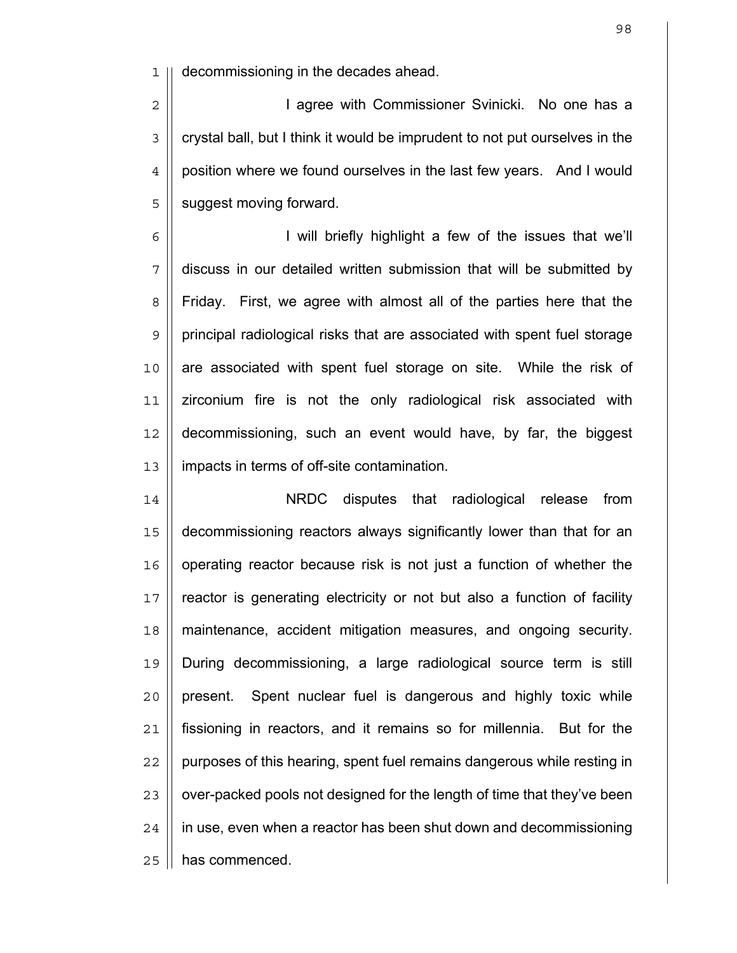decommissioning in the decades ahead.

2 || **I agree with Commissioner Svinicki.** No one has a 3 | crystal ball, but I think it would be imprudent to not put ourselves in the 4 | position where we found ourselves in the last few years. And I would 5 || suggest moving forward.

I will briefly highlight a few of the issues that we'll discuss in our detailed written submission that will be submitted by 8 | Friday. First, we agree with almost all of the parties here that the principal radiological risks that are associated with spent fuel storage 10 || are associated with spent fuel storage on site. While the risk of zirconium fire is not the only radiological risk associated with decommissioning, such an event would have, by far, the biggest impacts in terms of off-site contamination.

NRDC disputes that radiological release from decommissioning reactors always significantly lower than that for an 16 || operating reactor because risk is not just a function of whether the 17 || reactor is generating electricity or not but also a function of facility 18 | maintenance, accident mitigation measures, and ongoing security. During decommissioning, a large radiological source term is still || present. Spent nuclear fuel is dangerous and highly toxic while fissioning in reactors, and it remains so for millennia. But for the || purposes of this hearing, spent fuel remains dangerous while resting in  $\parallel$  over-packed pools not designed for the length of time that they've been | in use, even when a reactor has been shut down and decommissioning | has commenced.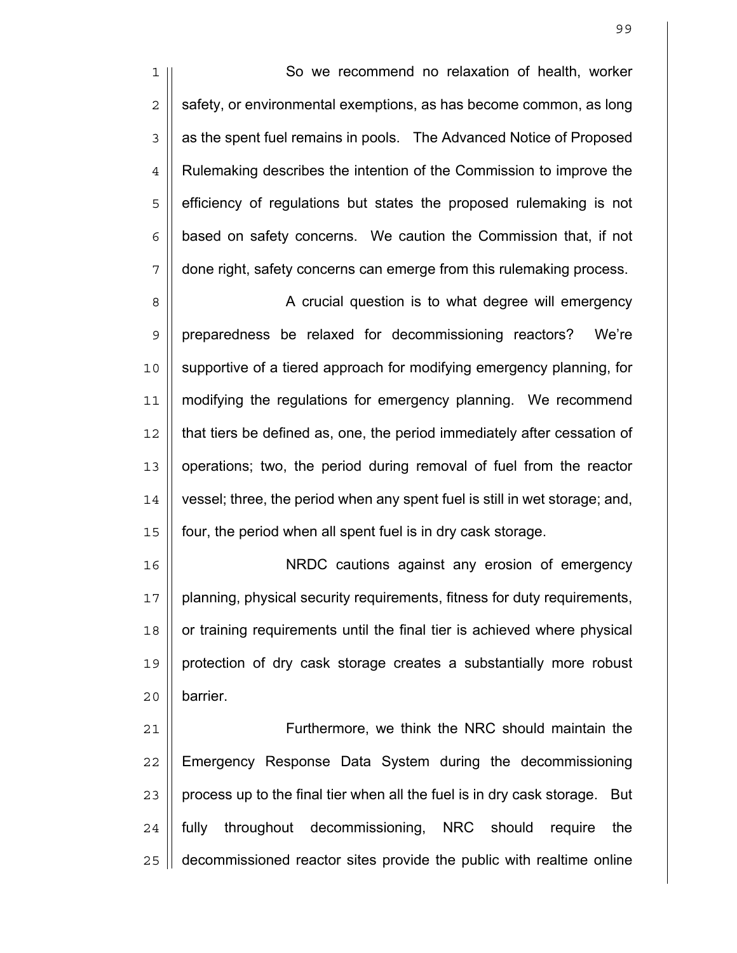1 So we recommend no relaxation of health, worker  $2 \parallel$  safety, or environmental exemptions, as has become common, as long 3 | as the spent fuel remains in pools. The Advanced Notice of Proposed 4 | Rulemaking describes the intention of the Commission to improve the 5 || efficiency of regulations but states the proposed rulemaking is not  $6$  | based on safety concerns. We caution the Commission that, if not 7 || done right, safety concerns can emerge from this rulemaking process.

8 | A crucial question is to what degree will emergency preparedness be relaxed for decommissioning reactors? We're supportive of a tiered approach for modifying emergency planning, for 11 | modifying the regulations for emergency planning. We recommend 12 || that tiers be defined as, one, the period immediately after cessation of operations; two, the period during removal of fuel from the reactor vessel; three, the period when any spent fuel is still in wet storage; and, four, the period when all spent fuel is in dry cask storage.

16 NRDC cautions against any erosion of emergency 17 || planning, physical security requirements, fitness for duty requirements, 18 || or training requirements until the final tier is achieved where physical 19 || protection of dry cask storage creates a substantially more robust  $20$  | barrier.

Furthermore, we think the NRC should maintain the 22 | Emergency Response Data System during the decommissioning | process up to the final tier when all the fuel is in dry cask storage. But || fully throughout decommissioning, NRC should require the decommissioned reactor sites provide the public with realtime online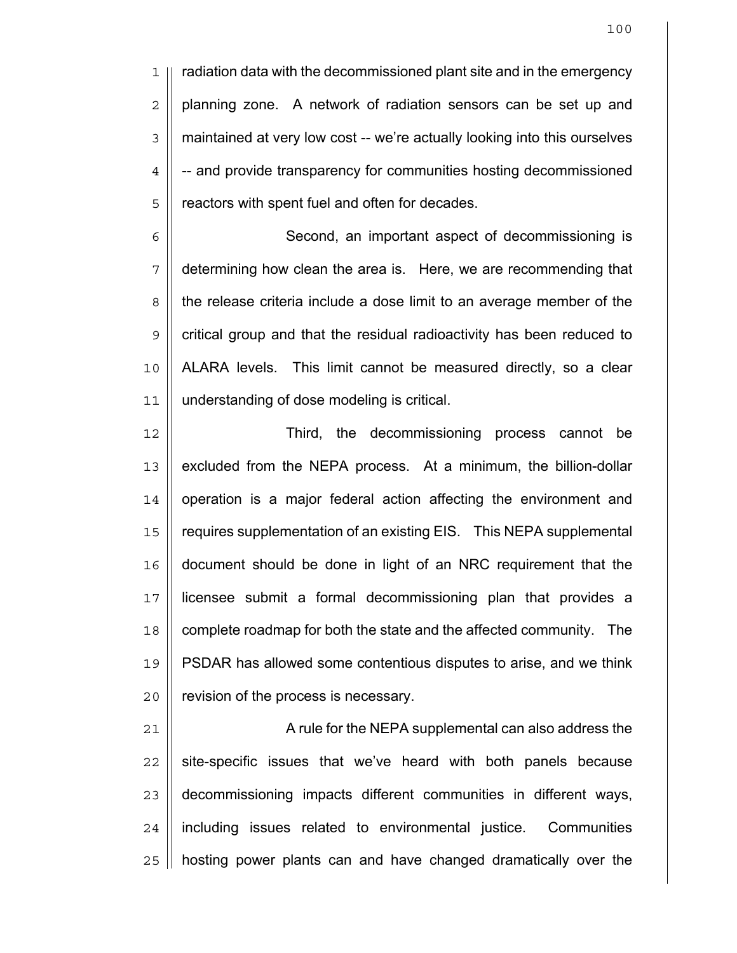1 || radiation data with the decommissioned plant site and in the emergency  $2 \parallel$  planning zone. A network of radiation sensors can be set up and 3 | maintained at very low cost -- we're actually looking into this ourselves  $4 \parallel -$  and provide transparency for communities hosting decommissioned 5 | reactors with spent fuel and often for decades.

6 | Second, an important aspect of decommissioning is determining how clean the area is. Here, we are recommending that the release criteria include a dose limit to an average member of the | critical group and that the residual radioactivity has been reduced to ALARA levels. This limit cannot be measured directly, so a clear understanding of dose modeling is critical.

12 Third, the decommissioning process cannot be 13 || excluded from the NEPA process. At a minimum, the billion-dollar 14 | operation is a major federal action affecting the environment and 15 requires supplementation of an existing EIS. This NEPA supplemental 16 document should be done in light of an NRC requirement that the 17 licensee submit a formal decommissioning plan that provides a 18 || complete roadmap for both the state and the affected community. The 19 PSDAR has allowed some contentious disputes to arise, and we think 20 | revision of the process is necessary.

21 || A rule for the NEPA supplemental can also address the  $22$  | site-specific issues that we've heard with both panels because 23 decommissioning impacts different communities in different ways, 24 | including issues related to environmental justice. Communities  $25$  | hosting power plants can and have changed dramatically over the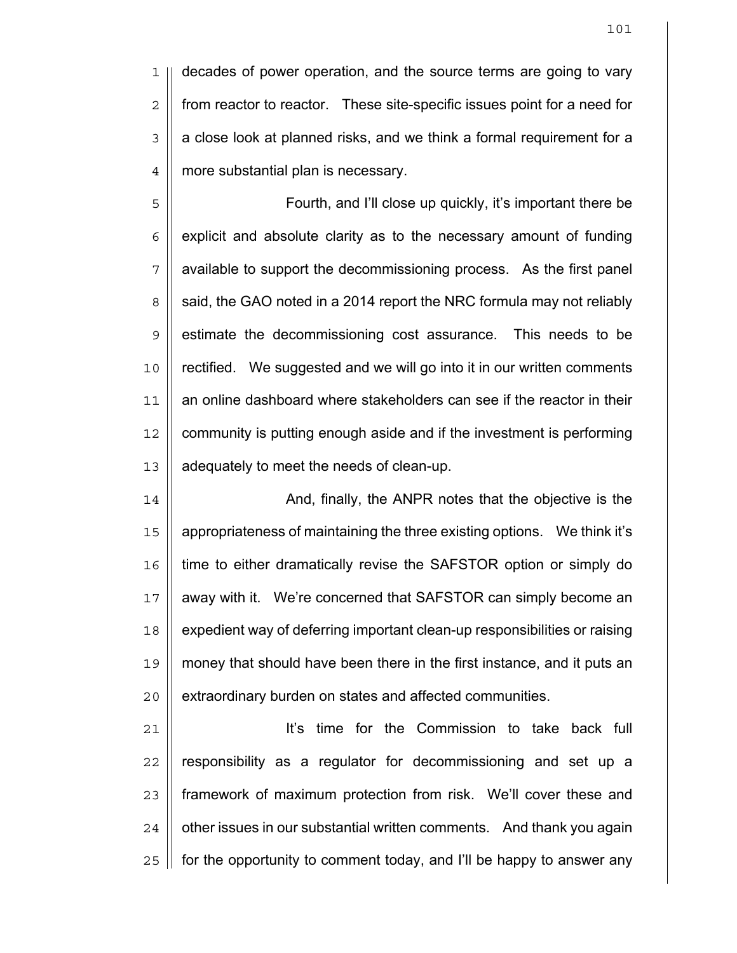1 || decades of power operation, and the source terms are going to vary 2 | from reactor to reactor. These site-specific issues point for a need for  $3 \parallel a$  close look at planned risks, and we think a formal requirement for a 4 | more substantial plan is necessary.

5 || Fourth, and I'll close up quickly, it's important there be  $6$  | explicit and absolute clarity as to the necessary amount of funding 7 available to support the decommissioning process. As the first panel  $8 \parallel$  said, the GAO noted in a 2014 report the NRC formula may not reliably 9 || estimate the decommissioning cost assurance. This needs to be 10 || rectified. We suggested and we will go into it in our written comments 11 an online dashboard where stakeholders can see if the reactor in their 12 | community is putting enough aside and if the investment is performing 13 | adequately to meet the needs of clean-up.

14 || **And, finally, the ANPR notes that the objective is the** 15 appropriateness of maintaining the three existing options. We think it's 16 time to either dramatically revise the SAFSTOR option or simply do 17 || away with it. We're concerned that SAFSTOR can simply become an 18 | expedient way of deferring important clean-up responsibilities or raising 19 money that should have been there in the first instance, and it puts an 20 | extraordinary burden on states and affected communities.

21 || **It's time for the Commission to take back full**  | responsibility as a regulator for decommissioning and set up a framework of maximum protection from risk. We'll cover these and  $\parallel$  other issues in our substantial written comments. And thank you again || for the opportunity to comment today, and I'll be happy to answer any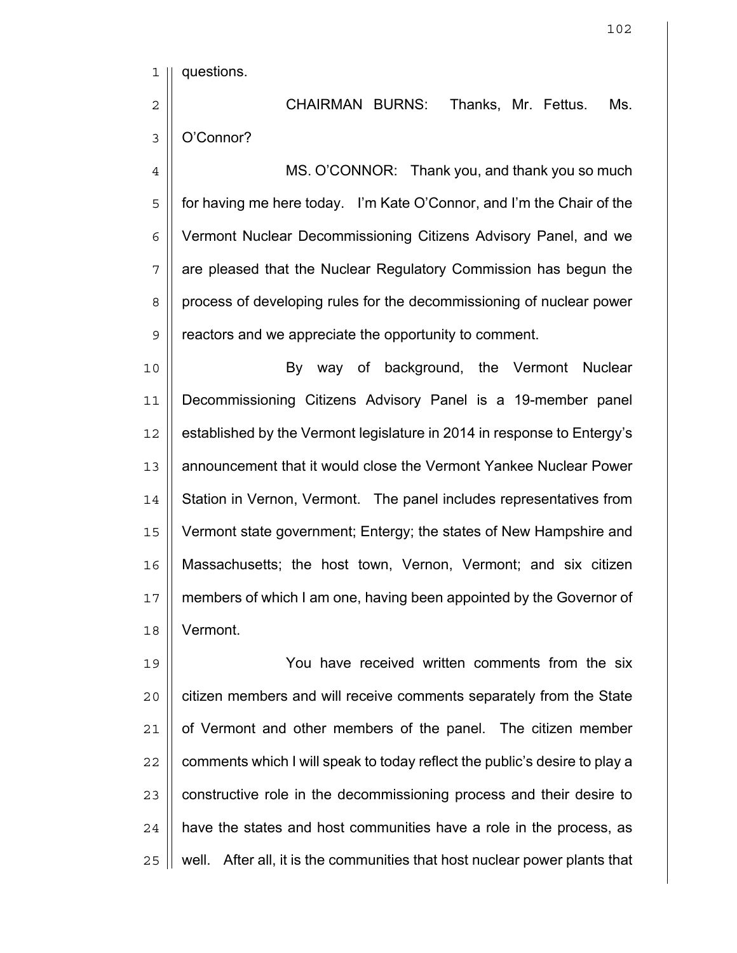questions.

CHAIRMAN BURNS: Thanks, Mr. Fettus. Ms. 3 | O'Connor?

4 | MS. O'CONNOR: Thank you, and thank you so much 5 | for having me here today. I'm Kate O'Connor, and I'm the Chair of the Vermont Nuclear Decommissioning Citizens Advisory Panel, and we are pleased that the Nuclear Regulatory Commission has begun the 8 | process of developing rules for the decommissioning of nuclear power 9 | reactors and we appreciate the opportunity to comment.

10 || **By way of background, the Vermont Nuclear** Decommissioning Citizens Advisory Panel is a 19-member panel 12 | established by the Vermont legislature in 2014 in response to Entergy's announcement that it would close the Vermont Yankee Nuclear Power 14 | Station in Vernon, Vermont. The panel includes representatives from Vermont state government; Entergy; the states of New Hampshire and Massachusetts; the host town, Vernon, Vermont; and six citizen members of which I am one, having been appointed by the Governor of Vermont.

You have received written comments from the six 20 || citizen members and will receive comments separately from the State | of Vermont and other members of the panel. The citizen member  $\parallel$  comments which I will speak to today reflect the public's desire to play a || constructive role in the decommissioning process and their desire to | have the states and host communities have a role in the process, as  $\parallel$  well. After all, it is the communities that host nuclear power plants that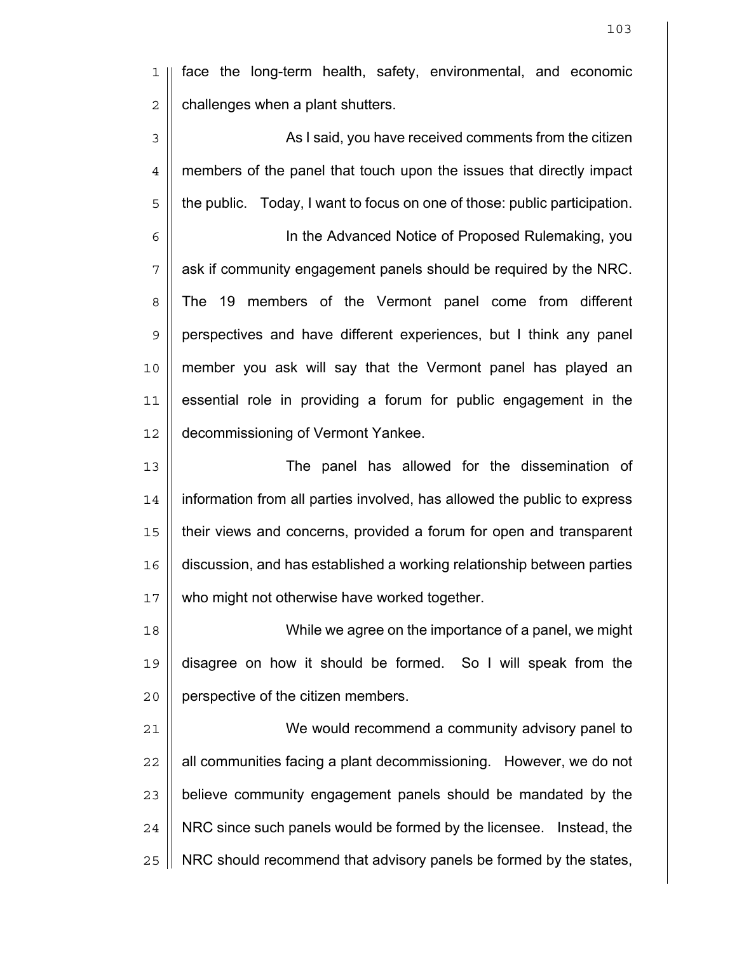face the long-term health, safety, environmental, and economic  $2 \parallel$  challenges when a plant shutters.

3 || As I said, you have received comments from the citizen 4 | members of the panel that touch upon the issues that directly impact || the public. Today, I want to focus on one of those: public participation. In the Advanced Notice of Proposed Rulemaking, you | ask if community engagement panels should be required by the NRC. 8 The 19 members of the Vermont panel come from different perspectives and have different experiences, but I think any panel member you ask will say that the Vermont panel has played an essential role in providing a forum for public engagement in the decommissioning of Vermont Yankee. The panel has allowed for the dissemination of 14 | information from all parties involved, has allowed the public to express

their views and concerns, provided a forum for open and transparent discussion, and has established a working relationship between parties 17 || who might not otherwise have worked together.

While we agree on the importance of a panel, we might disagree on how it should be formed. So I will speak from the 20 | perspective of the citizen members.

We would recommend a community advisory panel to || all communities facing a plant decommissioning. However, we do not 23 || believe community engagement panels should be mandated by the 24 | NRC since such panels would be formed by the licensee. Instead, the | NRC should recommend that advisory panels be formed by the states,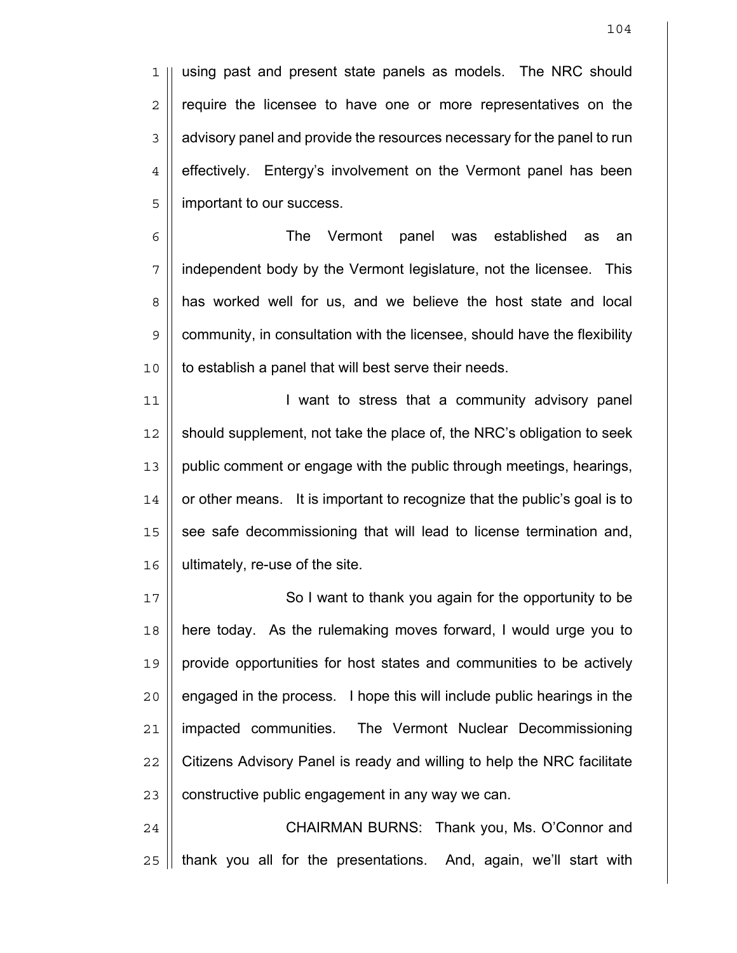1 || using past and present state panels as models. The NRC should  $2 \parallel$  require the licensee to have one or more representatives on the 3 | advisory panel and provide the resources necessary for the panel to run  $4$  | effectively. Entergy's involvement on the Vermont panel has been 5 | important to our success.

6 The Vermont panel was established as an 7 independent body by the Vermont legislature, not the licensee. This 8 | has worked well for us, and we believe the host state and local  $9 \parallel$  community, in consultation with the licensee, should have the flexibility 10 || to establish a panel that will best serve their needs.

11 || **I** want to stress that a community advisory panel should supplement, not take the place of, the NRC's obligation to seek public comment or engage with the public through meetings, hearings, | or other means. It is important to recognize that the public's goal is to 15 || see safe decommissioning that will lead to license termination and, ultimately, re-use of the site.

17 || So I want to thank you again for the opportunity to be here today. As the rulemaking moves forward, I would urge you to provide opportunities for host states and communities to be actively || engaged in the process. I hope this will include public hearings in the 21 | impacted communities. The Vermont Nuclear Decommissioning  $\parallel$  Citizens Advisory Panel is ready and willing to help the NRC facilitate | constructive public engagement in any way we can.

24 | CHAIRMAN BURNS: Thank you, Ms. O'Connor and  $25$  || thank you all for the presentations. And, again, we'll start with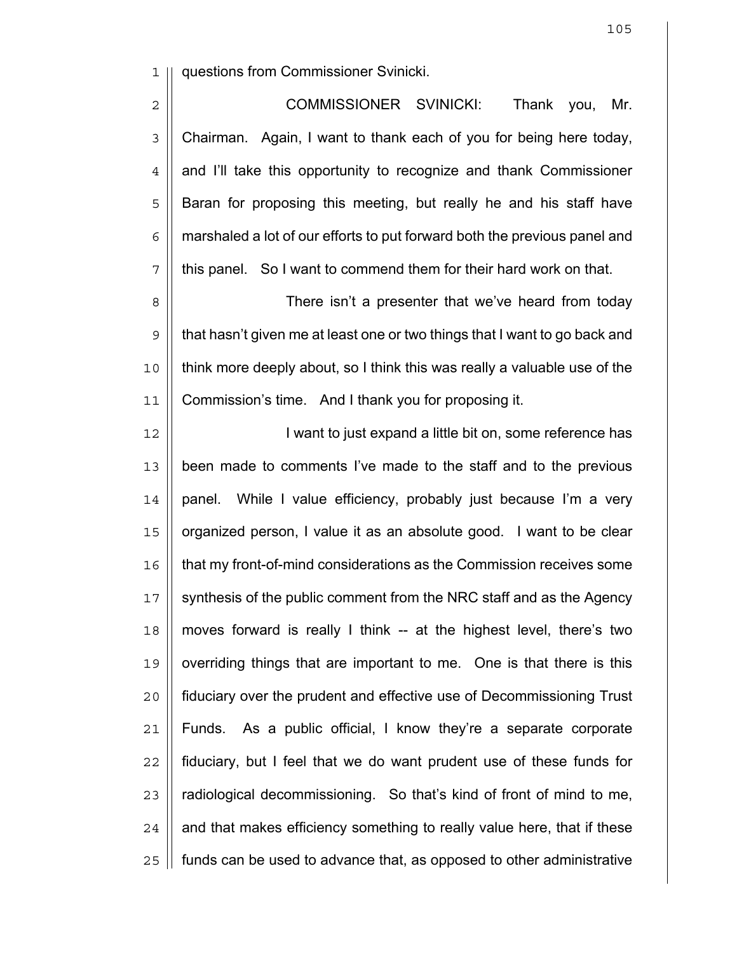1 questions from Commissioner Svinicki.

2 | COMMISSIONER SVINICKI: Thank you, Mr. 3 | Chairman. Again, I want to thank each of you for being here today, 4 | and I'll take this opportunity to recognize and thank Commissioner 5 || Baran for proposing this meeting, but really he and his staff have  $6 \mid \mid$  marshaled a lot of our efforts to put forward both the previous panel and  $7 \parallel$  this panel. So I want to commend them for their hard work on that.

8 There isn't a presenter that we've heard from today 9 || that hasn't given me at least one or two things that I want to go back and 10 || think more deeply about, so I think this was really a valuable use of the 11 Commission's time. And I thank you for proposing it.

12 || **I** want to just expand a little bit on, some reference has 13 | been made to comments I've made to the staff and to the previous  $14$  | panel. While I value efficiency, probably just because I'm a very 15 || organized person, I value it as an absolute good. I want to be clear 16 | that my front-of-mind considerations as the Commission receives some 17 || synthesis of the public comment from the NRC staff and as the Agency  $18$  || moves forward is really I think -- at the highest level, there's two  $19$   $\parallel$  overriding things that are important to me. One is that there is this 20 fiduciary over the prudent and effective use of Decommissioning Trust 21 Funds. As a public official, I know they're a separate corporate 22 fiduciary, but I feel that we do want prudent use of these funds for  $23$  || radiological decommissioning. So that's kind of front of mind to me,  $24$  | and that makes efficiency something to really value here, that if these 25 | funds can be used to advance that, as opposed to other administrative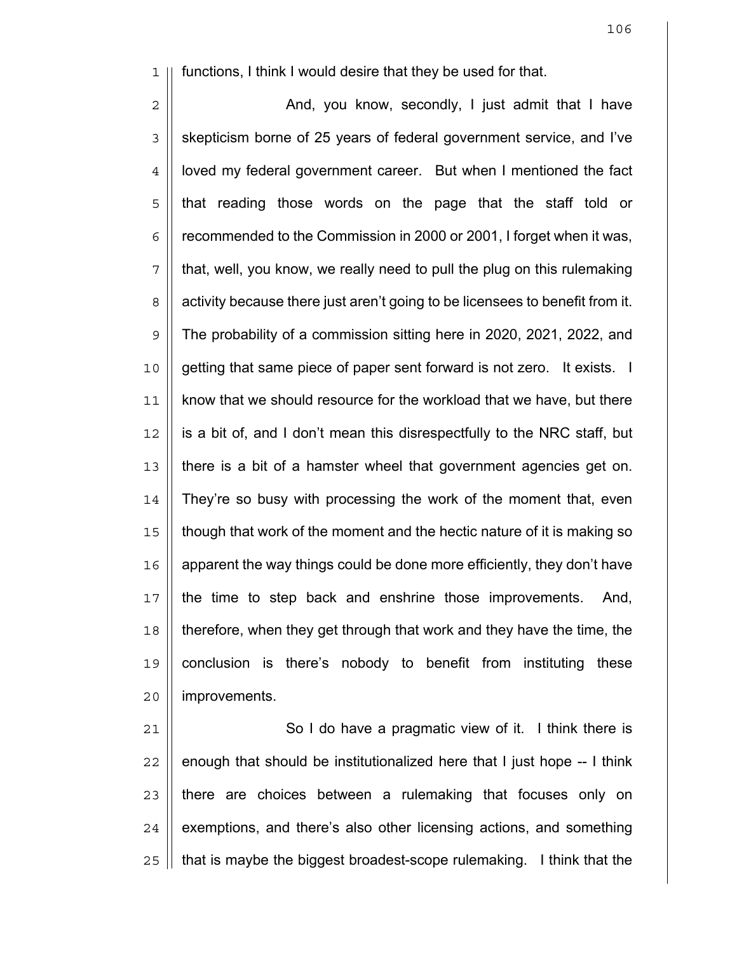1 functions, I think I would desire that they be used for that.

2 || And, you know, secondly, I just admit that I have 3 | skepticism borne of 25 years of federal government service, and I've 4 | loved my federal government career. But when I mentioned the fact 5 || that reading those words on the page that the staff told or  $6 \mid \mid$  recommended to the Commission in 2000 or 2001, I forget when it was,  $7$  || that, well, you know, we really need to pull the plug on this rulemaking 8 | activity because there just aren't going to be licensees to benefit from it.  $9 \parallel$  The probability of a commission sitting here in 2020, 2021, 2022, and 10 || getting that same piece of paper sent forward is not zero. It exists. I 11 | know that we should resource for the workload that we have, but there 12 is a bit of, and I don't mean this disrespectfully to the NRC staff, but 13 there is a bit of a hamster wheel that government agencies get on. 14 | They're so busy with processing the work of the moment that, even 15 though that work of the moment and the hectic nature of it is making so  $16$  | apparent the way things could be done more efficiently, they don't have 17 || the time to step back and enshrine those improvements. And, 18 therefore, when they get through that work and they have the time, the 19 conclusion is there's nobody to benefit from instituting these 20 | improvements.

21 || So I do have a pragmatic view of it. I think there is || enough that should be institutionalized here that I just hope  $-1$  think || there are choices between a rulemaking that focuses only on | exemptions, and there's also other licensing actions, and something | that is maybe the biggest broadest-scope rulemaking. I think that the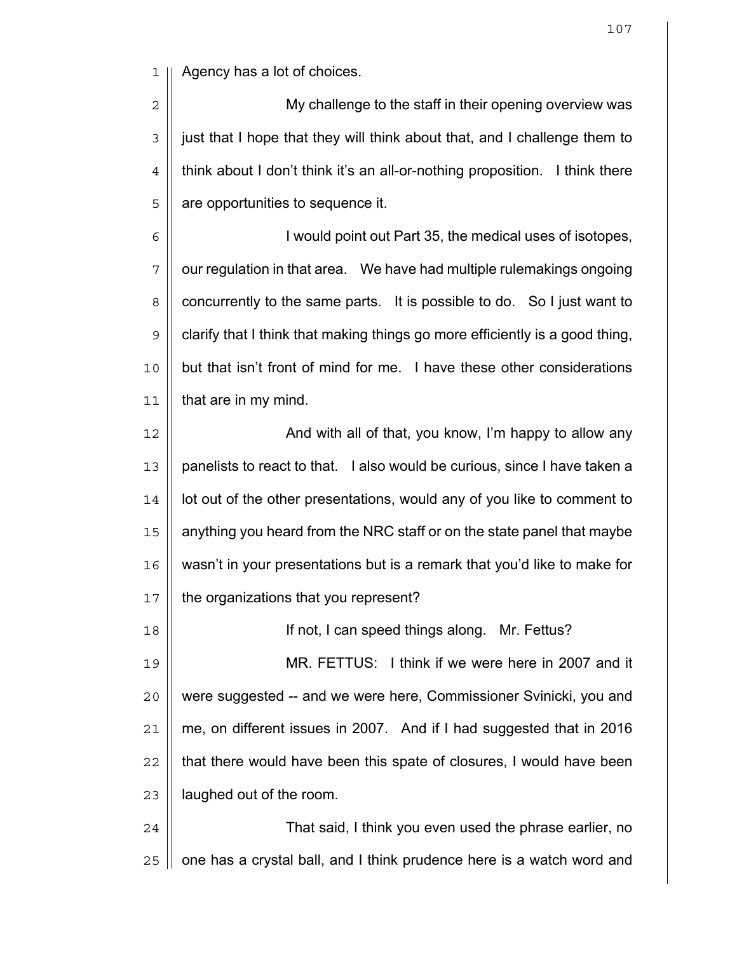1 || Agency has a lot of choices.

2 || My challenge to the staff in their opening overview was 3 | just that I hope that they will think about that, and I challenge them to  $4$   $\parallel$  think about I don't think it's an all-or-nothing proposition. I think there  $5 \parallel$  are opportunities to sequence it.

6 || I would point out Part 35, the medical uses of isotopes,  $7 \parallel$  our regulation in that area. We have had multiple rulemakings ongoing 8 | concurrently to the same parts. It is possible to do. So I just want to  $9 \parallel$  clarify that I think that making things go more efficiently is a good thing, 10 || but that isn't front of mind for me. I have these other considerations  $11$  | that are in my mind.

12 And with all of that, you know, I'm happy to allow any 13 || panelists to react to that. I also would be curious, since I have taken a  $14$  || lot out of the other presentations, would any of you like to comment to 15 anything you heard from the NRC staff or on the state panel that maybe 16 || wasn't in your presentations but is a remark that you'd like to make for 17 | the organizations that you represent?

If not, I can speed things along. Mr. Fettus? MR. FETTUS: I think if we were here in 2007 and it 20 || were suggested -- and we were here, Commissioner Svinicki, you and | me, on different issues in 2007. And if I had suggested that in 2016 || that there would have been this spate of closures, I would have been | laughed out of the room.

24 | That said, I think you even used the phrase earlier, no  $25$  || one has a crystal ball, and I think prudence here is a watch word and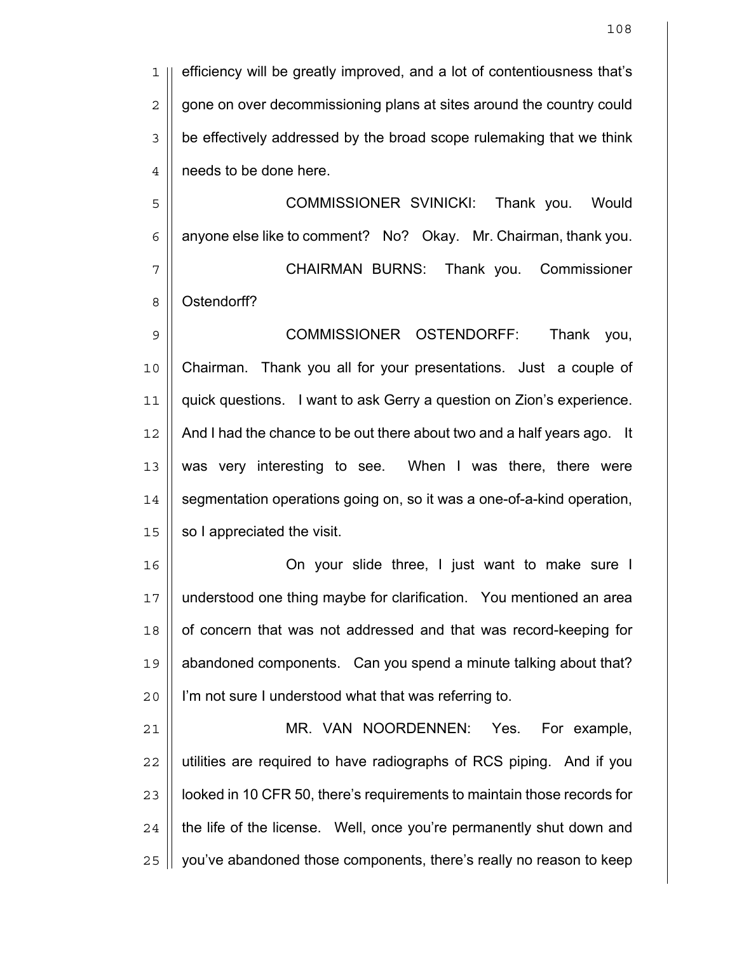1 || efficiency will be greatly improved, and a lot of contentiousness that's 2 | gone on over decommissioning plans at sites around the country could  $3 \parallel$  be effectively addressed by the broad scope rulemaking that we think 4 | needs to be done here.

COMMISSIONER SVINICKI: Thank you. Would  $6 \parallel$  anyone else like to comment? No? Okay. Mr. Chairman, thank you. CHAIRMAN BURNS: Thank you. Commissioner 8 || Ostendorff?

COMMISSIONER OSTENDORFF: Thank you, Chairman. Thank you all for your presentations. Just a couple of quick questions. I want to ask Gerry a question on Zion's experience. 12 | And I had the chance to be out there about two and a half years ago. It 13 || was very interesting to see. When I was there, there were 14 | segmentation operations going on, so it was a one-of-a-kind operation, | so I appreciated the visit.

On your slide three, I just want to make sure I understood one thing maybe for clarification. You mentioned an area 18 | of concern that was not addressed and that was record-keeping for abandoned components. Can you spend a minute talking about that? I'm not sure I understood what that was referring to.

MR. VAN NOORDENNEN: Yes. For example, || utilities are required to have radiographs of RCS piping. And if you  $\parallel$  looked in 10 CFR 50, there's requirements to maintain those records for || the life of the license. Well, once you're permanently shut down and | you've abandoned those components, there's really no reason to keep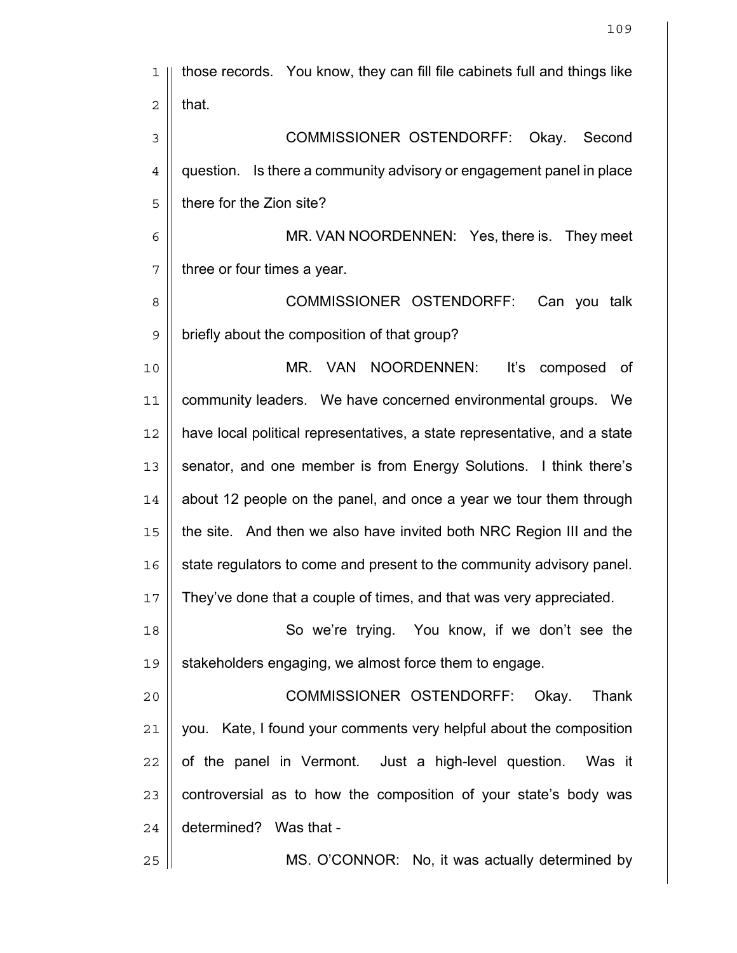| 1              | those records. You know, they can fill file cabinets full and things like |
|----------------|---------------------------------------------------------------------------|
| $\overline{2}$ | that.                                                                     |
| $\mathsf 3$    | <b>COMMISSIONER OSTENDORFF:</b><br>Okay.<br>Second                        |
| $\overline{4}$ | question. Is there a community advisory or engagement panel in place      |
| 5              | there for the Zion site?                                                  |
| 6              | MR. VAN NOORDENNEN: Yes, there is. They meet                              |
| 7              | three or four times a year.                                               |
| 8              | COMMISSIONER OSTENDORFF:<br>Can you talk                                  |
| $\mathsf 9$    | briefly about the composition of that group?                              |
| 10             | NOORDENNEN:<br><b>VAN</b><br>It's<br>MR.<br>composed<br>of                |
| 11             | community leaders. We have concerned environmental groups. We             |
| 12             | have local political representatives, a state representative, and a state |
| 13             | senator, and one member is from Energy Solutions. I think there's         |
| 14             | about 12 people on the panel, and once a year we tour them through        |
| 15             | the site. And then we also have invited both NRC Region III and the       |
| 16             | state regulators to come and present to the community advisory panel.     |
| 17             | They've done that a couple of times, and that was very appreciated.       |
| 18             | So we're trying. You know, if we don't see the                            |
| 19             | stakeholders engaging, we almost force them to engage.                    |
| 20             | COMMISSIONER OSTENDORFF: Okay.<br>Thank                                   |
| 21             | you. Kate, I found your comments very helpful about the composition       |
| 22             | of the panel in Vermont. Just a high-level question. Was it               |
| 23             | controversial as to how the composition of your state's body was          |
| 24             | determined? Was that -                                                    |
| 25             | MS. O'CONNOR: No, it was actually determined by                           |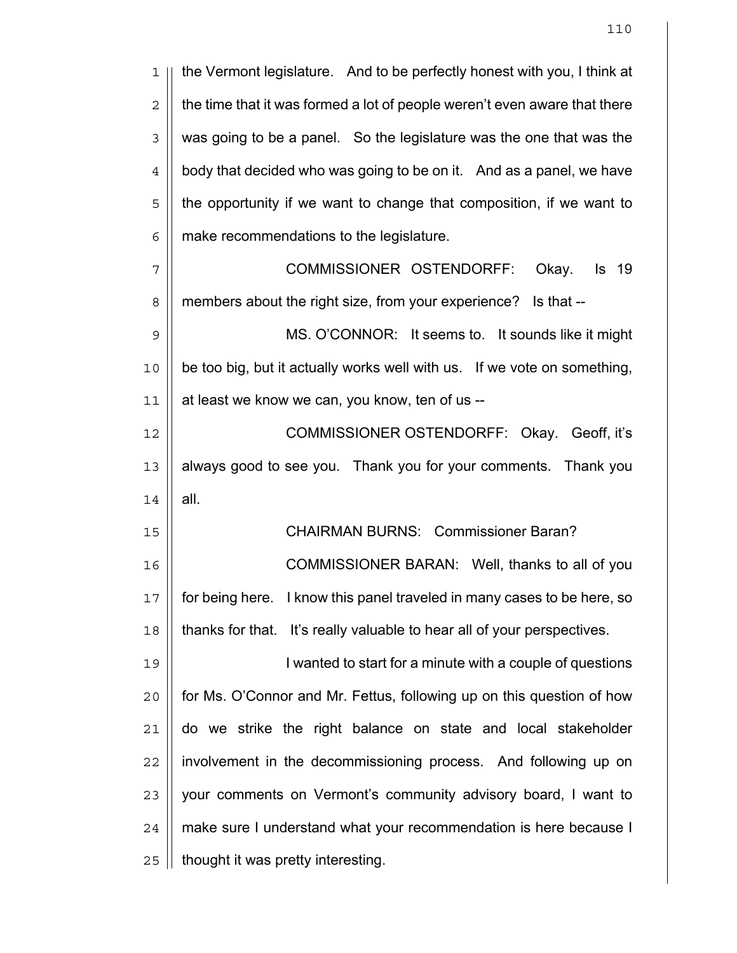| 1              | the Vermont legislature. And to be perfectly honest with you, I think at   |
|----------------|----------------------------------------------------------------------------|
| $\overline{c}$ | the time that it was formed a lot of people weren't even aware that there  |
| $\mathfrak{Z}$ | was going to be a panel. So the legislature was the one that was the       |
| 4              | body that decided who was going to be on it. And as a panel, we have       |
| 5              | the opportunity if we want to change that composition, if we want to       |
| 6              | make recommendations to the legislature.                                   |
| 7              | COMMISSIONER OSTENDORFF:<br><b>Is</b> 19<br>Okay.                          |
| 8              | members about the right size, from your experience? Is that --             |
| $\mathsf 9$    | MS. O'CONNOR: It seems to. It sounds like it might                         |
| 10             | be too big, but it actually works well with us. If we vote on something,   |
| 11             | at least we know we can, you know, ten of us --                            |
| 12             | COMMISSIONER OSTENDORFF: Okay. Geoff, it's                                 |
| 13             | always good to see you. Thank you for your comments. Thank you             |
| 14             | all.                                                                       |
| 15             | <b>CHAIRMAN BURNS: Commissioner Baran?</b>                                 |
| 16             | COMMISSIONER BARAN: Well, thanks to all of you                             |
| $17$           | I know this panel traveled in many cases to be here, so<br>for being here. |
| 18             | thanks for that. It's really valuable to hear all of your perspectives.    |
| 19             | I wanted to start for a minute with a couple of questions                  |
| 20             | for Ms. O'Connor and Mr. Fettus, following up on this question of how      |
| 21             | do we strike the right balance on state and local stakeholder              |
| 22             | involvement in the decommissioning process. And following up on            |
| 23             | your comments on Vermont's community advisory board, I want to             |
| 24             | make sure I understand what your recommendation is here because I          |
| 25             | thought it was pretty interesting.                                         |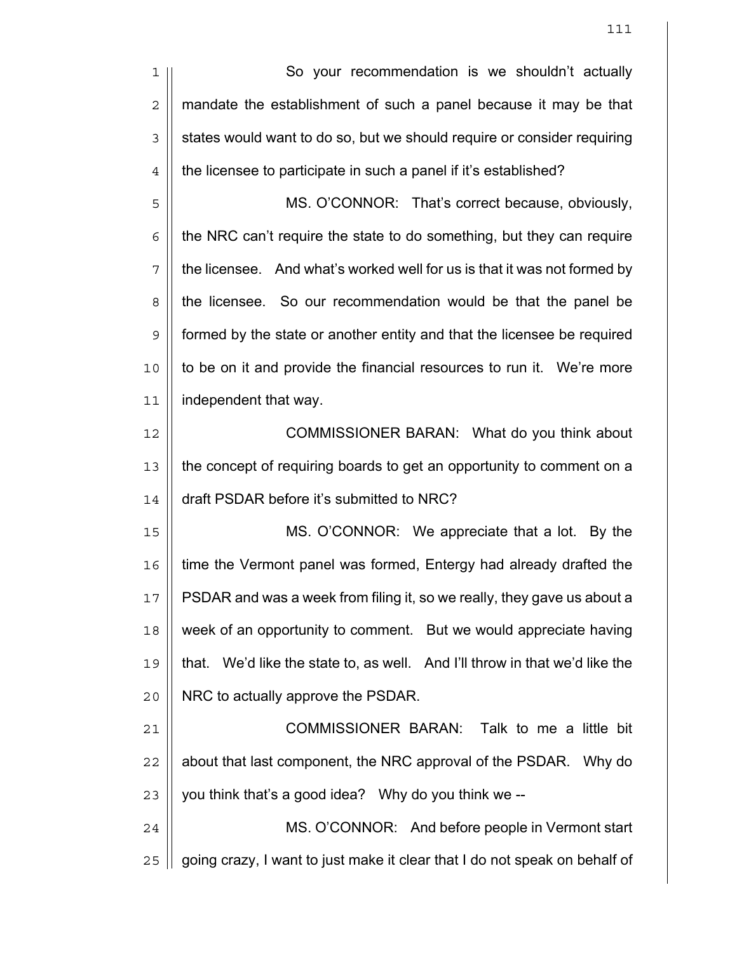1 || So your recommendation is we shouldn't actually 2 | mandate the establishment of such a panel because it may be that  $3 \parallel$  states would want to do so, but we should require or consider requiring 4 | the licensee to participate in such a panel if it's established? 5 || MS. O'CONNOR: That's correct because, obviously,  $6$  | the NRC can't require the state to do something, but they can require  $7 \parallel$  the licensee. And what's worked well for us is that it was not formed by 8 | the licensee. So our recommendation would be that the panel be 9 formed by the state or another entity and that the licensee be required 10 || to be on it and provide the financial resources to run it. We're more 11 independent that way. 12 || **COMMISSIONER BARAN:** What do you think about 13 the concept of requiring boards to get an opportunity to comment on a 14 | draft PSDAR before it's submitted to NRC? 15 MS. O'CONNOR: We appreciate that a lot. By the 16 | time the Vermont panel was formed, Entergy had already drafted the 17 || PSDAR and was a week from filing it, so we really, they gave us about a 18 || week of an opportunity to comment. But we would appreciate having 19 that. We'd like the state to, as well. And I'll throw in that we'd like the 20 | NRC to actually approve the PSDAR. 21 COMMISSIONER BARAN: Talk to me a little bit  $22$  || about that last component, the NRC approval of the PSDAR. Why do  $23$  | you think that's a good idea? Why do you think we --24 | MS. O'CONNOR: And before people in Vermont start 25 | going crazy, I want to just make it clear that I do not speak on behalf of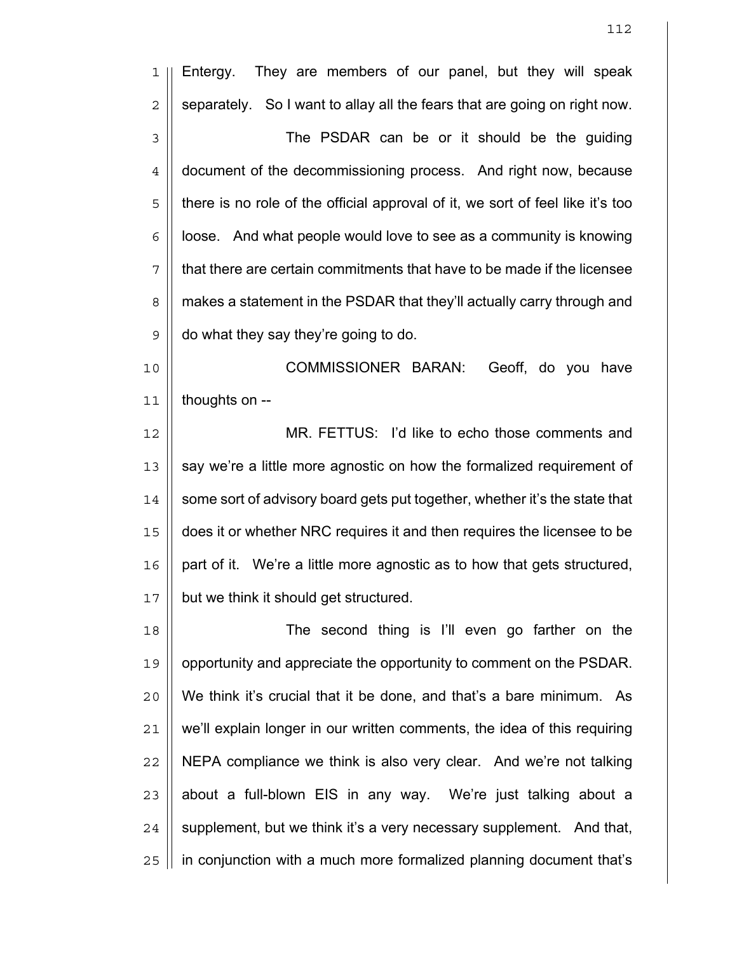| $\mathbf 1$      | They are members of our panel, but they will speak<br>Entergy.                 |
|------------------|--------------------------------------------------------------------------------|
| $\overline{c}$   | separately. So I want to allay all the fears that are going on right now.      |
| 3                | The PSDAR can be or it should be the guiding                                   |
| $\ensuremath{4}$ | document of the decommissioning process. And right now, because                |
| 5                | there is no role of the official approval of it, we sort of feel like it's too |
| 6                | loose. And what people would love to see as a community is knowing             |
| 7                | that there are certain commitments that have to be made if the licensee        |
| 8                | makes a statement in the PSDAR that they'll actually carry through and         |
| $\mathsf 9$      | do what they say they're going to do.                                          |
| 10               | COMMISSIONER BARAN:<br>Geoff, do you have                                      |
| 11               | thoughts on --                                                                 |
| 12               | MR. FETTUS: I'd like to echo those comments and                                |
| 13               | say we're a little more agnostic on how the formalized requirement of          |
| 14               | some sort of advisory board gets put together, whether it's the state that     |
| 15               | does it or whether NRC requires it and then requires the licensee to be        |
| 16               | part of it. We're a little more agnostic as to how that gets structured,       |
| 17               | but we think it should get structured.                                         |
| 18               | The second thing is I'll even go farther on the                                |
| 19               | opportunity and appreciate the opportunity to comment on the PSDAR.            |
| 20               | We think it's crucial that it be done, and that's a bare minimum. As           |
| 21               | we'll explain longer in our written comments, the idea of this requiring       |
| 22               | NEPA compliance we think is also very clear. And we're not talking             |
| 23               | about a full-blown EIS in any way. We're just talking about a                  |
| 24               | supplement, but we think it's a very necessary supplement. And that,           |
| 25               | in conjunction with a much more formalized planning document that's            |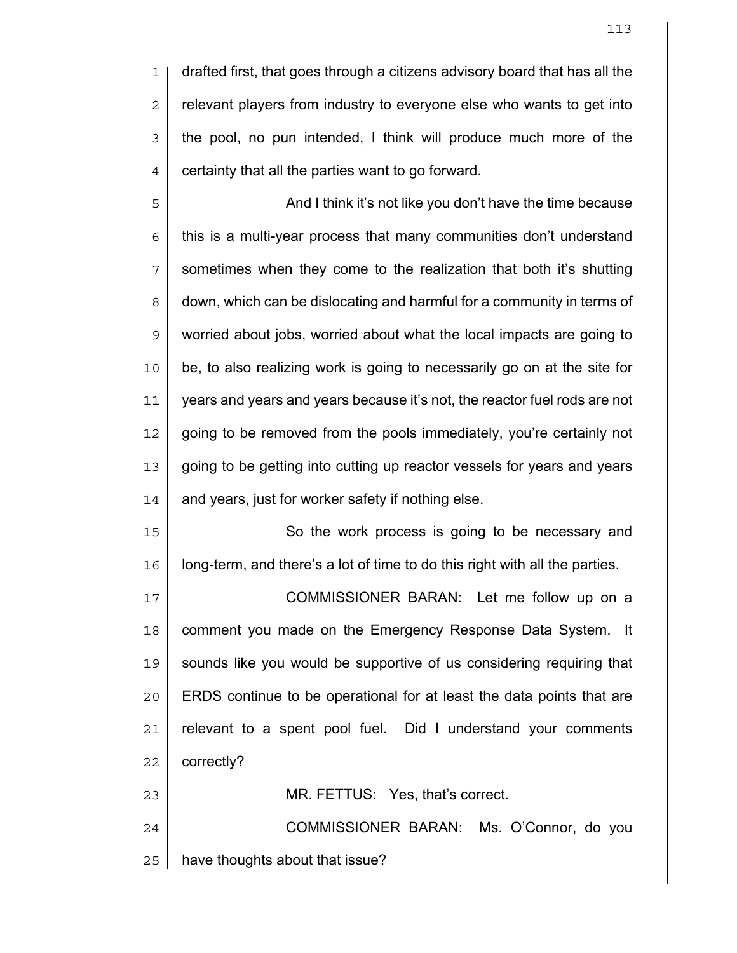drafted first, that goes through a citizens advisory board that has all the  $2 \parallel$  relevant players from industry to everyone else who wants to get into 3 || the pool, no pun intended, I think will produce much more of the  $4 \parallel$  certainty that all the parties want to go forward.

And I think it's not like you don't have the time because | this is a multi-year process that many communities don't understand || sometimes when they come to the realization that both it's shutting 8 | down, which can be dislocating and harmful for a community in terms of worried about jobs, worried about what the local impacts are going to be, to also realizing work is going to necessarily go on at the site for years and years and years because it's not, the reactor fuel rods are not going to be removed from the pools immediately, you're certainly not going to be getting into cutting up reactor vessels for years and years | and years, just for worker safety if nothing else.

15 || So the work process is going to be necessary and | long-term, and there's a lot of time to do this right with all the parties.

COMMISSIONER BARAN: Let me follow up on a 18 || comment you made on the Emergency Response Data System. It 19 || sounds like you would be supportive of us considering requiring that ERDS continue to be operational for at least the data points that are | relevant to a spent pool fuel. Did I understand your comments | correctly?

24 | COMMISSIONER BARAN: Ms. O'Connor, do you | have thoughts about that issue?

MR. FETTUS: Yes, that's correct.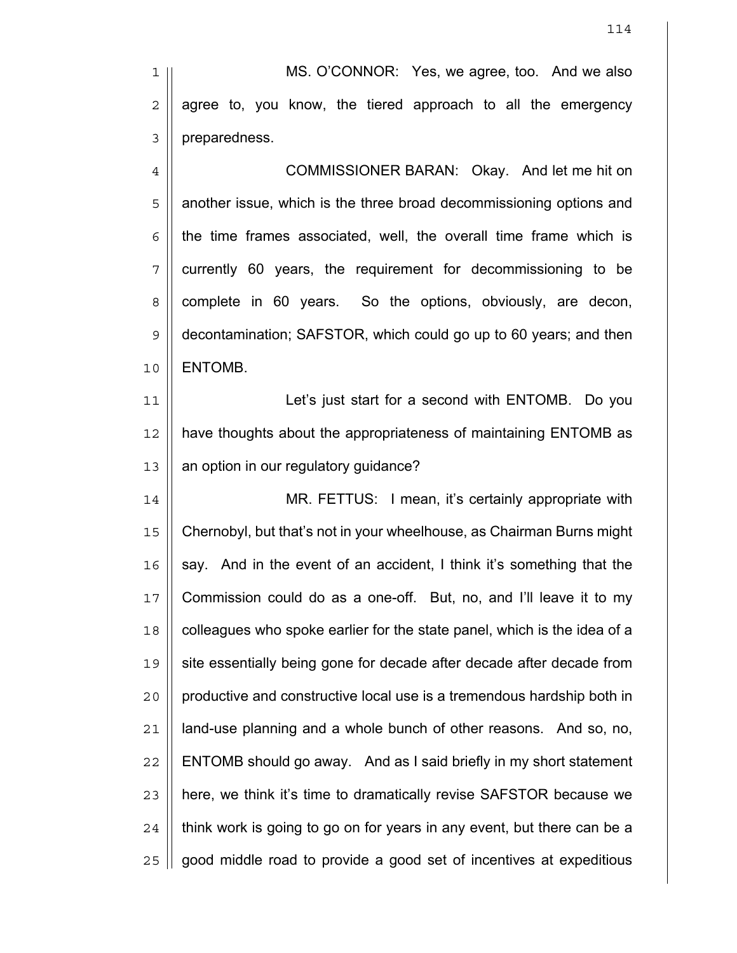1 || MS. O'CONNOR: Yes, we agree, too. And we also  $2 \parallel$  agree to, you know, the tiered approach to all the emergency 3 | preparedness.

4 || COMMISSIONER BARAN: Okay. And let me hit on 5 || another issue, which is the three broad decommissioning options and  $6 \parallel$  the time frames associated, well, the overall time frame which is  $7$  | currently 60 years, the requirement for decommissioning to be 8 complete in 60 years. So the options, obviously, are decon, 9 decontamination; SAFSTOR, which could go up to 60 years; and then 10 | ENTOMB.

11 || Let's just start for a second with ENTOMB. Do you 12 || have thoughts about the appropriateness of maintaining ENTOMB as 13 | an option in our regulatory guidance?

MR. FETTUS: I mean, it's certainly appropriate with Chernobyl, but that's not in your wheelhouse, as Chairman Burns might || say. And in the event of an accident, I think it's something that the Commission could do as a one-off. But, no, and I'll leave it to my 18 | colleagues who spoke earlier for the state panel, which is the idea of a 19 || site essentially being gone for decade after decade after decade from 20 || productive and constructive local use is a tremendous hardship both in || land-use planning and a whole bunch of other reasons. And so, no,  $\parallel$  ENTOMB should go away. And as I said briefly in my short statement || here, we think it's time to dramatically revise SAFSTOR because we | think work is going to go on for years in any event, but there can be a 25 | good middle road to provide a good set of incentives at expeditious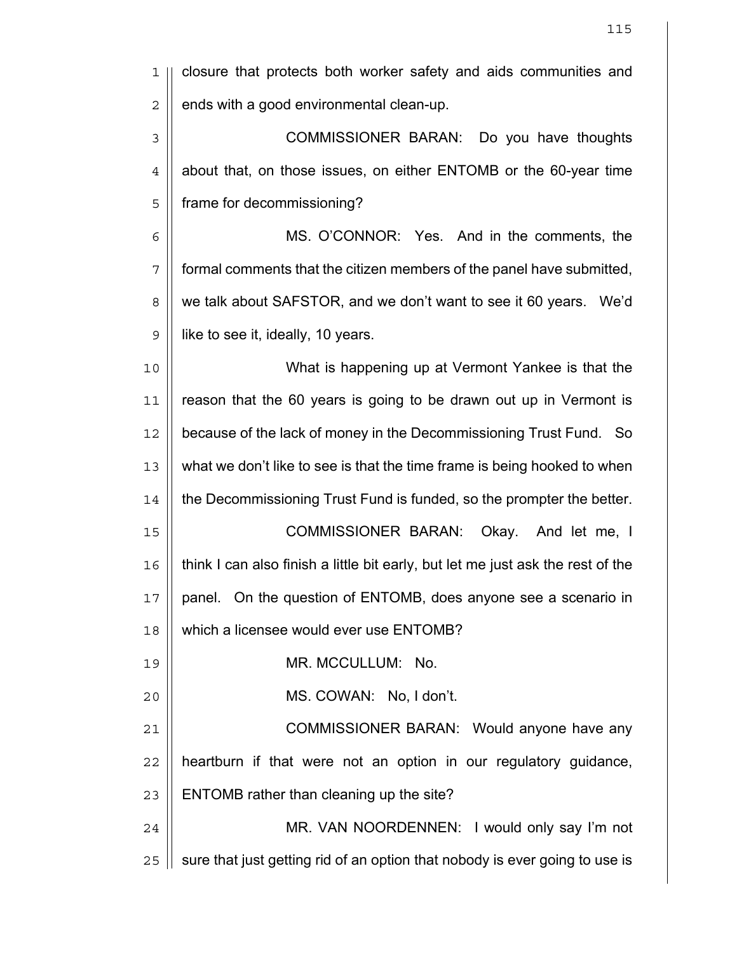| 1              | closure that protects both worker safety and aids communities and               |
|----------------|---------------------------------------------------------------------------------|
| $\overline{c}$ | ends with a good environmental clean-up.                                        |
| $\mathfrak{Z}$ | COMMISSIONER BARAN: Do you have thoughts                                        |
| $\overline{4}$ | about that, on those issues, on either ENTOMB or the 60-year time               |
| 5              | frame for decommissioning?                                                      |
| 6              | MS. O'CONNOR: Yes. And in the comments, the                                     |
| 7              | formal comments that the citizen members of the panel have submitted,           |
| 8              | we talk about SAFSTOR, and we don't want to see it 60 years. We'd               |
| $\mathsf 9$    | like to see it, ideally, 10 years.                                              |
| 10             | What is happening up at Vermont Yankee is that the                              |
| 11             | reason that the 60 years is going to be drawn out up in Vermont is              |
| 12             | because of the lack of money in the Decommissioning Trust Fund. So              |
| 13             | what we don't like to see is that the time frame is being hooked to when        |
| 14             | the Decommissioning Trust Fund is funded, so the prompter the better.           |
| 15             | <b>COMMISSIONER BARAN:</b><br>Okay. And let me, I                               |
| 16             | think I can also finish a little bit early, but let me just ask the rest of the |
| 17             | panel. On the question of ENTOMB, does anyone see a scenario in                 |
| 18             | which a licensee would ever use ENTOMB?                                         |
| 19             | MR. MCCULLUM:<br>No.                                                            |
| 20             | MS. COWAN: No, I don't.                                                         |
| 21             | COMMISSIONER BARAN: Would anyone have any                                       |
| 22             | heartburn if that were not an option in our regulatory guidance,                |
| 23             | ENTOMB rather than cleaning up the site?                                        |
| 24             | MR. VAN NOORDENNEN: I would only say I'm not                                    |
| 25             | sure that just getting rid of an option that nobody is ever going to use is     |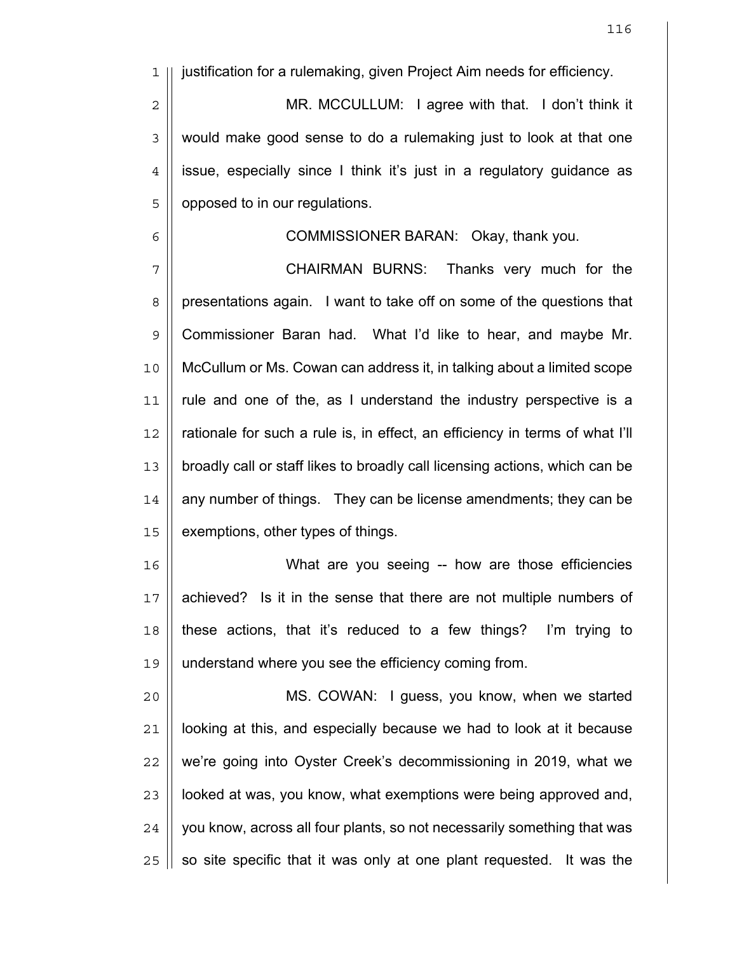1 justification for a rulemaking, given Project Aim needs for efficiency.

2 || MR. MCCULLUM: I agree with that. I don't think it 3 | would make good sense to do a rulemaking just to look at that one  $4$  | issue, especially since I think it's just in a regulatory guidance as 5 | opposed to in our regulations.

## 6 || COMMISSIONER BARAN: Okay, thank you.

7 || **CHAIRMAN BURNS:** Thanks very much for the 8 | presentations again. I want to take off on some of the questions that 9 || Commissioner Baran had. What I'd like to hear, and maybe Mr. 10 McCullum or Ms. Cowan can address it, in talking about a limited scope 11 rule and one of the, as I understand the industry perspective is a 12 || rationale for such a rule is, in effect, an efficiency in terms of what I'll 13 || broadly call or staff likes to broadly call licensing actions, which can be 14 || any number of things. They can be license amendments; they can be 15 | exemptions, other types of things.

What are you seeing -- how are those efficiencies 17 || achieved? Is it in the sense that there are not multiple numbers of || these actions, that it's reduced to a few things? I'm trying to understand where you see the efficiency coming from.

MS. COWAN: I guess, you know, when we started | looking at this, and especially because we had to look at it because || we're going into Oyster Creek's decommissioning in 2019, what we || looked at was, you know, what exemptions were being approved and, | you know, across all four plants, so not necessarily something that was | so site specific that it was only at one plant requested. It was the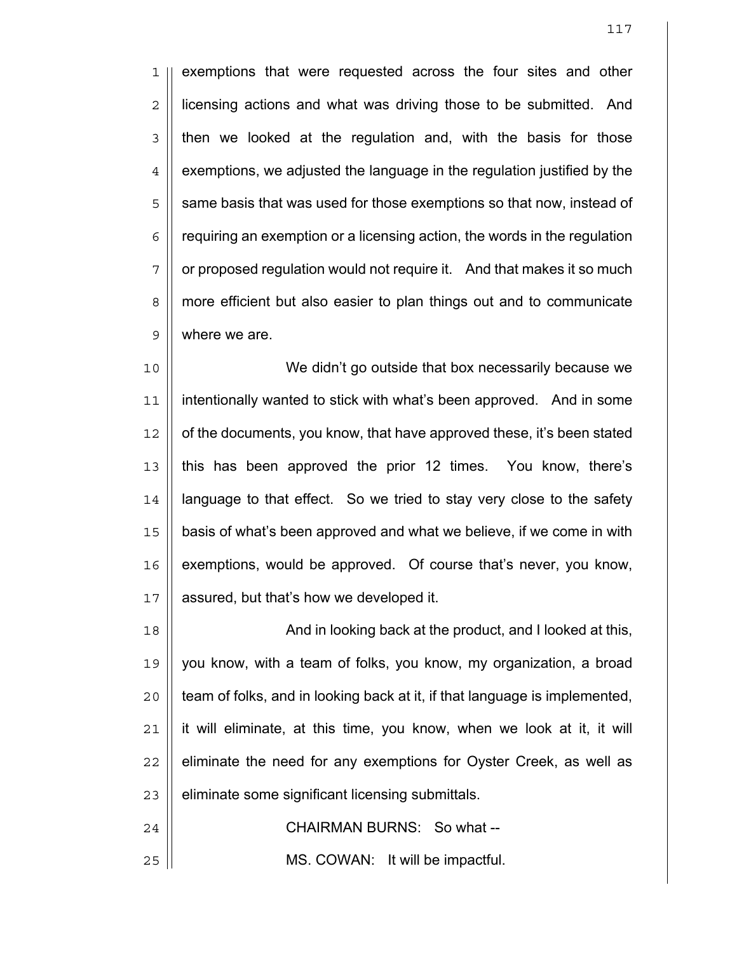1 || exemptions that were requested across the four sites and other 2 | licensing actions and what was driving those to be submitted. And  $3 \parallel$  then we looked at the regulation and, with the basis for those  $4 \parallel$  exemptions, we adjusted the language in the regulation justified by the 5 || same basis that was used for those exemptions so that now, instead of  $6 \parallel$  requiring an exemption or a licensing action, the words in the regulation  $7 \parallel$  or proposed regulation would not require it. And that makes it so much 8 more efficient but also easier to plan things out and to communicate 9 || where we are.

We didn't go outside that box necessarily because we intentionally wanted to stick with what's been approved. And in some | of the documents, you know, that have approved these, it's been stated 13 || this has been approved the prior 12 times. You know, there's || language to that effect. So we tried to stay very close to the safety 15 | basis of what's been approved and what we believe, if we come in with | exemptions, would be approved. Of course that's never, you know, 17 | assured, but that's how we developed it.

18 || **And in looking back at the product, and I looked at this,** you know, with a team of folks, you know, my organization, a broad  $\parallel$  team of folks, and in looking back at it, if that language is implemented, || it will eliminate, at this time, you know, when we look at it, it will || eliminate the need for any exemptions for Oyster Creek, as well as | eliminate some significant licensing submittals.

24 || **CHAIRMAN BURNS: So what --**25 || **MS. COWAN:** It will be impactful.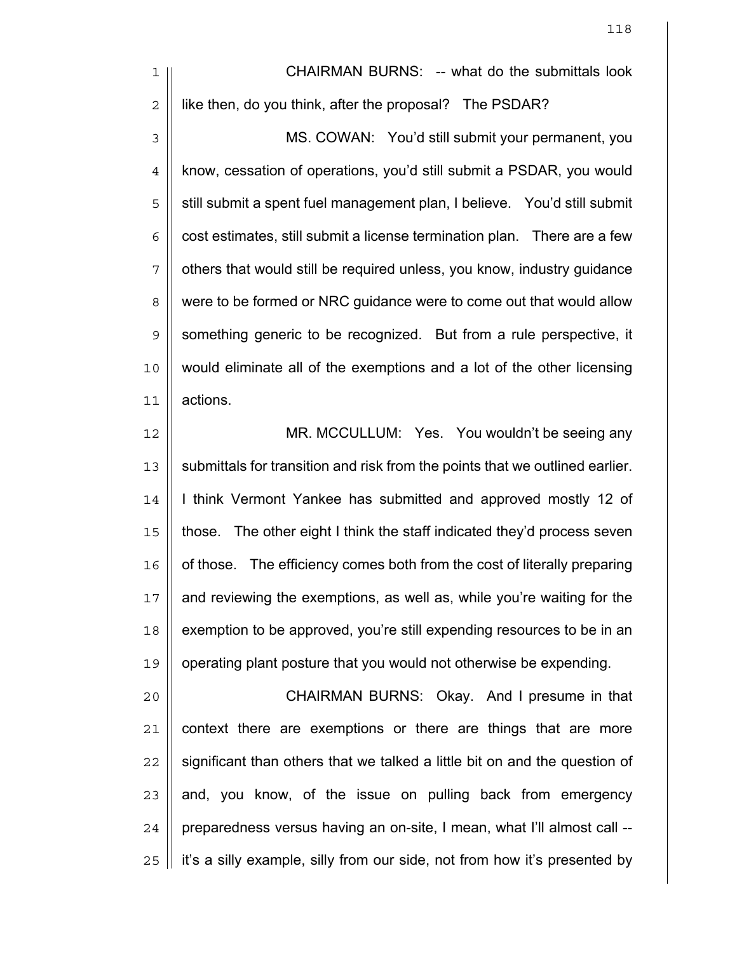1 || CHAIRMAN BURNS: -- what do the submittals look 2 | like then, do you think, after the proposal? The PSDAR?

3 MS. COWAN: You'd still submit your permanent, you 4 | know, cessation of operations, you'd still submit a PSDAR, you would 5 || still submit a spent fuel management plan, I believe. You'd still submit  $6 \parallel$  cost estimates, still submit a license termination plan. There are a few 7 || others that would still be required unless, you know, industry guidance 8 | were to be formed or NRC guidance were to come out that would allow  $9 \parallel$  something generic to be recognized. But from a rule perspective, it 10 would eliminate all of the exemptions and a lot of the other licensing 11 actions.

12 || **MR. MCCULLUM: Yes. You wouldn't be seeing any** 13 || submittals for transition and risk from the points that we outlined earlier. 14 | I think Vermont Yankee has submitted and approved mostly 12 of 15 those. The other eight I think the staff indicated they'd process seven 16 | of those. The efficiency comes both from the cost of literally preparing 17 || and reviewing the exemptions, as well as, while you're waiting for the 18 | exemption to be approved, you're still expending resources to be in an 19 operating plant posture that you would not otherwise be expending.

CHAIRMAN BURNS: Okay. And I presume in that | context there are exemptions or there are things that are more || significant than others that we talked a little bit on and the question of | and, you know, of the issue on pulling back from emergency | preparedness versus having an on-site, I mean, what I'll almost call --25 || it's a silly example, silly from our side, not from how it's presented by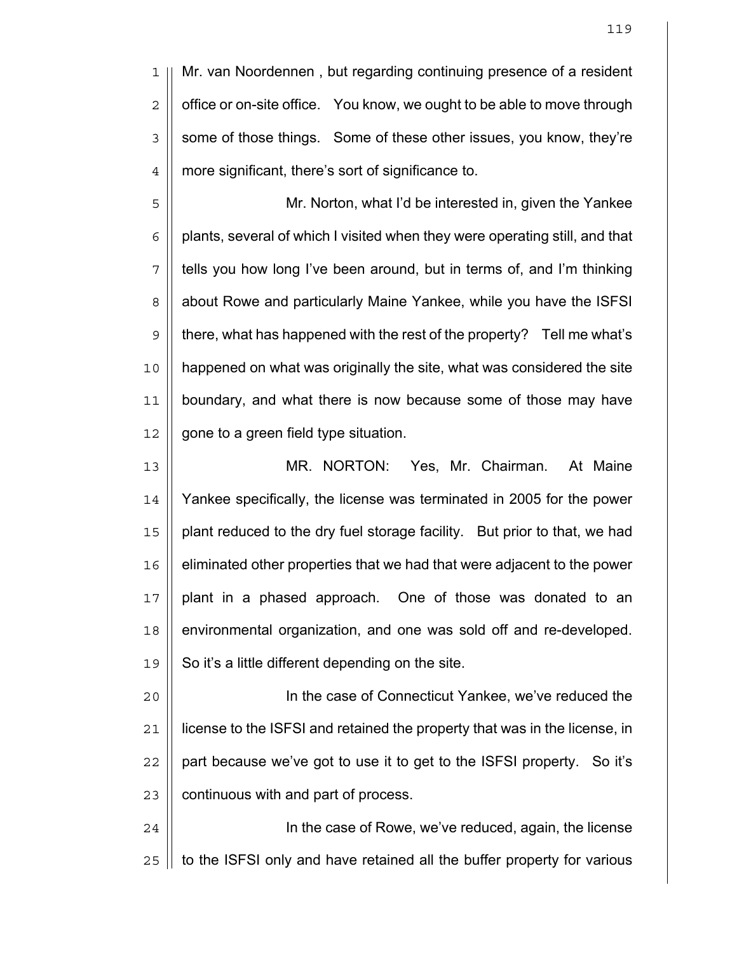Mr. van Noordennen , but regarding continuing presence of a resident  $2 \parallel$  office or on-site office. You know, we ought to be able to move through 3 Sume of those things. Some of these other issues, you know, they're more significant, there's sort of significance to.

Mr. Norton, what I'd be interested in, given the Yankee  $6 \parallel$  plants, several of which I visited when they were operating still, and that || tells you how long I've been around, but in terms of, and I'm thinking 8 | about Rowe and particularly Maine Yankee, while you have the ISFSI  $9 \parallel$  there, what has happened with the rest of the property? Tell me what's happened on what was originally the site, what was considered the site boundary, and what there is now because some of those may have | gone to a green field type situation.

MR. NORTON: Yes, Mr. Chairman. At Maine Yankee specifically, the license was terminated in 2005 for the power 15 || plant reduced to the dry fuel storage facility. But prior to that, we had eliminated other properties that we had that were adjacent to the power 17 || plant in a phased approach. One of those was donated to an environmental organization, and one was sold off and re-developed.  $19 \parallel$  So it's a little different depending on the site.

In the case of Connecticut Yankee, we've reduced the license to the ISFSI and retained the property that was in the license, in || part because we've got to use it to get to the ISFSI property. So it's 23 | continuous with and part of process.

24 || **In the case of Rowe, we've reduced, again, the license** | to the ISFSI only and have retained all the buffer property for various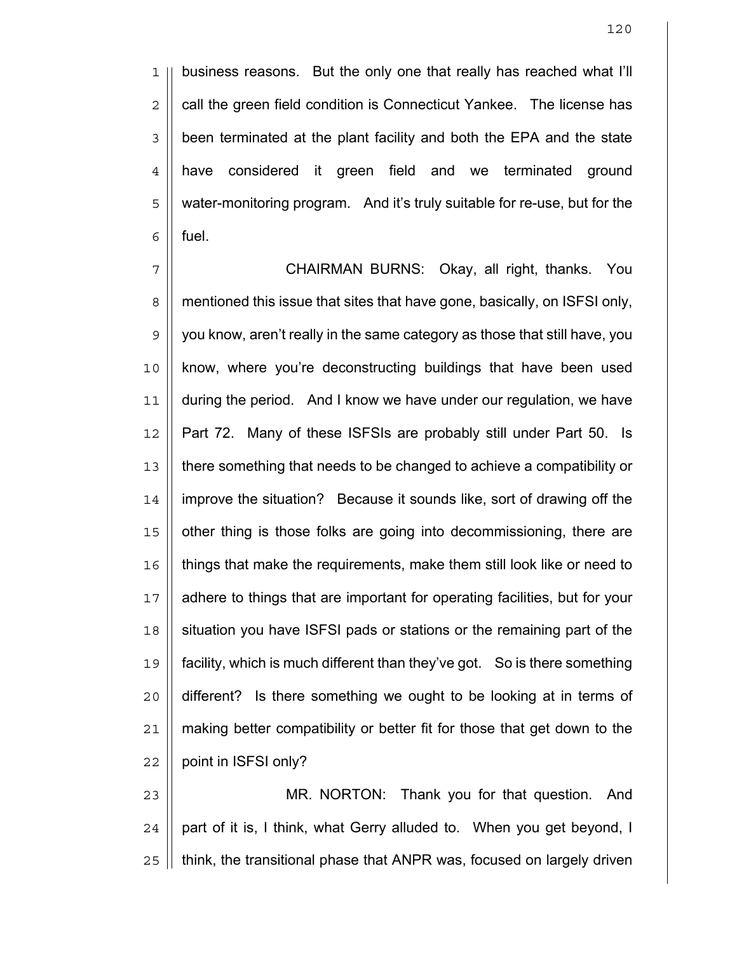1 || business reasons. But the only one that really has reached what I'll  $2 \parallel$  call the green field condition is Connecticut Yankee. The license has 3 | been terminated at the plant facility and both the EPA and the state 4 have considered it green field and we terminated ground 5 | water-monitoring program. And it's truly suitable for re-use, but for the  $6 \parallel$  fuel.

7 CHAIRMAN BURNS: Okay, all right, thanks. You 8 | mentioned this issue that sites that have gone, basically, on ISFSI only, 9 | you know, aren't really in the same category as those that still have, you 10 || know, where you're deconstructing buildings that have been used 11 during the period. And I know we have under our regulation, we have 12 || Part 72. Many of these ISFSIs are probably still under Part 50. Is 13 there something that needs to be changed to achieve a compatibility or 14 improve the situation? Because it sounds like, sort of drawing off the 15 || other thing is those folks are going into decommissioning, there are 16 things that make the requirements, make them still look like or need to 17 adhere to things that are important for operating facilities, but for your 18 Situation you have ISFSI pads or stations or the remaining part of the 19 facility, which is much different than they've got. So is there something 20 different? Is there something we ought to be looking at in terms of 21 making better compatibility or better fit for those that get down to the 22 | point in ISFSI only?

23 MR. NORTON: Thank you for that question. And  $24$  | part of it is, I think, what Gerry alluded to. When you get beyond, I  $25$   $\parallel$  think, the transitional phase that ANPR was, focused on largely driven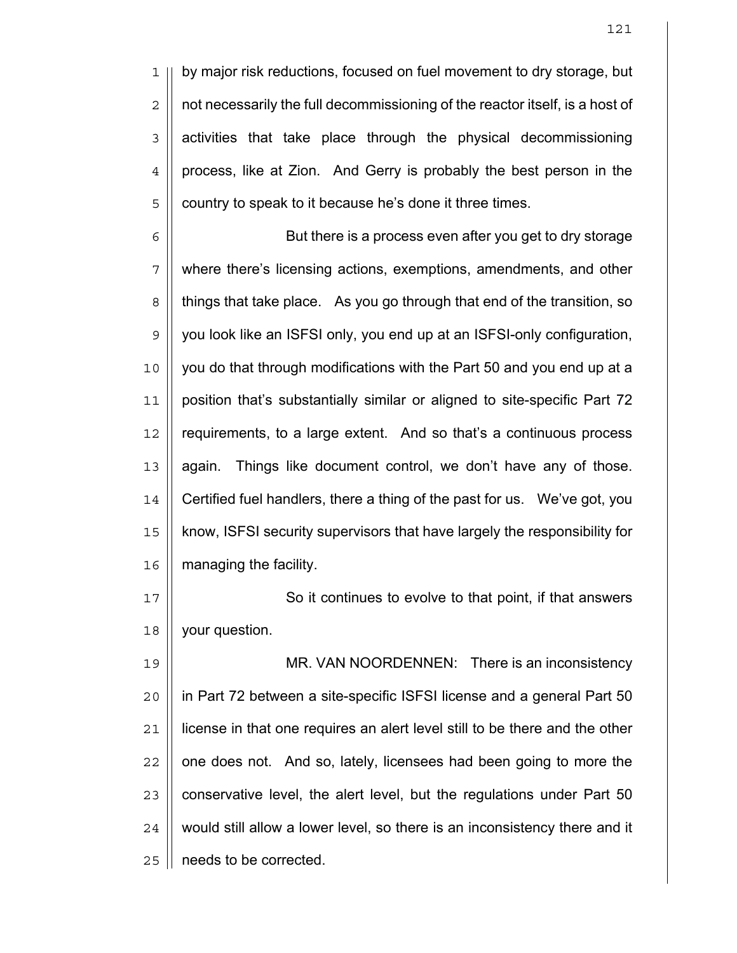1 || by major risk reductions, focused on fuel movement to dry storage, but  $2 \parallel$  not necessarily the full decommissioning of the reactor itself, is a host of  $3$  | activities that take place through the physical decommissioning 4 | process, like at Zion. And Gerry is probably the best person in the 5 | country to speak to it because he's done it three times.

6 || But there is a process even after you get to dry storage where there's licensing actions, exemptions, amendments, and other 8 | things that take place. As you go through that end of the transition, so 9 || you look like an ISFSI only, you end up at an ISFSI-only configuration, you do that through modifications with the Part 50 and you end up at a position that's substantially similar or aligned to site-specific Part 72 12 | requirements, to a large extent. And so that's a continuous process || again. Things like document control, we don't have any of those. Certified fuel handlers, there a thing of the past for us. We've got, you know, ISFSI security supervisors that have largely the responsibility for | managing the facility.

17 || So it continues to evolve to that point, if that answers 18 | your question.

19 || MR. VAN NOORDENNEN: There is an inconsistency in Part 72 between a site-specific ISFSI license and a general Part 50 license in that one requires an alert level still to be there and the other || one does not. And so, lately, licensees had been going to more the || conservative level, the alert level, but the regulations under Part 50  $\parallel$  would still allow a lower level, so there is an inconsistency there and it 25 | needs to be corrected.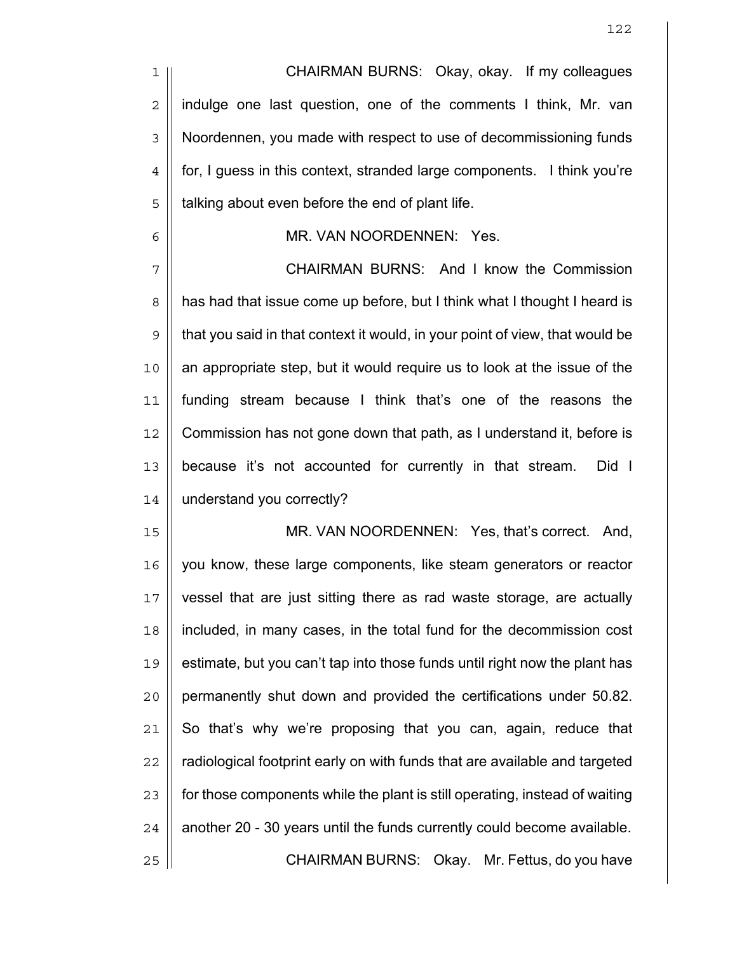CHAIRMAN BURNS: Okay, okay. If my colleagues  $2 \parallel$  indulge one last question, one of the comments I think, Mr. van 3 | Noordennen, you made with respect to use of decommissioning funds  $4 \parallel$  for, I guess in this context, stranded large components. I think you're | talking about even before the end of plant life.

## MR. VAN NOORDENNEN: Yes.

7 | CHAIRMAN BURNS: And I know the Commission 8 | has had that issue come up before, but I think what I thought I heard is 9 || that you said in that context it would, in your point of view, that would be an appropriate step, but it would require us to look at the issue of the funding stream because I think that's one of the reasons the Commission has not gone down that path, as I understand it, before is because it's not accounted for currently in that stream. Did I understand you correctly?

MR. VAN NOORDENNEN: Yes, that's correct. And, you know, these large components, like steam generators or reactor vessel that are just sitting there as rad waste storage, are actually included, in many cases, in the total fund for the decommission cost 19 || estimate, but you can't tap into those funds until right now the plant has permanently shut down and provided the certifications under 50.82. So that's why we're proposing that you can, again, reduce that  $\parallel$  radiological footprint early on with funds that are available and targeted  $\parallel$  for those components while the plant is still operating, instead of waiting | another 20 - 30 years until the funds currently could become available. CHAIRMAN BURNS: Okay. Mr. Fettus, do you have